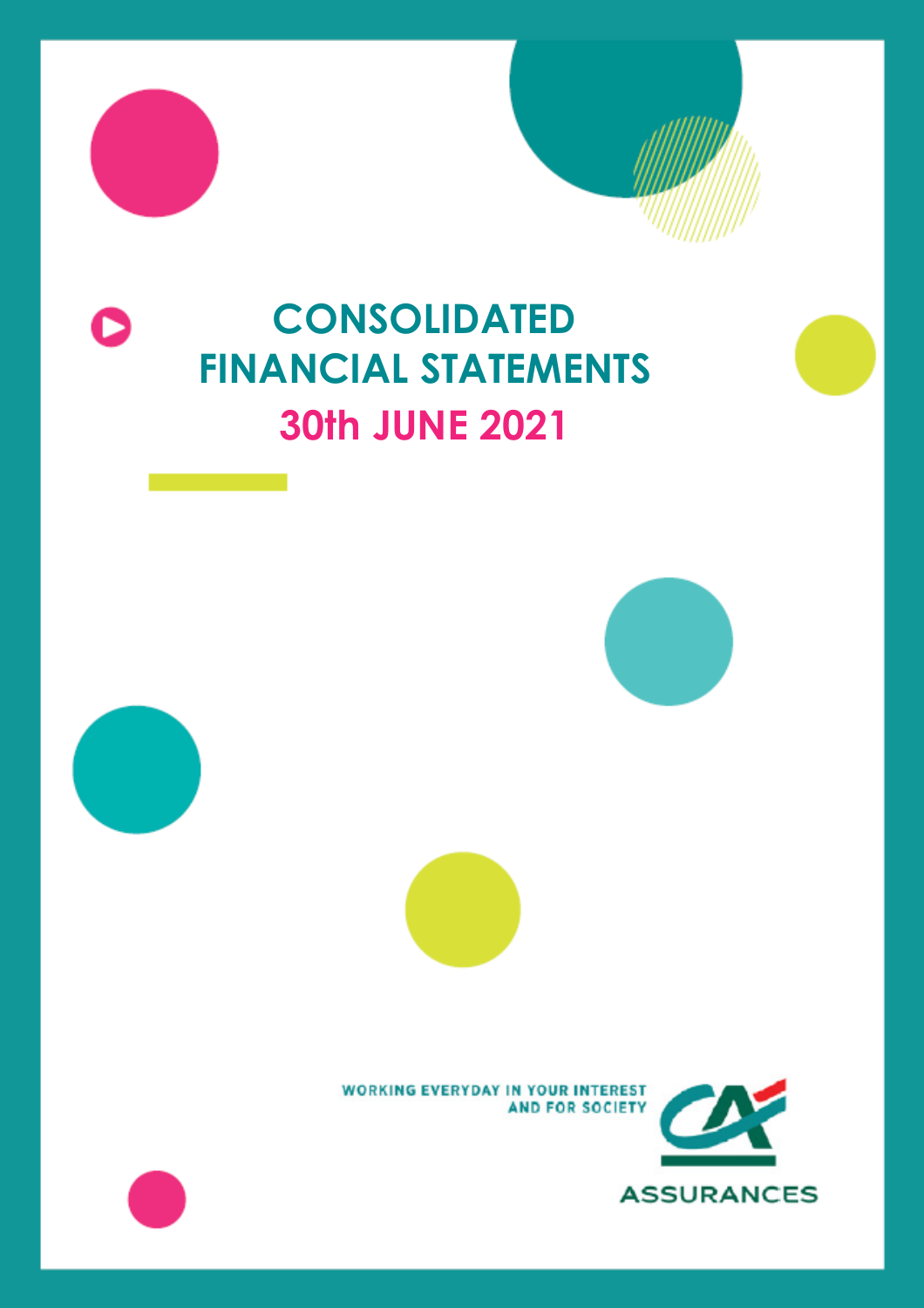# **CONSOLIDATED FINANCIAL STATEMENTS 30th JUNE 2021**









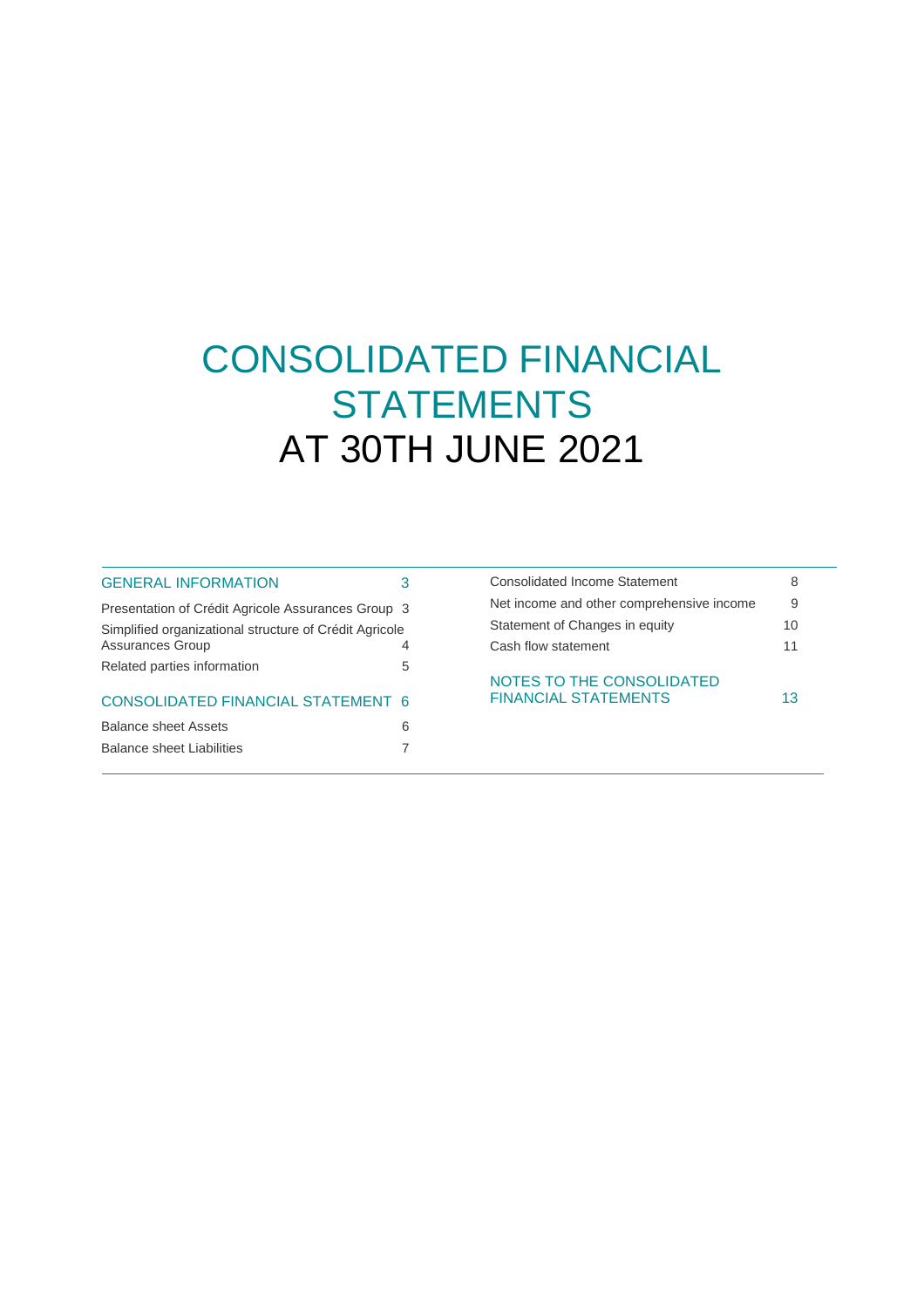# CONSOLIDATED FINANCIAL **STATEMENTS** AT 30TH JUNE 2021

| <b>GENERAL INFORMATION</b>                             |   |
|--------------------------------------------------------|---|
| Presentation of Crédit Agricole Assurances Group 3     |   |
| Simplified organizational structure of Crédit Agricole |   |
| <b>Assurances Group</b>                                |   |
| Related parties information                            | 5 |
| CONSOLIDATED FINANCIAL STATEMENT 6                     |   |
| <b>Balance sheet Assets</b>                            | 6 |
| Balance sheet Liabilities                              |   |
|                                                        |   |

| Consolidated Income Statement                            | 8  |  |
|----------------------------------------------------------|----|--|
| Net income and other comprehensive income                | 9  |  |
| Statement of Changes in equity                           | 10 |  |
| Cash flow statement                                      | 11 |  |
| NOTES TO THE CONSOLIDATED<br><b>FINANCIAL STATEMENTS</b> | 13 |  |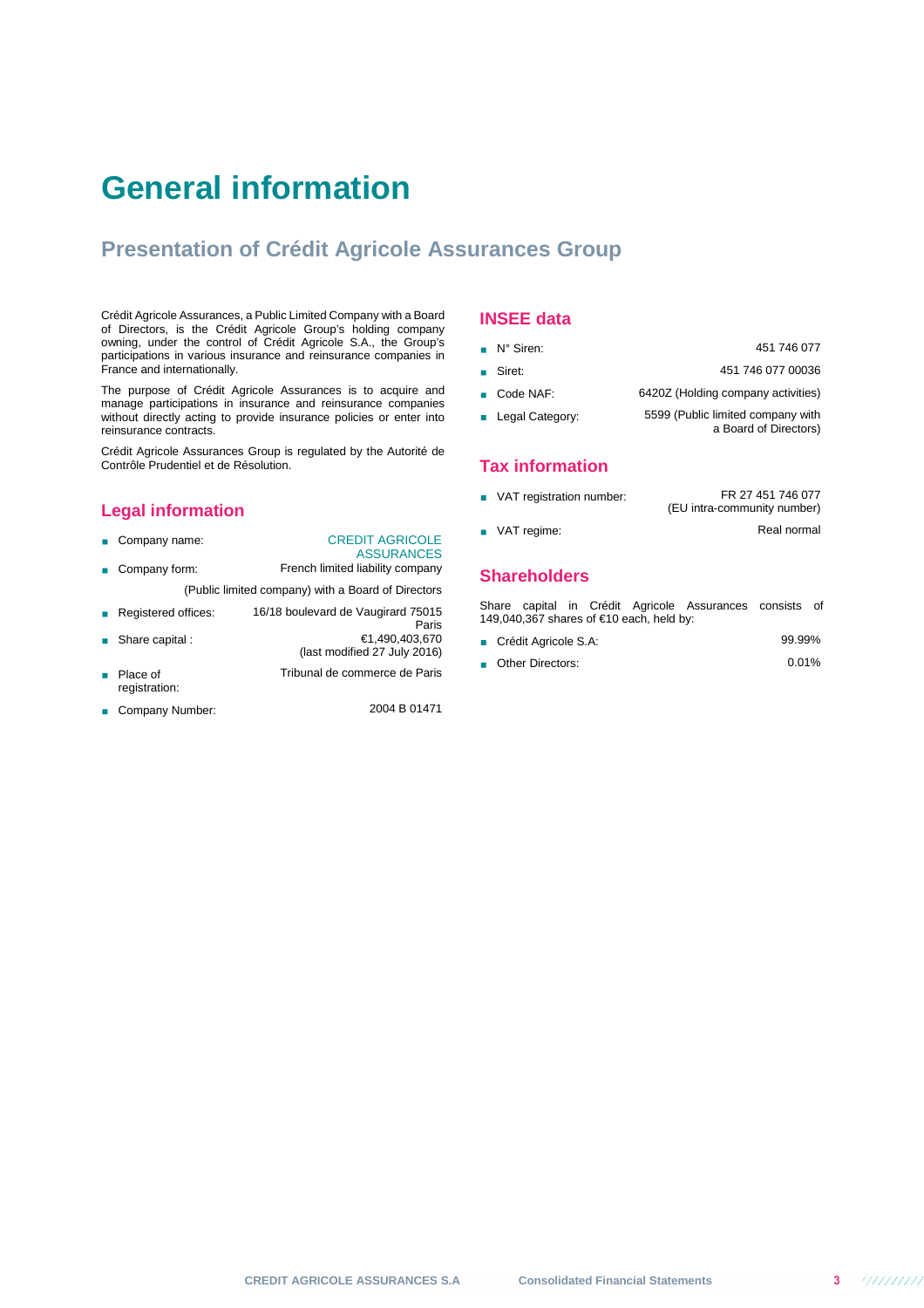# **General information**

## **Presentation of Crédit Agricole Assurances Group**

Crédit Agricole Assurances, a Public Limited Company with a Board of Directors, is the Crédit Agricole Group's holding company owning, under the control of Crédit Agricole S.A., the Group's participations in various insurance and reinsurance companies in France and internationally.

The purpose of Crédit Agricole Assurances is to acquire and manage participations in insurance and reinsurance companies without directly acting to provide insurance policies or enter into reinsurance contracts.

Crédit Agricole Assurances Group is regulated by the Autorité de Contrôle Prudentiel et de Résolution.

## **Legal information**

- Company name: CREDIT AGRICOLE ASSURANCES ■ Company form: French limited liability company (Public limited company) with a Board of Directors Registered offices: 16/18 boulevard de Vaugirard 75015 Paris<br>20,490,490,493 €1 ■ Share capital :
- (last modified 27 July 2016) ■ Place of registration: Tribunal de commerce de Paris
- Company Number: 2004 B 01471

## **INSEE data**

| $\blacksquare$ N° Siren: | 451 746 077                                                |
|--------------------------|------------------------------------------------------------|
| ■ Siret:                 | 451 746 077 00036                                          |
| ■ Code NAF:              | 6420Z (Holding company activities)                         |
| <b>Legal Category:</b>   | 5599 (Public limited company with<br>a Board of Directors) |
|                          |                                                            |

## **Tax information**

■ VAT registration number: FR 27 451 746 077 (EU intra-community number) ■ VAT regime: Real normal

## **Shareholders**

Share capital in Crédit Agricole Assurances consists of 149,040,367 shares of €10 each, held by:

- Crédit Agricole S.A: 99.99%
- Other Directors: 0.01%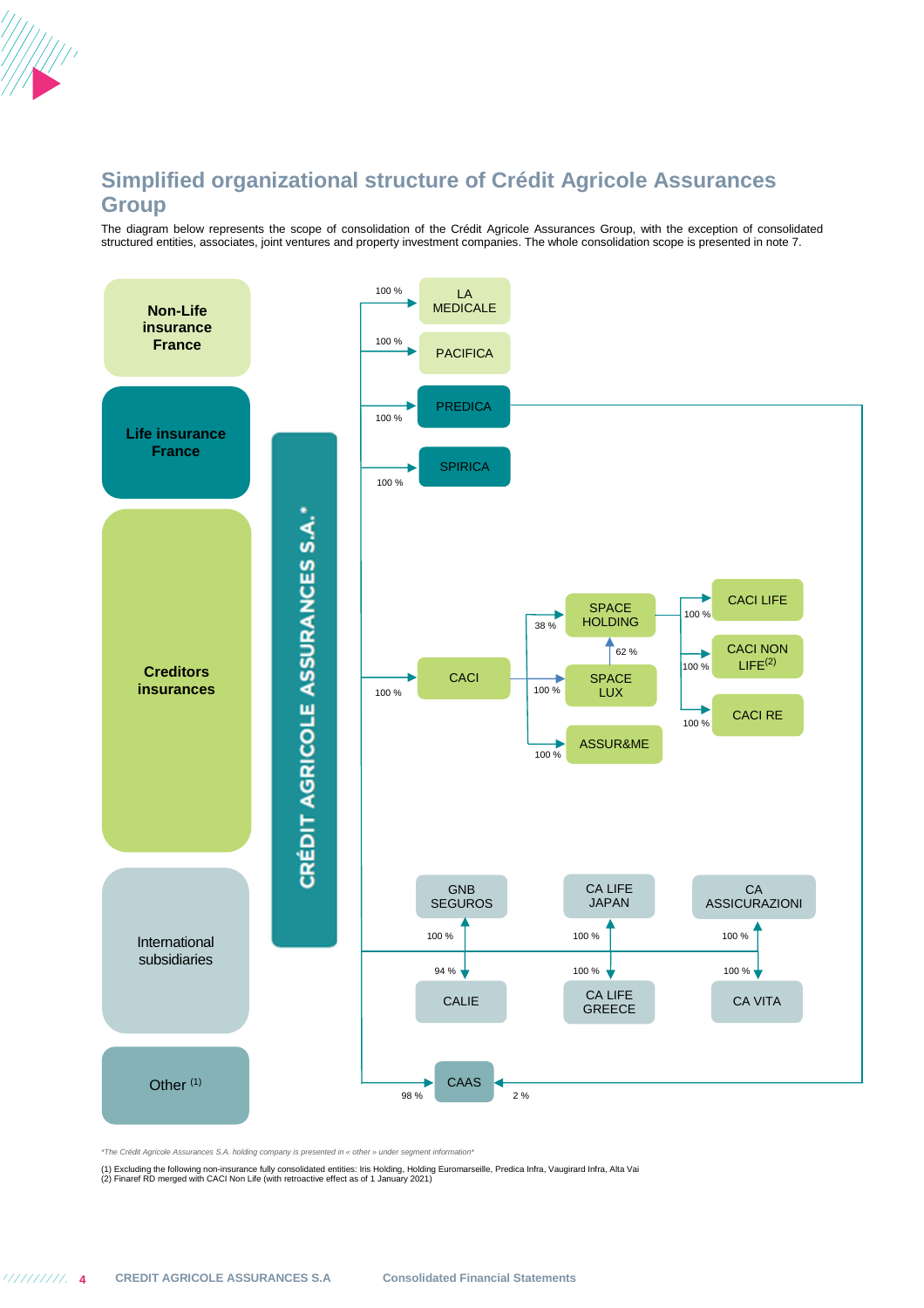

## **Simplified organizational structure of Crédit Agricole Assurances Group**

The diagram below represents the scope of consolidation of the Crédit Agricole Assurances Group, with the exception of consolidated structured entities, associates, joint ventures and property investment companies. The whole consolidation scope is presented in note 7.



\*The Crédit Agricole Assurances S.A. holding company is presented in « other » under segment information\*

(1) Excluding the following non-insurance fully consolidated entities: Iris Holding, Holding Euromarseille, Predica Infra, Vaugirard Infra, Alta Vai<br>(2) Finaref RD merged with CACI Non Life (with retroactive effect as of 1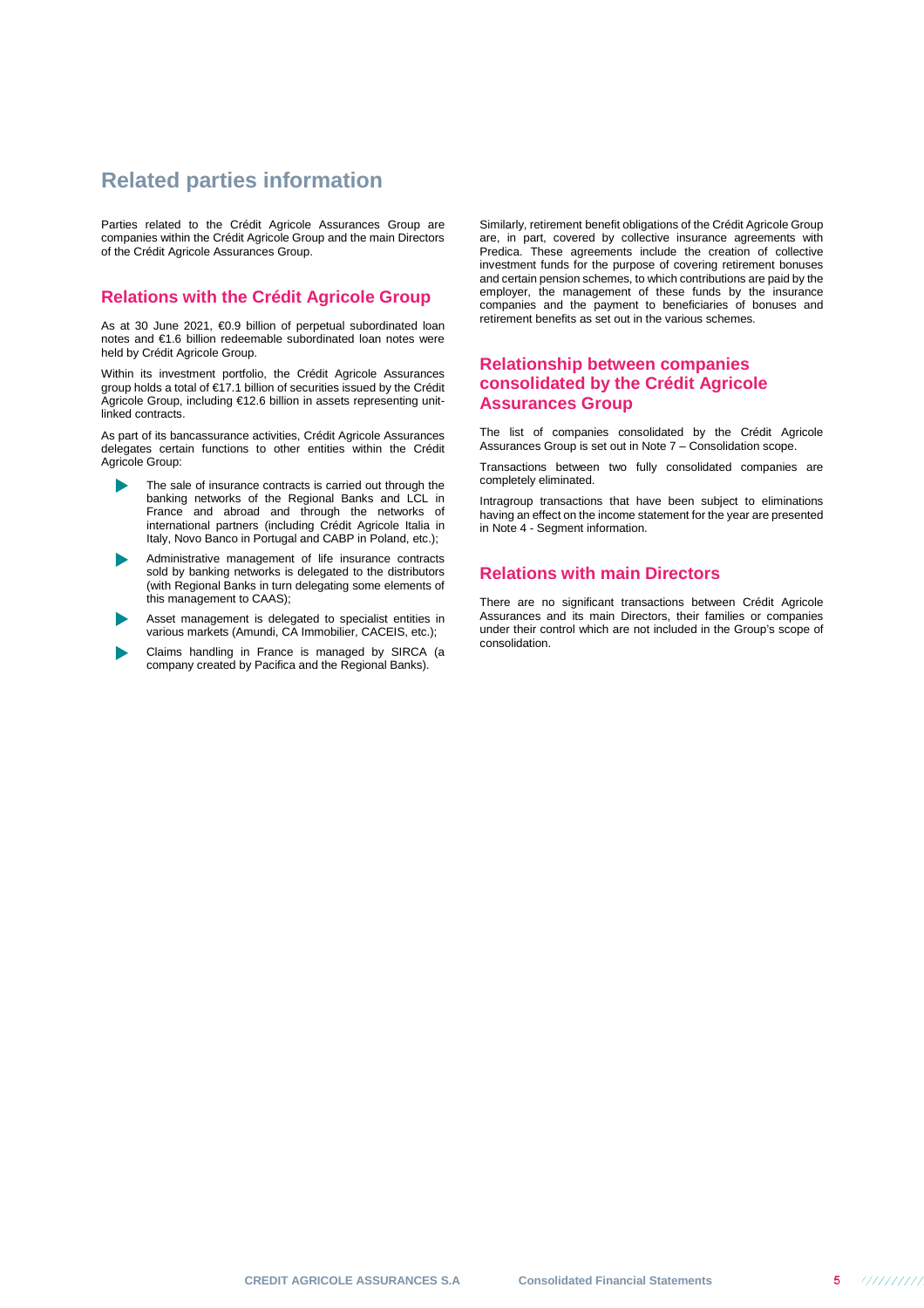## **Related parties information**

Parties related to the Crédit Agricole Assurances Group are companies within the Crédit Agricole Group and the main Directors of the Crédit Agricole Assurances Group.

## **Relations with the Crédit Agricole Group**

As at 30 June 2021, €0.9 billion of perpetual subordinated loan notes and €1.6 billion redeemable subordinated loan notes were held by Crédit Agricole Group.

Within its investment portfolio, the Crédit Agricole Assurances group holds a total of €17.1 billion of securities issued by the Crédit Agricole Group, including €12.6 billion in assets representing unitlinked contracts.

As part of its bancassurance activities, Crédit Agricole Assurances delegates certain functions to other entities within the Crédit Agricole Group:

- The sale of insurance contracts is carried out through the banking networks of the Regional Banks and LCL in France and abroad and through the networks of international partners (including Crédit Agricole Italia in Italy, Novo Banco in Portugal and CABP in Poland, etc.);
- Administrative management of life insurance contracts sold by banking networks is delegated to the distributors (with Regional Banks in turn delegating some elements of this management to CAAS);
- Asset management is delegated to specialist entities in various markets (Amundi, CA Immobilier, CACEIS, etc.);
- Claims handling in France is managed by SIRCA (a company created by Pacifica and the Regional Banks).

Similarly, retirement benefit obligations of the Crédit Agricole Group are, in part, covered by collective insurance agreements with Predica. These agreements include the creation of collective investment funds for the purpose of covering retirement bonuses and certain pension schemes, to which contributions are paid by the employer, the management of these funds by the insurance companies and the payment to beneficiaries of bonuses and retirement benefits as set out in the various schemes.

## **Relationship between companies consolidated by the Crédit Agricole Assurances Group**

The list of companies consolidated by the Crédit Agricole Assurances Group is set out in Note 7 – Consolidation scope.

Transactions between two fully consolidated companies are completely eliminated.

Intragroup transactions that have been subject to eliminations having an effect on the income statement for the year are presented in Note 4 - Segment information.

## **Relations with main Directors**

There are no significant transactions between Crédit Agricole Assurances and its main Directors, their families or companies under their control which are not included in the Group's scope of consolidation.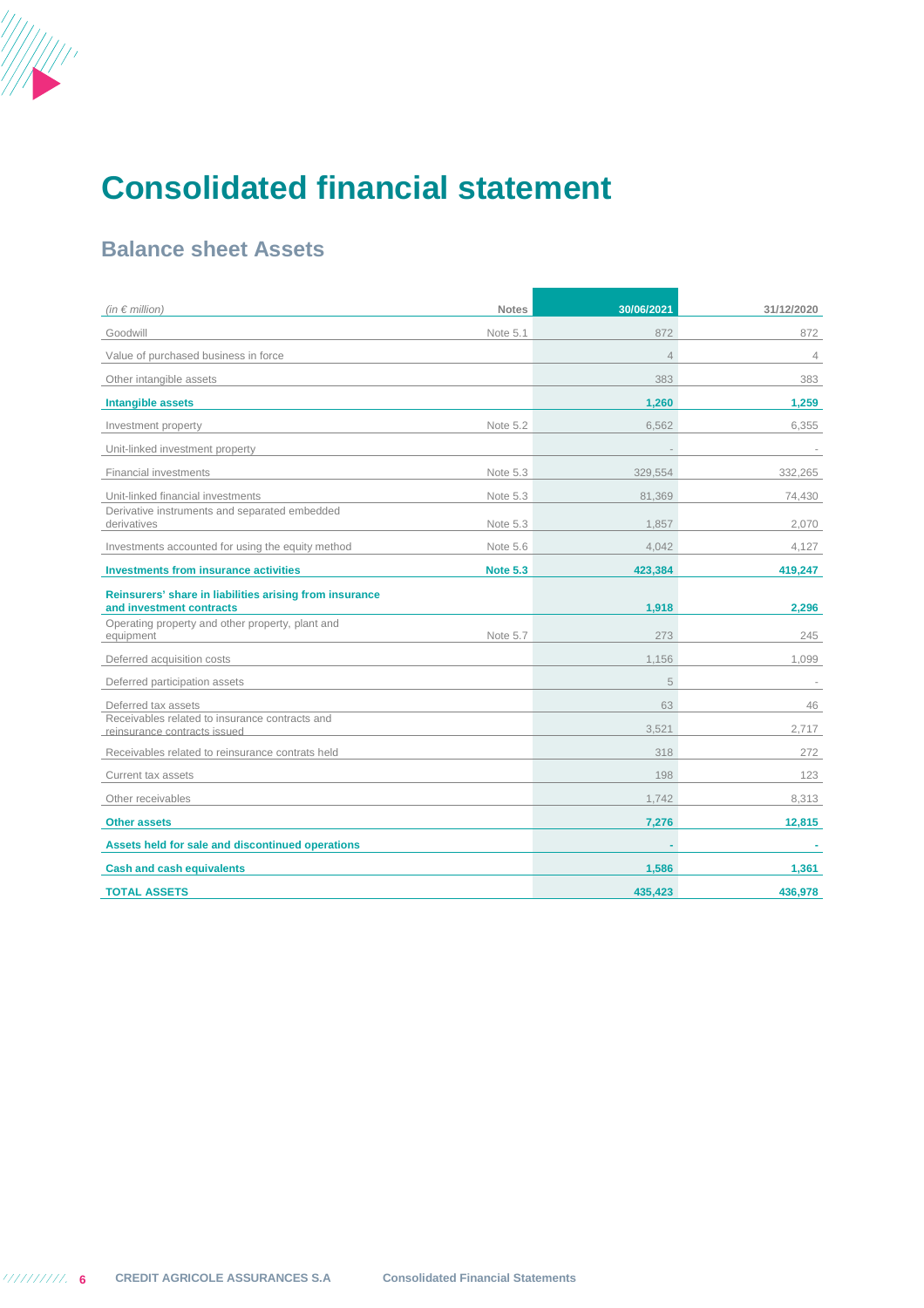

# **Consolidated financial statement**

## **Balance sheet Assets**

| (in $\epsilon$ million)                                                             | <b>Notes</b>    | 30/06/2021     | 31/12/2020     |
|-------------------------------------------------------------------------------------|-----------------|----------------|----------------|
| Goodwill                                                                            | Note 5.1        | 872            | 872            |
| Value of purchased business in force                                                |                 | $\overline{4}$ | $\overline{4}$ |
| Other intangible assets                                                             |                 | 383            | 383            |
| <b>Intangible assets</b>                                                            |                 | 1,260          | 1,259          |
| Investment property                                                                 | Note 5.2        | 6,562          | 6,355          |
| Unit-linked investment property                                                     |                 |                |                |
| <b>Financial investments</b>                                                        | Note 5.3        | 329,554        | 332,265        |
| Unit-linked financial investments                                                   | Note 5.3        | 81,369         | 74,430         |
| Derivative instruments and separated embedded<br>derivatives                        | Note 5.3        | 1,857          | 2,070          |
| Investments accounted for using the equity method                                   | Note 5.6        | 4,042          | 4,127          |
| <b>Investments from insurance activities</b>                                        | <b>Note 5.3</b> | 423,384        | 419.247        |
| Reinsurers' share in liabilities arising from insurance<br>and investment contracts |                 | 1,918          | 2,296          |
| Operating property and other property, plant and<br>equipment                       | Note 5.7        | 273            | 245            |
| Deferred acquisition costs                                                          |                 | 1.156          | 1.099          |
| Deferred participation assets                                                       |                 | 5              |                |
| Deferred tax assets                                                                 |                 | 63             | 46             |
| Receivables related to insurance contracts and<br>reinsurance contracts issued      |                 | 3.521          | 2.717          |
| Receivables related to reinsurance contrats held                                    |                 | 318            | 272            |
| Current tax assets                                                                  |                 | 198            | 123            |
| Other receivables                                                                   |                 | 1.742          | 8.313          |
| <b>Other assets</b>                                                                 |                 | 7,276          | 12,815         |
| Assets held for sale and discontinued operations                                    |                 |                |                |
| <b>Cash and cash equivalents</b>                                                    |                 | 1,586          | 1,361          |
| <b>TOTAL ASSETS</b>                                                                 |                 | 435,423        | 436,978        |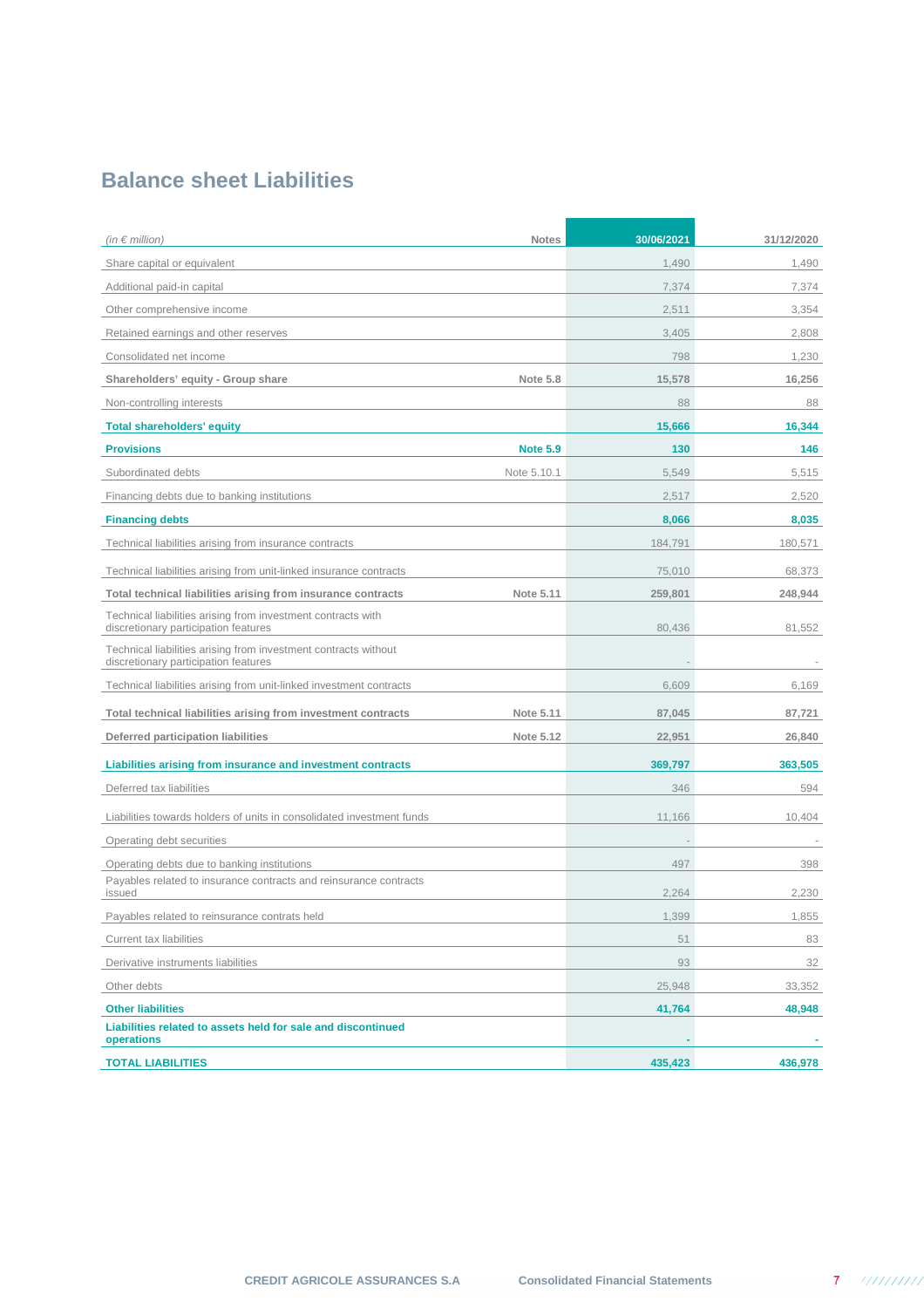## **Balance sheet Liabilities**

| (in $\epsilon$ million)<br><b>Notes</b>                                                                 | 30/06/2021 | 31/12/2020 |
|---------------------------------------------------------------------------------------------------------|------------|------------|
| Share capital or equivalent                                                                             | 1,490      | 1,490      |
| Additional paid-in capital                                                                              | 7,374      | 7,374      |
| Other comprehensive income                                                                              | 2,511      | 3,354      |
| Retained earnings and other reserves                                                                    | 3,405      | 2,808      |
| Consolidated net income                                                                                 | 798        | 1,230      |
| <b>Note 5.8</b><br>Shareholders' equity - Group share                                                   | 15,578     | 16,256     |
| Non-controlling interests                                                                               | 88         | 88         |
| <b>Total shareholders' equity</b>                                                                       | 15,666     | 16,344     |
| <b>Provisions</b><br><b>Note 5.9</b>                                                                    | 130        | 146        |
| Subordinated debts<br>Note 5.10.1                                                                       | 5,549      | 5,515      |
| Financing debts due to banking institutions                                                             | 2,517      | 2,520      |
| <b>Financing debts</b>                                                                                  | 8,066      | 8,035      |
| Technical liabilities arising from insurance contracts                                                  | 184,791    | 180,571    |
| Technical liabilities arising from unit-linked insurance contracts                                      | 75,010     | 68,373     |
| Note 5.11<br>Total technical liabilities arising from insurance contracts                               | 259,801    | 248,944    |
| Technical liabilities arising from investment contracts with<br>discretionary participation features    | 80,436     | 81,552     |
| Technical liabilities arising from investment contracts without<br>discretionary participation features |            |            |
| Technical liabilities arising from unit-linked investment contracts                                     | 6,609      | 6,169      |
| Total technical liabilities arising from investment contracts<br>Note 5.11                              | 87,045     | 87,721     |
| Deferred participation liabilities<br>Note 5.12                                                         | 22,951     | 26,840     |
| Liabilities arising from insurance and investment contracts                                             | 369,797    | 363,505    |
| Deferred tax liabilities                                                                                | 346        | 594        |
| Liabilities towards holders of units in consolidated investment funds                                   | 11,166     | 10,404     |
| Operating debt securities                                                                               |            |            |
| Operating debts due to banking institutions                                                             | 497        | 398        |
| Payables related to insurance contracts and reinsurance contracts<br>issued                             | 2,264      | 2,230      |
| Payables related to reinsurance contrats held                                                           | 1,399      | 1,855      |
| Current tax liabilities                                                                                 | 51         | 83         |
| Derivative instruments liabilities                                                                      | 93         | 32         |
| Other debts                                                                                             | 25,948     | 33,352     |
| <b>Other liabilities</b>                                                                                | 41,764     | 48,948     |
| Liabilities related to assets held for sale and discontinued<br>operations                              |            |            |
| <b>TOTAL LIABILITIES</b>                                                                                | 435,423    | 436,978    |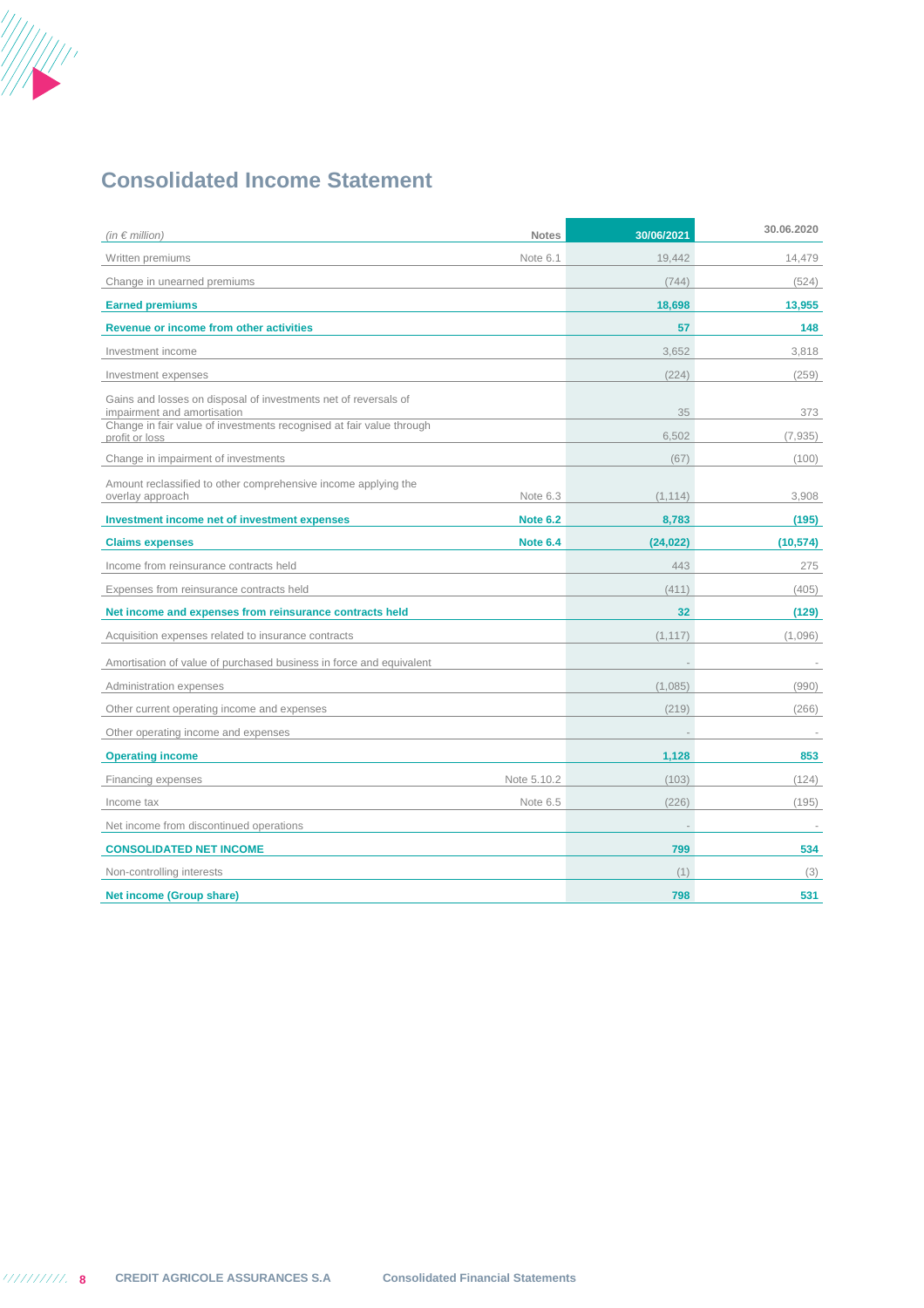

## **Consolidated Income Statement**

| (in $\epsilon$ million)                                                                                                                                                | <b>Notes</b>    | 30/06/2021 | 30.06.2020 |
|------------------------------------------------------------------------------------------------------------------------------------------------------------------------|-----------------|------------|------------|
| Written premiums                                                                                                                                                       | Note 6.1        | 19.442     | 14.479     |
| Change in unearned premiums                                                                                                                                            |                 | (744)      | (524)      |
| <b>Earned premiums</b>                                                                                                                                                 |                 | 18,698     | 13,955     |
| Revenue or income from other activities                                                                                                                                |                 | 57         | 148        |
| Investment income                                                                                                                                                      |                 | 3.652      | 3.818      |
| Investment expenses                                                                                                                                                    |                 | (224)      | (259)      |
| Gains and losses on disposal of investments net of reversals of<br>impairment and amortisation<br>Change in fair value of investments recognised at fair value through |                 | 35         | 373        |
| profit or loss                                                                                                                                                         |                 | 6,502      | (7,935)    |
| Change in impairment of investments                                                                                                                                    |                 | (67)       | (100)      |
| Amount reclassified to other comprehensive income applying the<br>overlay approach                                                                                     | Note 6.3        | (1, 114)   | 3,908      |
| Investment income net of investment expenses                                                                                                                           | <b>Note 6.2</b> | 8,783      | (195)      |
| <b>Claims expenses</b>                                                                                                                                                 | <b>Note 6.4</b> | (24, 022)  | (10, 574)  |
| Income from reinsurance contracts held                                                                                                                                 |                 | 443        | 275        |
| Expenses from reinsurance contracts held                                                                                                                               |                 | (411)      | (405)      |
| Net income and expenses from reinsurance contracts held                                                                                                                |                 | 32         | (129)      |
| Acquisition expenses related to insurance contracts                                                                                                                    |                 | (1, 117)   | (1,096)    |
| Amortisation of value of purchased business in force and equivalent                                                                                                    |                 |            |            |
| Administration expenses                                                                                                                                                |                 | (1,085)    | (990)      |
| Other current operating income and expenses                                                                                                                            |                 | (219)      | (266)      |
| Other operating income and expenses                                                                                                                                    |                 |            |            |
| <b>Operating income</b>                                                                                                                                                |                 | 1,128      | 853        |
| Financing expenses                                                                                                                                                     | Note 5.10.2     | (103)      | (124)      |
| Income tax                                                                                                                                                             | Note 6.5        | (226)      | (195)      |
| Net income from discontinued operations                                                                                                                                |                 |            |            |
| <b>CONSOLIDATED NET INCOME</b>                                                                                                                                         |                 | 799        | 534        |
| Non-controlling interests                                                                                                                                              |                 | (1)        | (3)        |
| <b>Net income (Group share)</b>                                                                                                                                        |                 | 798        | 531        |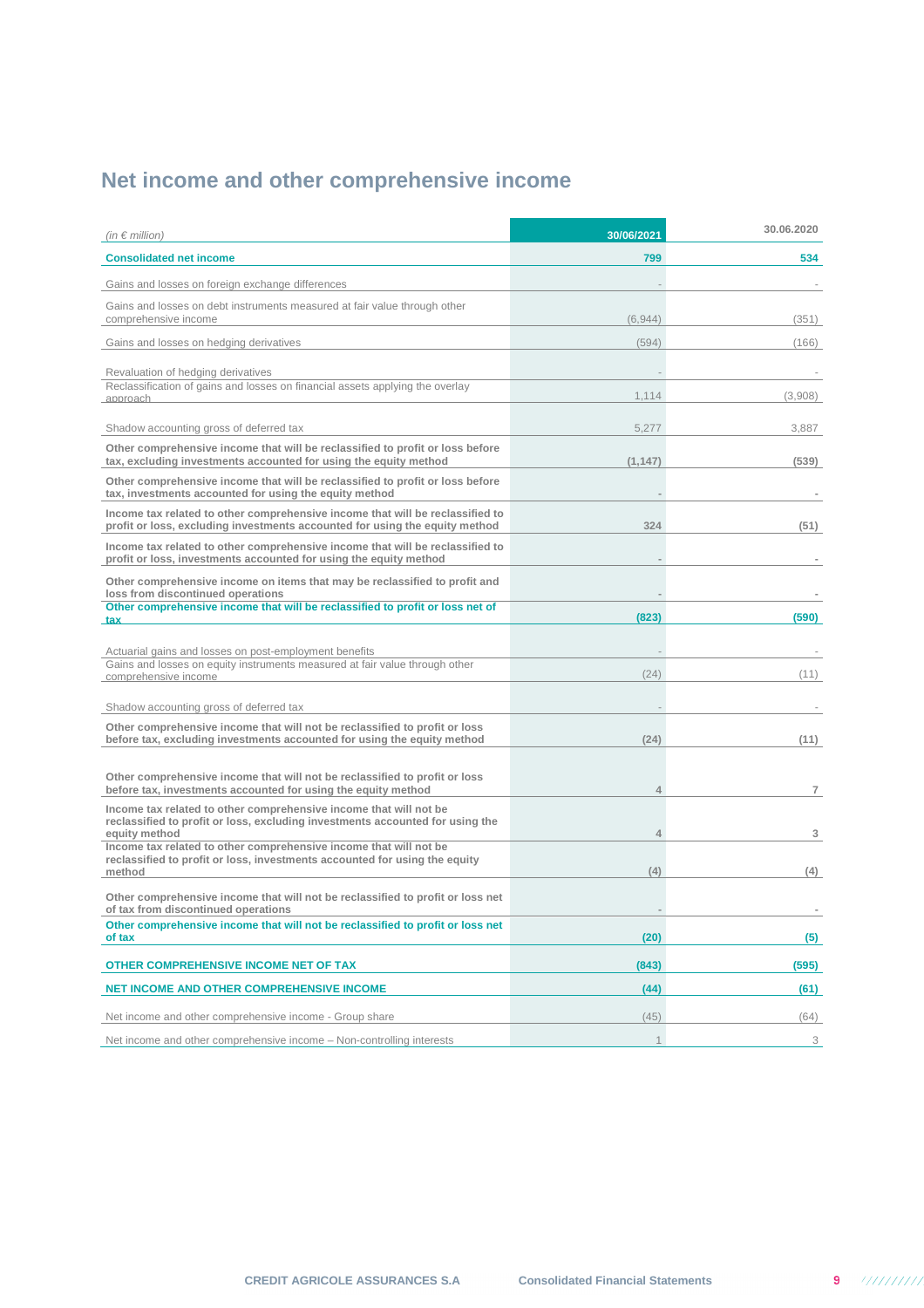# **Net income and other comprehensive income**

| (in $\epsilon$ million)                                                                                                                                      | 30/06/2021     | 30.06.2020 |
|--------------------------------------------------------------------------------------------------------------------------------------------------------------|----------------|------------|
| <b>Consolidated net income</b>                                                                                                                               | 799            | 534        |
| Gains and losses on foreign exchange differences                                                                                                             |                |            |
| Gains and losses on debt instruments measured at fair value through other<br>comprehensive income                                                            | (6.944)        | (351)      |
| Gains and losses on hedging derivatives                                                                                                                      | (594)          | (166)      |
| Revaluation of hedging derivatives                                                                                                                           |                |            |
| Reclassification of gains and losses on financial assets applying the overlay<br>approach                                                                    | 1,114          | (3,908)    |
|                                                                                                                                                              |                |            |
| Shadow accounting gross of deferred tax                                                                                                                      | 5,277          | 3,887      |
| Other comprehensive income that will be reclassified to profit or loss before<br>tax, excluding investments accounted for using the equity method            | (1, 147)       | (539)      |
| Other comprehensive income that will be reclassified to profit or loss before<br>tax, investments accounted for using the equity method                      |                |            |
| Income tax related to other comprehensive income that will be reclassified to<br>profit or loss, excluding investments accounted for using the equity method | 324            | (51)       |
| Income tax related to other comprehensive income that will be reclassified to<br>profit or loss, investments accounted for using the equity method           |                |            |
| Other comprehensive income on items that may be reclassified to profit and<br>loss from discontinued operations                                              |                |            |
| Other comprehensive income that will be reclassified to profit or loss net of<br><b>tax</b>                                                                  | (823)          | (590)      |
|                                                                                                                                                              |                |            |
| Actuarial gains and losses on post-employment benefits<br>Gains and losses on equity instruments measured at fair value through other                        |                |            |
| comprehensive income                                                                                                                                         | (24)           | (11)       |
| Shadow accounting gross of deferred tax                                                                                                                      |                |            |
| Other comprehensive income that will not be reclassified to profit or loss                                                                                   |                |            |
| before tax, excluding investments accounted for using the equity method                                                                                      | (24)           | (11)       |
| Other comprehensive income that will not be reclassified to profit or loss<br>before tax, investments accounted for using the equity method                  | 4              | 7          |
| Income tax related to other comprehensive income that will not be<br>reclassified to profit or loss, excluding investments accounted for using the           |                |            |
| equity method<br>Income tax related to other comprehensive income that will not be                                                                           | $\overline{4}$ | 3          |
| reclassified to profit or loss, investments accounted for using the equity<br>method                                                                         | (4)            | (4)        |
| Other comprehensive income that will not be reclassified to profit or loss net<br>of tax from discontinued operations                                        |                |            |
| Other comprehensive income that will not be reclassified to profit or loss net<br>of tax                                                                     | (20)           | (5)        |
| OTHER COMPREHENSIVE INCOME NET OF TAX                                                                                                                        | (843)          | (595)      |
| <b>NET INCOME AND OTHER COMPREHENSIVE INCOME</b>                                                                                                             | (44)           | (61)       |
| Net income and other comprehensive income - Group share                                                                                                      | (45)           | (64)       |
| Net income and other comprehensive income - Non-controlling interests                                                                                        | $\mathbf{1}$   | 3          |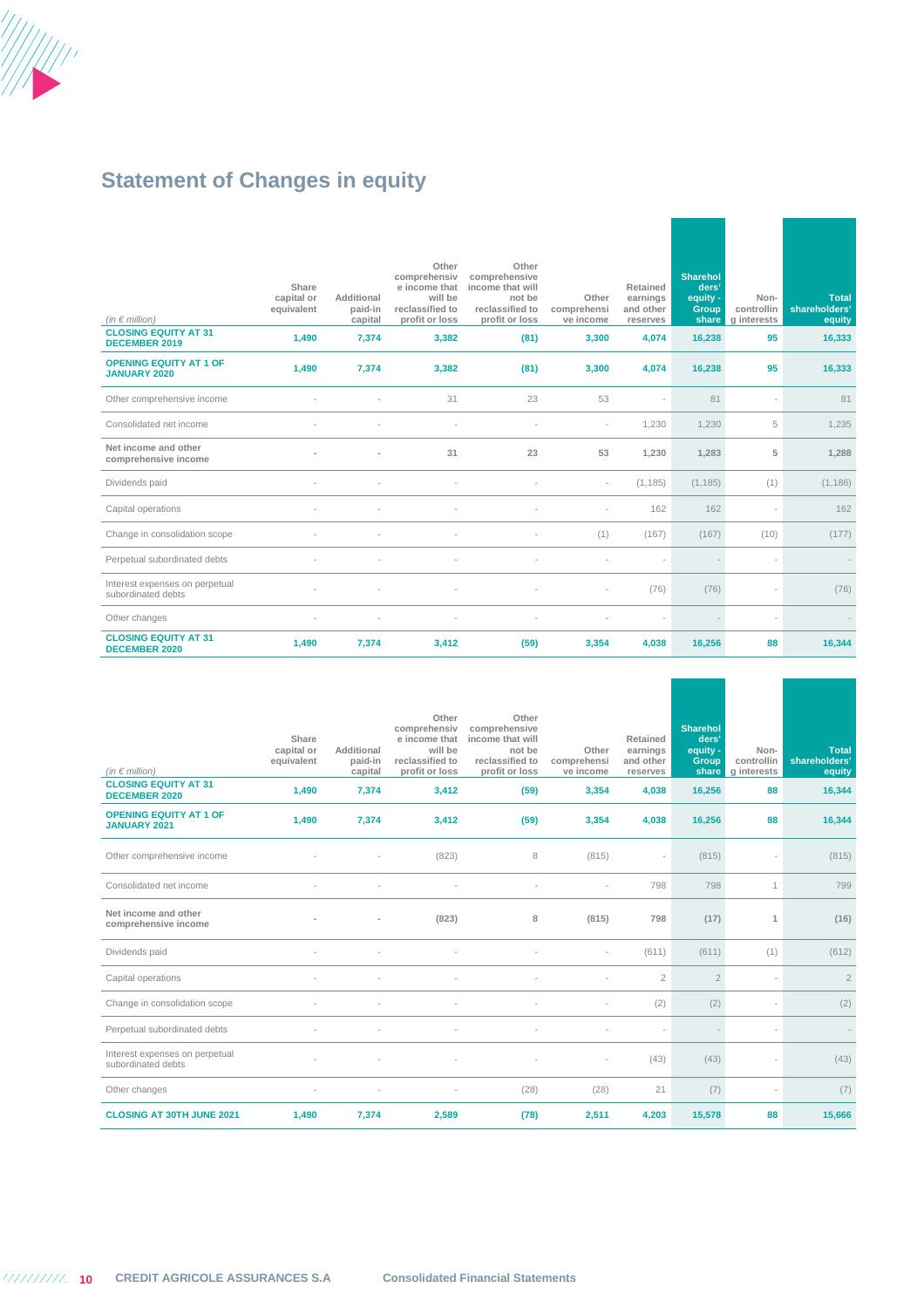

# **Statement of Changes in equity**

| (in $\in$ million)<br><b>CLOSING EQUITY AT 31</b><br><b>DECEMBER 2019</b> | Share<br>capital or<br>equivalent<br>1.490 | Additional<br>paid-in<br>capital<br>7,374 | Other<br>comprehensiv<br>e income that<br>will be<br>reclassified to<br>profit or loss<br>3,382 | Other<br>comprehensive<br>income that will<br>not be<br>reclassified to<br>profit or loss<br>(81) | Other<br>comprehensi<br>ve income<br>3,300 | Retained<br>earnings<br>and other<br>reserves<br>4,074 | <b>Sharehol</b><br>ders'<br>equity -<br>Group<br>share<br>16,238 | Non-<br>controllin<br>g interests<br>95 | Total<br>shareholders'<br>equity<br>16,333 |
|---------------------------------------------------------------------------|--------------------------------------------|-------------------------------------------|-------------------------------------------------------------------------------------------------|---------------------------------------------------------------------------------------------------|--------------------------------------------|--------------------------------------------------------|------------------------------------------------------------------|-----------------------------------------|--------------------------------------------|
| <b>OPENING EQUITY AT 1 OF</b><br><b>JANUARY 2020</b>                      | 1,490                                      | 7,374                                     | 3,382                                                                                           | (81)                                                                                              | 3,300                                      | 4,074                                                  | 16,238                                                           | 95                                      | 16,333                                     |
| Other comprehensive income                                                |                                            |                                           | 31                                                                                              | 23                                                                                                | 53                                         |                                                        | 81                                                               |                                         | 81                                         |
| Consolidated net income                                                   |                                            |                                           |                                                                                                 |                                                                                                   |                                            | 1,230                                                  | 1,230                                                            | 5                                       | 1,235                                      |
| Net income and other<br>comprehensive income                              |                                            |                                           | 31                                                                                              | 23                                                                                                | 53                                         | 1,230                                                  | 1,283                                                            | 5                                       | 1,288                                      |
| Dividends paid                                                            |                                            |                                           |                                                                                                 |                                                                                                   | $\overline{\phantom{a}}$                   | (1, 185)                                               | (1, 185)                                                         | (1)                                     | (1, 186)                                   |
| Capital operations                                                        |                                            |                                           |                                                                                                 |                                                                                                   |                                            | 162                                                    | 162                                                              |                                         | 162                                        |
| Change in consolidation scope                                             |                                            |                                           |                                                                                                 |                                                                                                   | (1)                                        | (167)                                                  | (167)                                                            | (10)                                    | (177)                                      |
| Perpetual subordinated debts                                              |                                            |                                           |                                                                                                 |                                                                                                   |                                            |                                                        |                                                                  |                                         |                                            |
| Interest expenses on perpetual<br>subordinated debts                      |                                            |                                           |                                                                                                 |                                                                                                   |                                            | (76)                                                   | (76)                                                             |                                         | (76)                                       |
| Other changes                                                             |                                            | $\overline{\phantom{a}}$                  | $\overline{\phantom{a}}$                                                                        | $\overline{\phantom{a}}$                                                                          |                                            |                                                        |                                                                  | ÷,                                      |                                            |
| <b>CLOSING EQUITY AT 31</b><br><b>DECEMBER 2020</b>                       | 1,490                                      | 7,374                                     | 3,412                                                                                           | (59)                                                                                              | 3,354                                      | 4,038                                                  | 16,256                                                           | 88                                      | 16,344                                     |

| (in $\in$ million)<br><b>CLOSING EQUITY AT 31</b>                            | Share<br>capital or<br>equivalent<br>1,490 | Additional<br>paid-in<br>capital<br>7,374 | Other<br>comprehensiv<br>e income that<br>will be<br>reclassified to<br>profit or loss<br>3,412 | Other<br>comprehensive<br>income that will<br>not be<br>reclassified to<br>profit or loss<br>(59) | Other<br>comprehensi<br>ve income<br>3,354 | Retained<br>earnings<br>and other<br>reserves<br>4,038 | <b>Sharehol</b><br>ders'<br>equity -<br>Group<br>share<br>16,256 | Non-<br>controllin<br>g interests<br>88 | <b>Total</b><br>shareholders'<br>equity<br>16,344 |
|------------------------------------------------------------------------------|--------------------------------------------|-------------------------------------------|-------------------------------------------------------------------------------------------------|---------------------------------------------------------------------------------------------------|--------------------------------------------|--------------------------------------------------------|------------------------------------------------------------------|-----------------------------------------|---------------------------------------------------|
| <b>DECEMBER 2020</b><br><b>OPENING EQUITY AT 1 OF</b><br><b>JANUARY 2021</b> | 1,490                                      | 7,374                                     | 3,412                                                                                           | (59)                                                                                              | 3,354                                      | 4,038                                                  | 16,256                                                           | 88                                      | 16,344                                            |
| Other comprehensive income                                                   |                                            |                                           | (823)                                                                                           | 8                                                                                                 | (815)                                      | $\sim$                                                 | (815)                                                            |                                         | (815)                                             |
| Consolidated net income                                                      |                                            |                                           |                                                                                                 |                                                                                                   |                                            | 798                                                    | 798                                                              | 1                                       | 799                                               |
| Net income and other<br>comprehensive income                                 |                                            |                                           | (823)                                                                                           | 8                                                                                                 | (815)                                      | 798                                                    | (17)                                                             | $\mathbf{1}$                            | (16)                                              |
| Dividends paid                                                               |                                            | ÷                                         | $\overline{\phantom{a}}$                                                                        | $\overline{\phantom{a}}$                                                                          | ٠                                          | (611)                                                  | (611)                                                            | (1)                                     | (612)                                             |
| Capital operations                                                           |                                            |                                           |                                                                                                 |                                                                                                   |                                            | $\overline{2}$                                         | $\overline{2}$                                                   |                                         | $\overline{2}$                                    |
| Change in consolidation scope                                                |                                            |                                           |                                                                                                 |                                                                                                   |                                            | (2)                                                    | (2)                                                              |                                         | (2)                                               |
| Perpetual subordinated debts                                                 |                                            |                                           | $\overline{\phantom{a}}$                                                                        |                                                                                                   |                                            |                                                        |                                                                  |                                         |                                                   |
| Interest expenses on perpetual<br>subordinated debts                         |                                            |                                           |                                                                                                 |                                                                                                   |                                            | (43)                                                   | (43)                                                             |                                         | (43)                                              |
| Other changes                                                                | $\sim$                                     | $\overline{a}$                            | $\overline{a}$                                                                                  | (28)                                                                                              | (28)                                       | 21                                                     | (7)                                                              |                                         | (7)                                               |
| <b>CLOSING AT 30TH JUNE 2021</b>                                             | 1,490                                      | 7,374                                     | 2,589                                                                                           | (78)                                                                                              | 2,511                                      | 4,203                                                  | 15,578                                                           | 88                                      | 15,666                                            |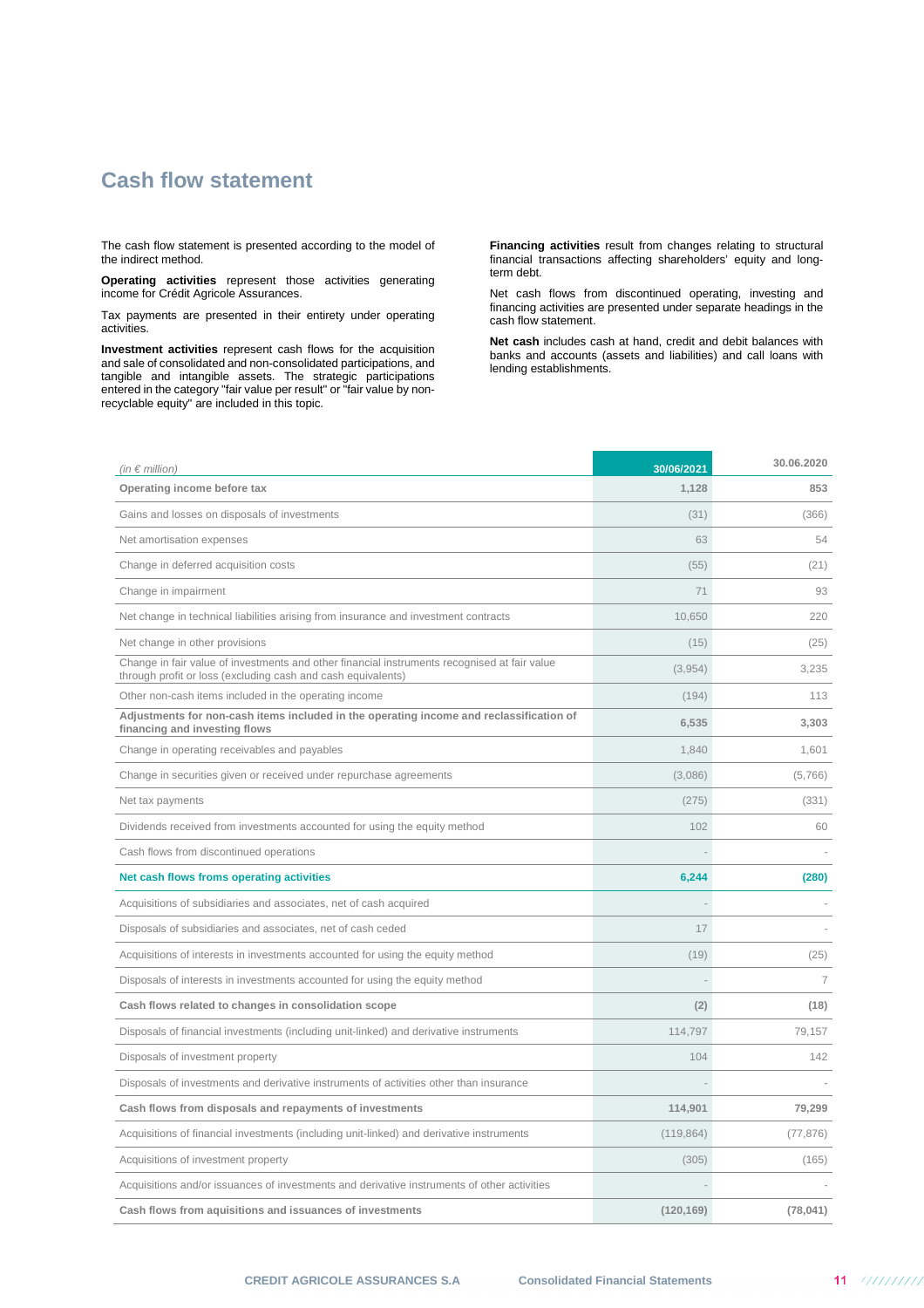## **Cash flow statement**

The cash flow statement is presented according to the model of the indirect method.

**Operating activities** represent those activities generating income for Crédit Agricole Assurances.

Tax payments are presented in their entirety under operating activities.

**Investment activities** represent cash flows for the acquisition and sale of consolidated and non-consolidated participations, and tangible and intangible assets. The strategic participations entered in the category "fair value per result" or "fair value by nonrecyclable equity" are included in this topic.

**Financing activities** result from changes relating to structural financial transactions affecting shareholders' equity and longterm debt.

Net cash flows from discontinued operating, investing and financing activities are presented under separate headings in the cash flow statement.

**Net cash** includes cash at hand, credit and debit balances with banks and accounts (assets and liabilities) and call loans with lending establishments.

| (in $\epsilon$ million)                                                                                                                                      | 30/06/2021 | 30.06.2020     |
|--------------------------------------------------------------------------------------------------------------------------------------------------------------|------------|----------------|
| Operating income before tax                                                                                                                                  | 1,128      | 853            |
| Gains and losses on disposals of investments                                                                                                                 | (31)       | (366)          |
| Net amortisation expenses                                                                                                                                    | 63         | 54             |
| Change in deferred acquisition costs                                                                                                                         | (55)       | (21)           |
| Change in impairment                                                                                                                                         | 71         | 93             |
| Net change in technical liabilities arising from insurance and investment contracts                                                                          | 10,650     | 220            |
| Net change in other provisions                                                                                                                               | (15)       | (25)           |
| Change in fair value of investments and other financial instruments recognised at fair value<br>through profit or loss (excluding cash and cash equivalents) | (3,954)    | 3,235          |
| Other non-cash items included in the operating income                                                                                                        | (194)      | 113            |
| Adjustments for non-cash items included in the operating income and reclassification of<br>financing and investing flows                                     | 6,535      | 3,303          |
| Change in operating receivables and payables                                                                                                                 | 1,840      | 1,601          |
| Change in securities given or received under repurchase agreements                                                                                           | (3,086)    | (5,766)        |
| Net tax payments                                                                                                                                             | (275)      | (331)          |
| Dividends received from investments accounted for using the equity method                                                                                    | 102        | 60             |
| Cash flows from discontinued operations                                                                                                                      |            |                |
| Net cash flows froms operating activities                                                                                                                    | 6,244      | (280)          |
| Acquisitions of subsidiaries and associates, net of cash acquired                                                                                            |            |                |
| Disposals of subsidiaries and associates, net of cash ceded                                                                                                  | 17         |                |
| Acquisitions of interests in investments accounted for using the equity method                                                                               | (19)       | (25)           |
| Disposals of interests in investments accounted for using the equity method                                                                                  |            | $\overline{7}$ |
| Cash flows related to changes in consolidation scope                                                                                                         | (2)        | (18)           |
| Disposals of financial investments (including unit-linked) and derivative instruments                                                                        | 114,797    | 79.157         |
| Disposals of investment property                                                                                                                             | 104        | 142            |
| Disposals of investments and derivative instruments of activities other than insurance                                                                       |            |                |
| Cash flows from disposals and repayments of investments                                                                                                      | 114,901    | 79,299         |
| Acquisitions of financial investments (including unit-linked) and derivative instruments                                                                     | (119, 864) | (77, 876)      |
| Acquisitions of investment property                                                                                                                          | (305)      | (165)          |
| Acquisitions and/or issuances of investments and derivative instruments of other activities                                                                  |            |                |
| Cash flows from aquisitions and issuances of investments                                                                                                     | (120, 169) | (78, 041)      |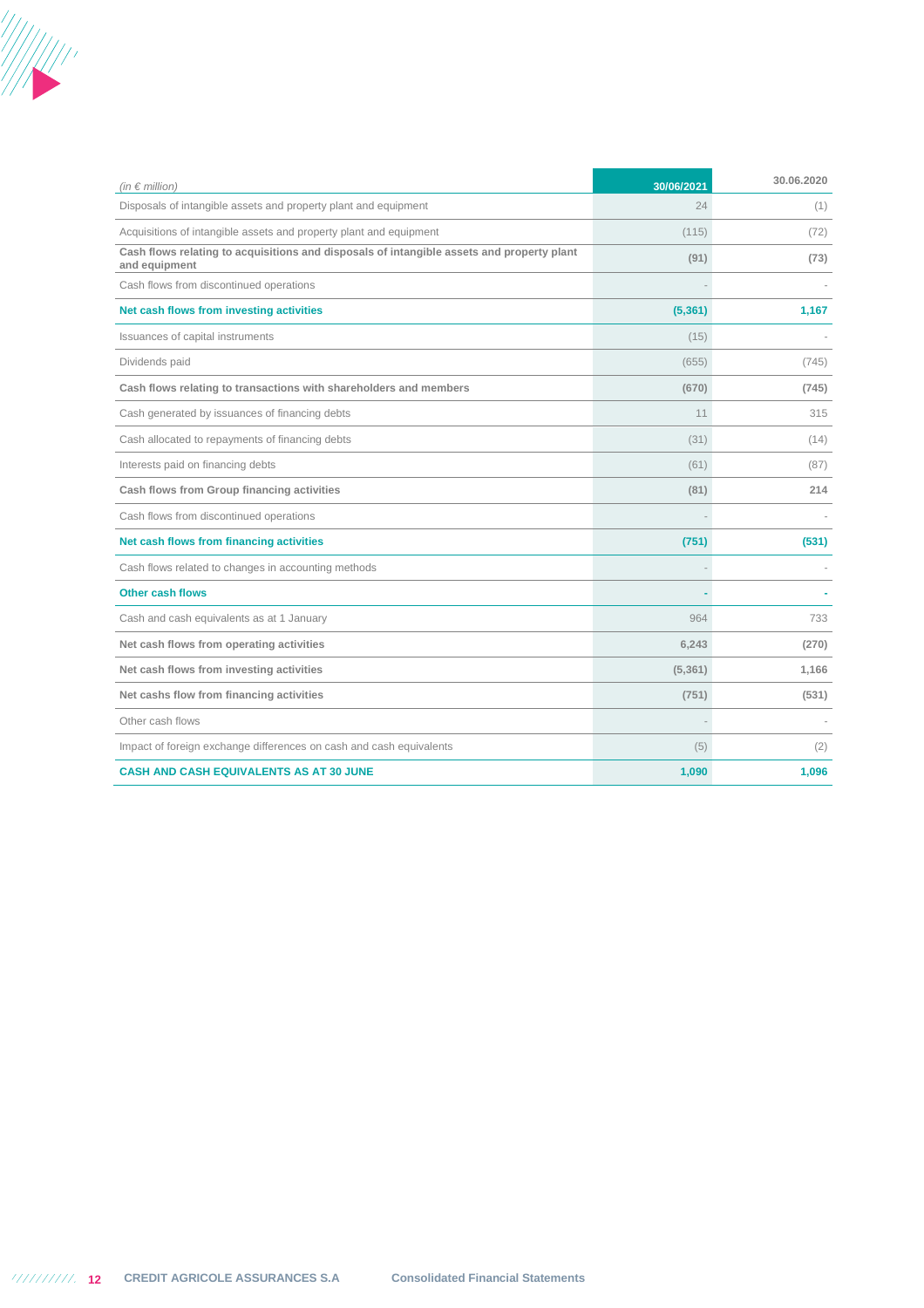

| (in $\epsilon$ million)                                                                                    | 30/06/2021 | 30.06.2020 |
|------------------------------------------------------------------------------------------------------------|------------|------------|
| Disposals of intangible assets and property plant and equipment                                            | 24         | (1)        |
| Acquisitions of intangible assets and property plant and equipment                                         | (115)      | (72)       |
| Cash flows relating to acquisitions and disposals of intangible assets and property plant<br>and equipment | (91)       | (73)       |
| Cash flows from discontinued operations                                                                    |            |            |
| Net cash flows from investing activities                                                                   | (5,361)    | 1,167      |
| Issuances of capital instruments                                                                           | (15)       |            |
| Dividends paid                                                                                             | (655)      | (745)      |
| Cash flows relating to transactions with shareholders and members                                          | (670)      | (745)      |
| Cash generated by issuances of financing debts                                                             | 11         | 315        |
| Cash allocated to repayments of financing debts                                                            | (31)       | (14)       |
| Interests paid on financing debts                                                                          | (61)       | (87)       |
| Cash flows from Group financing activities                                                                 | (81)       | 214        |
| Cash flows from discontinued operations                                                                    |            |            |
| Net cash flows from financing activities                                                                   | (751)      | (531)      |
| Cash flows related to changes in accounting methods                                                        |            |            |
| <b>Other cash flows</b>                                                                                    |            |            |
| Cash and cash equivalents as at 1 January                                                                  | 964        | 733        |
| Net cash flows from operating activities                                                                   | 6,243      | (270)      |
| Net cash flows from investing activities                                                                   | (5, 361)   | 1,166      |
| Net cashs flow from financing activities                                                                   | (751)      | (531)      |
| Other cash flows                                                                                           |            |            |
| Impact of foreign exchange differences on cash and cash equivalents                                        | (5)        | (2)        |
| <b>CASH AND CASH EQUIVALENTS AS AT 30 JUNE</b>                                                             | 1,090      | 1,096      |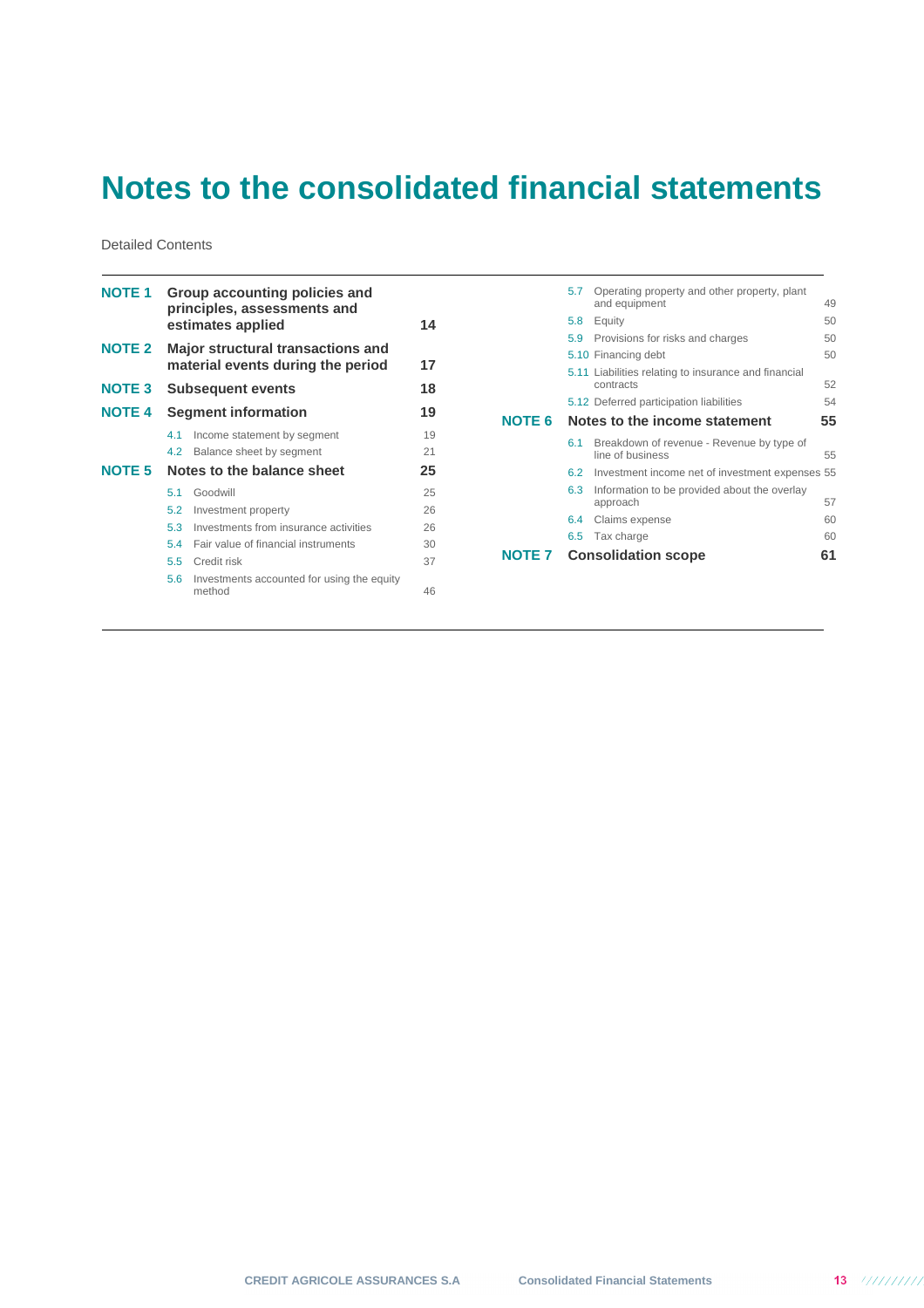# **Notes to the consolidated financial statements**

Detailed Contents

| <b>NOTE 1</b> | Group accounting policies and<br>principles, assessments and<br>estimates applied |                                                                               |    |  |  |
|---------------|-----------------------------------------------------------------------------------|-------------------------------------------------------------------------------|----|--|--|
| <b>NOTE 2</b> |                                                                                   | <b>Major structural transactions and</b><br>material events during the period | 17 |  |  |
| <b>NOTE 3</b> |                                                                                   | <b>Subsequent events</b>                                                      | 18 |  |  |
| <b>NOTE 4</b> |                                                                                   | <b>Segment information</b>                                                    | 19 |  |  |
|               | 4.1                                                                               | Income statement by segment                                                   | 19 |  |  |
|               | 4.2                                                                               | Balance sheet by segment                                                      | 21 |  |  |
| NOTE 5        |                                                                                   | Notes to the balance sheet                                                    | 25 |  |  |
|               | 51                                                                                | Goodwill                                                                      | 25 |  |  |
|               | 5.2                                                                               | Investment property                                                           | 26 |  |  |
|               | 53                                                                                | Investments from insurance activities                                         | 26 |  |  |
|               | 54                                                                                | Fair value of financial instruments                                           | 30 |  |  |
|               |                                                                                   | 5.5 Credit risk                                                               | 37 |  |  |
|               | 5.6                                                                               | Investments accounted for using the equity<br>method                          | 46 |  |  |

|        | 5.7 | Operating property and other property, plant<br>and equipment     | 49 |
|--------|-----|-------------------------------------------------------------------|----|
|        | 5.8 | Equity                                                            | 50 |
|        | 5.9 | Provisions for risks and charges                                  | 50 |
|        |     | 5.10 Financing debt                                               | 50 |
|        |     | 5.11 Liabilities relating to insurance and financial<br>contracts | 52 |
|        |     | 5.12 Deferred participation liabilities                           | 54 |
| NOTE 6 |     | Notes to the income statement                                     | 55 |
|        | 6.1 | Breakdown of revenue - Revenue by type of<br>line of business     | 55 |
|        | 6.2 | Investment income net of investment expenses 55                   |    |
|        | 6.3 | Information to be provided about the overlay<br>approach          | 57 |
|        | 6.4 | Claims expense                                                    | 60 |
|        |     | 6.5 Tax charge                                                    | 60 |
| NOTE 7 |     | <b>Consolidation scope</b>                                        | 61 |
|        |     |                                                                   |    |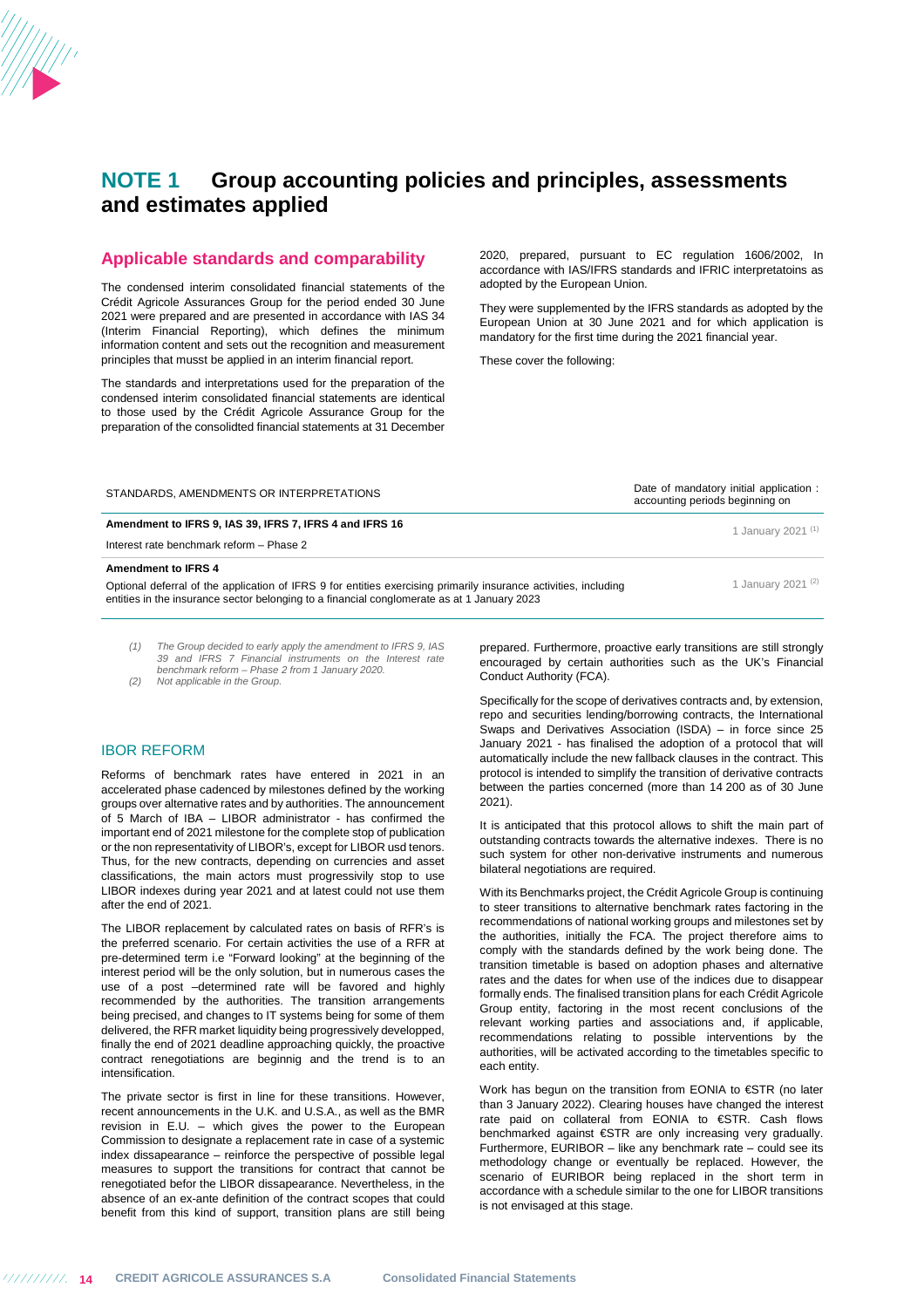

### **Applicable standards and comparability**

The condensed interim consolidated financial statements of the Crédit Agricole Assurances Group for the period ended 30 June 2021 were prepared and are presented in accordance with IAS 34 (Interim Financial Reporting), which defines the minimum information content and sets out the recognition and measurement principles that musst be applied in an interim financial report.

The standards and interpretations used for the preparation of the condensed interim consolidated financial statements are identical to those used by the Crédit Agricole Assurance Group for the preparation of the consolidted financial statements at 31 December 2020, prepared, pursuant to EC regulation 1606/2002, In accordance with IAS/IFRS standards and IFRIC interpretatoins as adopted by the European Union.

They were supplemented by the IFRS standards as adopted by the European Union at 30 June 2021 and for which application is mandatory for the first time during the 2021 financial year.

These cover the following:

| STANDARDS, AMENDMENTS OR INTERPRETATIONS                | Date of mandatory initial application:<br>accounting periods beginning on |
|---------------------------------------------------------|---------------------------------------------------------------------------|
| Amendment to IFRS 9, IAS 39, IFRS 7, IFRS 4 and IFRS 16 | 1 January 2021 <sup>(1)</sup>                                             |
| Interest rate benchmark reform - Phase 2                |                                                                           |
| <b>Amendment to IFRS 4</b>                              |                                                                           |

Optional deferral of the application of IFRS 9 for entities exercising primarily insurance activities, including 1 January 2021<sup>(2)</sup> entities in the insurance sector belonging to a financial conglomerate as at 1 January 2023

(1) The Group decided to early apply the amendment to IFRS 9, IAS 39 and IFRS 7 Financial instruments on the Interest rate benchmark reform – Phase 2 from 1 January 2020.

(2) Not applicable in the Group.

#### IBOR REFORM

Reforms of benchmark rates have entered in 2021 in an accelerated phase cadenced by milestones defined by the working groups over alternative rates and by authorities. The announcement of 5 March of IBA – LIBOR administrator - has confirmed the important end of 2021 milestone for the complete stop of publication or the non representativity of LIBOR's, except for LIBOR usd tenors. Thus, for the new contracts, depending on currencies and asset classifications, the main actors must progressivily stop to use LIBOR indexes during year 2021 and at latest could not use them after the end of 2021.

The LIBOR replacement by calculated rates on basis of RFR's is the preferred scenario. For certain activities the use of a RFR at pre-determined term i.e "Forward looking" at the beginning of the interest period will be the only solution, but in numerous cases the use of a post –determined rate will be favored and highly recommended by the authorities. The transition arrangements being precised, and changes to IT systems being for some of them delivered, the RFR market liquidity being progressively developped, finally the end of 2021 deadline approaching quickly, the proactive contract renegotiations are beginnig and the trend is to an intensification.

The private sector is first in line for these transitions. However, recent announcements in the U.K. and U.S.A., as well as the BMR revision in E.U. – which gives the power to the European Commission to designate a replacement rate in case of a systemic index dissapearance – reinforce the perspective of possible legal measures to support the transitions for contract that cannot be renegotiated befor the LIBOR dissapearance. Nevertheless, in the absence of an ex-ante definition of the contract scopes that could benefit from this kind of support, transition plans are still being

prepared. Furthermore, proactive early transitions are still strongly encouraged by certain authorities such as the UK's Financial Conduct Authority (FCA).

Specifically for the scope of derivatives contracts and, by extension, repo and securities lending/borrowing contracts, the International Swaps and Derivatives Association (ISDA) – in force since 25 January 2021 - has finalised the adoption of a protocol that will automatically include the new fallback clauses in the contract. This protocol is intended to simplify the transition of derivative contracts between the parties concerned (more than 14 200 as of 30 June 2021).

It is anticipated that this protocol allows to shift the main part of outstanding contracts towards the alternative indexes. There is no such system for other non-derivative instruments and numerous bilateral negotiations are required.

With its Benchmarks project, the Crédit Agricole Group is continuing to steer transitions to alternative benchmark rates factoring in the recommendations of national working groups and milestones set by the authorities, initially the FCA. The project therefore aims to comply with the standards defined by the work being done. The transition timetable is based on adoption phases and alternative rates and the dates for when use of the indices due to disappear formally ends. The finalised transition plans for each Crédit Agricole Group entity, factoring in the most recent conclusions of the relevant working parties and associations and, if applicable, recommendations relating to possible interventions by the authorities, will be activated according to the timetables specific to each entity.

Work has begun on the transition from EONIA to €STR (no later than 3 January 2022). Clearing houses have changed the interest rate paid on collateral from EONIA to €STR. Cash flows benchmarked against €STR are only increasing very gradually. Furthermore, EURIBOR – like any benchmark rate – could see its methodology change or eventually be replaced. However, the scenario of EURIBOR being replaced in the short term in accordance with a schedule similar to the one for LIBOR transitions is not envisaged at this stage.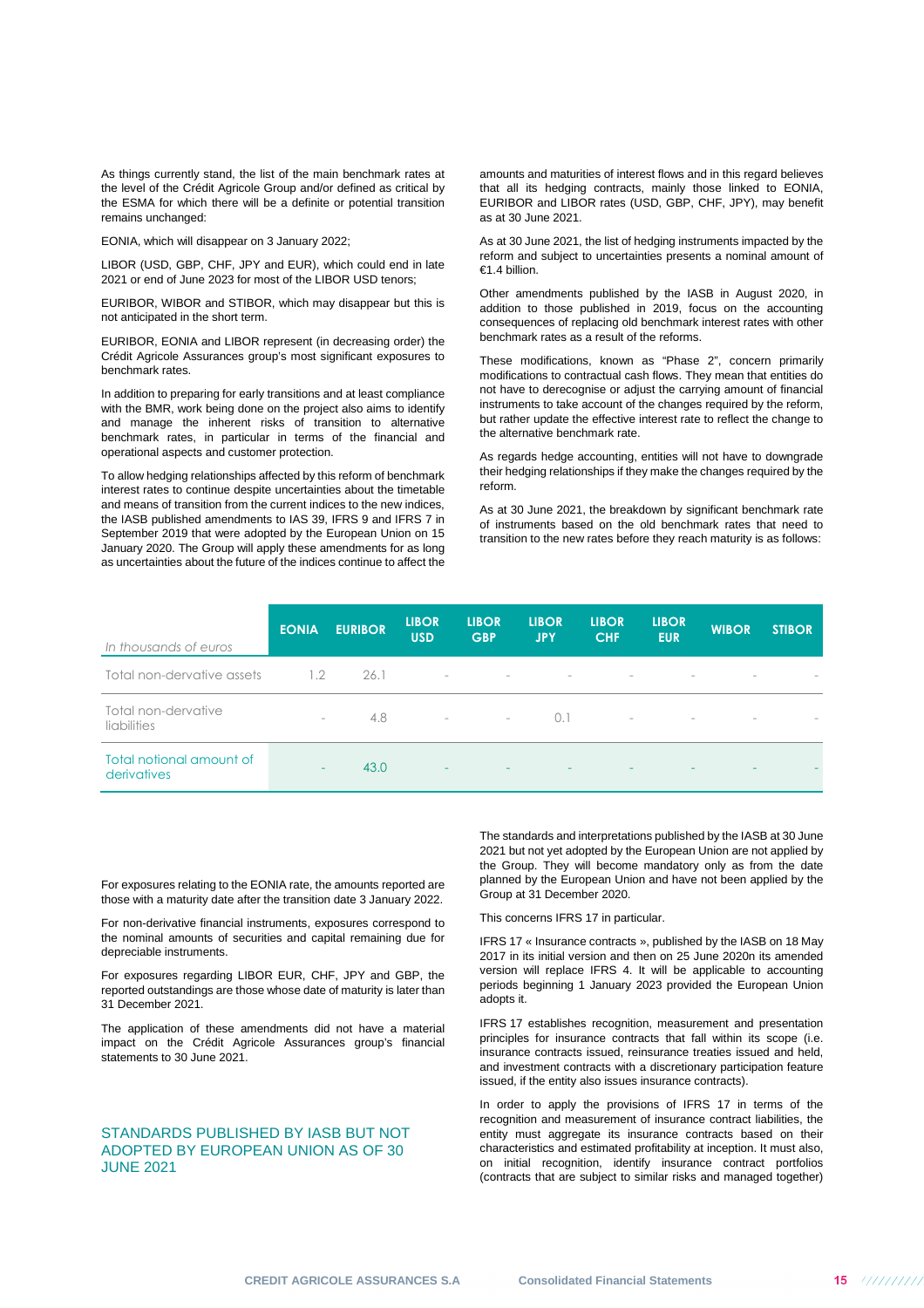As things currently stand, the list of the main benchmark rates at the level of the Crédit Agricole Group and/or defined as critical by the ESMA for which there will be a definite or potential transition remains unchanged:

EONIA, which will disappear on 3 January 2022;

LIBOR (USD, GBP, CHF, JPY and EUR), which could end in late 2021 or end of June 2023 for most of the LIBOR USD tenors;

EURIBOR, WIBOR and STIBOR, which may disappear but this is not anticipated in the short term.

EURIBOR, EONIA and LIBOR represent (in decreasing order) the Crédit Agricole Assurances group's most significant exposures to benchmark rates.

In addition to preparing for early transitions and at least compliance with the BMR, work being done on the project also aims to identify and manage the inherent risks of transition to alternative benchmark rates, in particular in terms of the financial and operational aspects and customer protection.

To allow hedging relationships affected by this reform of benchmark interest rates to continue despite uncertainties about the timetable and means of transition from the current indices to the new indices, the IASB published amendments to IAS 39, IFRS 9 and IFRS 7 in September 2019 that were adopted by the European Union on 15 January 2020. The Group will apply these amendments for as long as uncertainties about the future of the indices continue to affect the

amounts and maturities of interest flows and in this regard believes that all its hedging contracts, mainly those linked to EONIA, EURIBOR and LIBOR rates (USD, GBP, CHF, JPY), may benefit as at 30 June 2021.

As at 30 June 2021, the list of hedging instruments impacted by the reform and subject to uncertainties presents a nominal amount of €1.4 billion.

Other amendments published by the IASB in August 2020, in addition to those published in 2019, focus on the accounting consequences of replacing old benchmark interest rates with other benchmark rates as a result of the reforms.

These modifications, known as "Phase 2", concern primarily modifications to contractual cash flows. They mean that entities do not have to derecognise or adjust the carrying amount of financial instruments to take account of the changes required by the reform, but rather update the effective interest rate to reflect the change to the alternative benchmark rate.

As regards hedge accounting, entities will not have to downgrade their hedging relationships if they make the changes required by the reform.

As at 30 June 2021, the breakdown by significant benchmark rate of instruments based on the old benchmark rates that need to transition to the new rates before they reach maturity is as follows:

| In thousands of euros                   | <b>EONIA</b>             | <b>EURIBOR</b> | <b>LIBOR</b><br><b>USD</b> | <b>LIBOR</b><br><b>GBP</b>   | <b>LIBOR</b><br><b>JPY</b> | <b>LIBOR</b><br><b>CHF</b> | <b>LIBOR</b><br><b>EUR</b> | <b>WIBOR</b>             | <b>STIBOR</b> |
|-----------------------------------------|--------------------------|----------------|----------------------------|------------------------------|----------------------------|----------------------------|----------------------------|--------------------------|---------------|
| Total non-dervative assets              | 1.2                      | 26.1           | $\sim$                     | $\overline{\phantom{a}}$     | $\overline{\phantom{a}}$   |                            |                            |                          |               |
| Total non-dervative<br>liabilities      | $\overline{\phantom{0}}$ | 4.8            |                            | with the company of the com- | 0.1                        | $\sim$                     | $\overline{\phantom{a}}$   | $\overline{\phantom{a}}$ |               |
| Total notional amount of<br>derivatives | ۰                        | 43.0           | $\sim$                     |                              |                            |                            |                            |                          |               |

For exposures relating to the EONIA rate, the amounts reported are those with a maturity date after the transition date 3 January 2022.

For non-derivative financial instruments, exposures correspond to the nominal amounts of securities and capital remaining due for depreciable instruments.

For exposures regarding LIBOR EUR, CHF, JPY and GBP, the reported outstandings are those whose date of maturity is later than 31 December 2021.

The application of these amendments did not have a material impact on the Crédit Agricole Assurances group's financial statements to 30 June 2021.

## STANDARDS PUBLISHED BY IASB BUT NOT ADOPTED BY EUROPEAN UNION AS OF 30 JUNE 2021

The standards and interpretations published by the IASB at 30 June 2021 but not yet adopted by the European Union are not applied by the Group. They will become mandatory only as from the date planned by the European Union and have not been applied by the Group at 31 December 2020.

This concerns IFRS 17 in particular.

IFRS 17 « Insurance contracts », published by the IASB on 18 May 2017 in its initial version and then on 25 June 2020n its amended version will replace IFRS 4. It will be applicable to accounting periods beginning 1 January 2023 provided the European Union adopts it.

IFRS 17 establishes recognition, measurement and presentation principles for insurance contracts that fall within its scope (i.e. insurance contracts issued, reinsurance treaties issued and held, and investment contracts with a discretionary participation feature issued, if the entity also issues insurance contracts).

In order to apply the provisions of IFRS 17 in terms of the recognition and measurement of insurance contract liabilities, the entity must aggregate its insurance contracts based on their characteristics and estimated profitability at inception. It must also, on initial recognition, identify insurance contract portfolios (contracts that are subject to similar risks and managed together)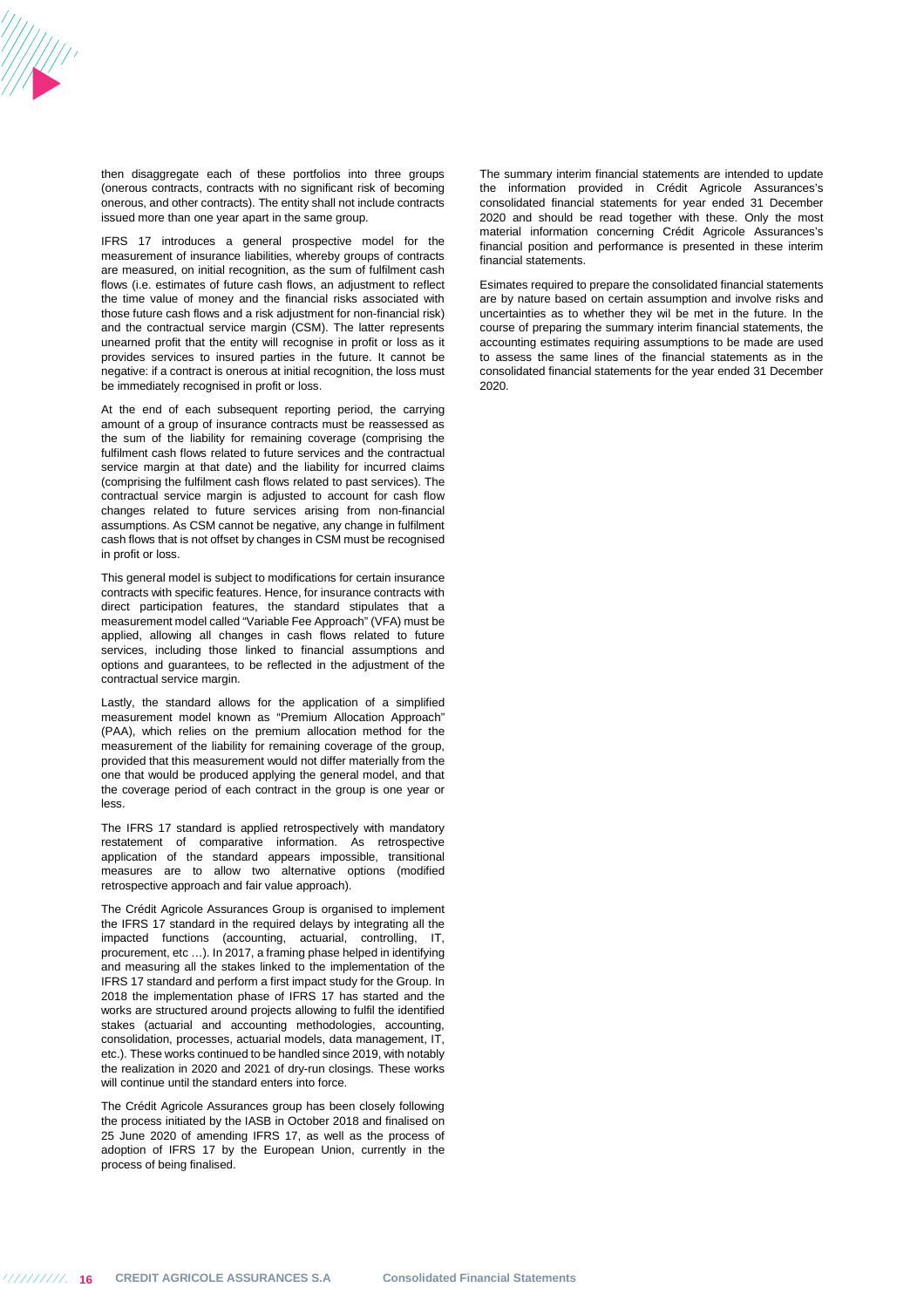

then disaggregate each of these portfolios into three groups (onerous contracts, contracts with no significant risk of becoming onerous, and other contracts). The entity shall not include contracts issued more than one year apart in the same group.

IFRS 17 introduces a general prospective model for the measurement of insurance liabilities, whereby groups of contracts are measured, on initial recognition, as the sum of fulfilment cash flows (i.e. estimates of future cash flows, an adjustment to reflect the time value of money and the financial risks associated with those future cash flows and a risk adjustment for non-financial risk) and the contractual service margin (CSM). The latter represents unearned profit that the entity will recognise in profit or loss as it provides services to insured parties in the future. It cannot be negative: if a contract is onerous at initial recognition, the loss must be immediately recognised in profit or loss.

At the end of each subsequent reporting period, the carrying amount of a group of insurance contracts must be reassessed as the sum of the liability for remaining coverage (comprising the fulfilment cash flows related to future services and the contractual service margin at that date) and the liability for incurred claims (comprising the fulfilment cash flows related to past services). The contractual service margin is adjusted to account for cash flow changes related to future services arising from non-financial assumptions. As CSM cannot be negative, any change in fulfilment cash flows that is not offset by changes in CSM must be recognised in profit or loss.

This general model is subject to modifications for certain insurance contracts with specific features. Hence, for insurance contracts with direct participation features, the standard stipulates that a measurement model called "Variable Fee Approach" (VFA) must be applied, allowing all changes in cash flows related to future services, including those linked to financial assumptions and options and guarantees, to be reflected in the adjustment of the contractual service margin.

Lastly, the standard allows for the application of a simplified measurement model known as "Premium Allocation Approach" (PAA), which relies on the premium allocation method for the measurement of the liability for remaining coverage of the group, provided that this measurement would not differ materially from the one that would be produced applying the general model, and that the coverage period of each contract in the group is one year or less.

The IFRS 17 standard is applied retrospectively with mandatory restatement of comparative information. As retrospective application of the standard appears impossible, transitional measures are to allow two alternative options (modified retrospective approach and fair value approach).

The Crédit Agricole Assurances Group is organised to implement the IFRS 17 standard in the required delays by integrating all the impacted functions (accounting, actuarial, controlling, IT, procurement, etc ...). In 2017, a framing phase helped in identifying and measuring all the stakes linked to the implementation of the IFRS 17 standard and perform a first impact study for the Group. In 2018 the implementation phase of IFRS 17 has started and the works are structured around projects allowing to fulfil the identified stakes (actuarial and accounting methodologies, accounting, consolidation, processes, actuarial models, data management, IT, etc.). These works continued to be handled since 2019, with notably the realization in 2020 and 2021 of dry-run closings. These works will continue until the standard enters into force.

The Crédit Agricole Assurances group has been closely following the process initiated by the IASB in October 2018 and finalised on 25 June 2020 of amending IFRS 17, as well as the process of adoption of IFRS 17 by the European Union, currently in the process of being finalised.

The summary interim financial statements are intended to update the information provided in Crédit Agricole Assurances's consolidated financial statements for year ended 31 December 2020 and should be read together with these. Only the most material information concerning Crédit Agricole Assurances's financial position and performance is presented in these interim financial statements.

Esimates required to prepare the consolidated financial statements are by nature based on certain assumption and involve risks and uncertainties as to whether they wil be met in the future. In the course of preparing the summary interim financial statements, the accounting estimates requiring assumptions to be made are used to assess the same lines of the financial statements as in the consolidated financial statements for the year ended 31 December 2020.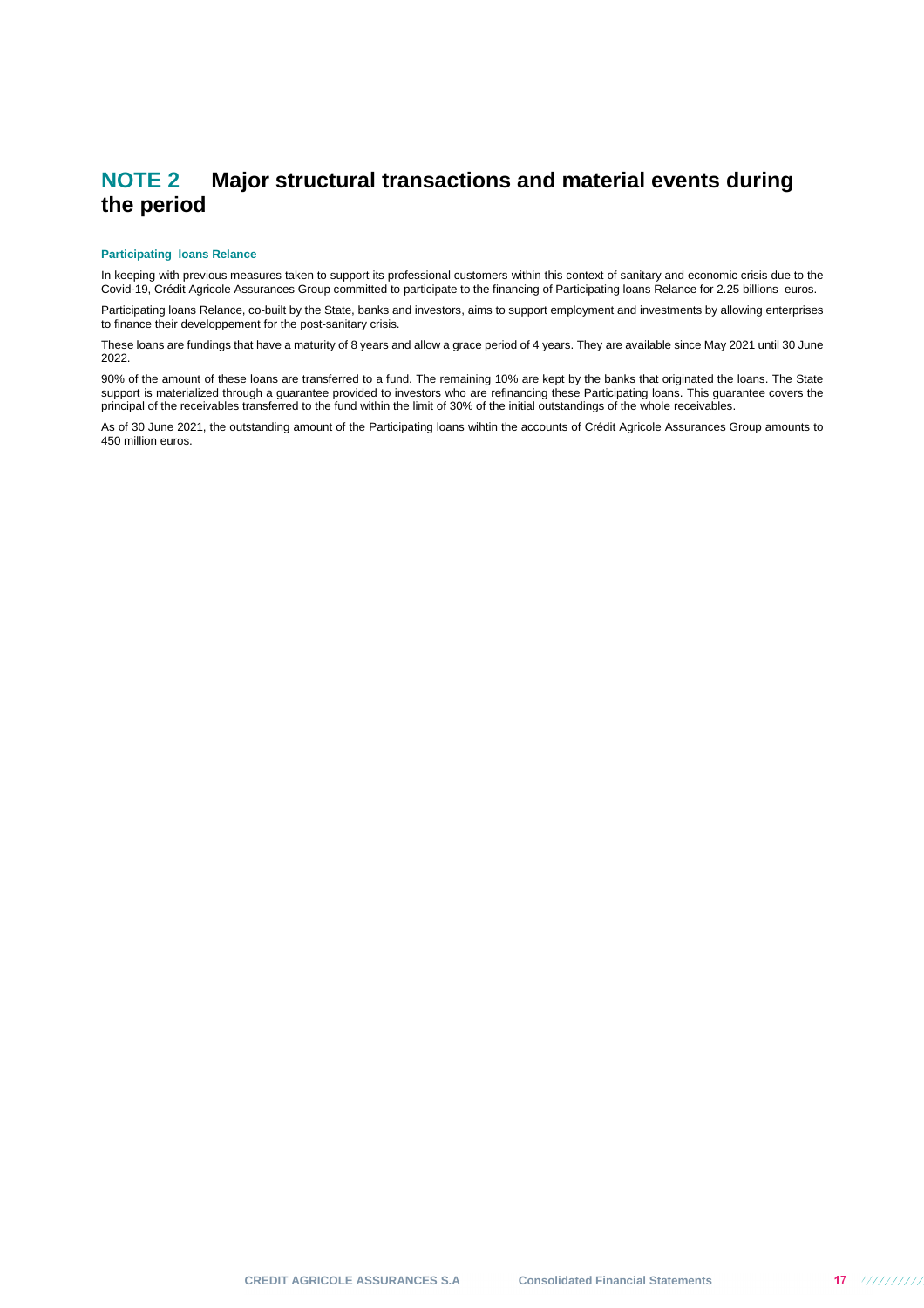## **NOTE 2 Major structural transactions and material events during the period**

#### **Participating loans Relance**

In keeping with previous measures taken to support its professional customers within this context of sanitary and economic crisis due to the Covid-19, Crédit Agricole Assurances Group committed to participate to the financing of Participating loans Relance for 2.25 billions euros.

Participating loans Relance, co-built by the State, banks and investors, aims to support employment and investments by allowing enterprises to finance their developpement for the post-sanitary crisis.

These loans are fundings that have a maturity of 8 years and allow a grace period of 4 years. They are available since May 2021 until 30 June 2022.

90% of the amount of these loans are transferred to a fund. The remaining 10% are kept by the banks that originated the loans. The State support is materialized through a guarantee provided to investors who are refinancing these Participating loans. This guarantee covers the principal of the receivables transferred to the fund within the limit of 30% of the initial outstandings of the whole receivables.

As of 30 June 2021, the outstanding amount of the Participating loans wihtin the accounts of Crédit Agricole Assurances Group amounts to 450 million euros.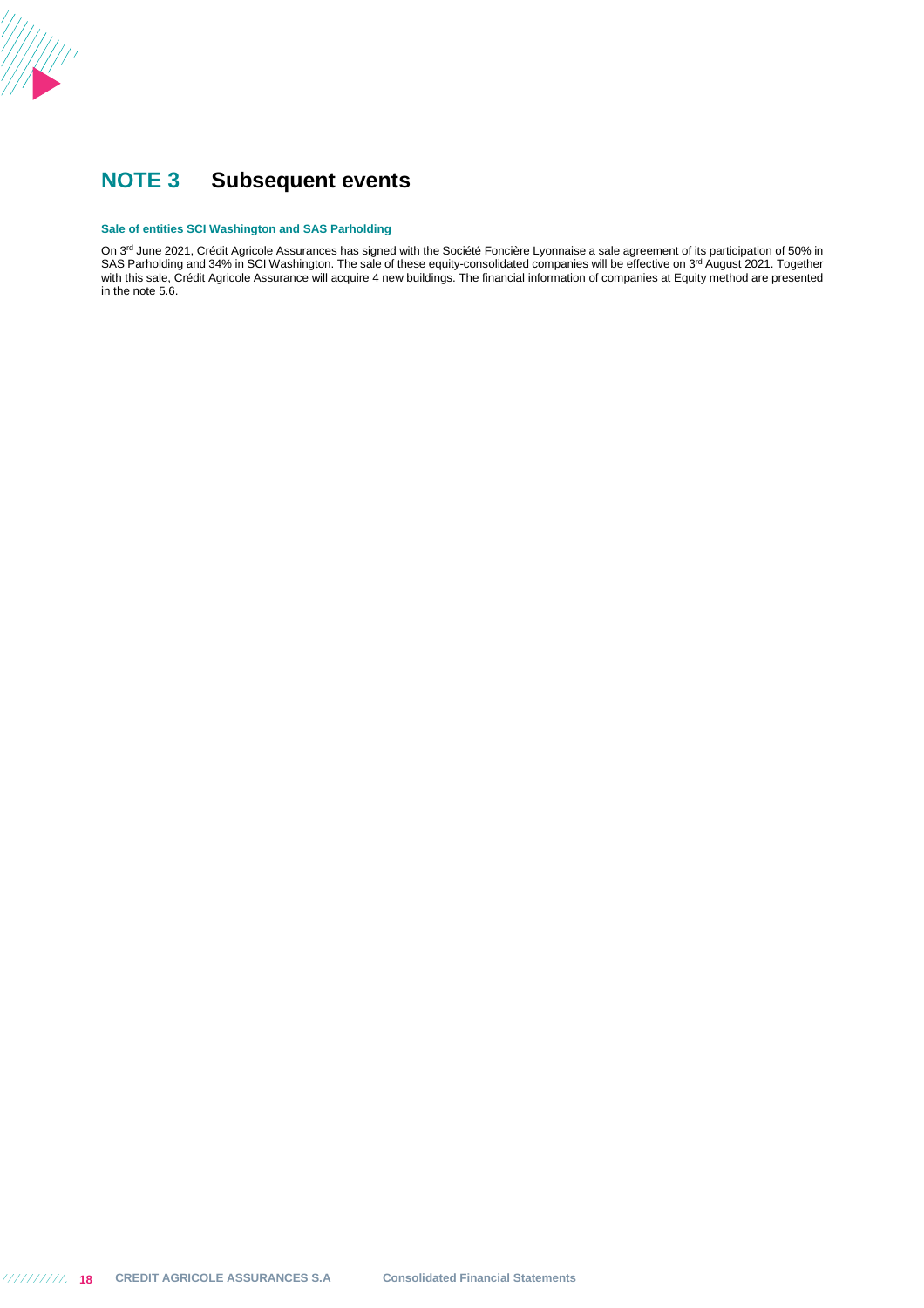

## **NOTE 3 Subsequent events**

#### **Sale of entities SCI Washington and SAS Parholding**

On 3<sup>rd</sup> June 2021, Crédit Agricole Assurances has signed with the Société Foncière Lyonnaise a sale agreement of its participation of 50% in SAS Parholding and 34% in SCI Washington. The sale of these equity-consolidated companies will be effective on 3<sup>rd</sup> August 2021. Together with this sale, Crédit Agricole Assurance will acquire 4 new buildings. The financial information of companies at Equity method are presented in the note 5.6.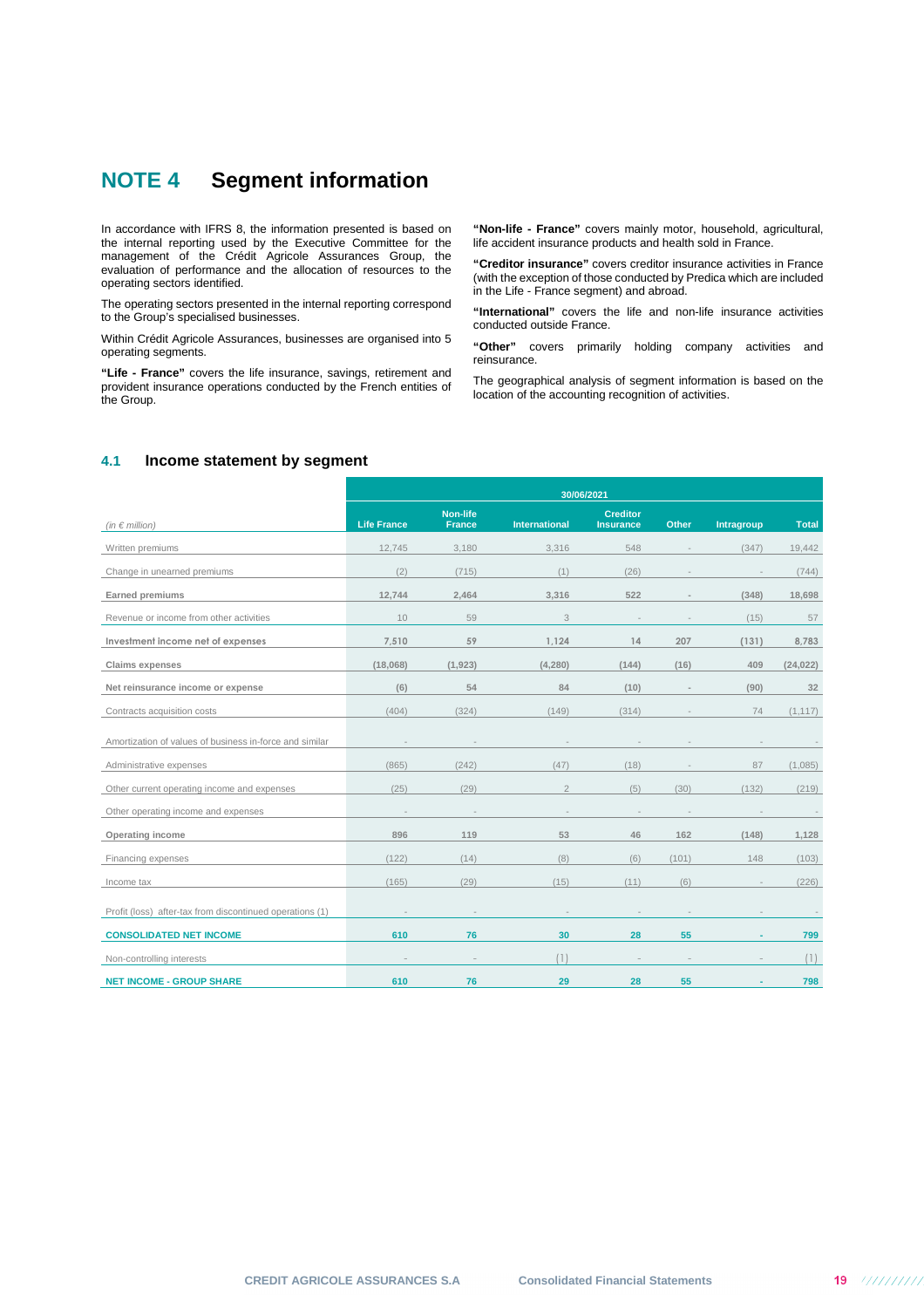## **NOTE 4 Segment information**

In accordance with IFRS 8, the information presented is based on the internal reporting used by the Executive Committee for the management of the Crédit Agricole Assurances Group, the evaluation of performance and the allocation of resources to the operating sectors identified.

The operating sectors presented in the internal reporting correspond to the Group's specialised businesses.

Within Crédit Agricole Assurances, businesses are organised into 5 operating segments.

**"Life - France"** covers the life insurance, savings, retirement and provident insurance operations conducted by the French entities of the Group.

**"Non-life - France"** covers mainly motor, household, agricultural, life accident insurance products and health sold in France.

**"Creditor insurance"** covers creditor insurance activities in France (with the exception of those conducted by Predica which are included in the Life - France segment) and abroad.

**"International"** covers the life and non-life insurance activities conducted outside France.

**"Other"** covers primarily holding company activities and reinsurance.

The geographical analysis of segment information is based on the location of the accounting recognition of activities.

#### **4.1 Income statement by segment**

|                                                          | 30/06/2021         |                                  |                      |                                     |       |            |              |
|----------------------------------------------------------|--------------------|----------------------------------|----------------------|-------------------------------------|-------|------------|--------------|
| (in $\in$ million)                                       | <b>Life France</b> | <b>Non-life</b><br><b>France</b> | <b>International</b> | <b>Creditor</b><br><b>Insurance</b> | Other | Intragroup | <b>Total</b> |
| Written premiums                                         | 12,745             | 3,180                            | 3,316                | 548                                 |       | (347)      | 19,442       |
| Change in unearned premiums                              | (2)                | (715)                            | (1)                  | (26)                                |       |            | (744)        |
| Earned premiums                                          | 12,744             | 2,464                            | 3,316                | 522                                 |       | (348)      | 18,698       |
| Revenue or income from other activities                  | 10                 | 59                               | 3                    |                                     |       | (15)       | 57           |
| Investment income net of expenses                        | 7,510              | 59                               | 1,124                | 14                                  | 207   | (131)      | 8,783        |
| <b>Claims expenses</b>                                   | (18,068)           | (1, 923)                         | (4, 280)             | (144)                               | (16)  | 409        | (24, 022)    |
| Net reinsurance income or expense                        | (6)                | 54                               | 84                   | (10)                                |       | (90)       | 32           |
| Contracts acquisition costs                              | (404)              | (324)                            | (149)                | (314)                               |       | 74         | (1, 117)     |
| Amortization of values of business in-force and similar  |                    |                                  |                      |                                     |       |            |              |
| Administrative expenses                                  | (865)              | (242)                            | (47)                 | (18)                                |       | 87         | (1,085)      |
| Other current operating income and expenses              | (25)               | (29)                             | $\overline{2}$       | (5)                                 | (30)  | (132)      | (219)        |
| Other operating income and expenses                      |                    |                                  |                      |                                     |       |            |              |
| Operating income                                         | 896                | 119                              | 53                   | 46                                  | 162   | (148)      | 1,128        |
| Financing expenses                                       | (122)              | (14)                             | (8)                  | (6)                                 | (101) | 148        | (103)        |
| Income tax                                               | (165)              | (29)                             | (15)                 | (11)                                | (6)   |            | (226)        |
| Profit (loss) after-tax from discontinued operations (1) |                    |                                  |                      |                                     |       |            |              |
| <b>CONSOLIDATED NET INCOME</b>                           | 610                | 76                               | 30                   | 28                                  | 55    |            | 799          |
| Non-controlling interests                                |                    |                                  | (1)                  |                                     |       |            | (1)          |
| <b>NET INCOME - GROUP SHARE</b>                          | 610                | 76                               | 29                   | 28                                  | 55    |            | 798          |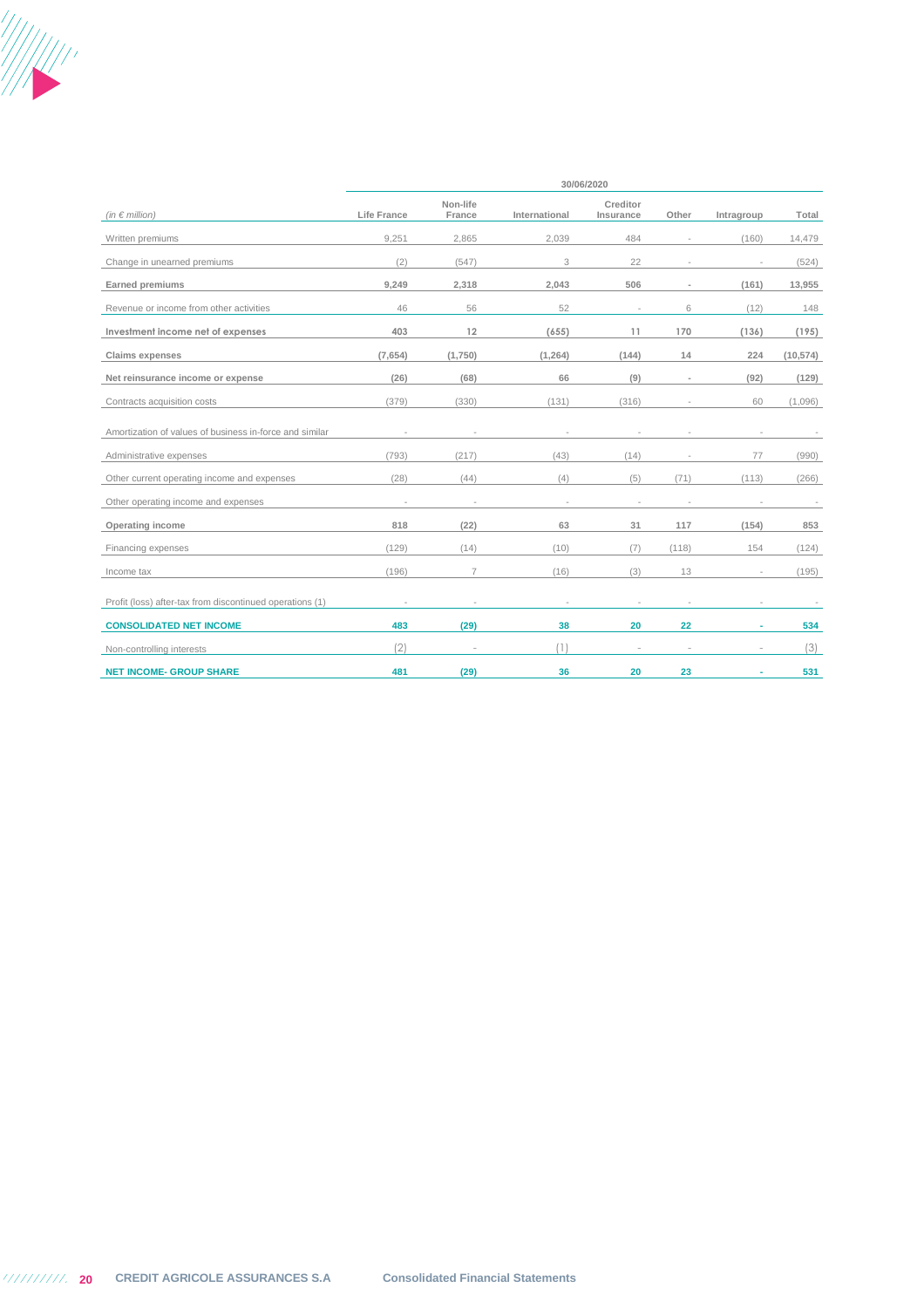

| (in $\epsilon$ million)                                  | Life France | Non-life<br>France | International | Creditor<br>Insurance | Other | Intragroup | Total     |
|----------------------------------------------------------|-------------|--------------------|---------------|-----------------------|-------|------------|-----------|
| Written premiums                                         | 9,251       | 2,865              | 2,039         | 484                   |       | (160)      | 14,479    |
| Change in unearned premiums                              | (2)         | (547)              | 3             | 22                    |       |            | (524)     |
| <b>Earned premiums</b>                                   | 9,249       | 2,318              | 2,043         | 506                   |       | (161)      | 13,955    |
| Revenue or income from other activities                  | 46          | 56                 | 52            |                       | 6     | (12)       | 148       |
| Investment income net of expenses                        | 403         | 12                 | (655)         | 11                    | 170   | (136)      | (195)     |
| Claims expenses                                          | (7,654)     | (1,750)            | (1, 264)      | (144)                 | 14    | 224        | (10, 574) |
| Net reinsurance income or expense                        | (26)        | (68)               | 66            | (9)                   |       | (92)       | (129)     |
| Contracts acquisition costs                              | (379)       | (330)              | (131)         | (316)                 |       | 60         | (1,096)   |
| Amortization of values of business in-force and similar  |             |                    |               |                       |       |            |           |
| Administrative expenses                                  | (793)       | (217)              | (43)          | (14)                  |       | 77         | (990)     |
| Other current operating income and expenses              | (28)        | (44)               | (4)           | (5)                   | (71)  | (113)      | (266)     |
| Other operating income and expenses                      |             |                    |               |                       |       |            |           |
| Operating income                                         | 818         | (22)               | 63            | 31                    | 117   | (154)      | 853       |
| Financing expenses                                       | (129)       | (14)               | (10)          | (7)                   | (118) | 154        | (124)     |
| Income tax                                               | (196)       | $\overline{7}$     | (16)          | (3)                   | 13    |            | (195)     |
| Profit (loss) after-tax from discontinued operations (1) |             |                    |               |                       |       |            |           |
| <b>CONSOLIDATED NET INCOME</b>                           | 483         | (29)               | 38            | 20                    | 22    |            | 534       |
| Non-controlling interests                                | (2)         |                    | (1)           | $\sim$                |       |            | (3)       |
| <b>NET INCOME- GROUP SHARE</b>                           | 481         | (29)               | 36            | 20                    | 23    |            | 531       |

**30/06/2020**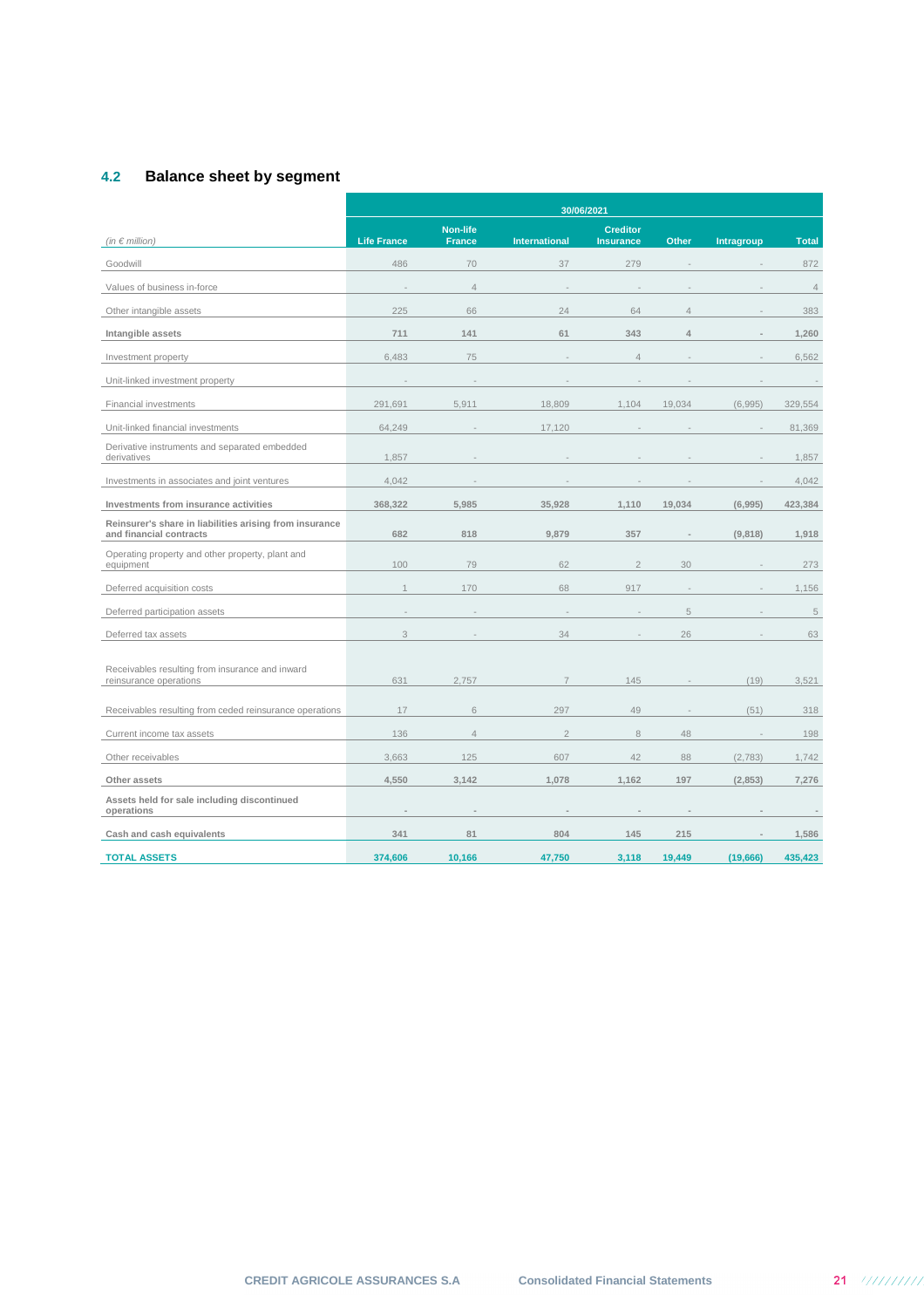## **4.2 Balance sheet by segment**

|                                                                                    |                    |                                  |                      | 30/06/2021                          |                |                   |                |
|------------------------------------------------------------------------------------|--------------------|----------------------------------|----------------------|-------------------------------------|----------------|-------------------|----------------|
| (in $\epsilon$ million)                                                            | <b>Life France</b> | <b>Non-life</b><br><b>France</b> | <b>International</b> | <b>Creditor</b><br><b>Insurance</b> | <b>Other</b>   | <b>Intragroup</b> | <b>Total</b>   |
| Goodwill                                                                           | 486                | 70                               | 37                   | 279                                 |                |                   | 872            |
| Values of business in-force                                                        |                    | $\overline{4}$                   |                      |                                     |                |                   | $\overline{4}$ |
| Other intangible assets                                                            | 225                | 66                               | 24                   | 64                                  | $\overline{4}$ |                   | 383            |
| Intangible assets                                                                  | 711                | 141                              | 61                   | 343                                 | $\Delta$       |                   | 1,260          |
| Investment property                                                                | 6,483              | 75                               |                      | $\overline{4}$                      |                |                   | 6,562          |
| Unit-linked investment property                                                    |                    |                                  |                      |                                     |                |                   |                |
| Financial investments                                                              | 291,691            | 5,911                            | 18,809               | 1,104                               | 19,034         | (6,995)           | 329,554        |
| Unit-linked financial investments                                                  | 64,249             |                                  | 17,120               |                                     |                |                   | 81,369         |
| Derivative instruments and separated embedded<br>derivatives                       | 1,857              |                                  |                      |                                     |                |                   | 1,857          |
| Investments in associates and joint ventures                                       | 4,042              |                                  |                      |                                     |                |                   | 4,042          |
| Investments from insurance activities                                              | 368,322            | 5,985                            | 35,928               | 1,110                               | 19,034         | (6,995)           | 423,384        |
| Reinsurer's share in liabilities arising from insurance<br>and financial contracts | 682                | 818                              | 9,879                | 357                                 |                | (9,818)           | 1,918          |
| Operating property and other property, plant and<br>equipment                      | 100                | 79                               | 62                   | $\overline{2}$                      | 30             |                   | 273            |
| Deferred acquisition costs                                                         | $\mathbf{1}$       | 170                              | 68                   | 917                                 |                |                   | 1,156          |
| Deferred participation assets                                                      |                    |                                  |                      |                                     | 5              |                   | 5              |
| Deferred tax assets                                                                | 3                  |                                  | 34                   |                                     | 26             |                   | 63             |
| Receivables resulting from insurance and inward<br>reinsurance operations          | 631                | 2,757                            | $\overline{7}$       | 145                                 |                | (19)              | 3,521          |
| Receivables resulting from ceded reinsurance operations                            | 17                 | 6                                | 297                  | 49                                  |                | (51)              | 318            |
| Current income tax assets                                                          | 136                | $\overline{4}$                   | $\overline{2}$       | 8                                   | 48             |                   | 198            |
| Other receivables                                                                  | 3,663              | 125                              | 607                  | 42                                  | 88             | (2,783)           | 1,742          |
| Other assets                                                                       | 4,550              | 3,142                            | 1,078                | 1,162                               | 197            | (2,853)           | 7,276          |
| Assets held for sale including discontinued<br>operations                          |                    |                                  |                      |                                     |                |                   |                |
| Cash and cash equivalents                                                          | 341                | 81                               | 804                  | 145                                 | 215            |                   | 1,586          |
| <b>TOTAL ASSETS</b>                                                                | 374,606            | 10,166                           | 47,750               | 3,118                               | 19,449         | (19,666)          | 435,423        |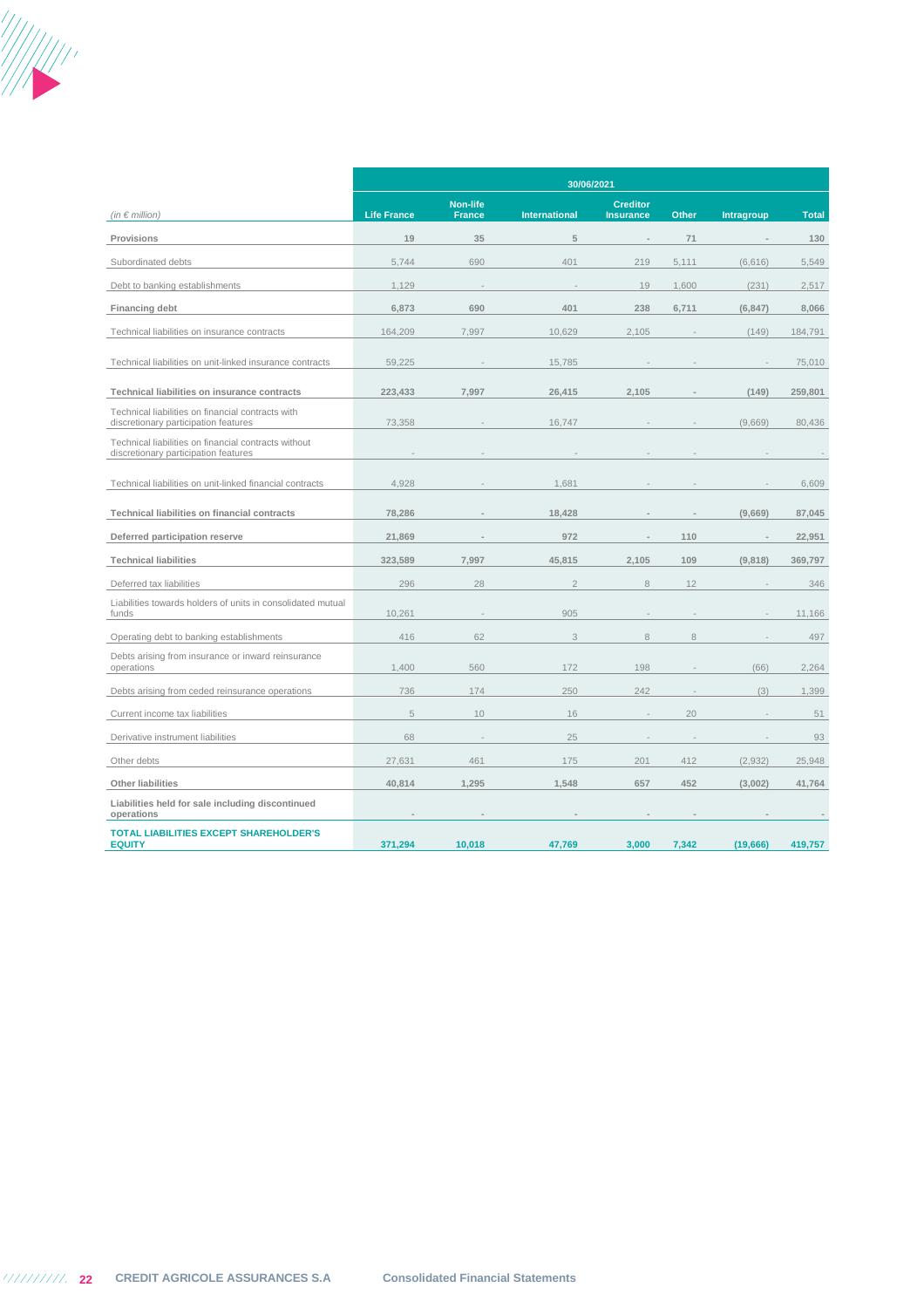

|                                                                                              | 30/06/2021         |                                  |                      |                                     |       |            |              |
|----------------------------------------------------------------------------------------------|--------------------|----------------------------------|----------------------|-------------------------------------|-------|------------|--------------|
| (in $\in$ million)                                                                           | <b>Life France</b> | <b>Non-life</b><br><b>France</b> | <b>International</b> | <b>Creditor</b><br><b>Insurance</b> | Other | Intragroup | <b>Total</b> |
| Provisions                                                                                   | 19                 | 35                               | 5                    |                                     | 71    |            | 130          |
| Subordinated debts                                                                           | 5,744              | 690                              | 401                  | 219                                 | 5,111 | (6,616)    | 5,549        |
| Debt to banking establishments                                                               | 1,129              |                                  |                      | 19                                  | 1,600 | (231)      | 2,517        |
| Financing debt                                                                               | 6,873              | 690                              | 401                  | 238                                 | 6,711 | (6, 847)   | 8,066        |
| Technical liabilities on insurance contracts                                                 | 164,209            | 7,997                            | 10,629               | 2,105                               |       | (149)      | 184,791      |
| Technical liabilities on unit-linked insurance contracts                                     | 59,225             |                                  | 15,785               |                                     |       |            | 75,010       |
| Technical liabilities on insurance contracts                                                 | 223,433            | 7,997                            | 26,415               | 2,105                               |       | (149)      | 259,801      |
| Technical liabilities on financial contracts with<br>discretionary participation features    | 73,358             |                                  | 16,747               |                                     |       | (9,669)    | 80,436       |
| Technical liabilities on financial contracts without<br>discretionary participation features |                    |                                  |                      |                                     |       |            |              |
| Technical liabilities on unit-linked financial contracts                                     | 4,928              |                                  | 1,681                |                                     |       |            | 6,609        |
| Technical liabilities on financial contracts                                                 | 78,286             |                                  | 18,428               |                                     |       | (9,669)    | 87,045       |
| Deferred participation reserve                                                               | 21,869             |                                  | 972                  |                                     | 110   |            | 22,951       |
| <b>Technical liabilities</b>                                                                 | 323,589            | 7.997                            | 45,815               | 2,105                               | 109   | (9,818)    | 369,797      |
| Deferred tax liabilities                                                                     | 296                | 28                               | $\overline{2}$       | $\,8\,$                             | 12    |            | 346          |
| Liabilities towards holders of units in consolidated mutual<br>funds                         | 10,261             |                                  | 905                  |                                     |       |            | 11,166       |
| Operating debt to banking establishments                                                     | 416                | 62                               | 3                    | 8                                   | 8     |            | 497          |
| Debts arising from insurance or inward reinsurance<br>operations                             | 1,400              | 560                              | 172                  | 198                                 |       | (66)       | 2,264        |
| Debts arising from ceded reinsurance operations                                              | 736                | 174                              | 250                  | 242                                 |       | (3)        | 1,399        |
| Current income tax liabilities                                                               | 5                  | 10                               | 16                   | $\sim$                              | 20    |            | 51           |
| Derivative instrument liabilities                                                            | 68                 |                                  | 25                   |                                     |       |            | 93           |
| Other debts                                                                                  | 27,631             | 461                              | 175                  | 201                                 | 412   | (2,932)    | 25,948       |
| Other liabilities                                                                            | 40,814             | 1,295                            | 1,548                | 657                                 | 452   | (3,002)    | 41,764       |
| Liabilities held for sale including discontinued<br>operations                               |                    |                                  |                      |                                     |       |            |              |
| <b>TOTAL LIABILITIES EXCEPT SHAREHOLDER'S</b><br><b>EQUITY</b>                               | 371,294            | 10,018                           | 47,769               | 3,000                               | 7,342 | (19,666)   | 419,757      |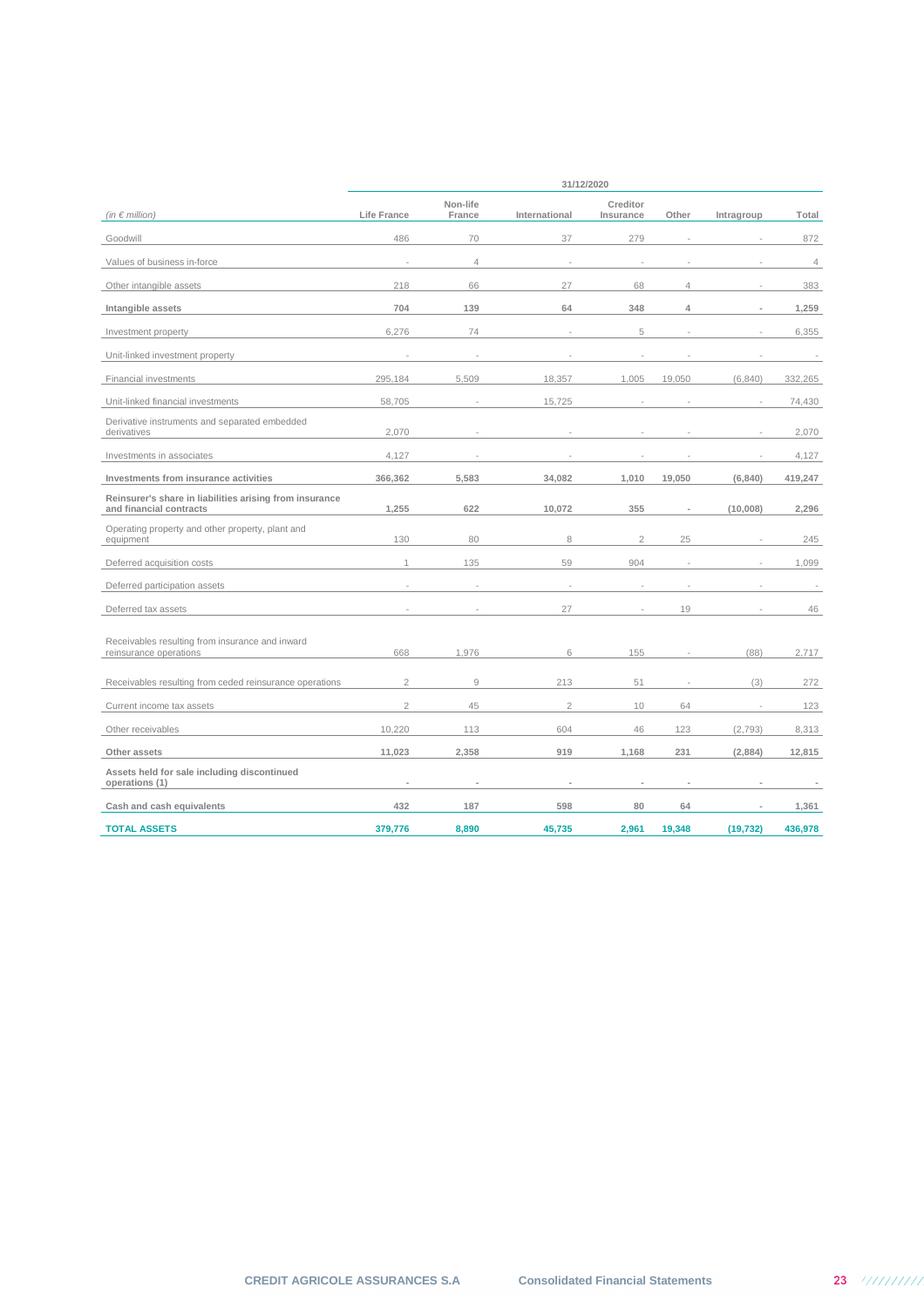|                                                                                    | 31/12/2020     |                    |                |                       |                |                |                |  |  |
|------------------------------------------------------------------------------------|----------------|--------------------|----------------|-----------------------|----------------|----------------|----------------|--|--|
| (in $\epsilon$ million)                                                            | Life France    | Non-life<br>France | International  | Creditor<br>Insurance | Other          | Intragroup     | Total          |  |  |
| Goodwill                                                                           | 486            | 70                 | 37             | 279                   |                |                | 872            |  |  |
| Values of business in-force                                                        |                | $\overline{4}$     |                |                       |                |                | $\overline{4}$ |  |  |
| Other intangible assets                                                            | 218            | 66                 | 27             | 68                    | $\overline{4}$ |                | 383            |  |  |
| Intangible assets                                                                  | 704            | 139                | 64             | 348                   | 4              | $\overline{a}$ | 1,259          |  |  |
| Investment property                                                                | 6,276          | 74                 |                | 5                     |                |                | 6,355          |  |  |
| Unit-linked investment property                                                    |                |                    |                |                       |                |                |                |  |  |
| Financial investments                                                              | 295,184        | 5.509              | 18,357         | 1,005                 | 19,050         | (6, 840)       | 332,265        |  |  |
| Unit-linked financial investments                                                  | 58,705         |                    | 15,725         |                       |                |                | 74,430         |  |  |
| Derivative instruments and separated embedded<br>derivatives                       | 2,070          |                    |                |                       |                |                | 2,070          |  |  |
| Investments in associates                                                          | 4,127          |                    |                |                       |                |                | 4,127          |  |  |
| Investments from insurance activities                                              | 366,362        | 5,583              | 34,082         | 1,010                 | 19,050         | (6, 840)       | 419,247        |  |  |
| Reinsurer's share in liabilities arising from insurance<br>and financial contracts | 1,255          | 622                | 10,072         | 355                   |                | (10,008)       | 2,296          |  |  |
| Operating property and other property, plant and<br>equipment                      | 130            | 80                 | 8              | $\overline{2}$        | 25             |                | 245            |  |  |
| Deferred acquisition costs                                                         | 1              | 135                | 59             | 904                   |                |                | 1,099          |  |  |
| Deferred participation assets                                                      |                |                    |                |                       |                |                |                |  |  |
| Deferred tax assets                                                                |                |                    | 27             |                       | 19             |                | 46             |  |  |
| Receivables resulting from insurance and inward<br>reinsurance operations          | 668            | 1,976              | 6              | 155                   |                | (88)           | 2,717          |  |  |
| Receivables resulting from ceded reinsurance operations                            | $\overline{2}$ | $\overline{9}$     | 213            | 51                    |                | (3)            | 272            |  |  |
| Current income tax assets                                                          | $\overline{2}$ | 45                 | $\overline{2}$ | 10                    | 64             | $\overline{a}$ | 123            |  |  |
| Other receivables                                                                  | 10,220         | 113                | 604            | 46                    | 123            | (2, 793)       | 8,313          |  |  |
| Other assets                                                                       | 11,023         | 2,358              | 919            | 1,168                 | 231            | (2,884)        | 12,815         |  |  |
| Assets held for sale including discontinued<br>operations (1)                      |                |                    | ٠              |                       |                |                |                |  |  |
| Cash and cash equivalents                                                          | 432            | 187                | 598            | 80                    | 64             |                | 1,361          |  |  |
| <b>TOTAL ASSETS</b>                                                                | 379,776        | 8,890              | 45,735         | 2,961                 | 19,348         | (19, 732)      | 436,978        |  |  |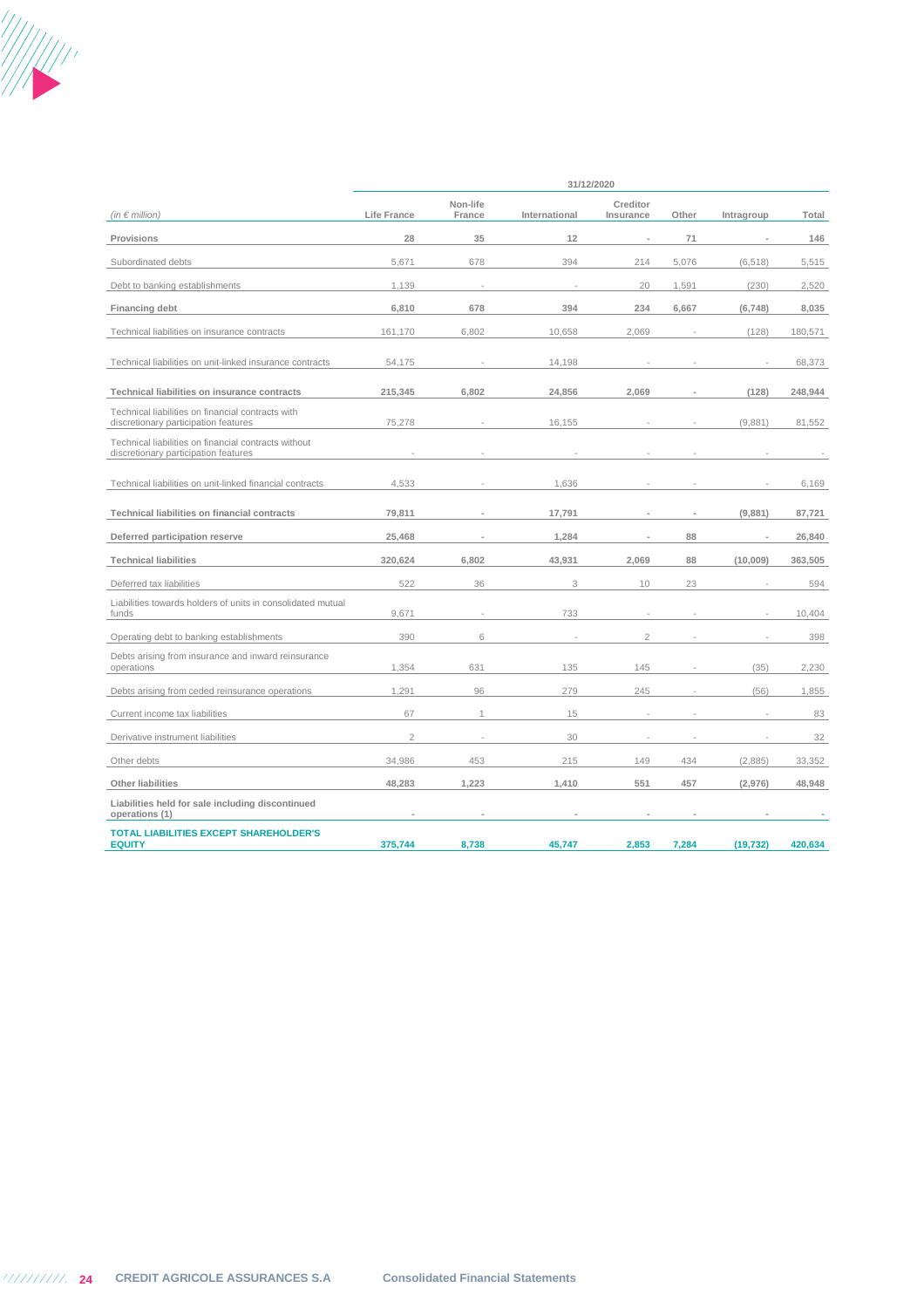

| (in $\epsilon$ million)                                                                      | Life France    | Non-life<br>France | International | Creditor<br>Insurance | Other | Intragroup | Total   |
|----------------------------------------------------------------------------------------------|----------------|--------------------|---------------|-----------------------|-------|------------|---------|
| Provisions                                                                                   | 28             | 35                 | 12            |                       | 71    |            | 146     |
| Subordinated debts                                                                           | 5,671          | 678                | 394           | 214                   | 5,076 | (6, 518)   | 5,515   |
| Debt to banking establishments                                                               | 1,139          |                    |               | 20                    | 1.591 | (230)      | 2,520   |
| <b>Financing debt</b>                                                                        | 6,810          | 678                | 394           | 234                   | 6,667 | (6,748)    | 8,035   |
| Technical liabilities on insurance contracts                                                 | 161,170        | 6,802              | 10,658        | 2,069                 |       | (128)      | 180,571 |
| Technical liabilities on unit-linked insurance contracts                                     | 54,175         |                    | 14,198        |                       |       |            | 68,373  |
| Technical liabilities on insurance contracts                                                 | 215,345        | 6,802              | 24,856        | 2,069                 |       | (128)      | 248,944 |
| Technical liabilities on financial contracts with<br>discretionary participation features    | 75,278         |                    | 16,155        |                       |       | (9,881)    | 81,552  |
| Technical liabilities on financial contracts without<br>discretionary participation features |                |                    |               |                       |       |            |         |
| Technical liabilities on unit-linked financial contracts                                     | 4,533          |                    | 1,636         |                       |       |            | 6,169   |
| Technical liabilities on financial contracts                                                 | 79,811         |                    | 17,791        |                       |       | (9,881)    | 87,721  |
| Deferred participation reserve                                                               | 25,468         |                    | 1,284         |                       | 88    |            | 26,840  |
| <b>Technical liabilities</b>                                                                 | 320,624        | 6,802              | 43,931        | 2,069                 | 88    | (10,009)   | 363,505 |
| Deferred tax liabilities                                                                     | 522            | 36                 | 3             | 10                    | 23    |            | 594     |
| Liabilities towards holders of units in consolidated mutual<br>funds                         | 9,671          |                    | 733           |                       |       |            | 10,404  |
| Operating debt to banking establishments                                                     | 390            | 6                  |               | $\overline{a}$        |       |            | 398     |
| Debts arising from insurance and inward reinsurance<br>operations                            | 1,354          | 631                | 135           | 145                   |       | (35)       | 2,230   |
| Debts arising from ceded reinsurance operations                                              | 1,291          | 96                 | 279           | 245                   |       | (56)       | 1,855   |
| Current income tax liabilities                                                               | 67             | 1                  | 15            |                       |       |            | 83      |
| Derivative instrument liabilities                                                            | $\overline{2}$ |                    | 30            |                       |       |            | 32      |
| Other debts                                                                                  | 34,986         | 453                | 215           | 149                   | 434   | (2,885)    | 33,352  |
| Other liabilities                                                                            | 48,283         | 1,223              | 1,410         | 551                   | 457   | (2,976)    | 48,948  |
| Liabilities held for sale including discontinued<br>operations (1)                           |                |                    |               |                       |       |            |         |
| <b>TOTAL LIABILITIES EXCEPT SHAREHOLDER'S</b><br><b>EQUITY</b>                               | 375,744        | 8,738              | 45,747        | 2,853                 | 7,284 | (19, 732)  | 420,634 |

**31/12/2020**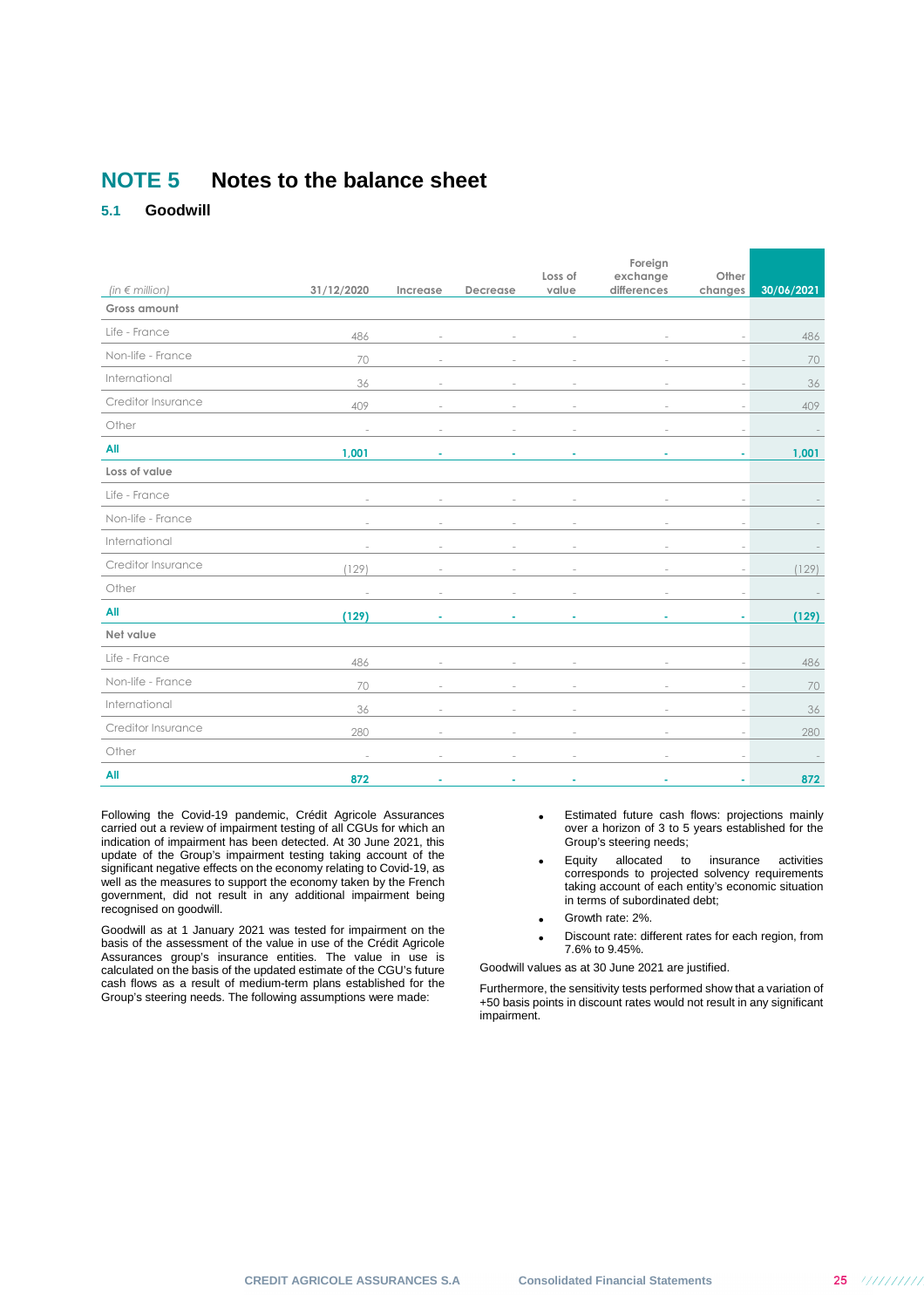## **NOTE 5 Notes to the balance sheet**

## **5.1 Goodwill**

|                       |            |          |          | Loss of | Foreign<br>exchange | Other                    |            |
|-----------------------|------------|----------|----------|---------|---------------------|--------------------------|------------|
| (in $\notin$ million) | 31/12/2020 | Increase | Decrease | value   | differences         | changes                  | 30/06/2021 |
| Gross amount          |            |          |          |         |                     |                          |            |
| Life - France         | 486        |          |          |         |                     |                          | 486        |
| Non-life - France     | 70         |          |          |         |                     |                          | 70         |
| International         | 36         |          |          |         |                     |                          | 36         |
| Creditor Insurance    | 409        |          |          |         |                     | $\overline{\phantom{a}}$ | 409        |
| Other                 |            |          |          |         |                     | ÷                        |            |
| All                   | 1,001      |          |          |         |                     | ٠                        | 1,001      |
| Loss of value         |            |          |          |         |                     |                          |            |
| Life - France         |            |          |          |         |                     |                          |            |
| Non-life - France     |            |          |          |         |                     | ×,                       |            |
| International         |            |          |          |         |                     |                          |            |
| Creditor Insurance    | (129)      |          |          |         |                     | ä,                       | (129)      |
| Other                 |            |          |          |         |                     |                          |            |
| All                   | (129)      |          |          |         |                     | ٠                        | (129)      |
| Net value             |            |          |          |         |                     |                          |            |
| Life - France         | 486        |          |          |         |                     | $\overline{\phantom{a}}$ | 486        |
| Non-life - France     | 70         |          |          |         |                     |                          | 70         |
| International         | 36         |          |          |         | ÷.                  | $\overline{\phantom{a}}$ | 36         |
| Creditor Insurance    | 280        |          |          |         |                     | ÷.                       | 280        |
| Other                 | $\sim$     |          |          |         | ÷.                  | $\sim$                   |            |
| All                   | 872        |          |          |         |                     |                          | 872        |

Following the Covid-19 pandemic, Crédit Agricole Assurances carried out a review of impairment testing of all CGUs for which an indication of impairment has been detected. At 30 June 2021, this update of the Group's impairment testing taking account of the significant negative effects on the economy relating to Covid-19, as well as the measures to support the economy taken by the French government, did not result in any additional impairment being recognised on goodwill.

Goodwill as at 1 January 2021 was tested for impairment on the basis of the assessment of the value in use of the Crédit Agricole Assurances group's insurance entities. The value in use is calculated on the basis of the updated estimate of the CGU's future cash flows as a result of medium-term plans established for the Group's steering needs. The following assumptions were made:

- Estimated future cash flows: projections mainly over a horizon of 3 to 5 years established for the Group's steering needs;
- Equity allocated to insurance activities corresponds to projected solvency requirements taking account of each entity's economic situation in terms of subordinated debt;
- Growth rate: 2%.
- Discount rate: different rates for each region, from 7.6% to 9.45%.

Goodwill values as at 30 June 2021 are justified.

Furthermore, the sensitivity tests performed show that a variation of +50 basis points in discount rates would not result in any significant impairment.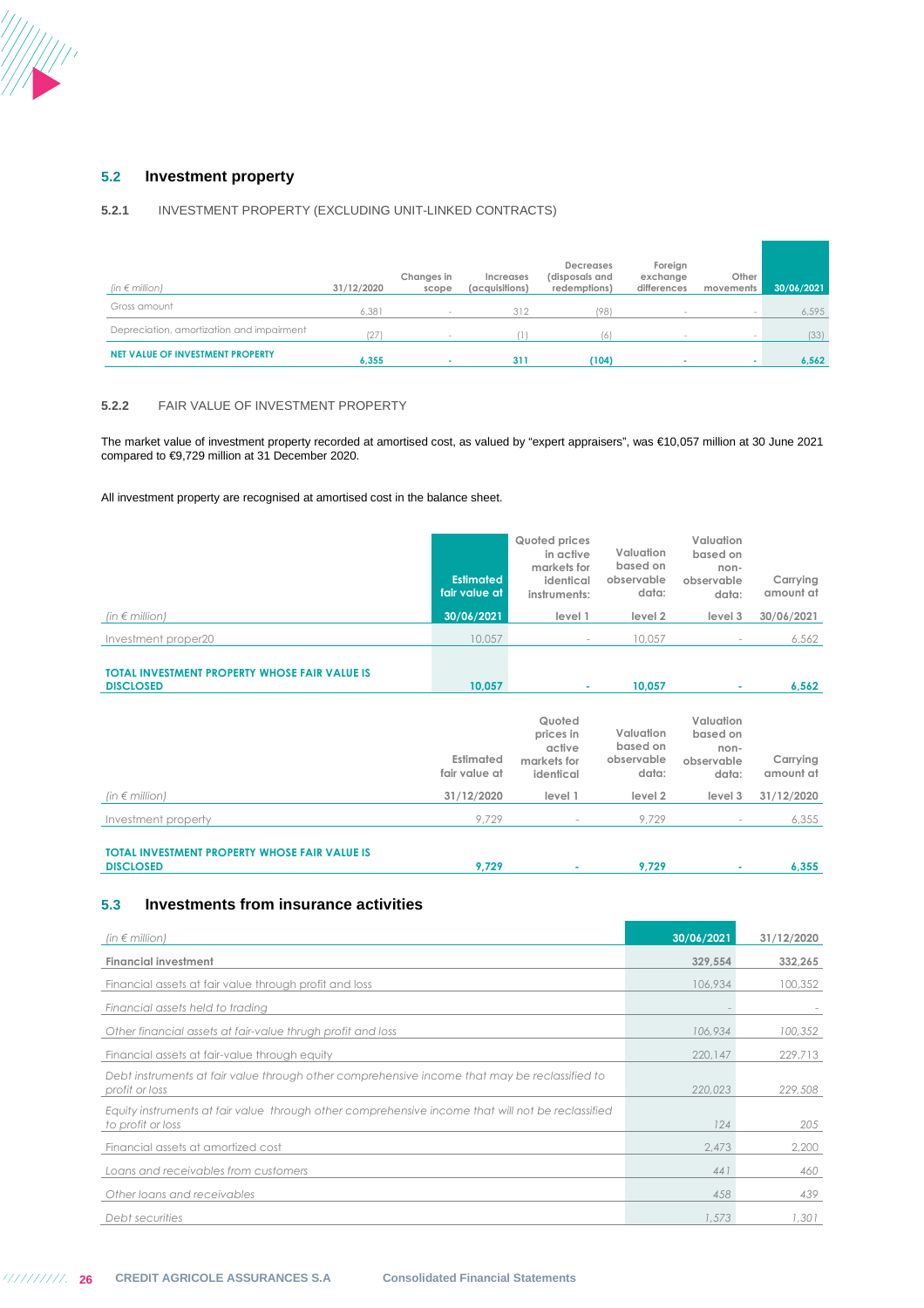

## **5.2 Investment property**

## **5.2.1** INVESTMENT PROPERTY (EXCLUDING UNIT-LINKED CONTRACTS)

| (in $\epsilon$ million)                   | 31/12/2020 | Changes in<br>scope             | Increases<br>(acquisitions) | <b>Decreases</b><br>(disposals and<br>redemptions) | Foreign<br>exchange<br>differences | Other<br>movements | 30/06/2021 |
|-------------------------------------------|------------|---------------------------------|-----------------------------|----------------------------------------------------|------------------------------------|--------------------|------------|
| Gross amount                              | 6.381      | $\hspace{0.1mm}-\hspace{0.1mm}$ | 312                         | (98)                                               |                                    | $\sim$             | 6,595      |
| Depreciation, amortization and impairment |            | $\sim$                          |                             | (6)                                                |                                    | $\sim$             | (33)       |
| NET VALUE OF INVESTMENT PROPERTY          | 6,355      |                                 | 311                         | (104)                                              |                                    |                    | 6,562      |

### **5.2.2** FAIR VALUE OF INVESTMENT PROPERTY

The market value of investment property recorded at amortised cost, as valued by "expert appraisers", was €10,057 million at 30 June 2021 compared to €9,729 million at 31 December 2020.

All investment property are recognised at amortised cost in the balance sheet.

|                                                                          | <b>Estimated</b><br>fair value at | Quoted prices<br>in active<br>markets for<br>identical<br>instruments: | Valuation<br>based on<br>observable<br>data: | Valuation<br>based on<br>non-<br>observable<br>data: | Carrying<br>amount at |
|--------------------------------------------------------------------------|-----------------------------------|------------------------------------------------------------------------|----------------------------------------------|------------------------------------------------------|-----------------------|
| (in $\notin$ million)                                                    | 30/06/2021                        | level 1                                                                | level 2                                      | level 3                                              | 30/06/2021            |
| Investment proper20                                                      | 10,057                            | $\sim$                                                                 | 10,057                                       |                                                      | 6,562                 |
| <b>TOTAL INVESTMENT PROPERTY WHOSE FAIR VALUE IS</b><br><b>DISCLOSED</b> | 10,057                            | $\sim$                                                                 | 10,057                                       |                                                      | 6,562                 |
|                                                                          | Estimated<br>fair value at        | Quoted<br>prices in<br>active<br>markets for<br>identical              | Valuation<br>based on<br>observable<br>data: | Valuation<br>based on<br>non-<br>observable<br>data: | Carrying<br>amount at |
| (in $\notin$ million)                                                    | 31/12/2020                        | level 1                                                                | level 2                                      | level 3                                              | 31/12/2020            |
| Investment property                                                      | 9,729                             | $\sim$                                                                 | 9,729                                        | $\sim$                                               | 6,355                 |

**TOTAL INVESTMENT PROPERTY WHOSE FAIR VALUE IS DISCLOSED 9,729 - 9,729 - 6,355**

## **5.3 Investments from insurance activities**

| (in $\notin$ million)                                                                                                  | 30/06/2021 | 31/12/2020 |
|------------------------------------------------------------------------------------------------------------------------|------------|------------|
| <b>Financial investment</b>                                                                                            | 329,554    | 332,265    |
| Financial assets at fair value through profit and loss                                                                 | 106,934    | 100,352    |
| Financial assets held to trading                                                                                       |            |            |
| Other financial assets at fair-value thrugh profit and loss                                                            | 106,934    | 100,352    |
| Financial assets at fair-value through equity                                                                          | 220,147    | 229,713    |
| Debt instruments at fair value through other comprehensive income that may be reclassified to<br>profit or loss        | 220,023    | 229,508    |
| Equity instruments at fair value through other comprehensive income that will not be reclassified<br>to profit or loss | 124        | 205        |
| Financial assets at amortized cost                                                                                     | 2,473      | 2,200      |
| Loans and receivables from customers                                                                                   | 441        | 460        |
| Other loans and receivables                                                                                            | 458        | 439        |
| Debt securities                                                                                                        | 1,573      | 1,301      |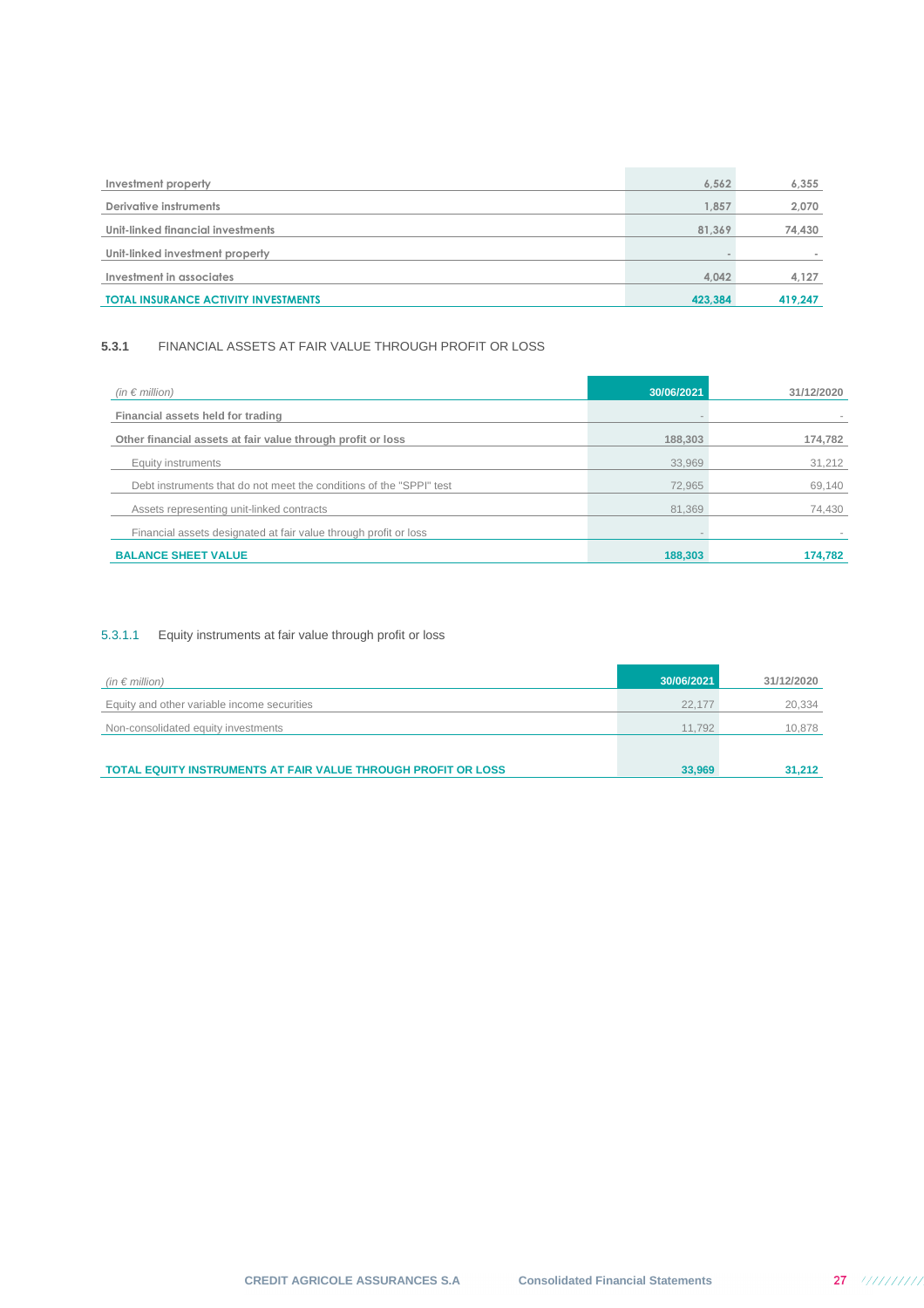| Investment property                         | 6.562   | 6,355   |
|---------------------------------------------|---------|---------|
| Derivative instruments                      | .857    | 2,070   |
| Unit-linked financial investments           | 81.369  | 74,430  |
| Unit-linked investment property             |         |         |
| Investment in associates                    | 4.042   | 4,127   |
| <b>TOTAL INSURANCE ACTIVITY INVESTMENTS</b> | 423,384 | 419,247 |

## **5.3.1** FINANCIAL ASSETS AT FAIR VALUE THROUGH PROFIT OR LOSS

| (in $\epsilon$ million)                                             | 30/06/2021 | 31/12/2020 |
|---------------------------------------------------------------------|------------|------------|
| Financial assets held for trading                                   |            |            |
| Other financial assets at fair value through profit or loss         | 188,303    | 174,782    |
| Equity instruments                                                  | 33.969     | 31,212     |
| Debt instruments that do not meet the conditions of the "SPPI" test | 72.965     | 69,140     |
| Assets representing unit-linked contracts                           | 81.369     | 74,430     |
| Financial assets designated at fair value through profit or loss    |            |            |
| <b>BALANCE SHEET VALUE</b>                                          | 188,303    | 174,782    |

## 5.3.1.1 Equity instruments at fair value through profit or loss

| (in $\epsilon$ million)                                              | 30/06/2021 | 31/12/2020 |
|----------------------------------------------------------------------|------------|------------|
| Equity and other variable income securities                          | 22.177     | 20,334     |
| Non-consolidated equity investments                                  | 11.792     | 10,878     |
|                                                                      |            |            |
| <b>TOTAL EQUITY INSTRUMENTS AT FAIR VALUE THROUGH PROFIT OR LOSS</b> | 33,969     | 31.212     |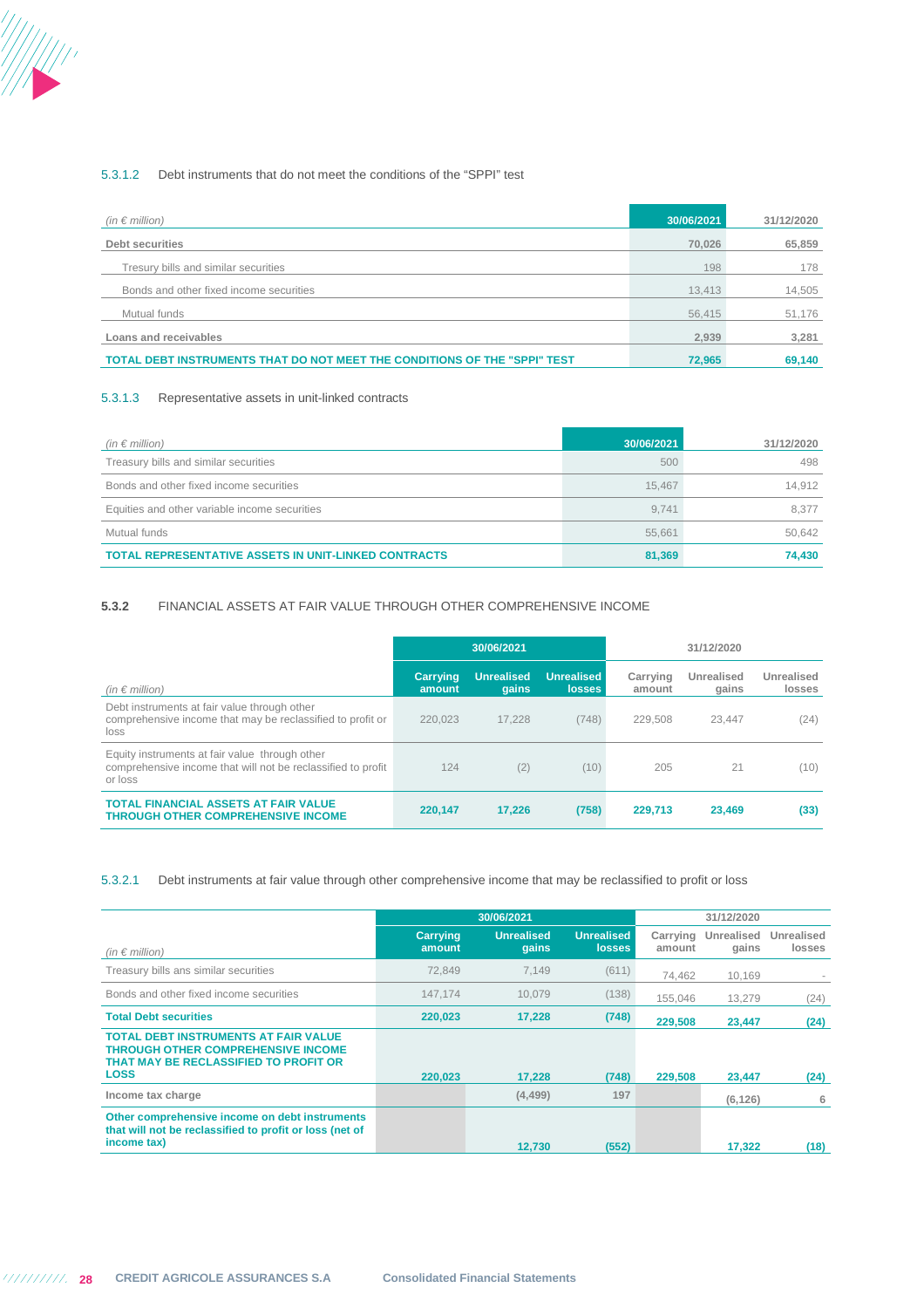#### 5.3.1.2 Debt instruments that do not meet the conditions of the "SPPI" test

| (in $\epsilon$ million)                                                   | 30/06/2021 | 31/12/2020 |
|---------------------------------------------------------------------------|------------|------------|
| Debt securities                                                           | 70.026     | 65,859     |
| Tresury bills and similar securities                                      | 198        | 178        |
| Bonds and other fixed income securities                                   | 13,413     | 14,505     |
| Mutual funds                                                              | 56,415     | 51,176     |
| Loans and receivables                                                     | 2.939      | 3,281      |
| TOTAL DEBT INSTRUMENTS THAT DO NOT MEET THE CONDITIONS OF THE "SPPI" TEST | 72,965     | 69,140     |

#### 5.3.1.3 Representative assets in unit-linked contracts

| (in $\epsilon$ million)                                     | 30/06/2021 | 31/12/2020 |
|-------------------------------------------------------------|------------|------------|
| Treasury bills and similar securities                       | 500        | 498        |
| Bonds and other fixed income securities                     | 15.467     | 14.912     |
| Equities and other variable income securities               | 9.741      | 8.377      |
| Mutual funds                                                | 55.661     | 50.642     |
| <b>TOTAL REPRESENTATIVE ASSETS IN UNIT-LINKED CONTRACTS</b> | 81,369     | 74.430     |

### **5.3.2** FINANCIAL ASSETS AT FAIR VALUE THROUGH OTHER COMPREHENSIVE INCOME

|                                                                                                                           | 30/06/2021                |                            |                                    |                    | 31/12/2020          |                      |
|---------------------------------------------------------------------------------------------------------------------------|---------------------------|----------------------------|------------------------------------|--------------------|---------------------|----------------------|
| (in $\epsilon$ million)                                                                                                   | <b>Carrying</b><br>amount | <b>Unrealised</b><br>qains | <b>Unrealised</b><br><b>losses</b> | Carrying<br>amount | Unrealised<br>gains | Unrealised<br>losses |
| Debt instruments at fair value through other<br>comprehensive income that may be reclassified to profit or<br>loss        | 220.023                   | 17.228                     | (748)                              | 229.508            | 23.447              | (24)                 |
| Equity instruments at fair value through other<br>comprehensive income that will not be reclassified to profit<br>or loss | 124                       | (2)                        | (10)                               | 205                | 21                  | (10)                 |
| <b>TOTAL FINANCIAL ASSETS AT FAIR VALUE</b><br><b>THROUGH OTHER COMPREHENSIVE INCOME</b>                                  | 220,147                   | 17.226                     | (758)                              | 229.713            | 23.469              | (33)                 |

5.3.2.1 Debt instruments at fair value through other comprehensive income that may be reclassified to profit or loss

|                                                                                                                                                  | 30/06/2021                |                            |                                    |                    | 31/12/2020          |                      |
|--------------------------------------------------------------------------------------------------------------------------------------------------|---------------------------|----------------------------|------------------------------------|--------------------|---------------------|----------------------|
| (in $\epsilon$ million)                                                                                                                          | <b>Carrying</b><br>amount | <b>Unrealised</b><br>qains | <b>Unrealised</b><br><b>losses</b> | Carrying<br>amount | Unrealised<br>gains | Unrealised<br>losses |
| Treasury bills ans similar securities                                                                                                            | 72.849                    | 7.149                      | (611)                              | 74,462             | 10,169              |                      |
| Bonds and other fixed income securities                                                                                                          | 147.174                   | 10.079                     | (138)                              | 155.046            | 13.279              | (24)                 |
| <b>Total Debt securities</b>                                                                                                                     | 220,023                   | 17.228                     | (748)                              | 229,508            | 23,447              | (24)                 |
| <b>TOTAL DEBT INSTRUMENTS AT FAIR VALUE</b><br><b>THROUGH OTHER COMPREHENSIVE INCOME</b><br>THAT MAY BE RECLASSIFIED TO PROFIT OR<br><b>LOSS</b> | 220.023                   | 17,228                     | (748)                              | 229,508            | 23,447              | (24)                 |
| Income tax charge                                                                                                                                |                           | (4, 499)                   | 197                                |                    | (6, 126)            | 6                    |
| Other comprehensive income on debt instruments<br>that will not be reclassified to profit or loss (net of<br>income tax)                         |                           | 12.730                     | (552)                              |                    | 17,322              | (18)                 |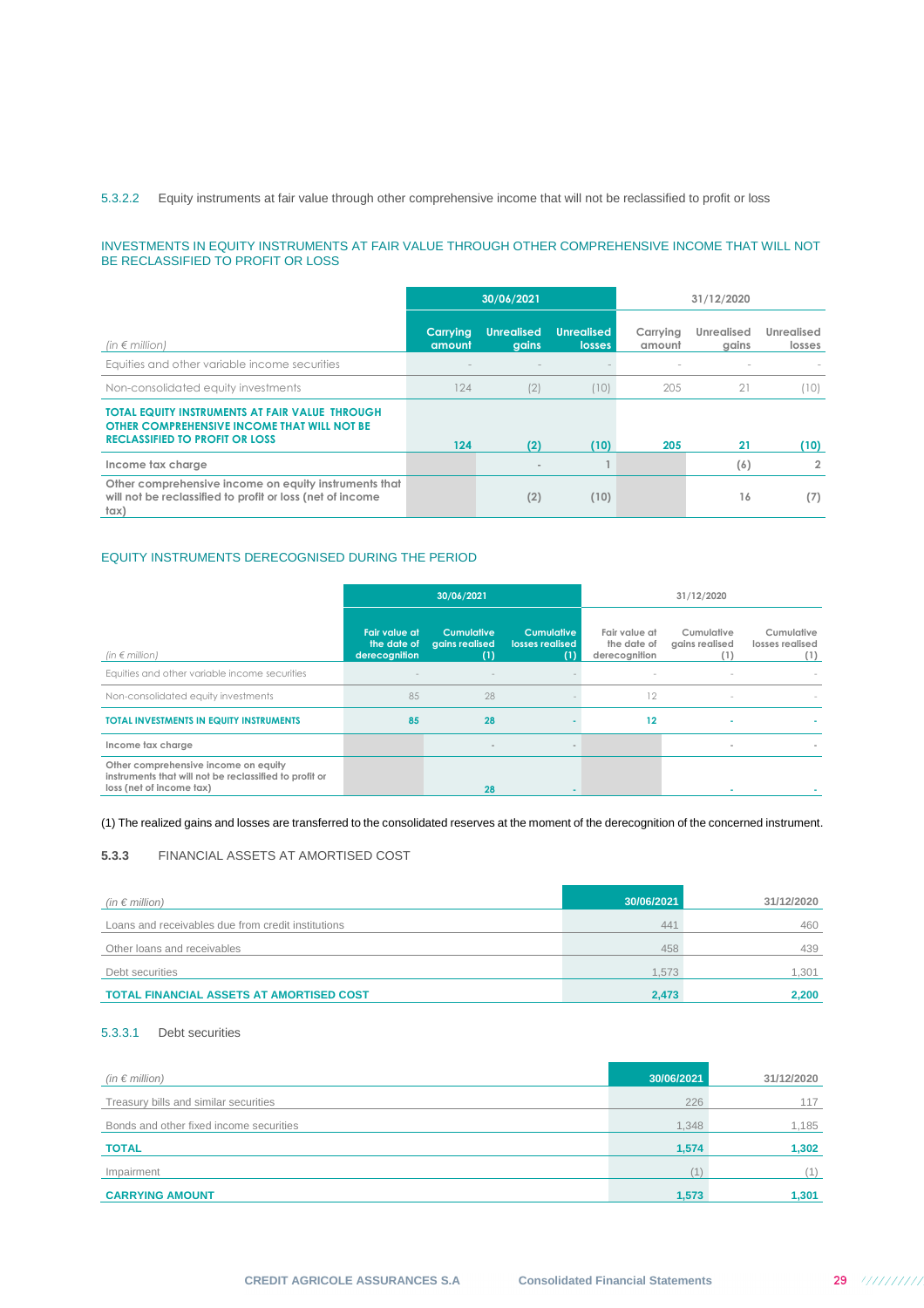## 5.3.2.2 Equity instruments at fair value through other comprehensive income that will not be reclassified to profit or loss

#### INVESTMENTS IN EQUITY INSTRUMENTS AT FAIR VALUE THROUGH OTHER COMPREHENSIVE INCOME THAT WILL NOT BE RECLASSIFIED TO PROFIT OR LOSS

|                                                                                                                                        |                    | 30/06/2021<br>31/12/2020   |                                    |                    |                            |                      |
|----------------------------------------------------------------------------------------------------------------------------------------|--------------------|----------------------------|------------------------------------|--------------------|----------------------------|----------------------|
| $(in \in million)$                                                                                                                     | Carrying<br>amount | <b>Unrealised</b><br>gains | <b>Unrealised</b><br><b>losses</b> | Carrying<br>amount | <b>Unrealised</b><br>gains | Unrealised<br>losses |
| Equities and other variable income securities                                                                                          |                    |                            |                                    |                    |                            |                      |
| Non-consolidated equity investments                                                                                                    | 124                | (2)                        | (10)                               | 205                | 21                         | (10)                 |
| TOTAL EQUITY INSTRUMENTS AT FAIR VALUE THROUGH<br>OTHER COMPREHENSIVE INCOME THAT WILL NOT BE<br><b>RECLASSIFIED TO PROFIT OR LOSS</b> | 124                | (2)                        | (10)                               | 205                | 21                         | (10)                 |
| Income tax charge                                                                                                                      |                    |                            |                                    |                    | (6)                        | $\overline{2}$       |
| Other comprehensive income on equity instruments that<br>will not be reclassified to profit or loss (net of income<br>$\frac{1}{2}$    |                    | (2)                        | (10)                               |                    | 16                         | (7)                  |

## EQUITY INSTRUMENTS DERECOGNISED DURING THE PERIOD

|                                                                                                                            |                                               | 30/06/2021                                 |                                             |                                               | 31/12/2020                   |                                      |
|----------------------------------------------------------------------------------------------------------------------------|-----------------------------------------------|--------------------------------------------|---------------------------------------------|-----------------------------------------------|------------------------------|--------------------------------------|
| (in $\epsilon$ million)                                                                                                    | Fair value at<br>the date of<br>derecognition | <b>Cumulative</b><br>agins realised<br>(1) | <b>Cumulative</b><br>losses realised<br>(1) | Fair value at<br>the date of<br>derecognition | Cumulative<br>gains realised | Cumulative<br>losses realised<br>(1) |
| Equities and other variable income securities                                                                              |                                               |                                            |                                             | $\sim$                                        | $\sim$                       |                                      |
| Non-consolidated equity investments                                                                                        | 85                                            | 28                                         |                                             | 12                                            | $\sim$                       |                                      |
| <b>TOTAL INVESTMENTS IN EQUITY INSTRUMENTS</b>                                                                             | 85                                            | 28                                         |                                             | 12                                            | $\blacksquare$               |                                      |
| Income tax charge                                                                                                          |                                               |                                            |                                             |                                               | $\sim$                       |                                      |
| Other comprehensive income on equity<br>instruments that will not be reclassified to profit or<br>loss (net of income tax) |                                               | 28                                         |                                             |                                               |                              |                                      |

(1) The realized gains and losses are transferred to the consolidated reserves at the moment of the derecognition of the concerned instrument.

### **5.3.3** FINANCIAL ASSETS AT AMORTISED COST

| (in $\epsilon$ million)                            | 30/06/2021 | 31/12/2020 |
|----------------------------------------------------|------------|------------|
| Loans and receivables due from credit institutions | 441        | 460        |
| Other loans and receivables                        | 458        | 439        |
| Debt securities                                    | 1.573      | 1.301      |
| <b>TOTAL FINANCIAL ASSETS AT AMORTISED COST</b>    | 2.473      | 2,200      |

## 5.3.3.1 Debt securities

| (in $\epsilon$ million)                 | 30/06/2021 | 31/12/2020 |
|-----------------------------------------|------------|------------|
| Treasury bills and similar securities   | 226        | 117        |
| Bonds and other fixed income securities | 1,348      | 1,185      |
| <b>TOTAL</b>                            | 1,574      | 1,302      |
| Impairment                              |            | (1)        |
| <b>CARRYING AMOUNT</b>                  | 1,573      | 1,301      |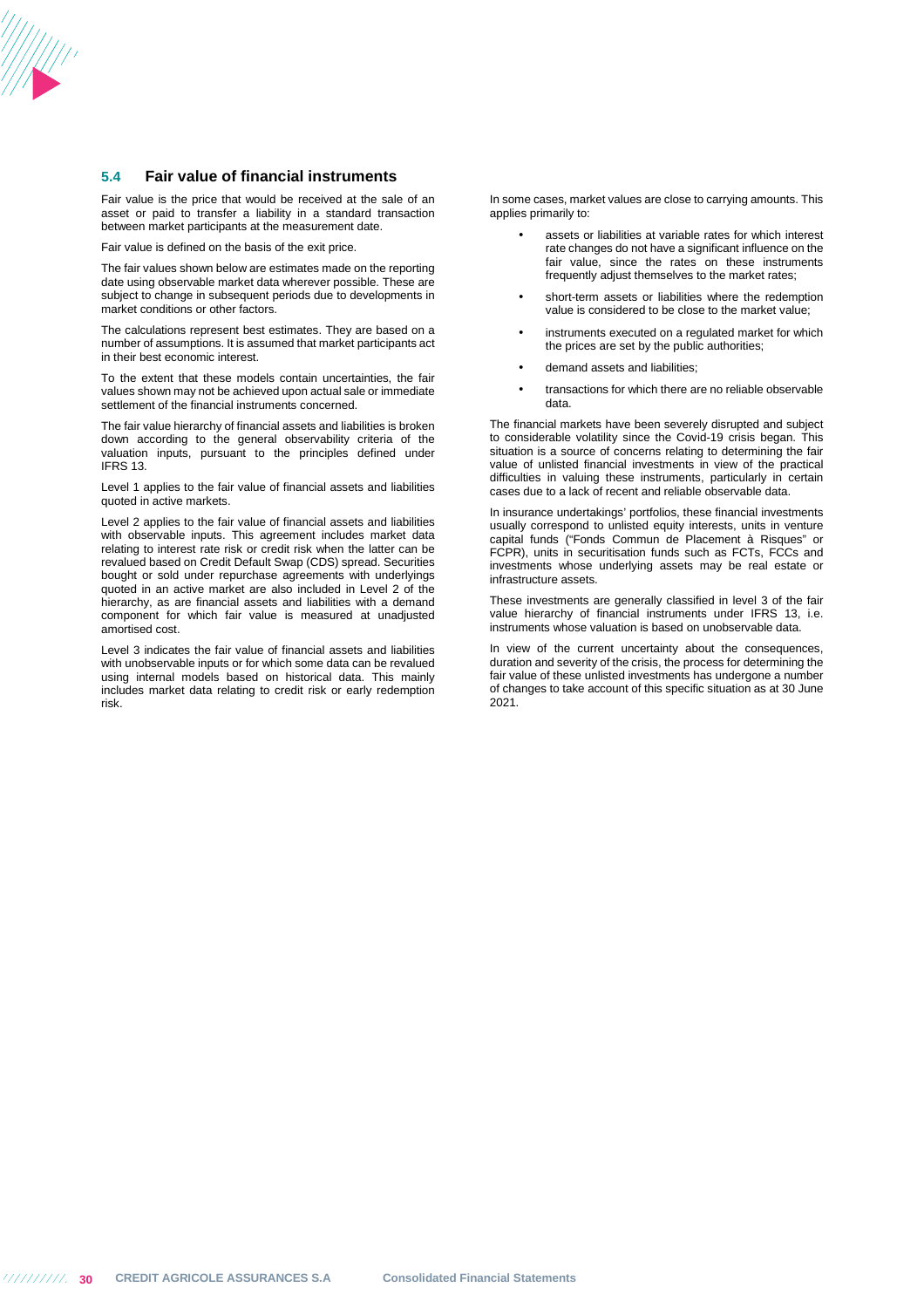### **5.4 Fair value of financial instruments**

Fair value is the price that would be received at the sale of an asset or paid to transfer a liability in a standard transaction between market participants at the measurement date.

Fair value is defined on the basis of the exit price.

The fair values shown below are estimates made on the reporting date using observable market data wherever possible. These are subject to change in subsequent periods due to developments in market conditions or other factors.

The calculations represent best estimates. They are based on a number of assumptions. It is assumed that market participants act in their best economic interest.

To the extent that these models contain uncertainties, the fair values shown may not be achieved upon actual sale or immediate settlement of the financial instruments concerned.

The fair value hierarchy of financial assets and liabilities is broken down according to the general observability criteria of the valuation inputs, pursuant to the principles defined under IFRS 13.

Level 1 applies to the fair value of financial assets and liabilities quoted in active markets.

Level 2 applies to the fair value of financial assets and liabilities with observable inputs. This agreement includes market data relating to interest rate risk or credit risk when the latter can be revalued based on Credit Default Swap (CDS) spread. Securities bought or sold under repurchase agreements with underlyings quoted in an active market are also included in Level 2 of the hierarchy, as are financial assets and liabilities with a demand component for which fair value is measured at unadjusted amortised cost.

Level 3 indicates the fair value of financial assets and liabilities with unobservable inputs or for which some data can be revalued using internal models based on historical data. This mainly includes market data relating to credit risk or early redemption risk.

In some cases, market values are close to carrying amounts. This applies primarily to:

- assets or liabilities at variable rates for which interest rate changes do not have a significant influence on the fair value, since the rates on these instruments frequently adjust themselves to the market rates;
- short-term assets or liabilities where the redemption value is considered to be close to the market value;
- instruments executed on a regulated market for which the prices are set by the public authorities;
- demand assets and liabilities;
- transactions for which there are no reliable observable data.

The financial markets have been severely disrupted and subject to considerable volatility since the Covid-19 crisis began. This situation is a source of concerns relating to determining the fair value of unlisted financial investments in view of the practical difficulties in valuing these instruments, particularly in certain cases due to a lack of recent and reliable observable data.

In insurance undertakings' portfolios, these financial investments usually correspond to unlisted equity interests, units in venture capital funds ("Fonds Commun de Placement à Risques" or FCPR), units in securitisation funds such as FCTs, FCCs and investments whose underlying assets may be real estate or infrastructure assets.

These investments are generally classified in level 3 of the fair value hierarchy of financial instruments under IFRS 13, i.e. instruments whose valuation is based on unobservable data.

In view of the current uncertainty about the consequences, duration and severity of the crisis, the process for determining the fair value of these unlisted investments has undergone a number of changes to take account of this specific situation as at 30 June 2021.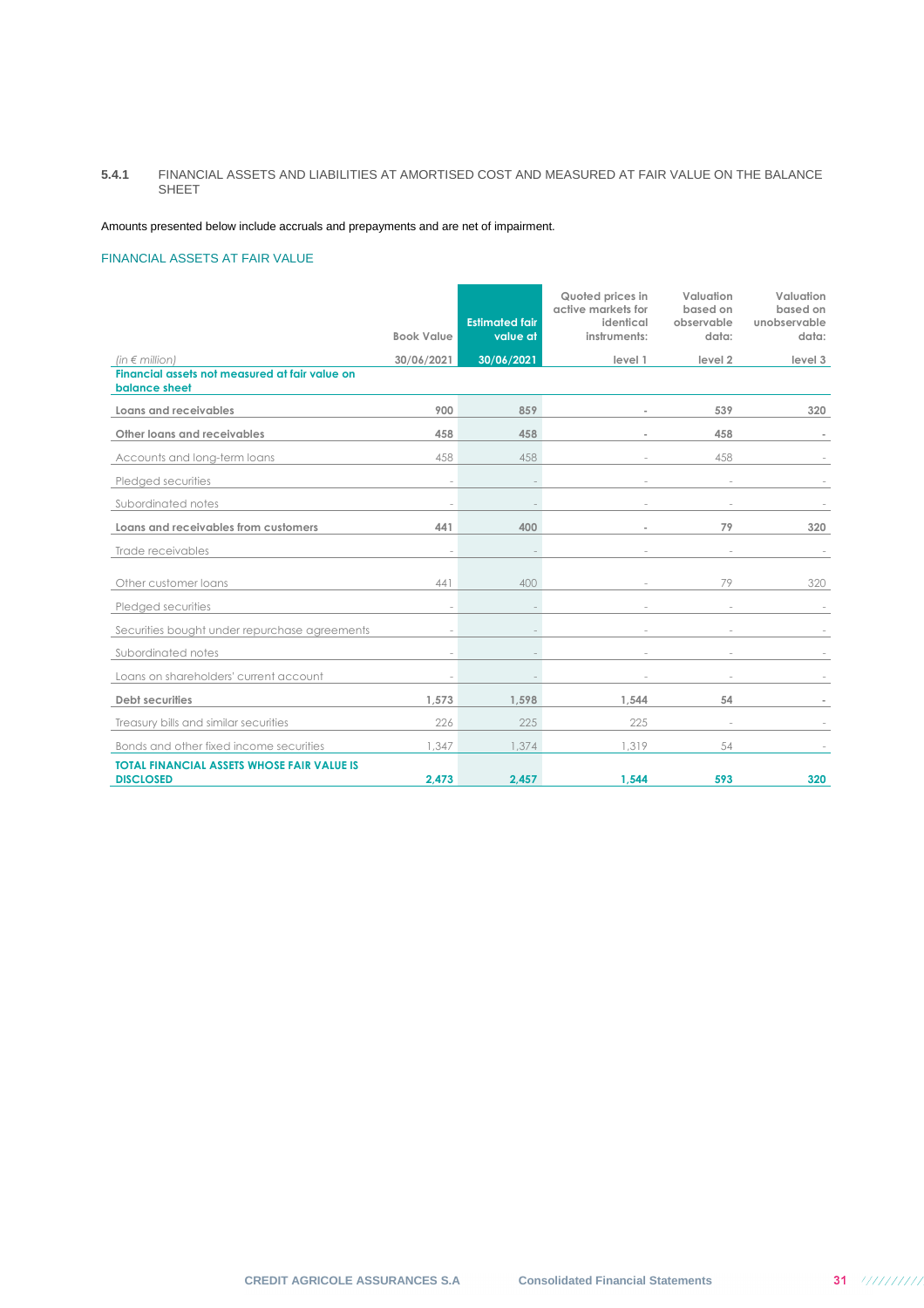## **5.4.1** FINANCIAL ASSETS AND LIABILITIES AT AMORTISED COST AND MEASURED AT FAIR VALUE ON THE BALANCE SHEET

Amounts presented below include accruals and prepayments and are net of impairment.

## FINANCIAL ASSETS AT FAIR VALUE

|                                                                       |                   |                                   | Quoted prices in<br>active markets for | Valuation<br>based on | Valuation<br>based on |
|-----------------------------------------------------------------------|-------------------|-----------------------------------|----------------------------------------|-----------------------|-----------------------|
|                                                                       | <b>Book Value</b> | <b>Estimated fair</b><br>value at | identical<br>instruments:              | observable<br>data:   | unobservable<br>data: |
| (in $\notin$ million)                                                 | 30/06/2021        | 30/06/2021                        | level 1                                | level 2               | level 3               |
| Financial assets not measured at fair value on<br>balance sheet       |                   |                                   |                                        |                       |                       |
| Loans and receivables                                                 | 900               | 859                               |                                        | 539                   | 320                   |
| Other loans and receivables                                           | 458               | 458                               |                                        | 458                   |                       |
| Accounts and long-term loans                                          | 458               | 458                               |                                        | 458                   |                       |
| Pledged securities                                                    |                   |                                   |                                        |                       |                       |
| Subordinated notes                                                    |                   |                                   |                                        |                       |                       |
| Loans and receivables from customers                                  | 441               | 400                               |                                        | 79                    | 320                   |
| Trade receivables                                                     |                   |                                   |                                        |                       |                       |
| Other customer loans                                                  | 441               | 400                               |                                        | 79                    | 320                   |
| Pledged securities                                                    |                   |                                   |                                        |                       |                       |
| Securities bought under repurchase agreements                         |                   |                                   |                                        |                       |                       |
| Subordinated notes                                                    |                   |                                   |                                        |                       |                       |
| Loans on shareholders' current account                                |                   |                                   |                                        |                       |                       |
| Debt securities                                                       | 1.573             | 1,598                             | 1.544                                  | 54                    |                       |
| Treasury bills and similar securities                                 | 226               | 225                               | 225                                    |                       |                       |
| Bonds and other fixed income securities                               | 1.347             | 1.374                             | .319                                   | 54                    |                       |
| <b>TOTAL FINANCIAL ASSETS WHOSE FAIR VALUE IS</b><br><b>DISCLOSED</b> | 2,473             | 2,457                             | 1,544                                  | 593                   | 320                   |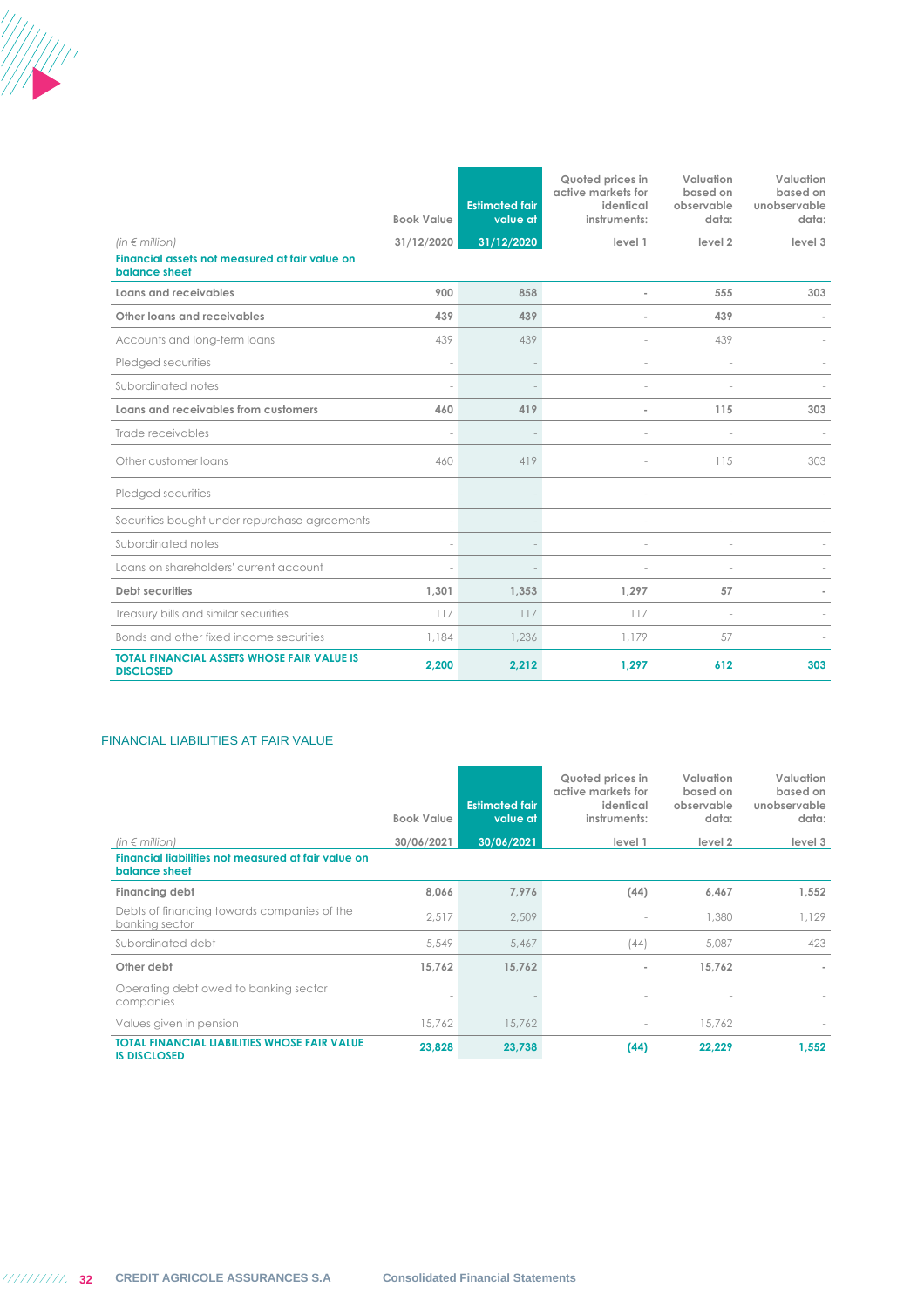|                                                                                          |                   |                                   | Quoted prices in<br>active markets for | Valuation<br>based on | Valuation<br>based on |
|------------------------------------------------------------------------------------------|-------------------|-----------------------------------|----------------------------------------|-----------------------|-----------------------|
|                                                                                          | <b>Book Value</b> | <b>Estimated fair</b><br>value at | identical<br>instruments:              | observable<br>data:   | unobservable<br>data: |
|                                                                                          |                   |                                   |                                        |                       |                       |
| (in $\notin$ million)<br>Financial assets not measured at fair value on<br>balance sheet | 31/12/2020        | 31/12/2020                        | level 1                                | level <sub>2</sub>    | level 3               |
| Loans and receivables                                                                    | 900               | 858                               |                                        | 555                   | 303                   |
| Other loans and receivables                                                              | 439               | 439                               |                                        | 439                   |                       |
| Accounts and long-term loans                                                             | 439               | 439                               |                                        | 439                   |                       |
| Pledged securities                                                                       |                   |                                   |                                        |                       |                       |
| Subordinated notes                                                                       |                   |                                   |                                        |                       |                       |
| Loans and receivables from customers                                                     | 460               | 419                               |                                        | 115                   | 303                   |
| Trade receivables                                                                        |                   |                                   |                                        |                       |                       |
| Other customer loans                                                                     | 460               | 419                               |                                        | 115                   | 303                   |
| Pledged securities                                                                       |                   |                                   |                                        |                       |                       |
| Securities bought under repurchase agreements                                            |                   |                                   |                                        |                       |                       |
| Subordinated notes                                                                       |                   |                                   |                                        |                       |                       |
| Loans on shareholders' current account                                                   |                   |                                   |                                        |                       |                       |
| <b>Debt securities</b>                                                                   | 1,301             | 1,353                             | 1,297                                  | 57                    |                       |
| Treasury bills and similar securities                                                    | 117               | 117                               | 117                                    |                       |                       |
| Bonds and other fixed income securities                                                  | 1.184             | 1,236                             | 1.179                                  | 57                    |                       |
| <b>TOTAL FINANCIAL ASSETS WHOSE FAIR VALUE IS</b><br><b>DISCLOSED</b>                    | 2,200             | 2,212                             | 1,297                                  | 612                   | 303                   |

## FINANCIAL LIABILITIES AT FAIR VALUE

|                                                                            | <b>Book Value</b> | <b>Estimated fair</b><br>value at | Quoted prices in<br>active markets for<br>identical<br>instruments: | Valuation<br>based on<br>observable<br>data: | Valuation<br>based on<br>unobservable<br>data: |
|----------------------------------------------------------------------------|-------------------|-----------------------------------|---------------------------------------------------------------------|----------------------------------------------|------------------------------------------------|
| (in $\notin$ million)                                                      | 30/06/2021        | 30/06/2021                        | level 1                                                             | level 2                                      | level 3                                        |
| Financial liabilities not measured at fair value on<br>balance sheet       |                   |                                   |                                                                     |                                              |                                                |
| Financing debt                                                             | 8,066             | 7,976                             | (44)                                                                | 6,467                                        | 1,552                                          |
| Debts of financing towards companies of the<br>banking sector              | 2,517             | 2,509                             |                                                                     | 1,380                                        | 1,129                                          |
| Subordinated debt                                                          | 5.549             | 5,467                             | (44)                                                                | 5,087                                        | 423                                            |
| Other debt                                                                 | 15,762            | 15,762                            |                                                                     | 15.762                                       |                                                |
| Operating debt owed to banking sector<br>companies                         |                   |                                   | $\sim$                                                              |                                              |                                                |
| Values given in pension                                                    | 15,762            | 15,762                            | $\sim$                                                              | 15,762                                       |                                                |
| <b>TOTAL FINANCIAL LIABILITIES WHOSE FAIR VALUE</b><br><b>IS DISCLOSED</b> | 23,828            | 23,738                            | (44)                                                                | 22,229                                       | 1,552                                          |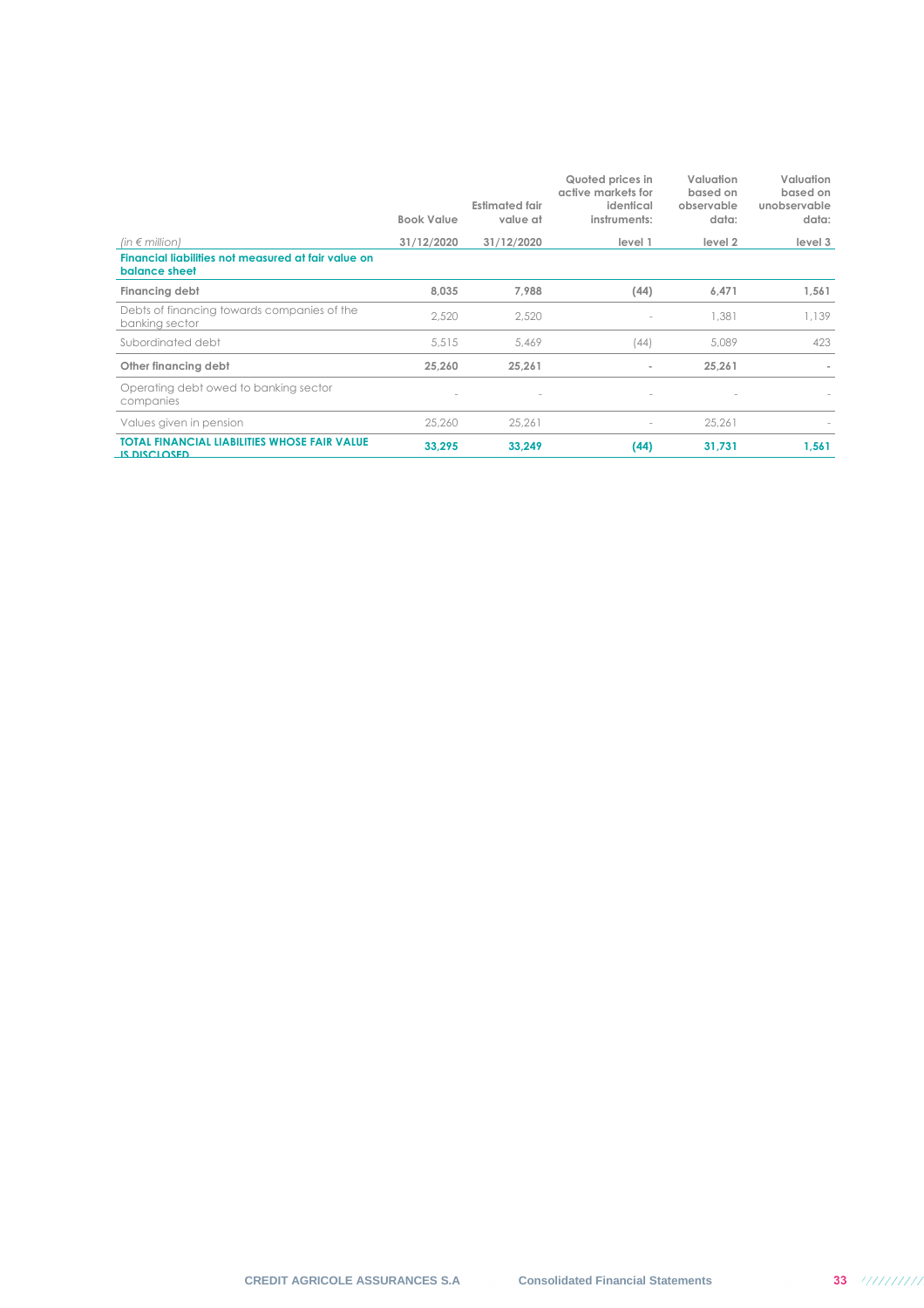|                                                                      | <b>Book Value</b> | <b>Estimated fair</b><br>value at | Quoted prices in<br>active markets for<br>identical<br>instruments: | Valuation<br>based on<br>observable<br>data: | Valuation<br>based on<br>unobservable<br>data: |
|----------------------------------------------------------------------|-------------------|-----------------------------------|---------------------------------------------------------------------|----------------------------------------------|------------------------------------------------|
| (in $\notin$ million)                                                | 31/12/2020        | 31/12/2020                        | level 1                                                             | level 2                                      | level 3                                        |
| Financial liabilities not measured at fair value on<br>balance sheet |                   |                                   |                                                                     |                                              |                                                |
| Financing debt                                                       | 8,035             | 7,988                             | (44)                                                                | 6,471                                        | 1,561                                          |
| Debts of financing towards companies of the<br>banking sector        | 2.520             | 2,520                             |                                                                     | 1,381                                        | 1,139                                          |
| Subordinated debt                                                    | 5,515             | 5,469                             | (44)                                                                | 5,089                                        | 423                                            |
| Other financing debt                                                 | 25.260            | 25,261                            | ٠                                                                   | 25,261                                       |                                                |
| Operating debt owed to banking sector<br>companies                   |                   | $\overline{\phantom{a}}$          |                                                                     |                                              |                                                |
| Values given in pension                                              | 25,260            | 25.261                            |                                                                     | 25.261                                       |                                                |
| <b>TOTAL FINANCIAL LIABILITIES WHOSE FAIR VALUE</b><br>IS DISCLOSED. | 33,295            | 33,249                            | (44)                                                                | 31,731                                       | 1,561                                          |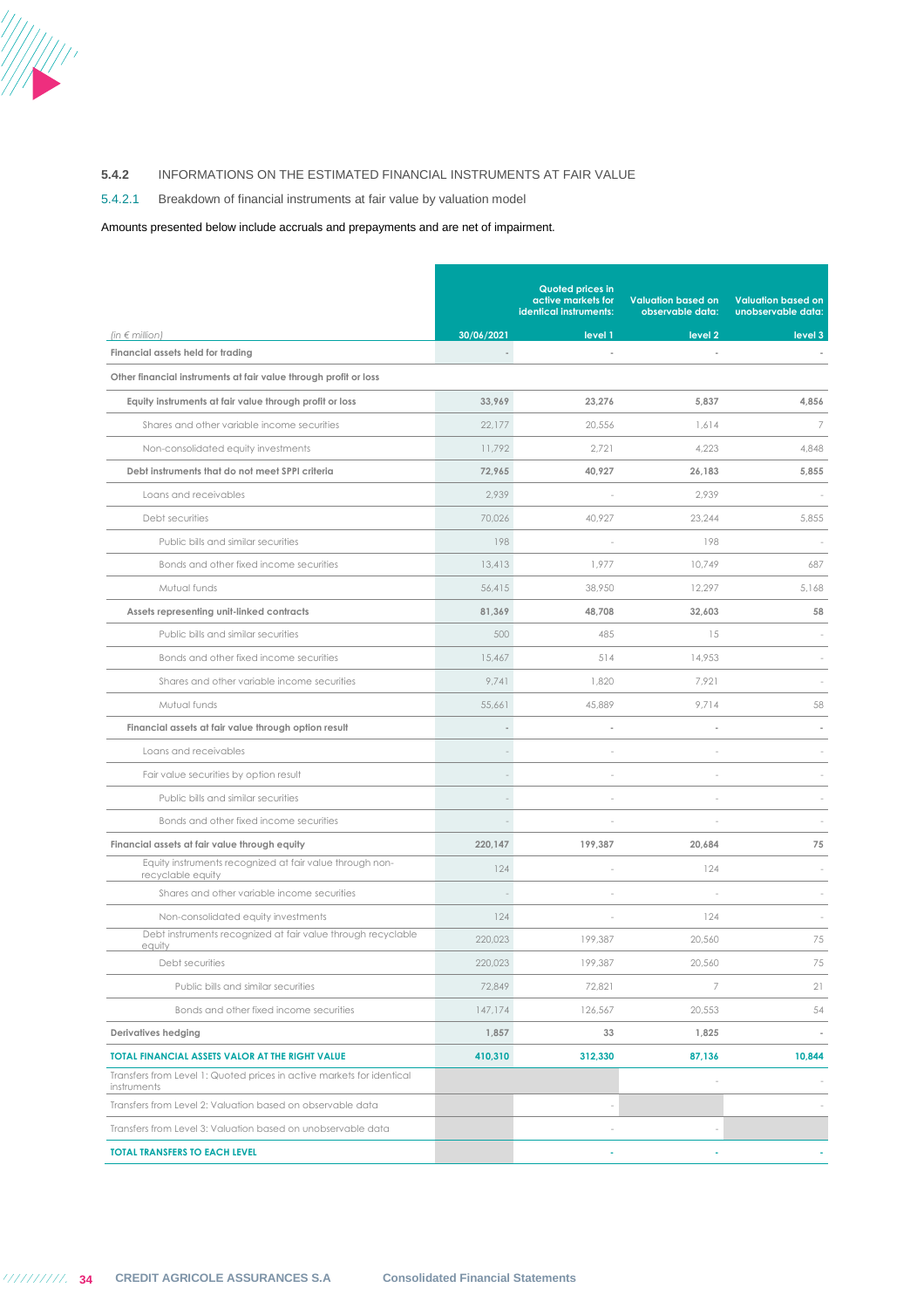

## **5.4.2** INFORMATIONS ON THE ESTIMATED FINANCIAL INSTRUMENTS AT FAIR VALUE

## 5.4.2.1 Breakdown of financial instruments at fair value by valuation model

## Amounts presented below include accruals and prepayments and are net of impairment.

|                                                                                      |            | <b>Quoted prices in</b><br>active markets for<br>identical instruments: | <b>Valuation based on</b><br>observable data: | <b>Valuation based on</b><br>unobservable data: |
|--------------------------------------------------------------------------------------|------------|-------------------------------------------------------------------------|-----------------------------------------------|-------------------------------------------------|
| (in $\epsilon$ million)                                                              | 30/06/2021 | level 1                                                                 | level <sub>2</sub>                            | level 3                                         |
| Financial assets held for trading                                                    |            | $\overline{\phantom{a}}$                                                |                                               |                                                 |
| Other financial instruments at fair value through profit or loss                     |            |                                                                         |                                               |                                                 |
| Equity instruments at fair value through profit or loss                              | 33,969     | 23,276                                                                  | 5,837                                         | 4,856                                           |
| Shares and other variable income securities                                          | 22,177     | 20,556                                                                  | 1,614                                         | 7                                               |
| Non-consolidated equity investments                                                  | 11,792     | 2,721                                                                   | 4,223                                         | 4,848                                           |
| Debt instruments that do not meet SPPI criteria                                      | 72,965     | 40,927                                                                  | 26,183                                        | 5,855                                           |
| Loans and receivables                                                                | 2,939      |                                                                         | 2,939                                         |                                                 |
| Debt securities                                                                      | 70,026     | 40,927                                                                  | 23,244                                        | 5,855                                           |
| Public bills and similar securities                                                  | 198        |                                                                         | 198                                           |                                                 |
| Bonds and other fixed income securities                                              | 13,413     | 1,977                                                                   | 10,749                                        | 687                                             |
| Mutual funds                                                                         | 56,415     | 38,950                                                                  | 12,297                                        | 5,168                                           |
| Assets representing unit-linked contracts                                            | 81,369     | 48.708                                                                  | 32,603                                        | 58                                              |
| Public bills and similar securities                                                  | 500        | 485                                                                     | 15                                            |                                                 |
| Bonds and other fixed income securities                                              | 15,467     | 514                                                                     | 14,953                                        |                                                 |
| Shares and other variable income securities                                          | 9,741      | 1,820                                                                   | 7,921                                         |                                                 |
| Mutual funds                                                                         | 55,661     | 45,889                                                                  | 9,714                                         | 58                                              |
| Financial assets at fair value through option result                                 |            |                                                                         |                                               |                                                 |
| Loans and receivables                                                                |            |                                                                         |                                               |                                                 |
| Fair value securities by option result                                               |            |                                                                         |                                               |                                                 |
| Public bills and similar securities                                                  |            |                                                                         |                                               |                                                 |
| Bonds and other fixed income securities                                              |            |                                                                         |                                               |                                                 |
| Financial assets at fair value through equity                                        | 220,147    | 199,387                                                                 | 20,684                                        | 75                                              |
| Equity instruments recognized at fair value through non-<br>recyclable equity        | 124        |                                                                         | 124                                           |                                                 |
| Shares and other variable income securities                                          |            |                                                                         |                                               |                                                 |
| Non-consolidated equity investments                                                  | 124        |                                                                         | 124                                           |                                                 |
| Debt instruments recognized at fair value through recyclable<br>equity               | 220,023    | 199.387                                                                 | 20,560                                        | 75                                              |
| Debt securities                                                                      | 220,023    | 199,387                                                                 | 20,560                                        | 75                                              |
| Public bills and similar securities                                                  | 72,849     | 72,821                                                                  | $\overline{7}$                                | 21                                              |
| Bonds and other fixed income securities                                              | 147,174    | 126,567                                                                 | 20,553                                        | 54                                              |
| Derivatives hedging                                                                  | 1,857      | 33                                                                      | 1,825                                         |                                                 |
| TOTAL FINANCIAL ASSETS VALOR AT THE RIGHT VALUE                                      | 410,310    | 312,330                                                                 | 87,136                                        | 10,844                                          |
| Transfers from Level 1: Quoted prices in active markets for identical<br>instruments |            |                                                                         |                                               |                                                 |
| Transfers from Level 2: Valuation based on observable data                           |            |                                                                         |                                               |                                                 |
| Transfers from Level 3: Valuation based on unobservable data                         |            |                                                                         |                                               |                                                 |
| <b>TOTAL TRANSFERS TO EACH LEVEL</b>                                                 |            |                                                                         |                                               |                                                 |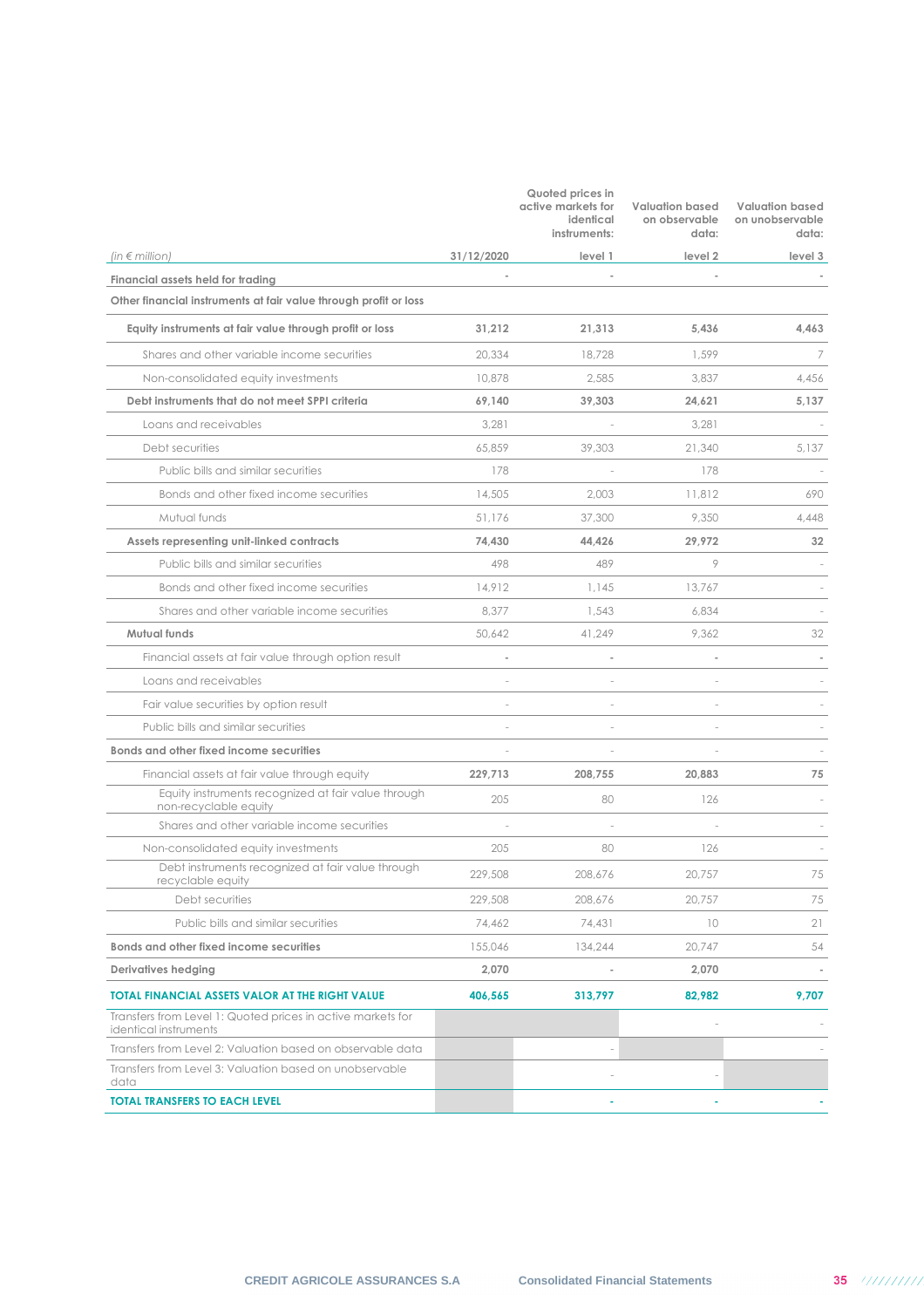|                                                                                      |            | Quoted prices in<br>active markets for<br>identical<br>instruments: | <b>Valuation based</b><br>on observable<br>data: | <b>Valuation based</b><br>on unobservable<br>data: |
|--------------------------------------------------------------------------------------|------------|---------------------------------------------------------------------|--------------------------------------------------|----------------------------------------------------|
| (in $\epsilon$ million)                                                              | 31/12/2020 | level 1                                                             | level 2                                          | level 3                                            |
| Financial assets held for trading                                                    |            |                                                                     |                                                  |                                                    |
| Other financial instruments at fair value through profit or loss                     |            |                                                                     |                                                  |                                                    |
| Equity instruments at fair value through profit or loss                              | 31,212     | 21,313                                                              | 5,436                                            | 4,463                                              |
| Shares and other variable income securities                                          | 20,334     | 18,728                                                              | 1,599                                            | 7                                                  |
| Non-consolidated equity investments                                                  | 10,878     | 2,585                                                               | 3,837                                            | 4,456                                              |
| Debt instruments that do not meet SPPI criteria                                      | 69,140     | 39,303                                                              | 24,621                                           | 5,137                                              |
| Loans and receivables                                                                | 3,281      |                                                                     | 3,281                                            |                                                    |
| Debt securities                                                                      | 65,859     | 39,303                                                              | 21,340                                           | 5,137                                              |
| Public bills and similar securities                                                  | 178        |                                                                     | 178                                              |                                                    |
| Bonds and other fixed income securities                                              | 14,505     | 2,003                                                               | 11,812                                           | 690                                                |
| Mutual funds                                                                         | 51,176     | 37,300                                                              | 9,350                                            | 4,448                                              |
| Assets representing unit-linked contracts                                            | 74.430     | 44,426                                                              | 29,972                                           | 32                                                 |
| Public bills and similar securities                                                  | 498        | 489                                                                 | 9                                                |                                                    |
| Bonds and other fixed income securities                                              | 14,912     | 1,145                                                               | 13,767                                           |                                                    |
| Shares and other variable income securities                                          | 8,377      | 1,543                                                               | 6,834                                            |                                                    |
| Mutual funds                                                                         | 50,642     | 41,249                                                              | 9,362                                            | 32                                                 |
| Financial assets at fair value through option result                                 |            |                                                                     |                                                  |                                                    |
| Loans and receivables                                                                |            |                                                                     |                                                  |                                                    |
| Fair value securities by option result                                               |            |                                                                     |                                                  |                                                    |
| Public bills and similar securities                                                  |            | ÷,                                                                  |                                                  |                                                    |
| Bonds and other fixed income securities                                              |            |                                                                     |                                                  |                                                    |
| Financial assets at fair value through equity                                        | 229,713    | 208,755                                                             | 20,883                                           | 75                                                 |
| Equity instruments recognized at fair value through<br>non-recyclable equity         | 205        | 80                                                                  | 126                                              |                                                    |
| Shares and other variable income securities                                          |            |                                                                     |                                                  |                                                    |
| Non-consolidated equity investments                                                  | 205        | 80                                                                  | 126                                              |                                                    |
| Debt instruments recognized at fair value through<br>recyclable equity               | 229,508    | 208,676                                                             | 20,757                                           | 75                                                 |
| Debt securities                                                                      | 229,508    | 208,676                                                             | 20,757                                           | 75                                                 |
| Public bills and similar securities                                                  | 74,462     | 74,431                                                              | 10                                               | 21                                                 |
| Bonds and other fixed income securities                                              | 155,046    | 134,244                                                             | 20,747                                           | 54                                                 |
| <b>Derivatives hedging</b>                                                           | 2,070      |                                                                     | 2,070                                            |                                                    |
| <b>TOTAL FINANCIAL ASSETS VALOR AT THE RIGHT VALUE</b>                               | 406,565    | 313,797                                                             | 82,982                                           | 9,707                                              |
| Transfers from Level 1: Quoted prices in active markets for<br>identical instruments |            |                                                                     |                                                  |                                                    |
| Transfers from Level 2: Valuation based on observable data                           |            |                                                                     |                                                  |                                                    |
| Transfers from Level 3: Valuation based on unobservable<br>data                      |            |                                                                     |                                                  |                                                    |
| <b>TOTAL TRANSFERS TO EACH LEVEL</b>                                                 |            |                                                                     |                                                  |                                                    |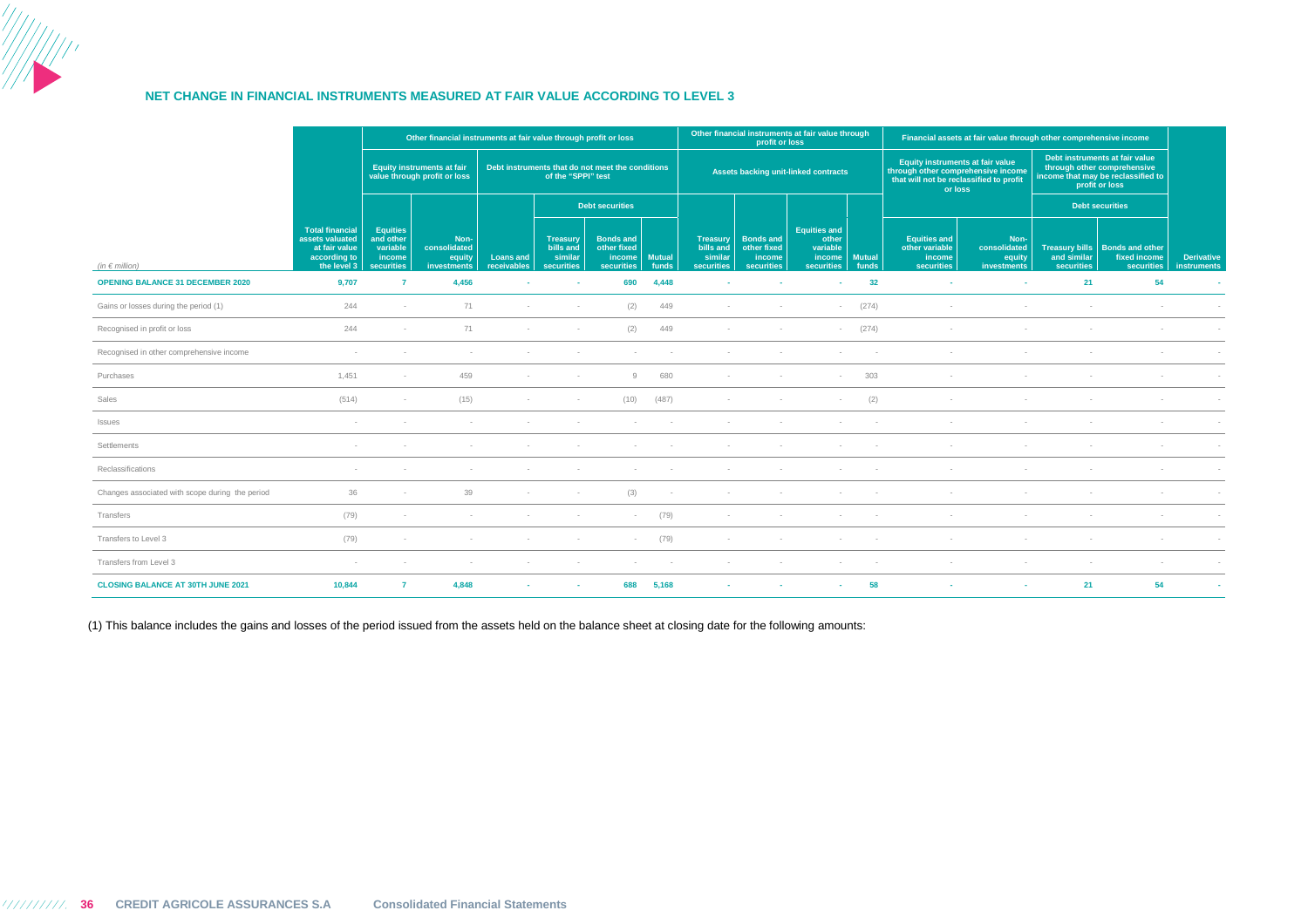

#### **NET CHANGE IN FINANCIAL INSTRUMENTS MEASURED AT FAIR VALUE ACCORDING TO LEVEL 3**

|                                                 |                                                                                           | Other financial instruments at fair value through profit or loss        |                                                                   |                                                                        |                                                       |                                                                       | Other financial instruments at fair value through<br>profit or loss |                                                              |                                                                |                                                                                                                              | Financial assets at fair value through other comprehensive income |                                                                                                                       |                                               |                                  |                                                                       |                                         |
|-------------------------------------------------|-------------------------------------------------------------------------------------------|-------------------------------------------------------------------------|-------------------------------------------------------------------|------------------------------------------------------------------------|-------------------------------------------------------|-----------------------------------------------------------------------|---------------------------------------------------------------------|--------------------------------------------------------------|----------------------------------------------------------------|------------------------------------------------------------------------------------------------------------------------------|-------------------------------------------------------------------|-----------------------------------------------------------------------------------------------------------------------|-----------------------------------------------|----------------------------------|-----------------------------------------------------------------------|-----------------------------------------|
|                                                 |                                                                                           |                                                                         | <b>Equity instruments at fair</b><br>value through profit or loss | Debt instruments that do not meet the conditions<br>of the "SPPI" test |                                                       |                                                                       | <b>Assets backing unit-linked contracts</b>                         |                                                              |                                                                | Equity instruments at fair value<br>through other comprehensive income<br>that will not be reclassified to profit<br>or loss |                                                                   | Debt instruments at fair value<br>through other comprehensive<br>income that may be reclassified to<br>profit or loss |                                               |                                  |                                                                       |                                         |
|                                                 |                                                                                           |                                                                         |                                                                   |                                                                        |                                                       | <b>Debt securities</b>                                                |                                                                     |                                                              |                                                                |                                                                                                                              |                                                                   |                                                                                                                       |                                               |                                  | <b>Debt securities</b>                                                |                                         |
| (in $\epsilon$ million)                         | <b>Total financial</b><br>assets valuated<br>at fair value<br>according to<br>the level 3 | <b>Equities</b><br>and other<br>variable<br>income<br><b>securities</b> | Non-<br>consolidated<br>equity<br>investments                     | <b>Loans and</b><br>receivables                                        | <b>Treasury</b><br>bills and<br>similar<br>securities | <b>Bonds and</b><br>other fixed<br>income Mutual<br><b>securities</b> | funds                                                               | <b>Treasury</b><br>bills and<br>similar<br><b>securities</b> | <b>Bonds and</b><br>other fixed<br>income<br><b>securities</b> | <b>Equities and</b><br>other<br>variable<br>income  <br>securities                                                           | <b>Mutual</b><br>funds                                            | <b>Equities and</b><br>other variable<br>income<br><b>securities</b>                                                  | Non-<br>consolidated<br>equity<br>investments | and similar<br><b>securities</b> | Treasury bills   Bonds and other<br>fixed income<br><b>securities</b> | <b>Derivative</b><br><i>instruments</i> |
| <b>OPENING BALANCE 31 DECEMBER 2020</b>         | 9,707                                                                                     | $\overline{7}$                                                          | 4,456                                                             | ٠                                                                      | $\sim$                                                | 690                                                                   | 4.448                                                               |                                                              | ×.                                                             | ٠                                                                                                                            | 32                                                                | $\sim$                                                                                                                | <b>.</b>                                      | 21                               | 54                                                                    | <b>Section</b>                          |
| Gains or losses during the period (1)           | 244                                                                                       |                                                                         | 71                                                                |                                                                        | $\sim$                                                | (2)                                                                   | 449                                                                 |                                                              |                                                                |                                                                                                                              | (274)                                                             |                                                                                                                       |                                               |                                  |                                                                       |                                         |
| Recognised in profit or loss                    | 244                                                                                       | $\sim$                                                                  | 71                                                                | $\sim$                                                                 | $\sim$                                                | (2)                                                                   | 449                                                                 |                                                              | $\sim$                                                         | $\overline{\phantom{a}}$                                                                                                     | (274)                                                             | $\sim$                                                                                                                |                                               | $\sim$                           |                                                                       |                                         |
| Recognised in other comprehensive income        |                                                                                           |                                                                         |                                                                   |                                                                        |                                                       |                                                                       |                                                                     |                                                              |                                                                |                                                                                                                              |                                                                   |                                                                                                                       |                                               |                                  |                                                                       |                                         |
| Purchases                                       | 1.451                                                                                     | $\sim$                                                                  | 459                                                               | $\sim$                                                                 | $\sim$                                                | 9                                                                     | 680                                                                 |                                                              | $\sim$                                                         | $\overline{\phantom{a}}$                                                                                                     | 303                                                               |                                                                                                                       |                                               |                                  |                                                                       |                                         |
| Sales                                           | (514)                                                                                     | $\sim$                                                                  | (15)                                                              |                                                                        | $\sim$                                                | (10)                                                                  | (487)                                                               |                                                              |                                                                |                                                                                                                              | (2)                                                               |                                                                                                                       |                                               |                                  |                                                                       |                                         |
| Issues                                          |                                                                                           |                                                                         |                                                                   |                                                                        |                                                       |                                                                       |                                                                     |                                                              |                                                                |                                                                                                                              |                                                                   |                                                                                                                       |                                               |                                  |                                                                       |                                         |
| Settlements                                     |                                                                                           |                                                                         |                                                                   |                                                                        |                                                       |                                                                       |                                                                     |                                                              |                                                                |                                                                                                                              |                                                                   |                                                                                                                       |                                               |                                  |                                                                       |                                         |
| Reclassifications                               | $\sim$                                                                                    |                                                                         |                                                                   |                                                                        |                                                       |                                                                       |                                                                     |                                                              |                                                                |                                                                                                                              |                                                                   |                                                                                                                       |                                               |                                  |                                                                       |                                         |
| Changes associated with scope during the period | 36                                                                                        |                                                                         | 39                                                                |                                                                        | $\sim$                                                | (3)                                                                   |                                                                     |                                                              |                                                                |                                                                                                                              |                                                                   |                                                                                                                       |                                               |                                  |                                                                       |                                         |
| Transfers                                       | (79)                                                                                      |                                                                         |                                                                   |                                                                        |                                                       | $\sim$                                                                | (79)                                                                |                                                              |                                                                |                                                                                                                              |                                                                   |                                                                                                                       |                                               |                                  |                                                                       |                                         |
| Transfers to Level 3                            | (79)                                                                                      |                                                                         |                                                                   |                                                                        |                                                       |                                                                       | (79)                                                                |                                                              |                                                                |                                                                                                                              |                                                                   |                                                                                                                       |                                               |                                  |                                                                       |                                         |
| Transfers from Level 3                          | $\sim$                                                                                    |                                                                         |                                                                   |                                                                        | $\sim$                                                | $\sim$                                                                |                                                                     |                                                              |                                                                | $\sim$                                                                                                                       |                                                                   |                                                                                                                       |                                               | $\sim$                           |                                                                       |                                         |
| <b>CLOSING BALANCE AT 30TH JUNE 2021</b>        | 10,844                                                                                    | $\overline{7}$                                                          | 4,848                                                             |                                                                        | $\sim$                                                | 688                                                                   | 5,168                                                               |                                                              |                                                                |                                                                                                                              | 58                                                                |                                                                                                                       | <b>м.</b>                                     | 21                               | 54                                                                    |                                         |

(1) This balance includes the gains and losses of the period issued from the assets held on the balance sheet at closing date for the following amounts: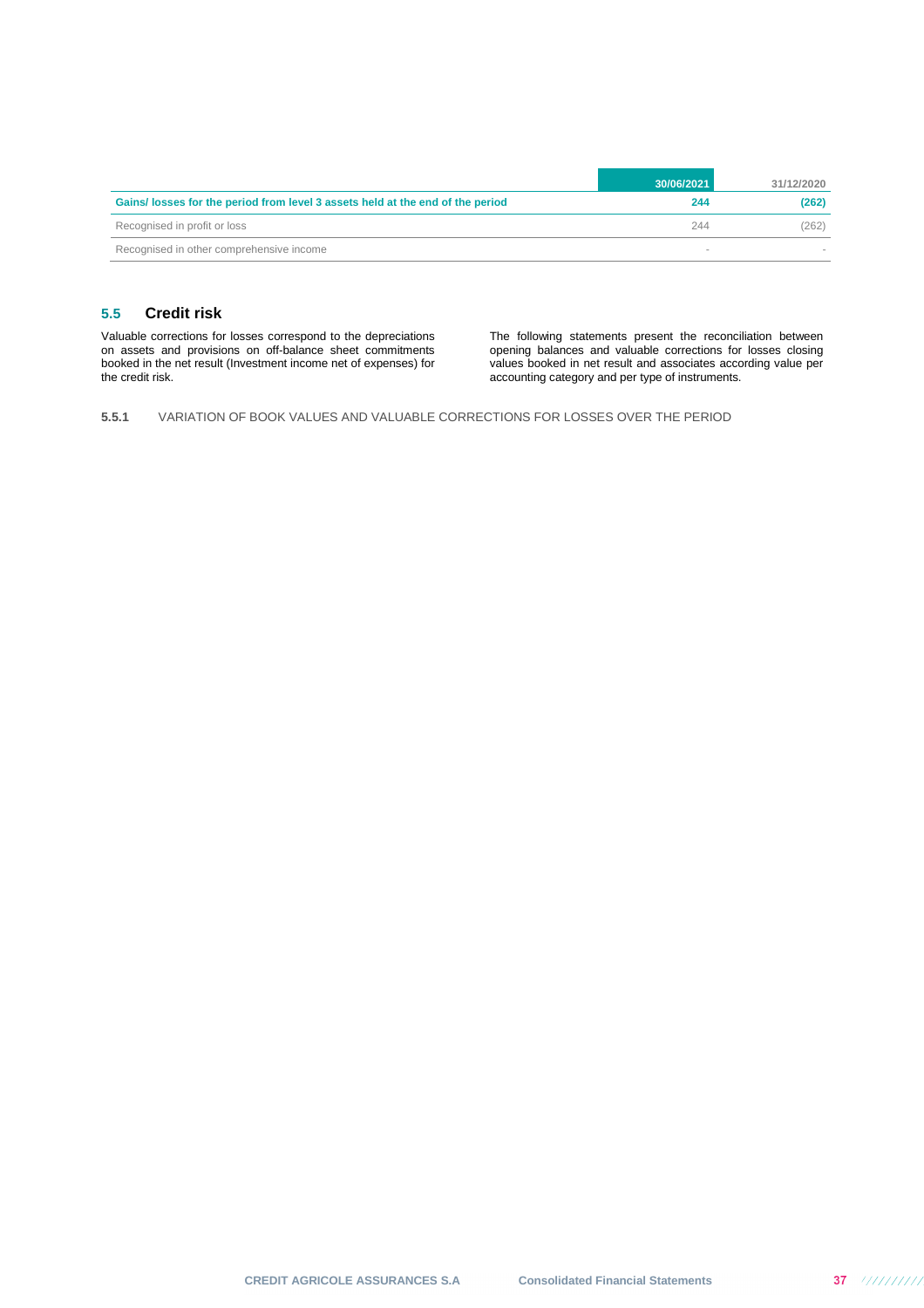|                                                                                | 30/06/2021 | 31/12/2020 |
|--------------------------------------------------------------------------------|------------|------------|
| Gains/ losses for the period from level 3 assets held at the end of the period | 244        | (262)      |
| Recognised in profit or loss                                                   | 244        | (262)      |
| Recognised in other comprehensive income                                       |            |            |

## **5.5 Credit risk**

Valuable corrections for losses correspond to the depreciations on assets and provisions on off-balance sheet commitments booked in the net result (Investment income net of expenses) for the credit risk.

The following statements present the reconciliation between opening balances and valuable corrections for losses closing values booked in net result and associates according value per accounting category and per type of instruments.

**5.5.1** VARIATION OF BOOK VALUES AND VALUABLE CORRECTIONS FOR LOSSES OVER THE PERIOD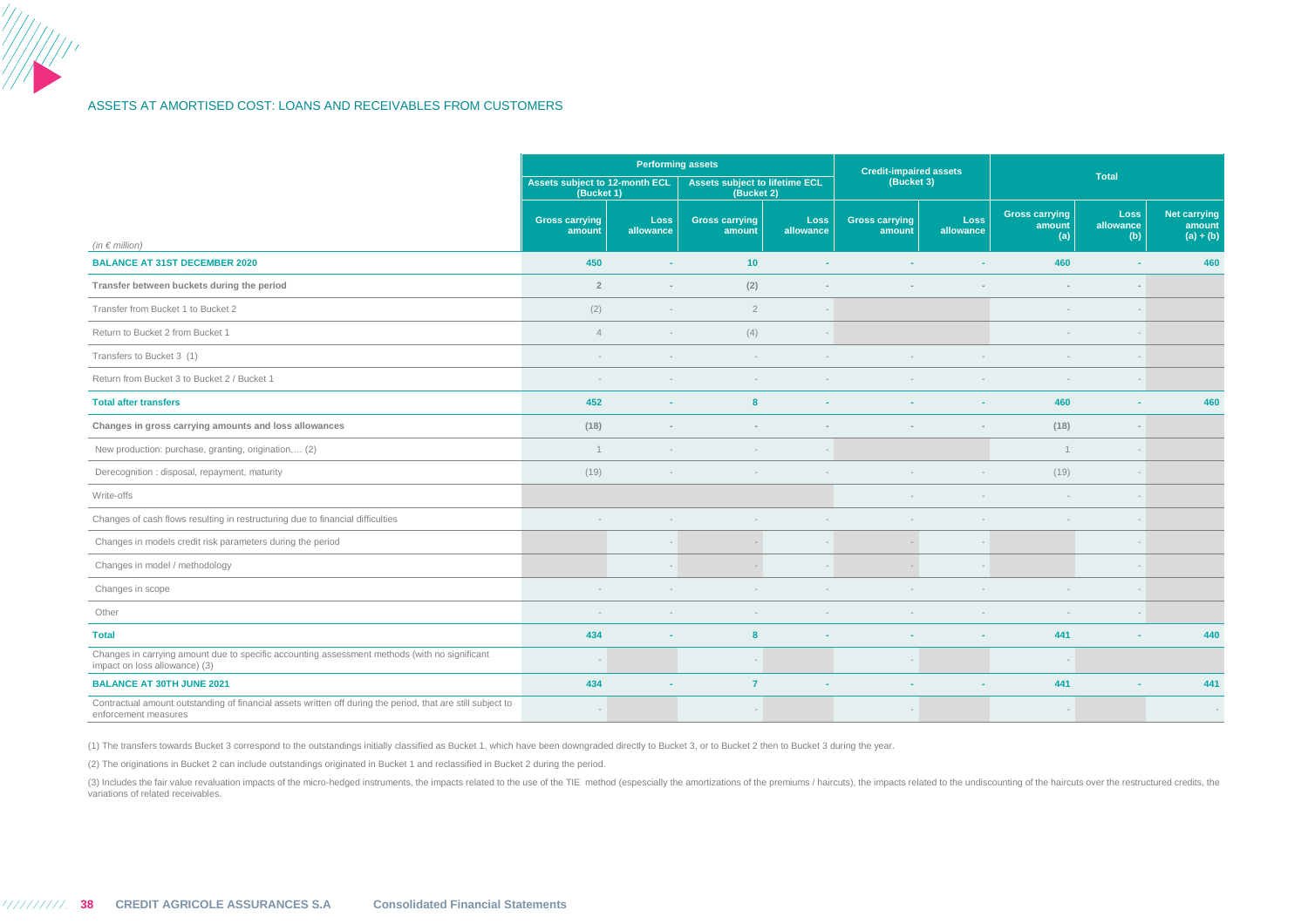### ASSETS AT AMORTISED COST: LOANS AND RECEIVABLES FROM CUSTOMERS

|                                                                                                                                     |                                              | <b>Performing assets</b> |                                                     |                          | <b>Credit-impaired assets</b>   |                   |                                        |                          |                                              |  |
|-------------------------------------------------------------------------------------------------------------------------------------|----------------------------------------------|--------------------------|-----------------------------------------------------|--------------------------|---------------------------------|-------------------|----------------------------------------|--------------------------|----------------------------------------------|--|
|                                                                                                                                     | Assets subject to 12-month ECL<br>(Bucket 1) |                          | <b>Assets subject to lifetime ECL</b><br>(Bucket 2) |                          | (Bucket 3)                      |                   |                                        | <b>Total</b>             |                                              |  |
|                                                                                                                                     | <b>Gross carrying</b><br>amount              | Loss<br>allowance        | <b>Gross carrying</b><br>amount                     | <b>Loss</b><br>allowance | <b>Gross carrying</b><br>amount | Loss<br>allowance | <b>Gross carrying</b><br>amount<br>(a) | Loss<br>allowance<br>(b) | <b>Net carrying</b><br>amount<br>$(a) + (b)$ |  |
| (in $\in$ million)<br><b>BALANCE AT 31ST DECEMBER 2020</b>                                                                          | 450                                          |                          | 10                                                  | $\sim$                   | ٠                               |                   | 460                                    | н.                       | 460                                          |  |
| Transfer between buckets during the period                                                                                          | $\overline{2}$                               | $\sim$                   | (2)                                                 |                          |                                 |                   | $\sim$                                 | $\sim$                   |                                              |  |
| Transfer from Bucket 1 to Bucket 2                                                                                                  | (2)                                          |                          | $\overline{2}$                                      | $\sim$                   |                                 |                   | $\sim$                                 | $\overline{a}$           |                                              |  |
| Return to Bucket 2 from Bucket 1                                                                                                    | $\overline{4}$                               |                          | (4)                                                 |                          |                                 |                   |                                        |                          |                                              |  |
| Transfers to Bucket 3 (1)                                                                                                           |                                              |                          |                                                     |                          |                                 |                   | $\sim$                                 |                          |                                              |  |
| Return from Bucket 3 to Bucket 2 / Bucket 1                                                                                         |                                              |                          |                                                     |                          |                                 |                   |                                        |                          |                                              |  |
| <b>Total after transfers</b>                                                                                                        | 452                                          |                          | 8                                                   |                          |                                 |                   | 460                                    | $\sim$                   | 460                                          |  |
| Changes in gross carrying amounts and loss allowances                                                                               | (18)                                         |                          |                                                     |                          |                                 |                   | (18)                                   | $\sim$                   |                                              |  |
| New production: purchase, granting, origination, (2)                                                                                | $\overline{1}$                               |                          |                                                     | $\sim$                   |                                 |                   | $\mathbf{1}$                           | $\overline{\phantom{a}}$ |                                              |  |
| Derecognition : disposal, repayment, maturity                                                                                       | (19)                                         |                          |                                                     |                          |                                 |                   | (19)                                   |                          |                                              |  |
| Write-offs                                                                                                                          |                                              |                          |                                                     |                          |                                 |                   | $\sim$                                 |                          |                                              |  |
| Changes of cash flows resulting in restructuring due to financial difficulties                                                      |                                              |                          |                                                     |                          |                                 |                   |                                        |                          |                                              |  |
| Changes in models credit risk parameters during the period                                                                          |                                              |                          |                                                     |                          | $\sim$                          |                   |                                        |                          |                                              |  |
| Changes in model / methodology                                                                                                      |                                              |                          |                                                     |                          |                                 |                   |                                        |                          |                                              |  |
| Changes in scope                                                                                                                    |                                              |                          |                                                     |                          |                                 |                   |                                        |                          |                                              |  |
| Other                                                                                                                               |                                              |                          |                                                     |                          |                                 |                   |                                        | $\sim$                   |                                              |  |
| <b>Total</b>                                                                                                                        | 434                                          |                          | 8                                                   |                          | ٠                               |                   | 441                                    | $\sim$                   | 440                                          |  |
| Changes in carrying amount due to specific accounting assessment methods (with no significant<br>impact on loss allowance) (3)      |                                              |                          |                                                     |                          | $\overline{\phantom{a}}$        |                   | $\overline{\phantom{a}}$               |                          |                                              |  |
| <b>BALANCE AT 30TH JUNE 2021</b>                                                                                                    | 434                                          |                          | $\overline{7}$                                      |                          | ٠                               |                   | 441                                    |                          | 441                                          |  |
| Contractual amount outstanding of financial assets written off during the period, that are still subject to<br>enforcement measures |                                              |                          |                                                     |                          |                                 |                   |                                        |                          |                                              |  |

(1) The transfers towards Bucket 3 correspond to the outstandings initially classified as Bucket 1, which have been downgraded directly to Bucket 3, or to Bucket 2 then to Bucket 3 during the year.

(2) The originations in Bucket 2 can include outstandings originated in Bucket 1 and reclassified in Bucket 2 during the period.

(3) Includes the fair value revaluation impacts of the micro-hedged instruments, the impacts related to the use of the TIE method (espescially the amortizations of the premiums / haircuts), the impacts related to the undis variations of related receivables.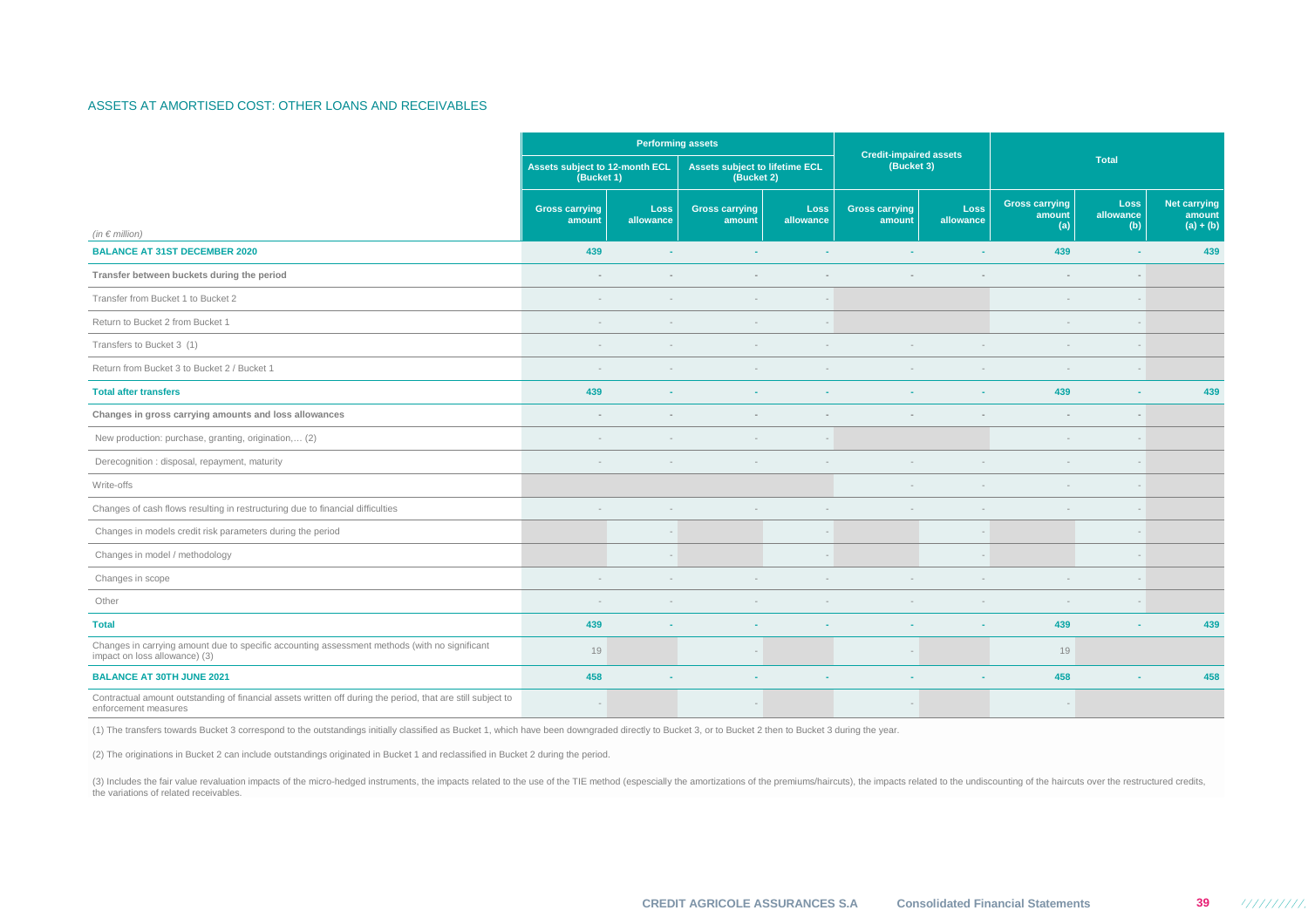### ASSETS AT AMORTISED COST: OTHER LOANS AND RECEIVABLES

|                                                                                                                                     |                                              | <b>Performing assets</b> |                                                     |                          | <b>Credit-impaired assets</b>   |                          |                                        |                          |                                              |  |
|-------------------------------------------------------------------------------------------------------------------------------------|----------------------------------------------|--------------------------|-----------------------------------------------------|--------------------------|---------------------------------|--------------------------|----------------------------------------|--------------------------|----------------------------------------------|--|
|                                                                                                                                     | Assets subject to 12-month ECL<br>(Bucket 1) |                          | <b>Assets subject to lifetime ECL</b><br>(Bucket 2) |                          | (Bucket 3)                      |                          |                                        | <b>Total</b>             |                                              |  |
| (in $\in$ million)                                                                                                                  | <b>Gross carrying</b><br>amount              | <b>Loss</b><br>allowance | <b>Gross carrying</b><br>amount                     | Loss<br>allowance        | <b>Gross carrying</b><br>amount | <b>Loss</b><br>allowance | <b>Gross carrying</b><br>amount<br>(a) | Loss<br>allowance<br>(b) | <b>Net carrying</b><br>amount<br>$(a) + (b)$ |  |
| <b>BALANCE AT 31ST DECEMBER 2020</b>                                                                                                | 439                                          | ×.                       | ×.                                                  | ×.                       |                                 | $\sim$                   | 439                                    | <b>COL</b>               | 439                                          |  |
| Transfer between buckets during the period                                                                                          | $\sim$                                       |                          |                                                     | $\sim$                   |                                 |                          | $\sim$                                 | $\sim$                   |                                              |  |
| Transfer from Bucket 1 to Bucket 2                                                                                                  | $\sim$                                       |                          |                                                     | $\overline{\phantom{a}}$ |                                 |                          | $\overline{\phantom{a}}$               | $\overline{\phantom{a}}$ |                                              |  |
| Return to Bucket 2 from Bucket 1                                                                                                    |                                              |                          |                                                     | $\overline{\phantom{a}}$ |                                 |                          | $\overline{\phantom{a}}$               | $\sim$                   |                                              |  |
| Transfers to Bucket 3 (1)                                                                                                           |                                              |                          |                                                     |                          |                                 |                          |                                        |                          |                                              |  |
| Return from Bucket 3 to Bucket 2 / Bucket 1                                                                                         |                                              |                          |                                                     |                          |                                 |                          | $\overline{\phantom{a}}$               | $\overline{\phantom{a}}$ |                                              |  |
| <b>Total after transfers</b>                                                                                                        | 439                                          |                          |                                                     | ٠                        |                                 |                          | 439                                    | ×.                       | 439                                          |  |
| Changes in gross carrying amounts and loss allowances                                                                               |                                              |                          |                                                     | $\sim$                   |                                 |                          | $\sim$                                 | $\sim$                   |                                              |  |
| New production: purchase, granting, origination, (2)                                                                                | $\overline{\phantom{a}}$                     |                          |                                                     | $\overline{\phantom{a}}$ |                                 |                          | $\overline{\phantom{a}}$               | $\overline{a}$           |                                              |  |
| Derecognition : disposal, repayment, maturity                                                                                       |                                              |                          |                                                     |                          |                                 |                          | $\sim$                                 | $\overline{a}$           |                                              |  |
| Write-offs                                                                                                                          |                                              |                          |                                                     |                          |                                 |                          |                                        |                          |                                              |  |
| Changes of cash flows resulting in restructuring due to financial difficulties                                                      |                                              |                          |                                                     |                          |                                 |                          |                                        |                          |                                              |  |
| Changes in models credit risk parameters during the period                                                                          |                                              |                          |                                                     |                          |                                 |                          |                                        |                          |                                              |  |
| Changes in model / methodology                                                                                                      |                                              |                          |                                                     |                          |                                 |                          |                                        |                          |                                              |  |
| Changes in scope                                                                                                                    |                                              |                          |                                                     |                          |                                 |                          |                                        |                          |                                              |  |
| Other                                                                                                                               |                                              |                          |                                                     |                          |                                 |                          |                                        | $\overline{a}$           |                                              |  |
| <b>Total</b>                                                                                                                        | 439                                          |                          |                                                     |                          |                                 |                          | 439                                    |                          | 439                                          |  |
| Changes in carrying amount due to specific accounting assessment methods (with no significant<br>impact on loss allowance) (3)      | 19                                           |                          |                                                     |                          |                                 |                          | 19                                     |                          |                                              |  |
| <b>BALANCE AT 30TH JUNE 2021</b>                                                                                                    | 458                                          |                          |                                                     | ۰.                       |                                 |                          | 458                                    |                          | 458                                          |  |
| Contractual amount outstanding of financial assets written off during the period, that are still subject to<br>enforcement measures |                                              |                          |                                                     |                          |                                 |                          |                                        |                          |                                              |  |

(1) The transfers towards Bucket 3 correspond to the outstandings initially classified as Bucket 1, which have been downgraded directly to Bucket 3, or to Bucket 2 then to Bucket 3 during the year.

(2) The originations in Bucket 2 can include outstandings originated in Bucket 1 and reclassified in Bucket 2 during the period.

(3) Includes the fair value revaluation impacts of the micro-hedged instruments, the impacts related to the use of the TIE method (espescially the amortizations of the premiums/haircuts), the impacts related to the undisco the variations of related receivables.

- 111111111.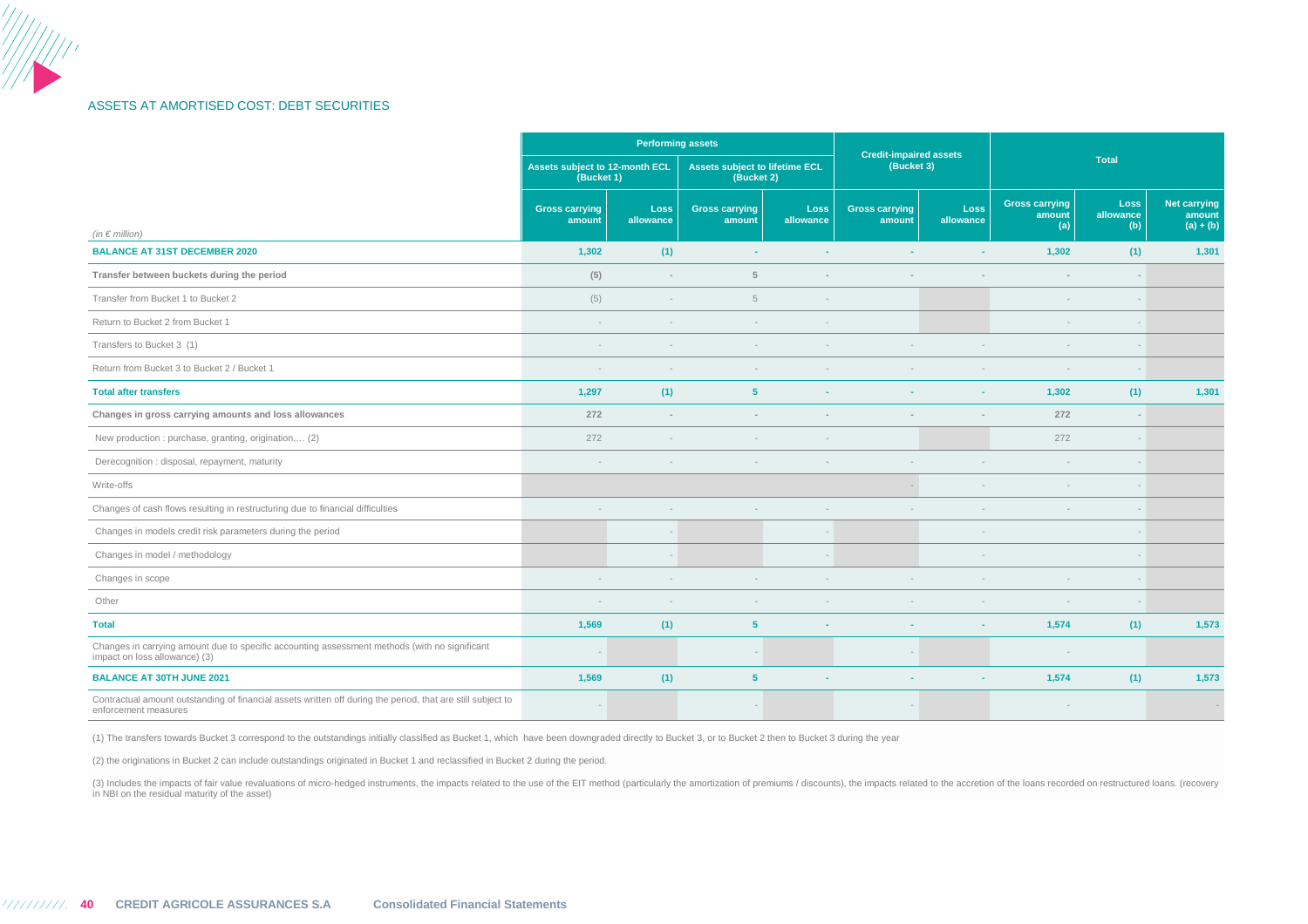### ASSETS AT AMORTISED COST: DEBT SECURITIES

|                                                                                                                                     | <b>Performing assets</b>                     |                   |                                              |                          | <b>Credit-impaired assets</b>   |                          |                                        |                                 |                                              |  |
|-------------------------------------------------------------------------------------------------------------------------------------|----------------------------------------------|-------------------|----------------------------------------------|--------------------------|---------------------------------|--------------------------|----------------------------------------|---------------------------------|----------------------------------------------|--|
|                                                                                                                                     | Assets subject to 12-month ECL<br>(Bucket 1) |                   | Assets subject to lifetime ECL<br>(Bucket 2) |                          | (Bucket 3)                      |                          |                                        | <b>Total</b>                    |                                              |  |
| (in $\epsilon$ million)                                                                                                             | <b>Gross carrying</b><br>amount              | Loss<br>allowance | <b>Gross carrying</b><br>amount              | <b>Loss</b><br>allowance | <b>Gross carrying</b><br>amount | <b>Loss</b><br>allowance | <b>Gross carrying</b><br>amount<br>(a) | <b>Loss</b><br>allowance<br>(b) | <b>Net carrying</b><br>amount<br>$(a) + (b)$ |  |
| <b>BALANCE AT 31ST DECEMBER 2020</b>                                                                                                | 1,302                                        | (1)               | ×.                                           | ÷                        | $\sim$                          | ×.                       | 1,302                                  | (1)                             | 1,301                                        |  |
| Transfer between buckets during the period                                                                                          | (5)                                          | $\sim$            | 5                                            |                          | $\sim$                          |                          | $\sim$                                 |                                 |                                              |  |
| Transfer from Bucket 1 to Bucket 2                                                                                                  | (5)                                          | $\sim$            | 5                                            | $\sim$                   |                                 |                          | $\sim$                                 | $\sim$                          |                                              |  |
| Return to Bucket 2 from Bucket 1                                                                                                    | $\sim$                                       |                   | $\sim$                                       | $\overline{a}$           |                                 |                          | $\sim$                                 | $\overline{a}$                  |                                              |  |
| Transfers to Bucket 3 (1)                                                                                                           | $\overline{\phantom{a}}$                     | $\sim$            | $\sim$                                       |                          |                                 |                          | $\overline{\phantom{a}}$               |                                 |                                              |  |
| Return from Bucket 3 to Bucket 2 / Bucket 1                                                                                         |                                              |                   |                                              |                          |                                 |                          | $\sim$                                 |                                 |                                              |  |
| <b>Total after transfers</b>                                                                                                        | 1,297                                        | (1)               | 5 <sup>5</sup>                               |                          |                                 |                          | 1,302                                  | (1)                             | 1,301                                        |  |
| Changes in gross carrying amounts and loss allowances                                                                               | 272                                          |                   |                                              |                          |                                 |                          | 272                                    |                                 |                                              |  |
| New production : purchase, granting, origination, (2)                                                                               | 272                                          |                   | $\overline{\phantom{a}}$                     |                          |                                 |                          | 272                                    | $\overline{a}$                  |                                              |  |
| Derecognition : disposal, repayment, maturity                                                                                       |                                              |                   |                                              |                          |                                 |                          |                                        |                                 |                                              |  |
| Write-offs                                                                                                                          |                                              |                   |                                              |                          | $\overline{\phantom{a}}$        |                          | $\sim$                                 |                                 |                                              |  |
| Changes of cash flows resulting in restructuring due to financial difficulties                                                      |                                              |                   |                                              |                          |                                 |                          |                                        |                                 |                                              |  |
| Changes in models credit risk parameters during the period                                                                          |                                              |                   |                                              |                          |                                 |                          |                                        |                                 |                                              |  |
| Changes in model / methodology                                                                                                      |                                              |                   |                                              |                          |                                 |                          |                                        |                                 |                                              |  |
| Changes in scope                                                                                                                    | $\sim$                                       | $\sim$            | $\overline{\phantom{a}}$                     |                          |                                 |                          | $\sim$                                 | $\sim$                          |                                              |  |
| Other                                                                                                                               | $\sim$                                       | $\sim$            | $\sim$                                       |                          | $\sim$                          |                          | $\sim$                                 |                                 |                                              |  |
| <b>Total</b>                                                                                                                        | 1,569                                        | (1)               | $5\phantom{1}$                               |                          | ٠                               |                          | 1,574                                  | (1)                             | 1,573                                        |  |
| Changes in carrying amount due to specific accounting assessment methods (with no significant<br>impact on loss allowance) (3)      |                                              |                   |                                              |                          |                                 |                          |                                        |                                 |                                              |  |
| <b>BALANCE AT 30TH JUNE 2021</b>                                                                                                    | 1,569                                        | (1)               | 5 <sup>5</sup>                               |                          | ٠                               |                          | 1,574                                  | (1)                             | 1,573                                        |  |
| Contractual amount outstanding of financial assets written off during the period, that are still subject to<br>enforcement measures |                                              |                   |                                              |                          |                                 |                          | $\overline{\phantom{a}}$               |                                 |                                              |  |

(1) The transfers towards Bucket 3 correspond to the outstandings initially classified as Bucket 1, which have been downgraded directly to Bucket 3, or to Bucket 2 then to Bucket 3 during the year

(2) the originations in Bucket 2 can include outstandings originated in Bucket 1 and reclassified in Bucket 2 during the period.

(3) Includes the impacts of fair value revaluations of micro-hedged instruments, the impacts related to the use of the EIT method (particularly the amortization of premiums / discounts), the impacts related to the accretio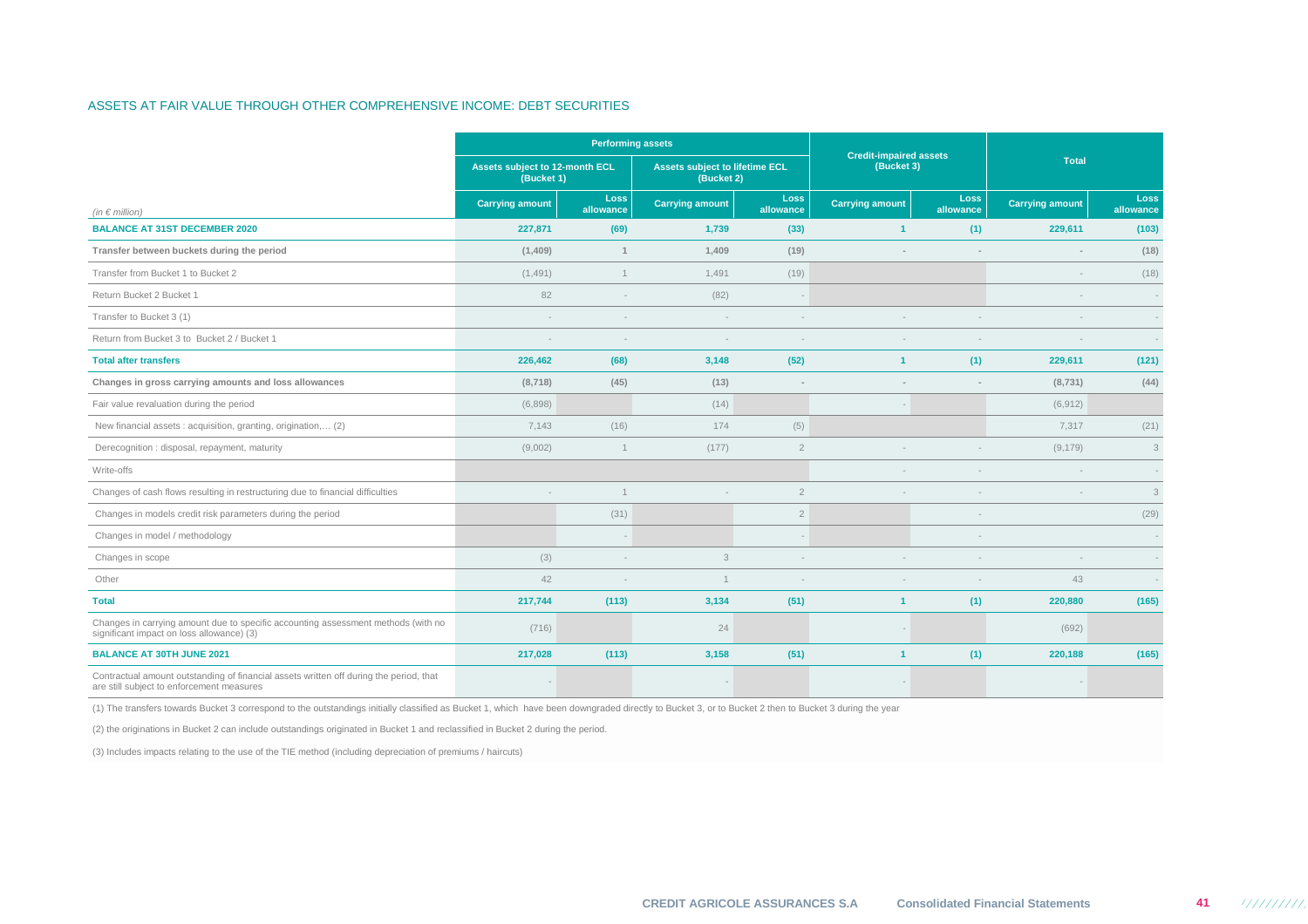### ASSETS AT FAIR VALUE THROUGH OTHER COMPREHENSIVE INCOME: DEBT SECURITIES

|                                                                                                                                     |                                              | <b>Performing assets</b> |                                                     |                          |                                             |                          |                          |                   |  |
|-------------------------------------------------------------------------------------------------------------------------------------|----------------------------------------------|--------------------------|-----------------------------------------------------|--------------------------|---------------------------------------------|--------------------------|--------------------------|-------------------|--|
|                                                                                                                                     | Assets subject to 12-month ECL<br>(Bucket 1) |                          | <b>Assets subject to lifetime ECL</b><br>(Bucket 2) |                          | <b>Credit-impaired assets</b><br>(Bucket 3) |                          | <b>Total</b>             |                   |  |
| (in $\notin$ million)                                                                                                               | <b>Carrying amount</b>                       | Loss<br>allowance        | <b>Carrying amount</b>                              | Loss<br>allowance        | <b>Carrying amount</b>                      | <b>Loss</b><br>allowance | <b>Carrying amount</b>   | Loss<br>allowance |  |
| <b>BALANCE AT 31ST DECEMBER 2020</b>                                                                                                | 227,871                                      | (69)                     | 1,739                                               | (33)                     | $\blacktriangleleft$                        | (1)                      | 229,611                  | (103)             |  |
| Transfer between buckets during the period                                                                                          | (1,409)                                      | $\mathbf{1}$             | 1,409                                               | (19)                     |                                             |                          | $\sim$                   | (18)              |  |
| Transfer from Bucket 1 to Bucket 2                                                                                                  | (1, 491)                                     | $\mathbf{1}$             | 1,491                                               | (19)                     |                                             |                          | $\overline{\phantom{a}}$ | (18)              |  |
| Return Bucket 2 Bucket 1                                                                                                            | 82                                           |                          | (82)                                                |                          |                                             |                          |                          |                   |  |
| Transfer to Bucket 3 (1)                                                                                                            | $\sim$                                       |                          |                                                     | $\sim$                   |                                             |                          | ÷.                       | $\sim$            |  |
| Return from Bucket 3 to Bucket 2 / Bucket 1                                                                                         | $\sim$                                       | $\overline{\phantom{a}}$ |                                                     | $\overline{\phantom{a}}$ |                                             |                          | $\sim$                   | $\sim$            |  |
| <b>Total after transfers</b>                                                                                                        | 226,462                                      | (68)                     | 3,148                                               | (52)                     | $\blacktriangleleft$                        | (1)                      | 229,611                  | (121)             |  |
| Changes in gross carrying amounts and loss allowances                                                                               | (8,718)                                      | (45)                     | (13)                                                | $\overline{a}$           |                                             |                          | (8, 731)                 | (44)              |  |
| Fair value revaluation during the period                                                                                            | (6,898)                                      |                          | (14)                                                |                          |                                             |                          | (6, 912)                 |                   |  |
| New financial assets : acquisition, granting, origination, (2)                                                                      | 7,143                                        | (16)                     | 174                                                 | (5)                      |                                             |                          | 7,317                    | (21)              |  |
| Derecognition : disposal, repayment, maturity                                                                                       | (9,002)                                      | $\mathbf{1}$             | (177)                                               | $\overline{2}$           |                                             |                          | (9, 179)                 | 3                 |  |
| Write-offs                                                                                                                          |                                              |                          |                                                     |                          |                                             |                          |                          |                   |  |
| Changes of cash flows resulting in restructuring due to financial difficulties                                                      |                                              | $\mathbf{1}$             |                                                     | $\overline{2}$           |                                             |                          |                          | $\mathfrak{Z}$    |  |
| Changes in models credit risk parameters during the period                                                                          |                                              | (31)                     |                                                     | $\overline{2}$           |                                             |                          |                          | (29)              |  |
| Changes in model / methodology                                                                                                      |                                              |                          |                                                     |                          |                                             |                          |                          |                   |  |
| Changes in scope                                                                                                                    | (3)                                          |                          | 3                                                   |                          |                                             |                          |                          | ۰.                |  |
| Other                                                                                                                               | 42                                           |                          | $\overline{1}$                                      |                          |                                             |                          | 43                       |                   |  |
| <b>Total</b>                                                                                                                        | 217,744                                      | (113)                    | 3,134                                               | (51)                     | $\blacktriangleleft$                        | (1)                      | 220,880                  | (165)             |  |
| Changes in carrying amount due to specific accounting assessment methods (with no<br>significant impact on loss allowance) (3)      | (716)                                        |                          | 24                                                  |                          |                                             |                          | (692)                    |                   |  |
| <b>BALANCE AT 30TH JUNE 2021</b>                                                                                                    | 217,028                                      | (113)                    | 3,158                                               | (51)                     | -1                                          | (1)                      | 220,188                  | (165)             |  |
| Contractual amount outstanding of financial assets written off during the period, that<br>are still subject to enforcement measures |                                              |                          |                                                     |                          |                                             |                          |                          |                   |  |

(1) The transfers towards Bucket 3 correspond to the outstandings initially classified as Bucket 1, which have been downgraded directly to Bucket 3, or to Bucket 2 then to Bucket 3 during the year

(2) the originations in Bucket 2 can include outstandings originated in Bucket 1 and reclassified in Bucket 2 during the period.

(3) Includes impacts relating to the use of the TIE method (including depreciation of premiums / haircuts)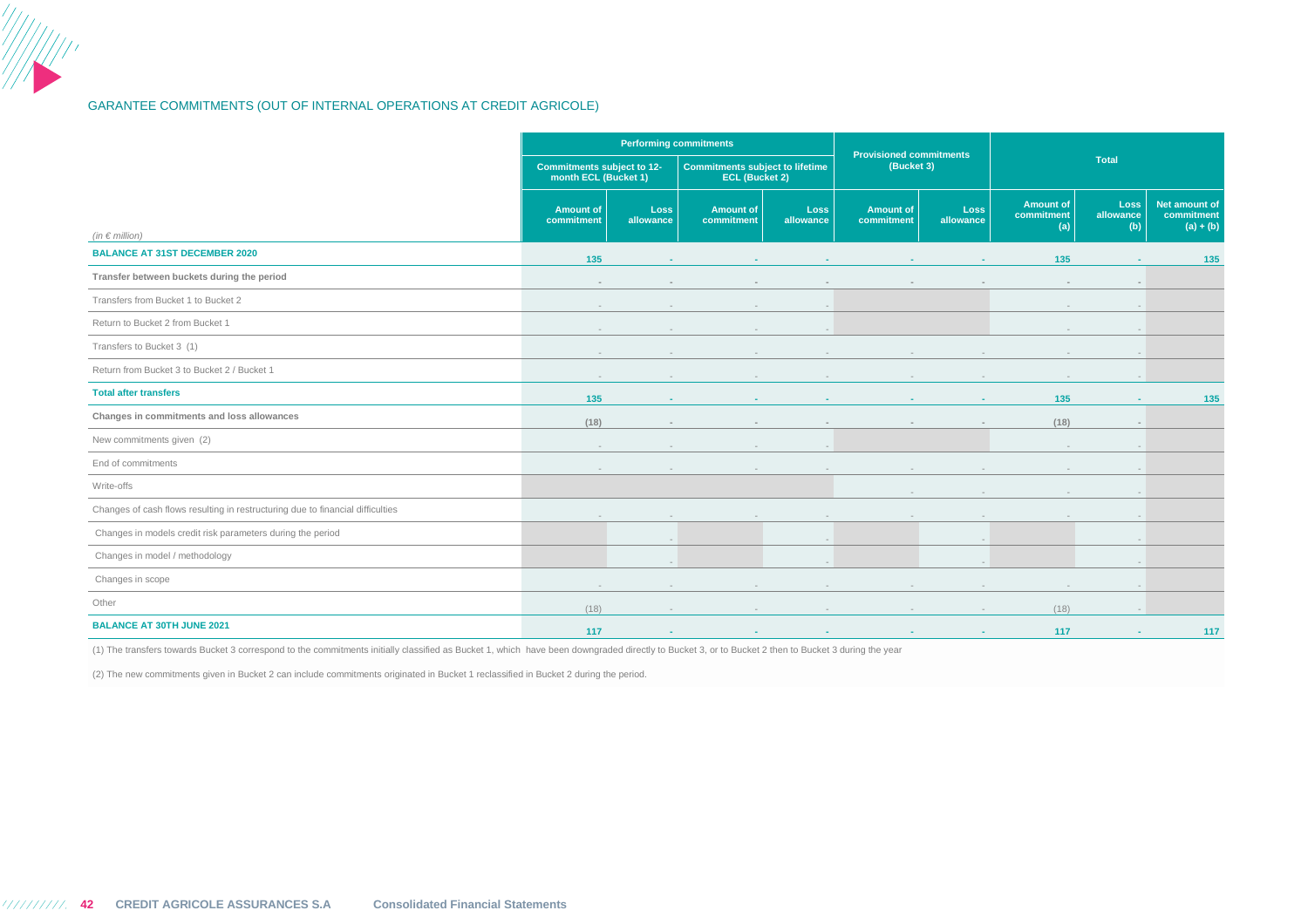### GARANTEE COMMITMENTS (OUT OF INTERNAL OPERATIONS AT CREDIT AGRICOLE)

|                                                                                | <b>Performing commitments</b>                      |                          |                                                                 |                          |                                              |                          |                                       |                                 |                                            |
|--------------------------------------------------------------------------------|----------------------------------------------------|--------------------------|-----------------------------------------------------------------|--------------------------|----------------------------------------------|--------------------------|---------------------------------------|---------------------------------|--------------------------------------------|
|                                                                                | Commitments subject to 12-<br>month ECL (Bucket 1) |                          | <b>Commitments subject to lifetime</b><br><b>ECL (Bucket 2)</b> |                          | <b>Provisioned commitments</b><br>(Bucket 3) |                          |                                       | Total                           |                                            |
| (in $\in$ million)                                                             | <b>Amount of</b><br>commitment                     | Loss<br>allowance        | <b>Amount of</b><br>commitment                                  | <b>Loss</b><br>allowance | <b>Amount of</b><br>commitment               | <b>Loss</b><br>allowance | <b>Amount of</b><br>commitment<br>(a) | <b>Loss</b><br>allowance<br>(b) | Net amount of<br>commitment<br>$(a) + (b)$ |
| <b>BALANCE AT 31ST DECEMBER 2020</b>                                           | 135                                                |                          |                                                                 |                          |                                              |                          | 135                                   |                                 | 135                                        |
| Transfer between buckets during the period                                     | $\sim$                                             | $\sim$                   |                                                                 | $\sim$                   |                                              |                          | $\sim$                                | $\sim$                          |                                            |
| Transfers from Bucket 1 to Bucket 2                                            | $\sim$                                             | $\overline{a}$           | $\sim$                                                          |                          |                                              |                          | $\sim$                                |                                 |                                            |
| Return to Bucket 2 from Bucket 1                                               |                                                    | $\overline{\phantom{a}}$ |                                                                 |                          |                                              |                          | $\sim$                                |                                 |                                            |
| Transfers to Bucket 3 (1)                                                      |                                                    | $\sim$                   |                                                                 |                          |                                              |                          |                                       |                                 |                                            |
| Return from Bucket 3 to Bucket 2 / Bucket 1                                    | $\sim$                                             | $\sim$                   |                                                                 |                          | $\sim$                                       |                          | $\overline{\phantom{a}}$              |                                 |                                            |
| <b>Total after transfers</b>                                                   | 135                                                | $\sim$                   |                                                                 |                          | $\sim$                                       |                          | 135                                   | <b>A</b>                        | 135                                        |
| Changes in commitments and loss allowances                                     | (18)                                               |                          |                                                                 |                          |                                              |                          | (18)                                  | $\sim$                          |                                            |
| New commitments given (2)                                                      | $\overline{\phantom{a}}$                           | $\sim$                   | $\overline{a}$                                                  | $\overline{\phantom{a}}$ |                                              |                          | $\overline{\phantom{a}}$              | $\overline{\phantom{a}}$        |                                            |
| End of commitments                                                             |                                                    |                          |                                                                 |                          |                                              |                          |                                       |                                 |                                            |
| Write-offs                                                                     |                                                    |                          |                                                                 |                          | $\overline{\phantom{a}}$                     |                          | $\sim$                                |                                 |                                            |
| Changes of cash flows resulting in restructuring due to financial difficulties |                                                    |                          |                                                                 | $\sim$                   | $\sim$                                       | $\sim$                   | $\overline{\phantom{a}}$              | $\sim$                          |                                            |
| Changes in models credit risk parameters during the period                     |                                                    | $-$                      |                                                                 | $\overline{a}$           |                                              | $\sim$                   |                                       | $-$                             |                                            |
| Changes in model / methodology                                                 |                                                    | $\overline{\phantom{a}}$ |                                                                 |                          |                                              |                          |                                       |                                 |                                            |
| Changes in scope                                                               |                                                    |                          |                                                                 |                          |                                              |                          |                                       |                                 |                                            |
| Other                                                                          | (18)                                               | $\sim$                   |                                                                 |                          | $\sim$                                       | $\sim$                   | (18)                                  |                                 |                                            |
| <b>BALANCE AT 30TH JUNE 2021</b>                                               | 117                                                | $\sim$                   |                                                                 |                          |                                              | $\sim$                   | 117                                   | <b>A</b>                        | 117                                        |

(1) The transfers towards Bucket 3 correspond to the commitments initially classified as Bucket 1, which have been downgraded directly to Bucket 3, or to Bucket 2 then to Bucket 3 during the year

(2) The new commitments given in Bucket 2 can include commitments originated in Bucket 1 reclassified in Bucket 2 during the period.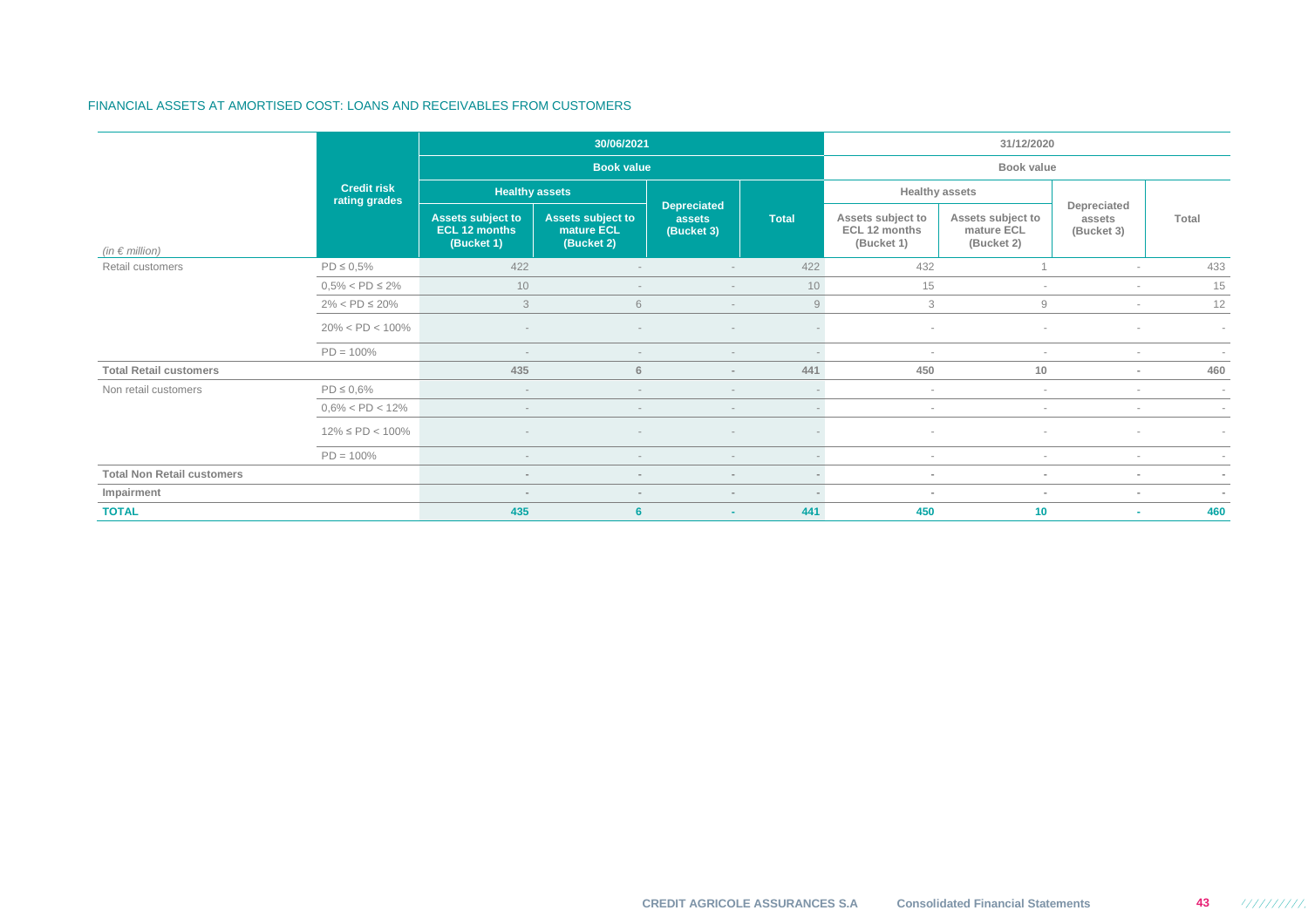### FINANCIAL ASSETS AT AMORTISED COST: LOANS AND RECEIVABLES FROM CUSTOMERS

|                                   |                                     |                                                         | 30/06/2021                                    |                                            |              | 31/12/2020                                       |                                               |                                     |                          |  |  |
|-----------------------------------|-------------------------------------|---------------------------------------------------------|-----------------------------------------------|--------------------------------------------|--------------|--------------------------------------------------|-----------------------------------------------|-------------------------------------|--------------------------|--|--|
|                                   |                                     |                                                         | <b>Book value</b>                             |                                            |              |                                                  | Book value                                    |                                     |                          |  |  |
|                                   | <b>Credit risk</b><br>rating grades | <b>Healthy assets</b>                                   |                                               |                                            |              |                                                  | <b>Healthy assets</b>                         |                                     |                          |  |  |
| (in $\epsilon$ million)           |                                     | <b>Assets subject to</b><br>ECL 12 months<br>(Bucket 1) | Assets subject to<br>mature ECL<br>(Bucket 2) | <b>Depreciated</b><br>assets<br>(Bucket 3) | <b>Total</b> | Assets subject to<br>ECL 12 months<br>(Bucket 1) | Assets subject to<br>mature ECL<br>(Bucket 2) | Depreciated<br>assets<br>(Bucket 3) | Total                    |  |  |
| Retail customers                  | $PD \le 0.5\%$                      | 422                                                     |                                               | $\overline{\phantom{a}}$                   | 422          | 432                                              |                                               | $\sim$                              | 433                      |  |  |
|                                   | $0.5\% <$ PD $\leq 2\%$             | 10                                                      |                                               | $\overline{\phantom{a}}$                   | 10           | 15                                               | $\sim$                                        | $\sim$                              | 15                       |  |  |
|                                   | $2\% < PD \leq 20\%$                | 3                                                       | 6                                             | $\sim$                                     | 9            | 3                                                | 9                                             | $\sim$                              | 12                       |  |  |
|                                   | $20\% < PD < 100\%$                 |                                                         |                                               | $\overline{\phantom{a}}$                   |              | $\sim$                                           |                                               |                                     | $\sim$                   |  |  |
|                                   | $PD = 100\%$                        | $\sim$                                                  |                                               | $\sim$                                     | $\sim$       | $\sim$                                           | $\sim$                                        | $\sim$                              | $\overline{\phantom{a}}$ |  |  |
| <b>Total Retail customers</b>     |                                     | 435                                                     | 6                                             | $\sim$                                     | 441          | 450                                              | 10                                            | $\sim$                              | 460                      |  |  |
| Non retail customers              | $PD \le 0.6\%$                      | $\overline{\phantom{a}}$                                |                                               | $\sim$                                     | $\sim$       | $\sim$                                           | $\sim$                                        | $\sim$                              | $\sim$                   |  |  |
|                                   | $0.6\% < PD < 12\%$                 | $\overline{\phantom{a}}$                                | $\sim$                                        | $\sim$                                     | $\sim$       | $\sim$                                           | $\sim$                                        | $\sim$                              | $\sim$                   |  |  |
|                                   | $12\% \leq PD < 100\%$              |                                                         |                                               | $\overline{\phantom{a}}$                   |              |                                                  | $\overline{\phantom{a}}$                      | $\sim$                              | $\sim$                   |  |  |
|                                   | $PD = 100\%$                        | $\overline{\phantom{a}}$                                |                                               | $\sim$                                     | $\sim$       | $\sim$                                           | $\sim$                                        | $\sim$                              | ×                        |  |  |
| <b>Total Non Retail customers</b> |                                     | $\sim$                                                  | $\sim$                                        | $\sim$                                     | $\sim$       | $\sim$                                           | $\sim$                                        | $\sim$                              | $\sim$                   |  |  |
| Impairment                        |                                     | $\sim$<br>$\sim$                                        |                                               | $\sim$                                     | $\sim$       | $\sim$                                           | $\sim$                                        | $\sim$                              | $\sim$                   |  |  |
| <b>TOTAL</b>                      |                                     | 435                                                     | 6                                             | $\sim$                                     | 441          | 450                                              | 10                                            | $\sim$                              | 460                      |  |  |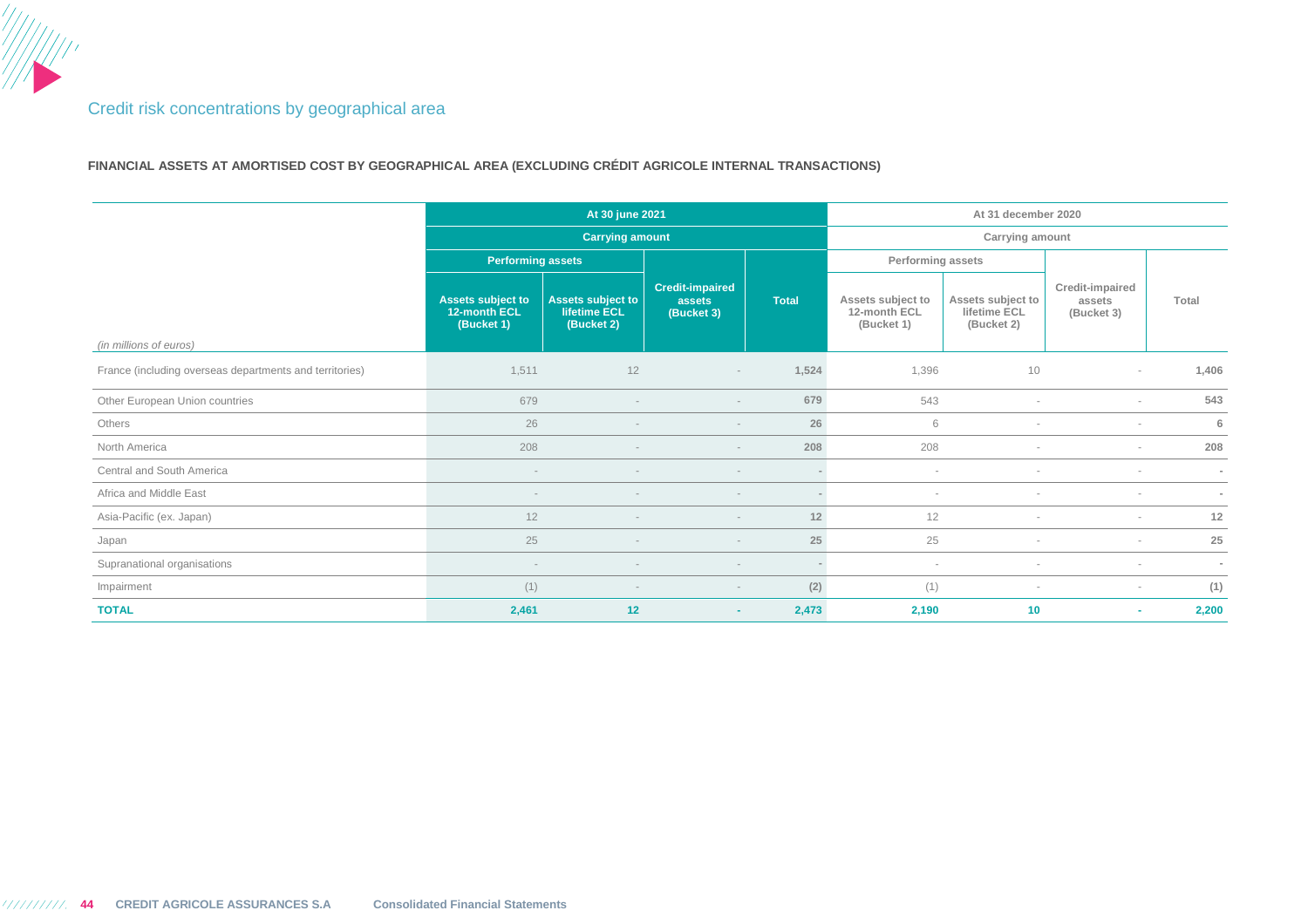## Credit risk concentrations by geographical area

**FINANCIAL ASSETS AT AMORTISED COST BY GEOGRAPHICAL AREA (EXCLUDING CRÉDIT AGRICOLE INTERNAL TRANSACTIONS)** 

|                                                         |                                                        | At 30 june 2021                                 |                                                |              | At 31 december 2020                             |                                                 |                                         |        |
|---------------------------------------------------------|--------------------------------------------------------|-------------------------------------------------|------------------------------------------------|--------------|-------------------------------------------------|-------------------------------------------------|-----------------------------------------|--------|
|                                                         |                                                        | <b>Carrying amount</b>                          |                                                |              |                                                 | Carrying amount                                 |                                         |        |
|                                                         | <b>Performing assets</b>                               |                                                 |                                                |              | Performing assets                               |                                                 |                                         |        |
| (in millions of euros)                                  | <b>Assets subject to</b><br>12-month ECL<br>(Bucket 1) | Assets subject to<br>lifetime ECL<br>(Bucket 2) | <b>Credit-impaired</b><br>assets<br>(Bucket 3) | <b>Total</b> | Assets subject to<br>12-month ECL<br>(Bucket 1) | Assets subject to<br>lifetime ECL<br>(Bucket 2) | Credit-impaired<br>assets<br>(Bucket 3) | Total  |
| France (including overseas departments and territories) | 1,511                                                  | 12                                              |                                                | 1,524        | 1,396                                           | 10                                              |                                         | 1,406  |
|                                                         |                                                        |                                                 | $\overline{\phantom{a}}$                       |              |                                                 |                                                 | $\sim$                                  |        |
| Other European Union countries                          | 679                                                    | $\sim$                                          |                                                | 679          | 543                                             | $\overline{\phantom{a}}$                        | $\sim$                                  | 543    |
| Others                                                  | 26                                                     |                                                 |                                                | 26           | 6                                               |                                                 | $\sim$                                  | 6      |
| North America                                           | 208                                                    |                                                 |                                                | 208          | 208                                             |                                                 | $\sim$                                  | 208    |
| Central and South America                               |                                                        |                                                 |                                                |              | $\sim$                                          |                                                 | $\sim$                                  | $\sim$ |
| Africa and Middle East                                  | $\sim$                                                 | $\overline{\phantom{a}}$                        |                                                |              | $\overline{\phantom{a}}$                        |                                                 | $\sim$                                  | $\sim$ |
| Asia-Pacific (ex. Japan)                                | 12                                                     |                                                 |                                                | 12           | 12                                              |                                                 | $\sim$                                  | 12     |
| Japan                                                   | 25                                                     |                                                 | $\sim$                                         | 25           | 25                                              | $\sim$                                          | $\sim$                                  | 25     |
| Supranational organisations                             |                                                        |                                                 |                                                | $\sim$       | $\sim$                                          |                                                 | $\sim$                                  | $\sim$ |
| Impairment                                              | (1)                                                    |                                                 |                                                | (2)          | (1)                                             | $\sim$                                          | $\sim$                                  | (1)    |
| <b>TOTAL</b>                                            | 2,461                                                  | 12                                              |                                                | 2,473        | 2,190                                           | 10                                              | ۰                                       | 2,200  |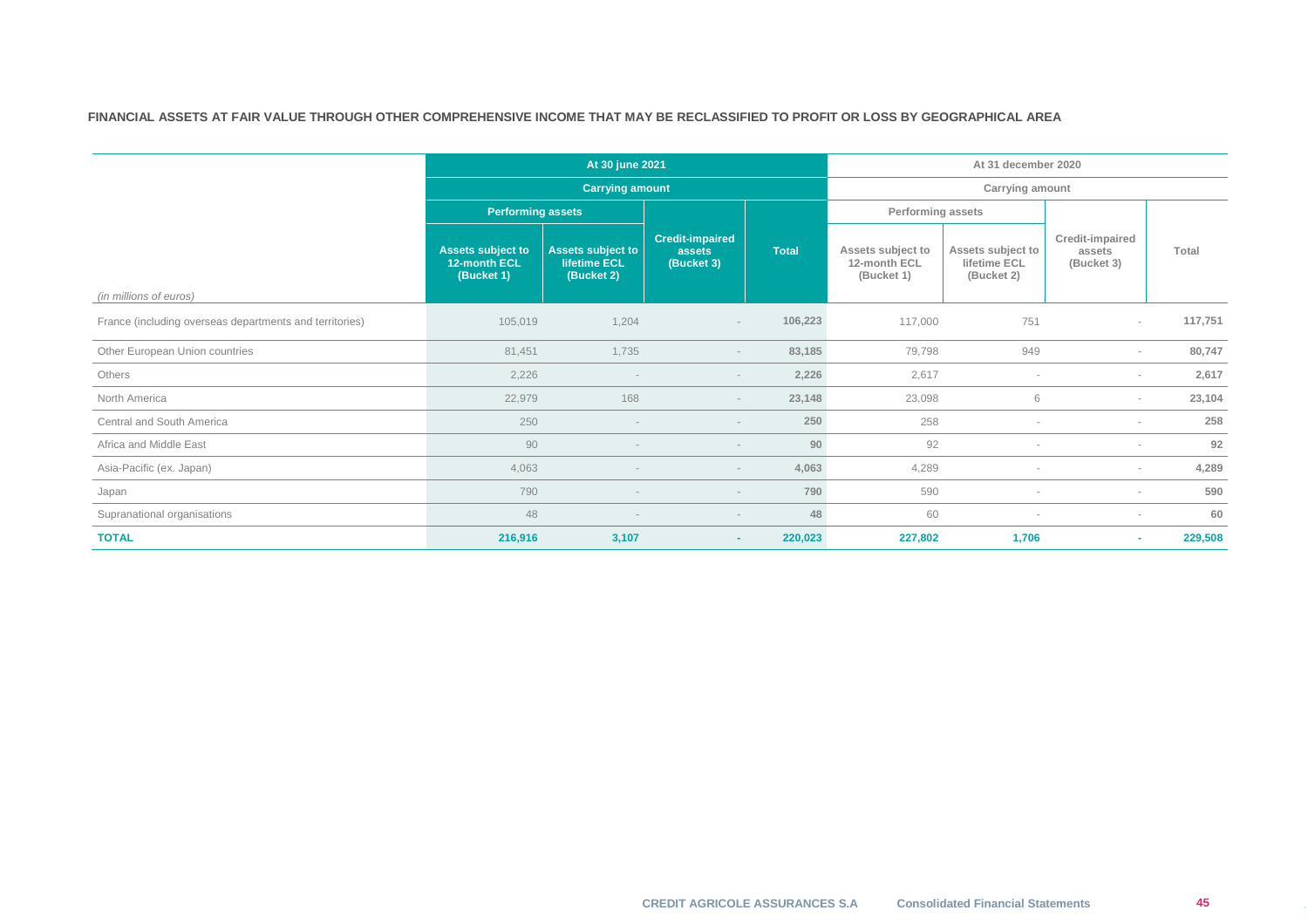### **FINANCIAL ASSETS AT FAIR VALUE THROUGH OTHER COMPREHENSIVE INCOME THAT MAY BE RECLASSIFIED TO PROFIT OR LOSS BY GEOGRAPHICAL AREA**

|                                                         |                                                        | At 30 june 2021                                               |                                                |              |                                                 | At 31 december 2020                             |                                         |         |  |
|---------------------------------------------------------|--------------------------------------------------------|---------------------------------------------------------------|------------------------------------------------|--------------|-------------------------------------------------|-------------------------------------------------|-----------------------------------------|---------|--|
|                                                         |                                                        | <b>Carrying amount</b>                                        | Carrying amount                                |              |                                                 |                                                 |                                         |         |  |
|                                                         | <b>Performing assets</b>                               |                                                               |                                                |              | Performing assets                               |                                                 |                                         |         |  |
| (in millions of euros)                                  | <b>Assets subject to</b><br>12-month ECL<br>(Bucket 1) | <b>Assets subject to</b><br><b>lifetime ECL</b><br>(Bucket 2) | <b>Credit-impaired</b><br>assets<br>(Bucket 3) | <b>Total</b> | Assets subject to<br>12-month ECL<br>(Bucket 1) | Assets subject to<br>lifetime ECL<br>(Bucket 2) | Credit-impaired<br>assets<br>(Bucket 3) | Total   |  |
| France (including overseas departments and territories) | 105,019                                                | 1,204                                                         | $\overline{\phantom{a}}$                       | 106,223      | 117,000                                         | 751                                             | $\sim$                                  | 117,751 |  |
| Other European Union countries                          | 81,451                                                 | 1,735                                                         | $\sim$                                         | 83,185       | 79,798                                          | 949                                             | $\sim$                                  | 80,747  |  |
| Others                                                  | 2,226                                                  |                                                               |                                                | 2,226        | 2,617                                           |                                                 | $\sim$                                  | 2,617   |  |
| North America                                           | 22,979                                                 | 168                                                           | $\overline{\phantom{a}}$                       | 23,148       | 23,098                                          | 6                                               | $\sim$                                  | 23,104  |  |
| Central and South America                               | 250                                                    |                                                               |                                                | 250          | 258                                             |                                                 | $\sim$                                  | 258     |  |
| Africa and Middle East                                  | 90                                                     |                                                               |                                                | 90           | 92                                              |                                                 | $\sim$                                  | 92      |  |
| Asia-Pacific (ex. Japan)                                | 4,063                                                  |                                                               |                                                | 4,063        | 4,289                                           |                                                 | $\sim$                                  | 4,289   |  |
| Japan                                                   | 790                                                    |                                                               | $\sim$                                         | 790          | 590                                             |                                                 | $\sim$                                  | 590     |  |
| Supranational organisations                             | 48                                                     |                                                               |                                                | 48           | 60                                              |                                                 | $\sim$                                  | 60      |  |
| <b>TOTAL</b>                                            | 216,916                                                | 3,107                                                         | $\sim$                                         | 220,023      | 227,802                                         | 1,706                                           | ٠                                       | 229,508 |  |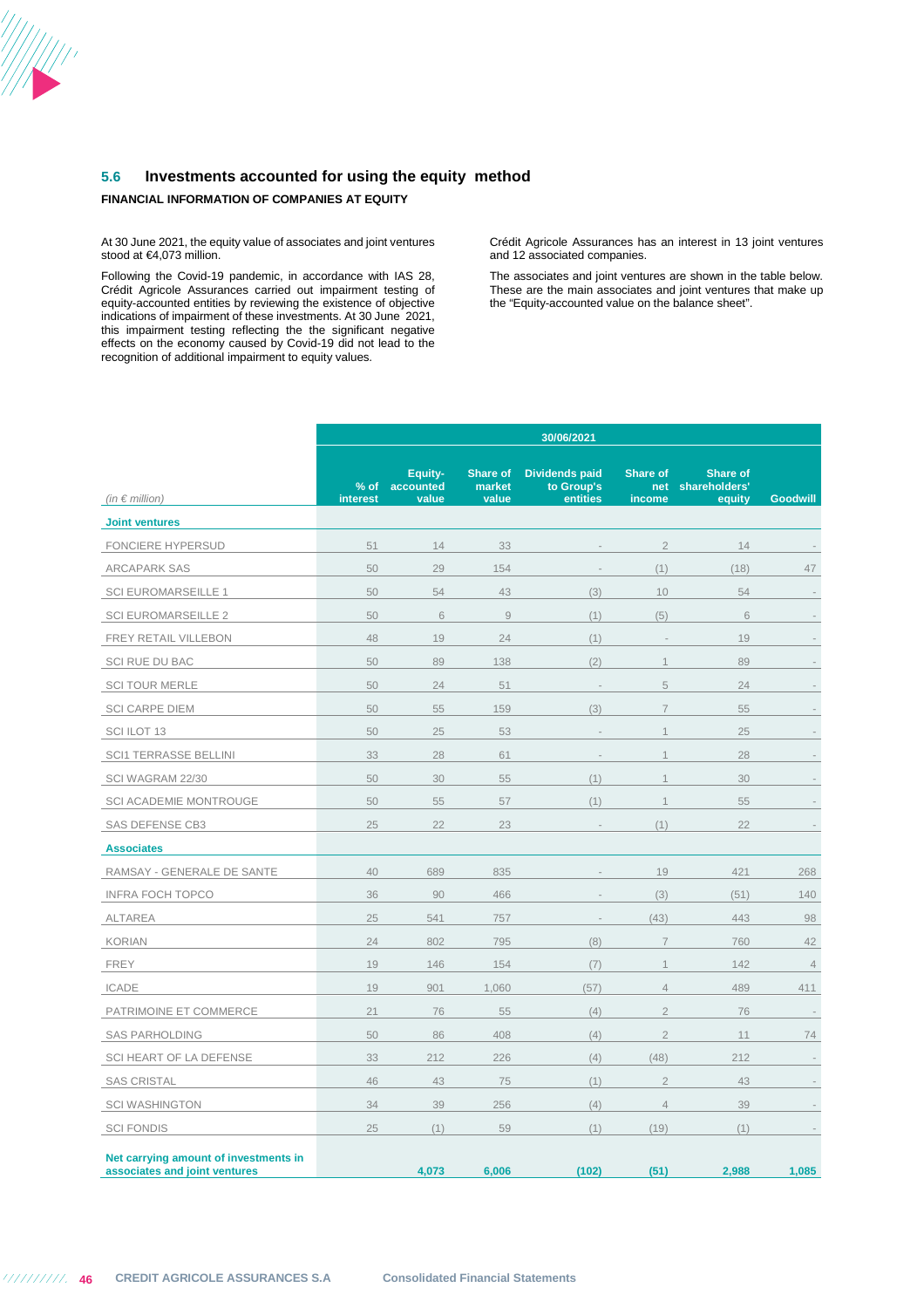

### **FINANCIAL INFORMATION OF COMPANIES AT EQUITY**

At 30 June 2021, the equity value of associates and joint ventures stood at €4,073 million.

Following the Covid-19 pandemic, in accordance with IAS 28, Crédit Agricole Assurances carried out impairment testing of equity-accounted entities by reviewing the existence of objective indications of impairment of these investments. At 30 June 2021, this impairment testing reflecting the the significant negative effects on the economy caused by Covid-19 did not lead to the recognition of additional impairment to equity values.

Crédit Agricole Assurances has an interest in 13 joint ventures and 12 associated companies.

The associates and joint ventures are shown in the table below. These are the main associates and joint ventures that make up the "Equity-accounted value on the balance sheet".

|                                                                        | 30/06/2021         |                               |                             |                                                 |                                  |                                            |                 |  |  |
|------------------------------------------------------------------------|--------------------|-------------------------------|-----------------------------|-------------------------------------------------|----------------------------------|--------------------------------------------|-----------------|--|--|
| (in $\notin$ million)                                                  | $%$ of<br>interest | Equity-<br>accounted<br>value | Share of<br>market<br>value | <b>Dividends paid</b><br>to Group's<br>entities | <b>Share of</b><br>net<br>income | <b>Share of</b><br>shareholders'<br>equity | <b>Goodwill</b> |  |  |
| <b>Joint ventures</b>                                                  |                    |                               |                             |                                                 |                                  |                                            |                 |  |  |
| <b>FONCIERE HYPERSUD</b>                                               | 51                 | 14                            | 33                          |                                                 | $\overline{2}$                   | 14                                         |                 |  |  |
| <b>ARCAPARK SAS</b>                                                    | 50                 | 29                            | 154                         |                                                 | (1)                              | (18)                                       | 47              |  |  |
| <b>SCI EUROMARSEILLE 1</b>                                             | 50                 | 54                            | 43                          | (3)                                             | 10                               | 54                                         |                 |  |  |
| <b>SCI EUROMARSEILLE 2</b>                                             | 50                 | 6                             | $\mathcal G$                | (1)                                             | (5)                              | 6                                          |                 |  |  |
| FREY RETAIL VILLEBON                                                   | 48                 | 19                            | 24                          | (1)                                             | ÷,                               | 19                                         |                 |  |  |
| <b>SCI RUE DU BAC</b>                                                  | 50                 | 89                            | 138                         | (2)                                             | $\mathbf 1$                      | 89                                         |                 |  |  |
| <b>SCI TOUR MERLE</b>                                                  | 50                 | 24                            | 51                          | i,                                              | 5                                | 24                                         |                 |  |  |
| <b>SCI CARPE DIEM</b>                                                  | 50                 | 55                            | 159                         | (3)                                             | $\overline{7}$                   | 55                                         |                 |  |  |
| SCI ILOT 13                                                            | 50                 | 25                            | 53                          |                                                 | $\mathbf 1$                      | 25                                         |                 |  |  |
| <b>SCI1 TERRASSE BELLINI</b>                                           | 33                 | 28                            | 61                          |                                                 | $\mathbf 1$                      | 28                                         |                 |  |  |
| SCI WAGRAM 22/30                                                       | 50                 | 30                            | 55                          | (1)                                             | $\overline{1}$                   | 30                                         |                 |  |  |
| <b>SCI ACADEMIE MONTROUGE</b>                                          | 50                 | 55                            | 57                          | (1)                                             | $\mathcal{L}$                    | 55                                         |                 |  |  |
| <b>SAS DEFENSE CB3</b>                                                 | 25                 | 22                            | 23                          | ÷,                                              | (1)                              | 22                                         | $\sim$          |  |  |
| <b>Associates</b>                                                      |                    |                               |                             |                                                 |                                  |                                            |                 |  |  |
| RAMSAY - GENERALE DE SANTE                                             | 40                 | 689                           | 835                         |                                                 | 19                               | 421                                        | 268             |  |  |
| <b>INFRA FOCH TOPCO</b>                                                | 36                 | 90                            | 466                         |                                                 | (3)                              | (51)                                       | 140             |  |  |
| <b>ALTAREA</b>                                                         | 25                 | 541                           | 757                         |                                                 | (43)                             | 443                                        | 98              |  |  |
| <b>KORIAN</b>                                                          | 24                 | 802                           | 795                         | (8)                                             | $\overline{7}$                   | 760                                        | 42              |  |  |
| <b>FREY</b>                                                            | 19                 | 146                           | 154                         | (7)                                             | 1                                | 142                                        | $\overline{4}$  |  |  |
| <b>ICADE</b>                                                           | 19                 | 901                           | 1,060                       | (57)                                            | $\overline{4}$                   | 489                                        | 411             |  |  |
| PATRIMOINE ET COMMERCE                                                 | 21                 | 76                            | 55                          | (4)                                             | $\overline{2}$                   | 76                                         | $\sim$          |  |  |
| <b>SAS PARHOLDING</b>                                                  | 50                 | 86                            | 408                         | (4)                                             | $\overline{2}$                   | 11                                         | 74              |  |  |
| SCI HEART OF LA DEFENSE                                                | 33                 | 212                           | 226                         | (4)                                             | (48)                             | 212                                        | $\bar{z}$       |  |  |
| <b>SAS CRISTAL</b>                                                     | 46                 | 43                            | 75                          | (1)                                             | $\overline{2}$                   | 43                                         |                 |  |  |
| <b>SCI WASHINGTON</b>                                                  | 34                 | 39                            | 256                         | (4)                                             | $\overline{4}$                   | 39                                         |                 |  |  |
| <b>SCI FONDIS</b>                                                      | 25                 | (1)                           | 59                          | (1)                                             | (19)                             | (1)                                        |                 |  |  |
| Net carrying amount of investments in<br>associates and joint ventures |                    | 4,073                         | 6,006                       | (102)                                           | (51)                             | 2,988                                      | 1,085           |  |  |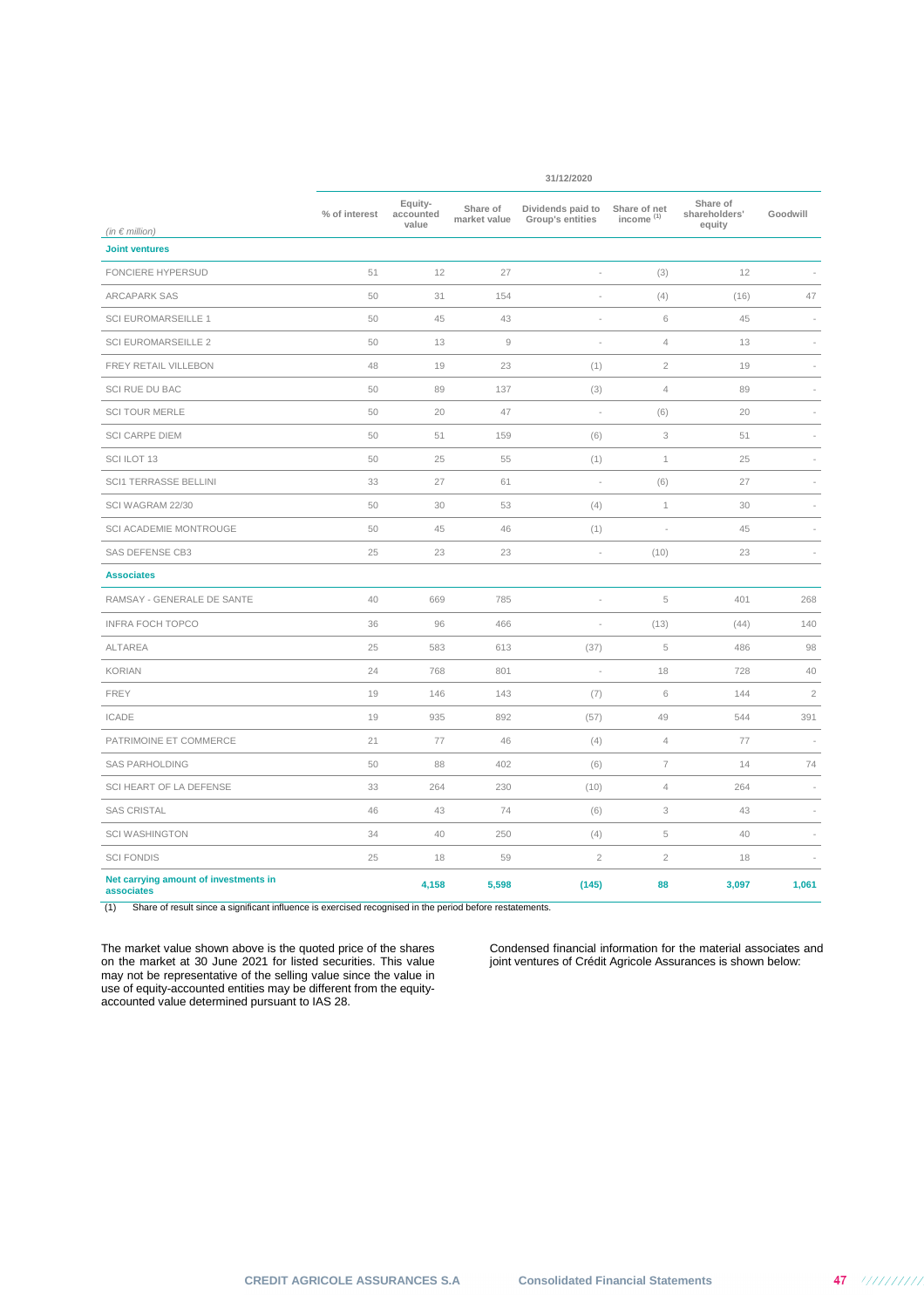|                                                     |               |                               |                          | 31/12/2020                            |                              |                                     |            |
|-----------------------------------------------------|---------------|-------------------------------|--------------------------|---------------------------------------|------------------------------|-------------------------------------|------------|
|                                                     | % of interest | Equity-<br>accounted<br>value | Share of<br>market value | Dividends paid to<br>Group's entities | Share of net<br>income $(1)$ | Share of<br>shareholders'<br>equity | Goodwill   |
| (in $\epsilon$ million)<br><b>Joint ventures</b>    |               |                               |                          |                                       |                              |                                     |            |
| FONCIERE HYPERSUD                                   | 51            | 12                            | 27                       |                                       | (3)                          | 12                                  |            |
| <b>ARCAPARK SAS</b>                                 | 50            | 31                            | 154                      |                                       | (4)                          | (16)                                | 47         |
| <b>SCI EUROMARSEILLE 1</b>                          | 50            | 45                            | 43                       | ÷,                                    | 6                            | 45                                  | ÷          |
| <b>SCI EUROMARSEILLE 2</b>                          | 50            | 13                            | $\mathrel{\mathcal{G}}$  | ÷                                     | $\sqrt{4}$                   | 13                                  |            |
| FREY RETAIL VILLEBON                                | 48            | 19                            | 23                       | (1)                                   | $\overline{2}$               | 19                                  |            |
| SCI RUE DU BAC                                      | 50            | 89                            | 137                      | (3)                                   | $\sqrt{4}$                   | 89                                  |            |
| <b>SCI TOUR MERLE</b>                               | 50            | 20                            | 47                       |                                       | (6)                          | 20                                  |            |
| <b>SCI CARPE DIEM</b>                               | 50            | 51                            | 159                      | (6)                                   | 3                            | 51                                  |            |
| SCI ILOT 13                                         | 50            | 25                            | 55                       | (1)                                   | $\mathbf{1}$                 | 25                                  |            |
| <b>SCI1 TERRASSE BELLINI</b>                        | 33            | 27                            | 61                       |                                       | (6)                          | 27                                  |            |
| SCI WAGRAM 22/30                                    | 50            | 30                            | 53                       | (4)                                   | $\mathbf 1$                  | 30                                  |            |
| SCI ACADEMIE MONTROUGE                              | 50            | 45                            | 46                       | (1)                                   | ÷,                           | 45                                  |            |
| SAS DEFENSE CB3                                     | 25            | 23                            | 23                       | ÷                                     | (10)                         | 23                                  |            |
| <b>Associates</b>                                   |               |                               |                          |                                       |                              |                                     |            |
| RAMSAY - GENERALE DE SANTE                          | 40            | 669                           | 785                      |                                       | 5                            | 401                                 | 268        |
| <b>INFRA FOCH TOPCO</b>                             | 36            | 96                            | 466                      |                                       | (13)                         | (44)                                | 140        |
| <b>ALTAREA</b>                                      | 25            | 583                           | 613                      | (37)                                  | 5                            | 486                                 | 98         |
| <b>KORIAN</b>                                       | 24            | 768                           | 801                      | $\overline{\phantom{a}}$              | 18                           | 728                                 | 40         |
| <b>FREY</b>                                         | 19            | 146                           | 143                      | (7)                                   | 6                            | 144                                 | $\sqrt{2}$ |
| <b>ICADE</b>                                        | 19            | 935                           | 892                      | (57)                                  | 49                           | 544                                 | 391        |
| PATRIMOINE ET COMMERCE                              | 21            | 77                            | 46                       | (4)                                   | 4                            | 77                                  |            |
| <b>SAS PARHOLDING</b>                               | 50            | 88                            | 402                      | (6)                                   | $\overline{7}$               | 14                                  | 74         |
| SCI HEART OF LA DEFENSE                             | 33            | 264                           | 230                      | (10)                                  | $\overline{4}$               | 264                                 |            |
| <b>SAS CRISTAL</b>                                  | 46            | 43                            | 74                       | (6)                                   | 3                            | 43                                  |            |
| <b>SCI WASHINGTON</b>                               | 34            | 40                            | 250                      | (4)                                   | 5                            | 40                                  |            |
| <b>SCI FONDIS</b>                                   | 25            | 18                            | 59                       | $\overline{2}$                        | $\overline{2}$               | 18                                  |            |
| Net carrying amount of investments in<br>associates |               | 4,158                         | 5,598                    | (145)                                 | 88                           | 3,097                               | 1,061      |

(1) Share of result since a significant influence is exercised recognised in the period before restatements.

The market value shown above is the quoted price of the shares on the market at 30 June 2021 for listed securities. This value may not be representative of the selling value since the value in use of equity-accounted entities may be different from the equityaccounted value determined pursuant to IAS 28.

Condensed financial information for the material associates and joint ventures of Crédit Agricole Assurances is shown below: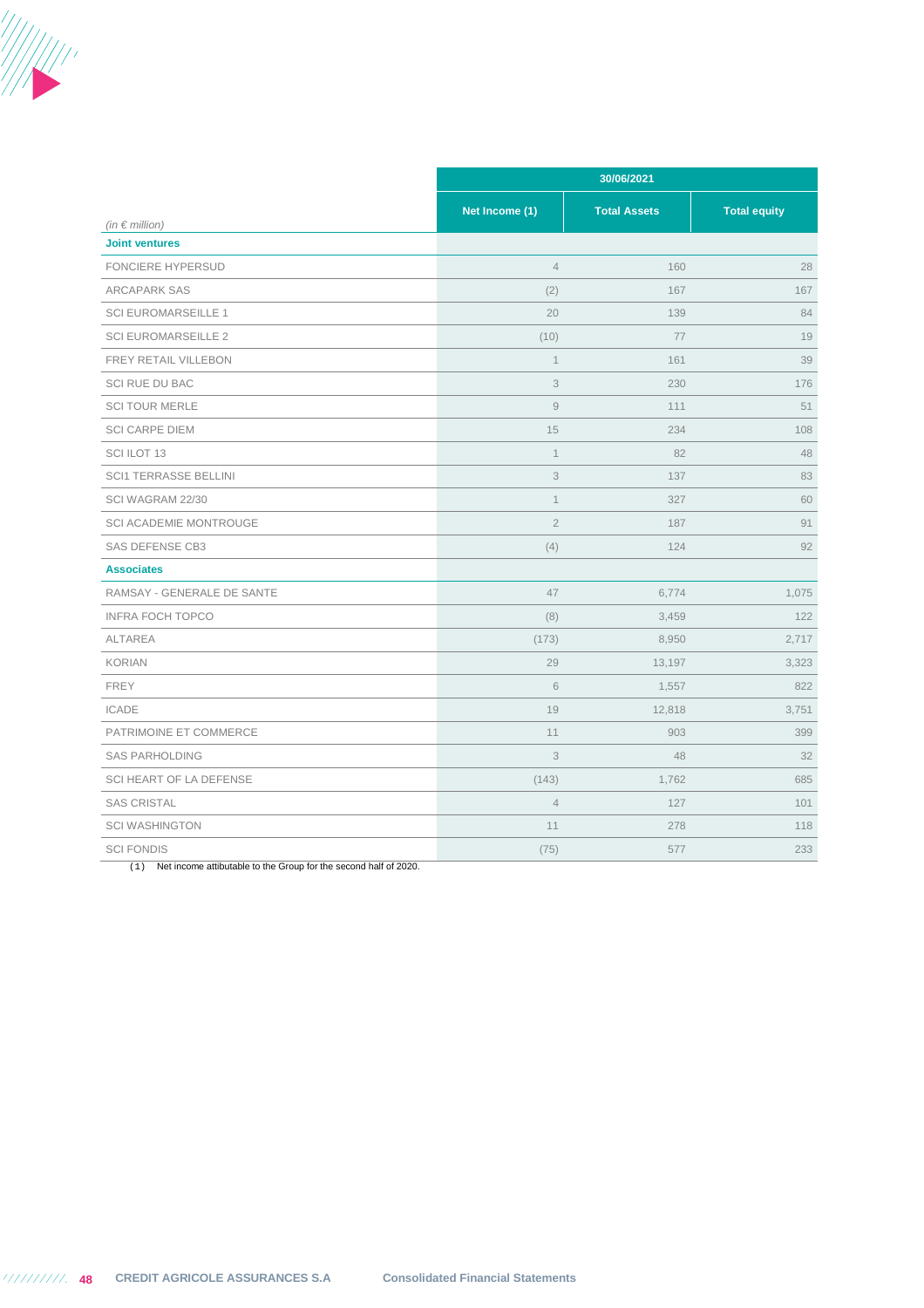

|                              |                | 30/06/2021          |                     |  |  |  |  |  |  |
|------------------------------|----------------|---------------------|---------------------|--|--|--|--|--|--|
| (in $\epsilon$ million)      | Net Income (1) | <b>Total Assets</b> | <b>Total equity</b> |  |  |  |  |  |  |
| <b>Joint ventures</b>        |                |                     |                     |  |  |  |  |  |  |
| <b>FONCIERE HYPERSUD</b>     | $\overline{4}$ | 160                 | 28                  |  |  |  |  |  |  |
| <b>ARCAPARK SAS</b>          | (2)            | 167                 | 167                 |  |  |  |  |  |  |
| <b>SCI EUROMARSEILLE 1</b>   | 20             | 139                 | 84                  |  |  |  |  |  |  |
| <b>SCI EUROMARSEILLE 2</b>   | (10)           | 77                  | 19                  |  |  |  |  |  |  |
| FREY RETAIL VILLEBON         | $\mathbf 1$    | 161                 | 39                  |  |  |  |  |  |  |
| SCI RUE DU BAC               | $\mathfrak{Z}$ | 230                 | 176                 |  |  |  |  |  |  |
| <b>SCI TOUR MERLE</b>        | $\mathcal G$   | 111                 | 51                  |  |  |  |  |  |  |
| <b>SCI CARPE DIEM</b>        | 15             | 234                 | 108                 |  |  |  |  |  |  |
| SCI ILOT 13                  | $\mathbf{1}$   | 82                  | 48                  |  |  |  |  |  |  |
| <b>SCI1 TERRASSE BELLINI</b> | $\mathfrak{Z}$ | 137                 | 83                  |  |  |  |  |  |  |
| SCI WAGRAM 22/30             | $\mathbf 1$    | 327                 | 60                  |  |  |  |  |  |  |
| SCI ACADEMIE MONTROUGE       | $\overline{2}$ | 187                 | 91                  |  |  |  |  |  |  |
| SAS DEFENSE CB3              | (4)            | 124                 | 92                  |  |  |  |  |  |  |
| <b>Associates</b>            |                |                     |                     |  |  |  |  |  |  |
| RAMSAY - GENERALE DE SANTE   | 47             | 6,774               | 1,075               |  |  |  |  |  |  |
| <b>INFRA FOCH TOPCO</b>      | (8)            | 3,459               | 122                 |  |  |  |  |  |  |
| <b>ALTAREA</b>               | (173)          | 8,950               | 2,717               |  |  |  |  |  |  |
| <b>KORIAN</b>                | 29             | 13,197              | 3,323               |  |  |  |  |  |  |
| <b>FREY</b>                  | 6              | 1,557               | 822                 |  |  |  |  |  |  |
| <b>ICADE</b>                 | 19             | 12,818              | 3,751               |  |  |  |  |  |  |
| PATRIMOINE ET COMMERCE       | 11             | 903                 | 399                 |  |  |  |  |  |  |
| <b>SAS PARHOLDING</b>        | 3              | 48                  | 32                  |  |  |  |  |  |  |
| SCI HEART OF LA DEFENSE      | (143)          | 1,762               | 685                 |  |  |  |  |  |  |
| <b>SAS CRISTAL</b>           | $\overline{4}$ | 127                 | 101                 |  |  |  |  |  |  |
| <b>SCI WASHINGTON</b>        | 11             | 278                 | 118                 |  |  |  |  |  |  |
| <b>SCI FONDIS</b>            | (75)           | 577                 | 233                 |  |  |  |  |  |  |

(1) Net income attibutable to the Group for the second half of 2020.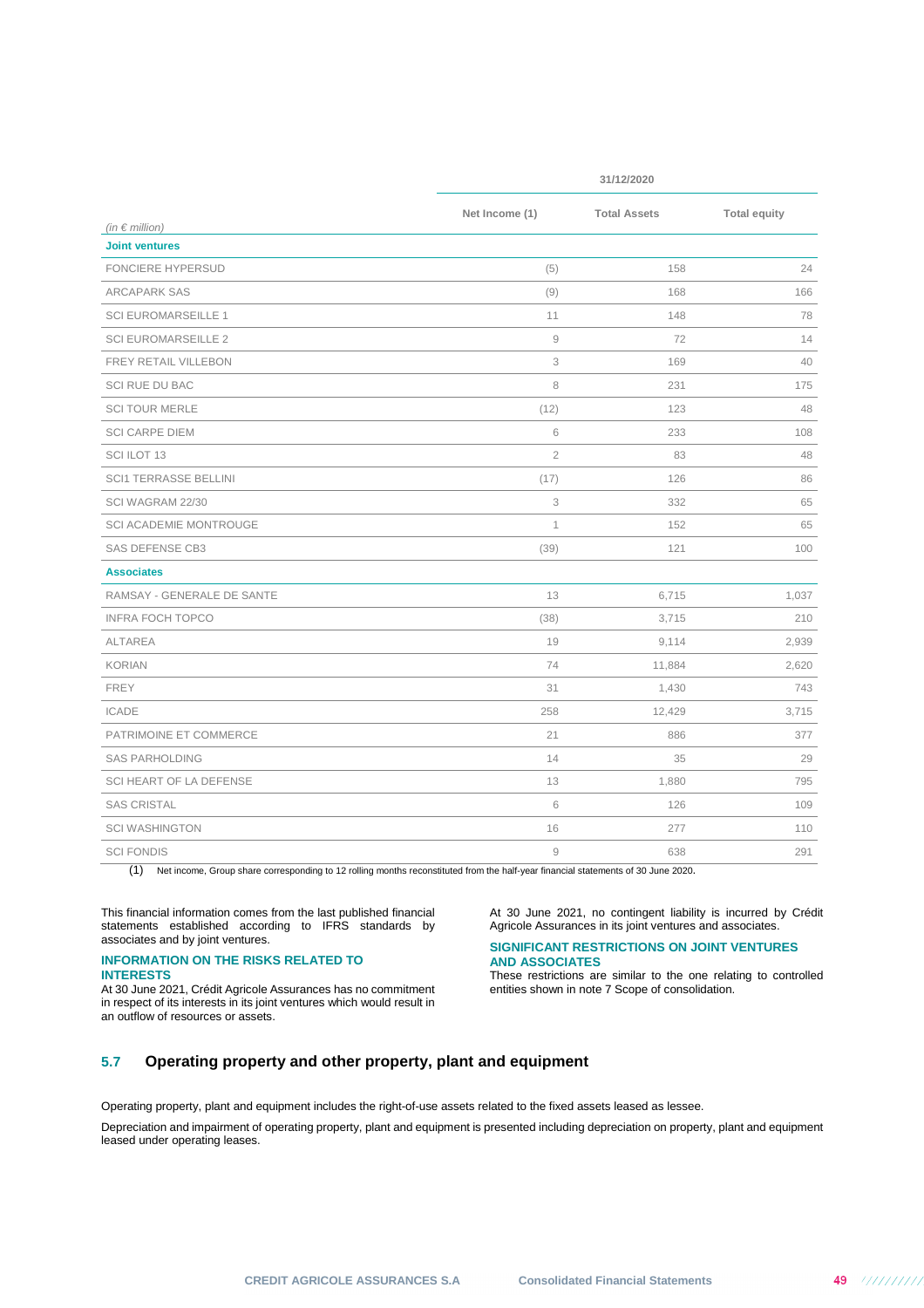|                                                  | 31/12/2020     |                     |                     |  |
|--------------------------------------------------|----------------|---------------------|---------------------|--|
|                                                  | Net Income (1) | <b>Total Assets</b> | <b>Total equity</b> |  |
| (in $\epsilon$ million)<br><b>Joint ventures</b> |                |                     |                     |  |
| <b>FONCIERE HYPERSUD</b>                         | (5)            | 158                 | 24                  |  |
| <b>ARCAPARK SAS</b>                              | (9)            | 168                 | 166                 |  |
| <b>SCI EUROMARSEILLE 1</b>                       | 11             | 148                 | 78                  |  |
| <b>SCI EUROMARSEILLE 2</b>                       | $\hbox{9}$     | 72                  | 14                  |  |
| FREY RETAIL VILLEBON                             | 3              | 169                 | 40                  |  |
| SCI RUE DU BAC                                   | 8              | 231                 | 175                 |  |
| <b>SCI TOUR MERLE</b>                            | (12)           | 123                 | 48                  |  |
| <b>SCI CARPE DIEM</b>                            | 6              | 233                 | 108                 |  |
| SCI ILOT 13                                      | $\overline{2}$ | 83                  | 48                  |  |
| <b>SCI1 TERRASSE BELLINI</b>                     | (17)           | 126                 | 86                  |  |
| SCI WAGRAM 22/30                                 | 3              | 332                 | 65                  |  |
| SCI ACADEMIE MONTROUGE                           | 1              | 152                 | 65                  |  |
| <b>SAS DEFENSE CB3</b>                           | (39)           | 121                 | 100                 |  |
| <b>Associates</b>                                |                |                     |                     |  |
| RAMSAY - GENERALE DE SANTE                       | 13             | 6,715               | 1,037               |  |
| <b>INFRA FOCH TOPCO</b>                          | (38)           | 3,715               | 210                 |  |
| <b>ALTAREA</b>                                   | 19             | 9,114               | 2,939               |  |
| <b>KORIAN</b>                                    | 74             | 11,884              | 2,620               |  |
| <b>FREY</b>                                      | 31             | 1,430               | 743                 |  |
| <b>ICADE</b>                                     | 258            | 12,429              | 3,715               |  |
| PATRIMOINE ET COMMERCE                           | 21             | 886                 | 377                 |  |
| <b>SAS PARHOLDING</b>                            | 14             | 35                  | 29                  |  |
| SCI HEART OF LA DEFENSE                          | 13             | 1,880               | 795                 |  |
| <b>SAS CRISTAL</b>                               | 6              | 126                 | 109                 |  |
| <b>SCI WASHINGTON</b>                            | 16             | 277                 | 110                 |  |
| <b>SCI FONDIS</b>                                | $\overline{9}$ | 638                 | 291                 |  |

(1) Net income, Group share corresponding to 12 rolling months reconstituted from the half-year financial statements of 30 June 2020.

This financial information comes from the last published financial statements established according to IFRS standards by associates and by joint ventures.

### **INFORMATION ON THE RISKS RELATED TO INTERESTS**

At 30 June 2021, Crédit Agricole Assurances has no commitment in respect of its interests in its joint ventures which would result in an outflow of resources or assets.

At 30 June 2021, no contingent liability is incurred by Crédit Agricole Assurances in its joint ventures and associates.

### **SIGNIFICANT RESTRICTIONS ON JOINT VENTURES AND ASSOCIATES**

These restrictions are similar to the one relating to controlled entities shown in note 7 Scope of consolidation.

## **5.7 Operating property and other property, plant and equipment**

Operating property, plant and equipment includes the right-of-use assets related to the fixed assets leased as lessee.

Depreciation and impairment of operating property, plant and equipment is presented including depreciation on property, plant and equipment leased under operating leases.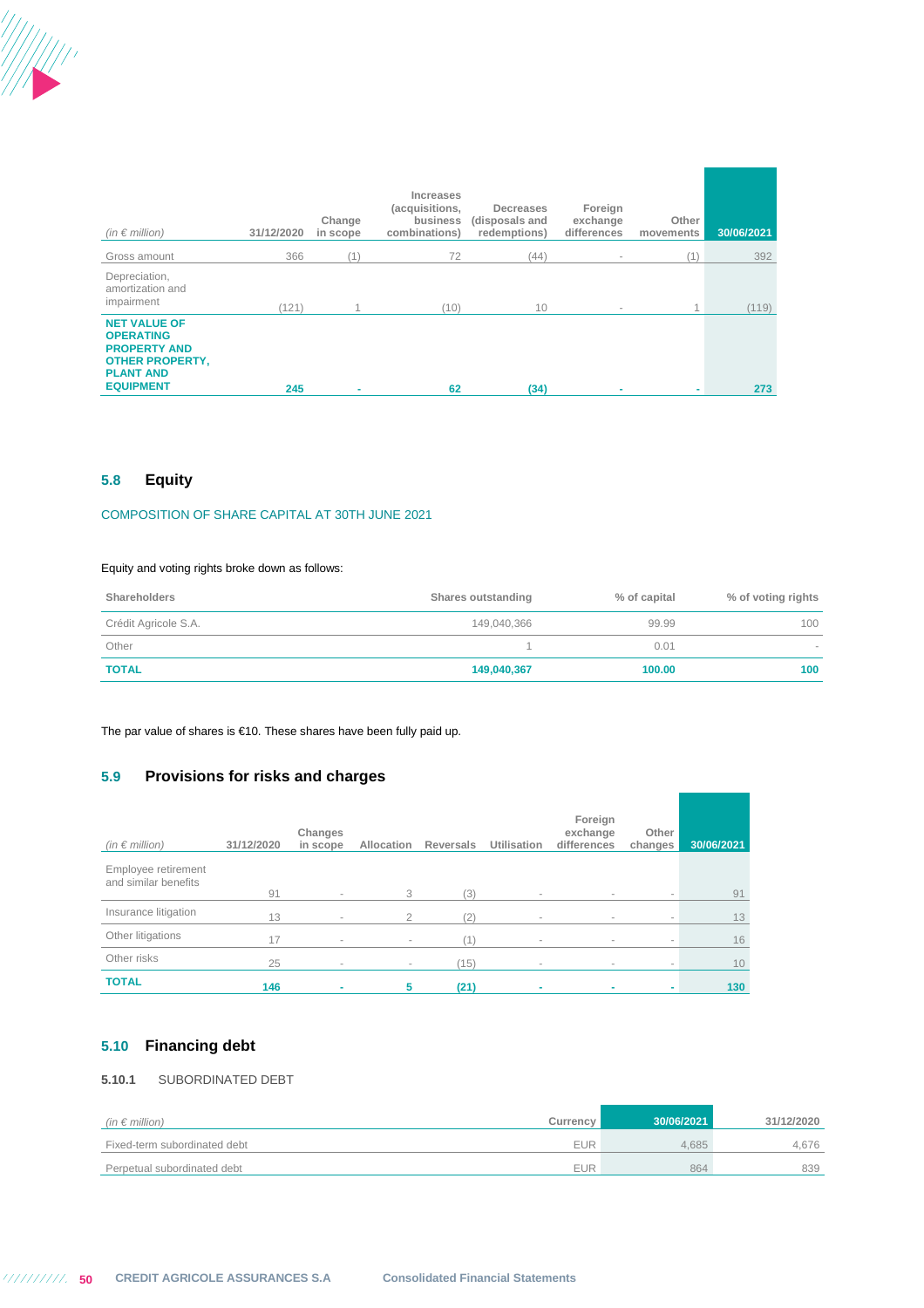

| $(in \in million)$                                                                                                               | 31/12/2020 | Change<br>in scope | Increases<br>(acquisitions,<br>business<br>combinations) | Decreases<br>(disposals and<br>redemptions) | Foreign<br>exchange<br>differences | Other<br>movements | 30/06/2021 |
|----------------------------------------------------------------------------------------------------------------------------------|------------|--------------------|----------------------------------------------------------|---------------------------------------------|------------------------------------|--------------------|------------|
| Gross amount                                                                                                                     | 366        | (1)                | 72                                                       | (44)                                        | $\sim$                             | (1)                | 392        |
| Depreciation,<br>amortization and<br>impairment                                                                                  | (121)      |                    | (10)                                                     | 10                                          | $\sim$                             | 1                  | (119)      |
| <b>NET VALUE OF</b><br><b>OPERATING</b><br><b>PROPERTY AND</b><br><b>OTHER PROPERTY,</b><br><b>PLANT AND</b><br><b>EQUIPMENT</b> | 245        | ۰                  | 62                                                       | (34)                                        | ۰                                  | ۰                  | 273        |

## **5.8 Equity**

## COMPOSITION OF SHARE CAPITAL AT 30TH JUNE 2021

### Equity and voting rights broke down as follows:

| Shareholders         | Shares outstanding | % of capital | % of voting rights |
|----------------------|--------------------|--------------|--------------------|
| Crédit Agricole S.A. | 149,040,366        | 99.99        | 100                |
| Other                |                    | 0.01         | -                  |
| <b>TOTAL</b>         | 149,040,367        | 100.00       | 100                |

The par value of shares is €10. These shares have been fully paid up.

## **5.9 Provisions for risks and charges**

| (in $\epsilon$ million)                     | 31/12/2020 | Changes<br>in scope | Allocation               | <b>Reversals</b> | <b>Utilisation</b> | Foreign<br>exchange<br>differences | Other<br>changes | 30/06/2021 |
|---------------------------------------------|------------|---------------------|--------------------------|------------------|--------------------|------------------------------------|------------------|------------|
| Employee retirement<br>and similar benefits | 91         | $\sim$              | 3                        | (3)              | $\sim$             | $\sim$                             | $\sim$           | 91         |
| Insurance litigation                        | 13         | $\sim$              | $\mathcal{P}$            | (2)              | $\sim$             | $\sim$                             | $\sim$           | 13         |
| Other litigations                           | 17         | $\sim$              | $\overline{\phantom{a}}$ |                  | $\sim$             | $\sim$                             | $\sim$           | 16         |
| Other risks                                 | 25         | $\sim$              | $\sim$                   | (15)             | $\sim$             | $\sim$                             | $\sim$           | 10         |
| <b>TOTAL</b>                                | 146        |                     | 5                        | (21)             |                    |                                    | ۰                | 130        |

## **5.10 Financing debt**

## **5.10.1** SUBORDINATED DEBT

| (in $\in$ million)           | Currency   | 30/06/2021 | 31/12/2020 |
|------------------------------|------------|------------|------------|
| Fixed-term subordinated debt | <b>EUR</b> | 4.685      | 4.676      |
| Perpetual subordinated debt  | <b>EUR</b> | 864        | 839        |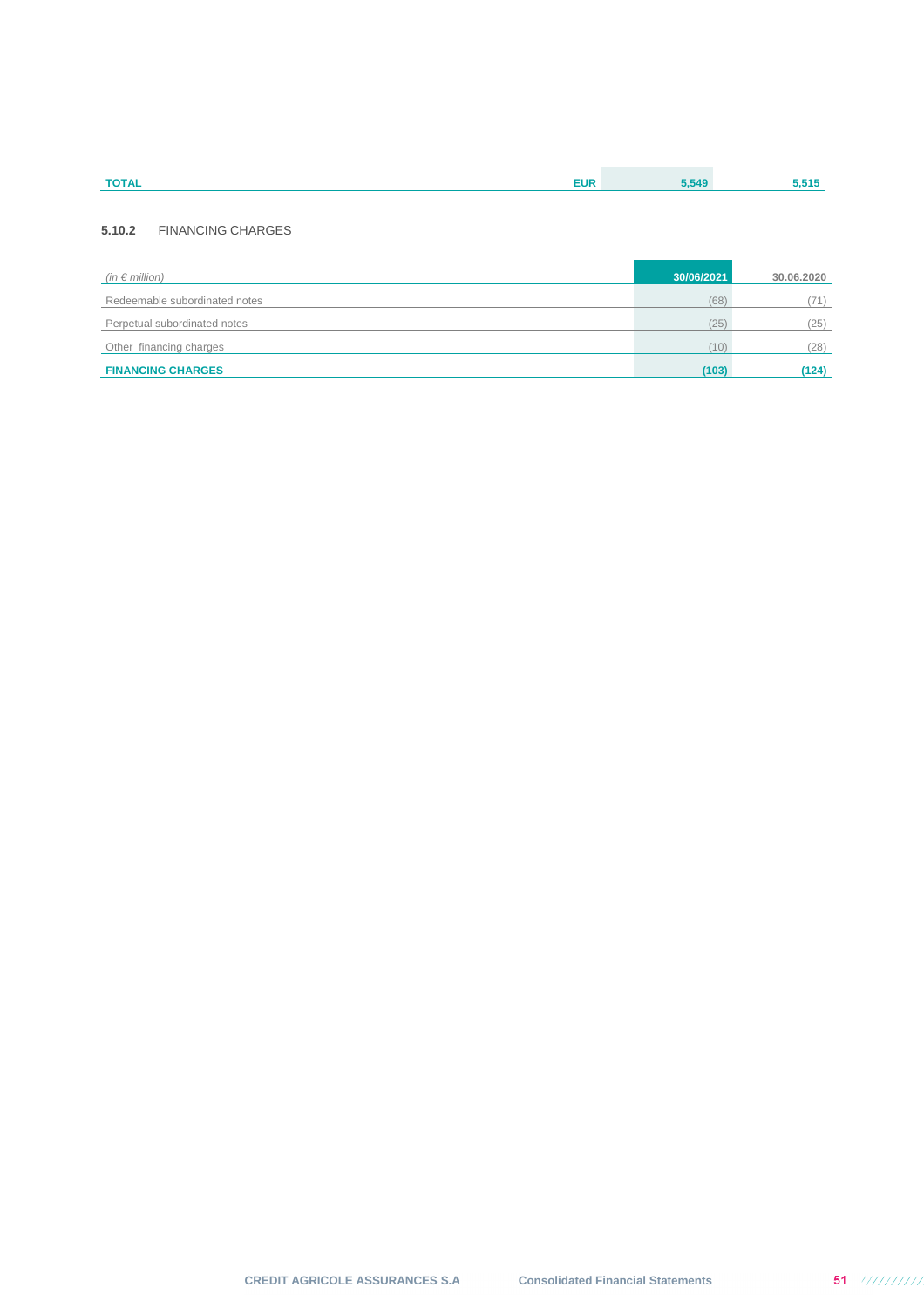| <b>TOTAL</b> | <b>EUR</b> | 550 |  |
|--------------|------------|-----|--|
|              |            |     |  |

## **5.10.2** FINANCING CHARGES

| (in $\epsilon$ million)       | 30/06/2021 | 30.06.2020 |
|-------------------------------|------------|------------|
| Redeemable subordinated notes | (68)       | (71)       |
| Perpetual subordinated notes  | (25)       | (25)       |
| Other financing charges       | (10)       | (28)       |
| <b>FINANCING CHARGES</b>      | (103)      | (124)      |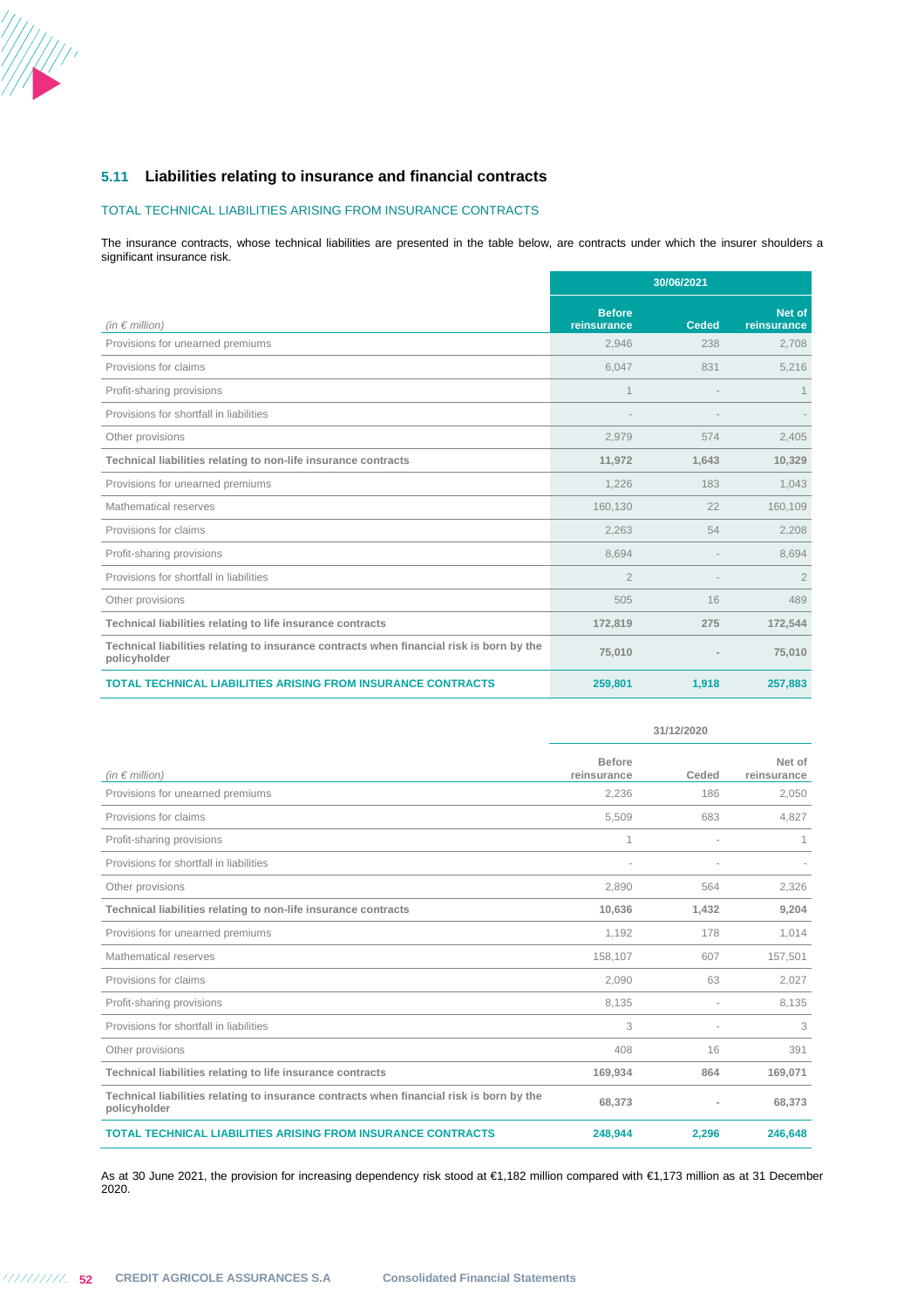

### TOTAL TECHNICAL LIABILITIES ARISING FROM INSURANCE CONTRACTS

The insurance contracts, whose technical liabilities are presented in the table below, are contracts under which the insurer shoulders a significant insurance risk.

|                                                                                                          | 30/06/2021                   |              |                       |
|----------------------------------------------------------------------------------------------------------|------------------------------|--------------|-----------------------|
| (in $\epsilon$ million)                                                                                  | <b>Before</b><br>reinsurance | <b>Ceded</b> | Net of<br>reinsurance |
| Provisions for unearned premiums                                                                         | 2,946                        | 238          | 2,708                 |
| Provisions for claims                                                                                    | 6,047                        | 831          | 5,216                 |
| Profit-sharing provisions                                                                                | $\mathbf 1$                  |              | $\mathbf 1$           |
| Provisions for shortfall in liabilities                                                                  |                              |              |                       |
| Other provisions                                                                                         | 2,979                        | 574          | 2,405                 |
| Technical liabilities relating to non-life insurance contracts                                           | 11,972                       | 1,643        | 10,329                |
| Provisions for unearned premiums                                                                         | 1,226                        | 183          | 1,043                 |
| Mathematical reserves                                                                                    | 160,130                      | 22           | 160,109               |
| Provisions for claims                                                                                    | 2,263                        | 54           | 2,208                 |
| Profit-sharing provisions                                                                                | 8,694                        |              | 8,694                 |
| Provisions for shortfall in liabilities                                                                  | $\overline{2}$               |              | $\overline{2}$        |
| Other provisions                                                                                         | 505                          | 16           | 489                   |
| Technical liabilities relating to life insurance contracts                                               | 172,819                      | 275          | 172,544               |
| Technical liabilities relating to insurance contracts when financial risk is born by the<br>policyholder | 75,010                       |              | 75,010                |
| <b>TOTAL TECHNICAL LIABILITIES ARISING FROM INSURANCE CONTRACTS</b>                                      | 259,801                      | 1,918        | 257,883               |

|                                                                                                          | 31/12/2020                   |       |                       |
|----------------------------------------------------------------------------------------------------------|------------------------------|-------|-----------------------|
| (in $\epsilon$ million)                                                                                  | <b>Before</b><br>reinsurance | Ceded | Net of<br>reinsurance |
| Provisions for unearned premiums                                                                         | 2,236                        | 186   | 2,050                 |
| Provisions for claims                                                                                    | 5,509                        | 683   | 4,827                 |
| Profit-sharing provisions                                                                                | 1                            |       | 1                     |
| Provisions for shortfall in liabilities                                                                  |                              | ÷,    |                       |
| Other provisions                                                                                         | 2,890                        | 564   | 2,326                 |
| Technical liabilities relating to non-life insurance contracts                                           | 10,636                       | 1,432 | 9,204                 |
| Provisions for unearned premiums                                                                         | 1.192                        | 178   | 1,014                 |
| Mathematical reserves                                                                                    | 158,107                      | 607   | 157,501               |
| Provisions for claims                                                                                    | 2,090                        | 63    | 2,027                 |
| Profit-sharing provisions                                                                                | 8,135                        |       | 8,135                 |
| Provisions for shortfall in liabilities                                                                  | 3                            |       | 3                     |
| Other provisions                                                                                         | 408                          | 16    | 391                   |
| Technical liabilities relating to life insurance contracts                                               | 169,934                      | 864   | 169,071               |
| Technical liabilities relating to insurance contracts when financial risk is born by the<br>policyholder | 68,373                       | ×,    | 68,373                |
| <b>TOTAL TECHNICAL LIABILITIES ARISING FROM INSURANCE CONTRACTS</b>                                      | 248,944                      | 2,296 | 246,648               |

As at 30 June 2021, the provision for increasing dependency risk stood at €1,182 million compared with €1,173 million as at 31 December 2020.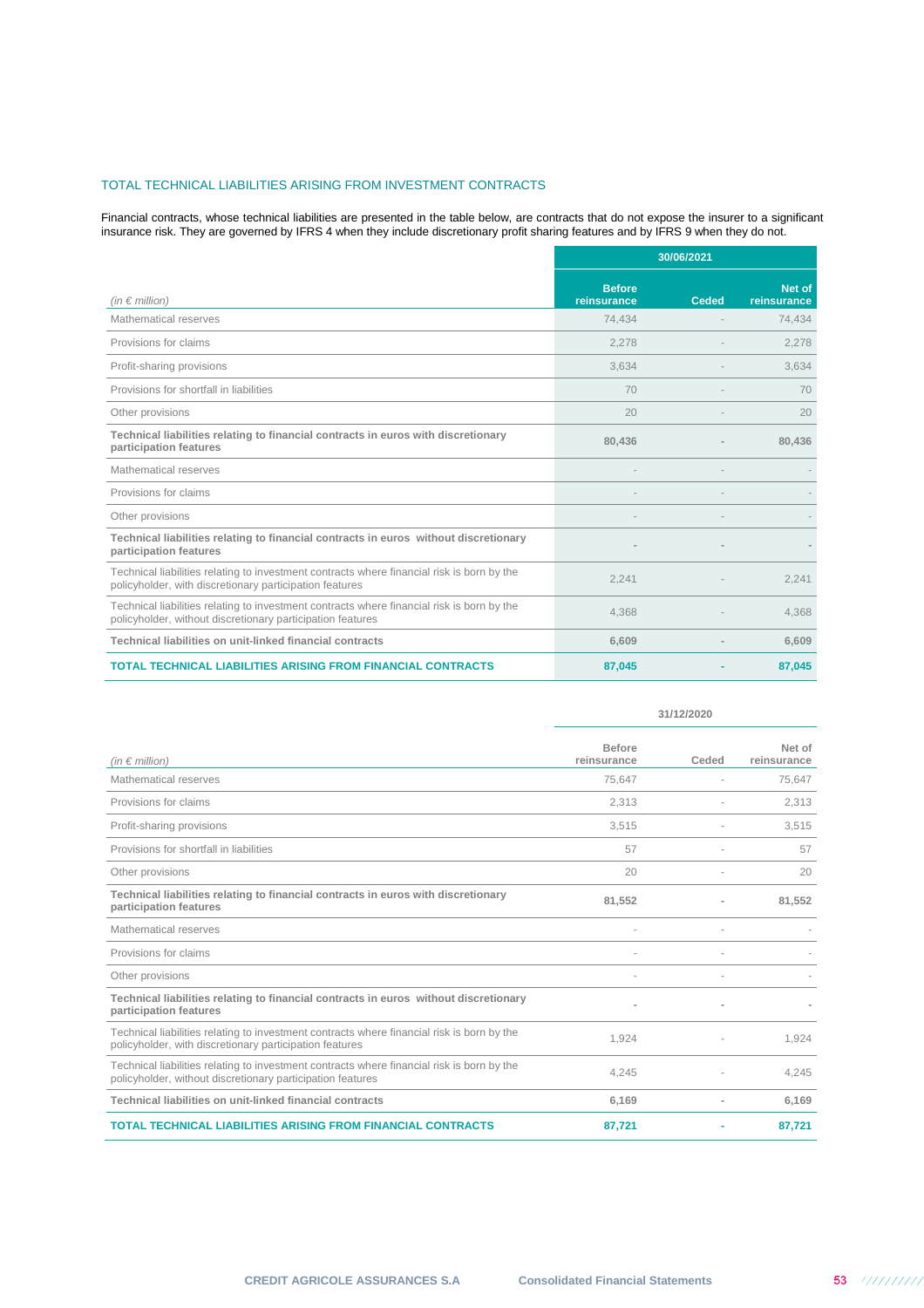### TOTAL TECHNICAL LIABILITIES ARISING FROM INVESTMENT CONTRACTS

Financial contracts, whose technical liabilities are presented in the table below, are contracts that do not expose the insurer to a significant insurance risk. They are governed by IFRS 4 when they include discretionary profit sharing features and by IFRS 9 when they do not.

|                                                                                                                                                          | 30/06/2021                   |       |                       |
|----------------------------------------------------------------------------------------------------------------------------------------------------------|------------------------------|-------|-----------------------|
| (in $\epsilon$ million)                                                                                                                                  | <b>Before</b><br>reinsurance | Ceded | Net of<br>reinsurance |
| Mathematical reserves                                                                                                                                    | 74,434                       |       | 74,434                |
| Provisions for claims                                                                                                                                    | 2,278                        |       | 2,278                 |
| Profit-sharing provisions                                                                                                                                | 3,634                        |       | 3,634                 |
| Provisions for shortfall in liabilities                                                                                                                  | 70                           |       | 70                    |
| Other provisions                                                                                                                                         | 20                           |       | 20                    |
| Technical liabilities relating to financial contracts in euros with discretionary<br>participation features                                              | 80,436                       |       | 80.436                |
| Mathematical reserves                                                                                                                                    |                              |       |                       |
| Provisions for claims                                                                                                                                    |                              |       |                       |
| Other provisions                                                                                                                                         |                              |       |                       |
| Technical liabilities relating to financial contracts in euros without discretionary<br>participation features                                           |                              |       |                       |
| Technical liabilities relating to investment contracts where financial risk is born by the<br>policyholder, with discretionary participation features    | 2,241                        |       | 2,241                 |
| Technical liabilities relating to investment contracts where financial risk is born by the<br>policyholder, without discretionary participation features | 4,368                        |       | 4,368                 |
| Technical liabilities on unit-linked financial contracts                                                                                                 | 6,609                        |       | 6,609                 |
| <b>TOTAL TECHNICAL LIABILITIES ARISING FROM FINANCIAL CONTRACTS</b>                                                                                      | 87,045                       |       | 87,045                |

|                                                                                                                                                          | 31/12/2020                   |       |                       |
|----------------------------------------------------------------------------------------------------------------------------------------------------------|------------------------------|-------|-----------------------|
| (in $\notin$ million)                                                                                                                                    | <b>Before</b><br>reinsurance | Ceded | Net of<br>reinsurance |
| Mathematical reserves                                                                                                                                    | 75,647                       |       | 75,647                |
| Provisions for claims                                                                                                                                    | 2,313                        |       | 2,313                 |
| Profit-sharing provisions                                                                                                                                | 3,515                        |       | 3,515                 |
| Provisions for shortfall in liabilities                                                                                                                  | 57                           |       | 57                    |
| Other provisions                                                                                                                                         | 20                           |       | 20                    |
| Technical liabilities relating to financial contracts in euros with discretionary<br>participation features                                              | 81,552                       |       | 81,552                |
| Mathematical reserves                                                                                                                                    |                              |       |                       |
| Provisions for claims                                                                                                                                    |                              |       |                       |
| Other provisions                                                                                                                                         |                              |       |                       |
| Technical liabilities relating to financial contracts in euros without discretionary<br>participation features                                           |                              |       |                       |
| Technical liabilities relating to investment contracts where financial risk is born by the<br>policyholder, with discretionary participation features    | 1,924                        |       | 1,924                 |
| Technical liabilities relating to investment contracts where financial risk is born by the<br>policyholder, without discretionary participation features | 4,245                        |       | 4,245                 |
| Technical liabilities on unit-linked financial contracts                                                                                                 | 6,169                        |       | 6,169                 |
| <b>TOTAL TECHNICAL LIABILITIES ARISING FROM FINANCIAL CONTRACTS</b>                                                                                      | 87,721                       |       | 87,721                |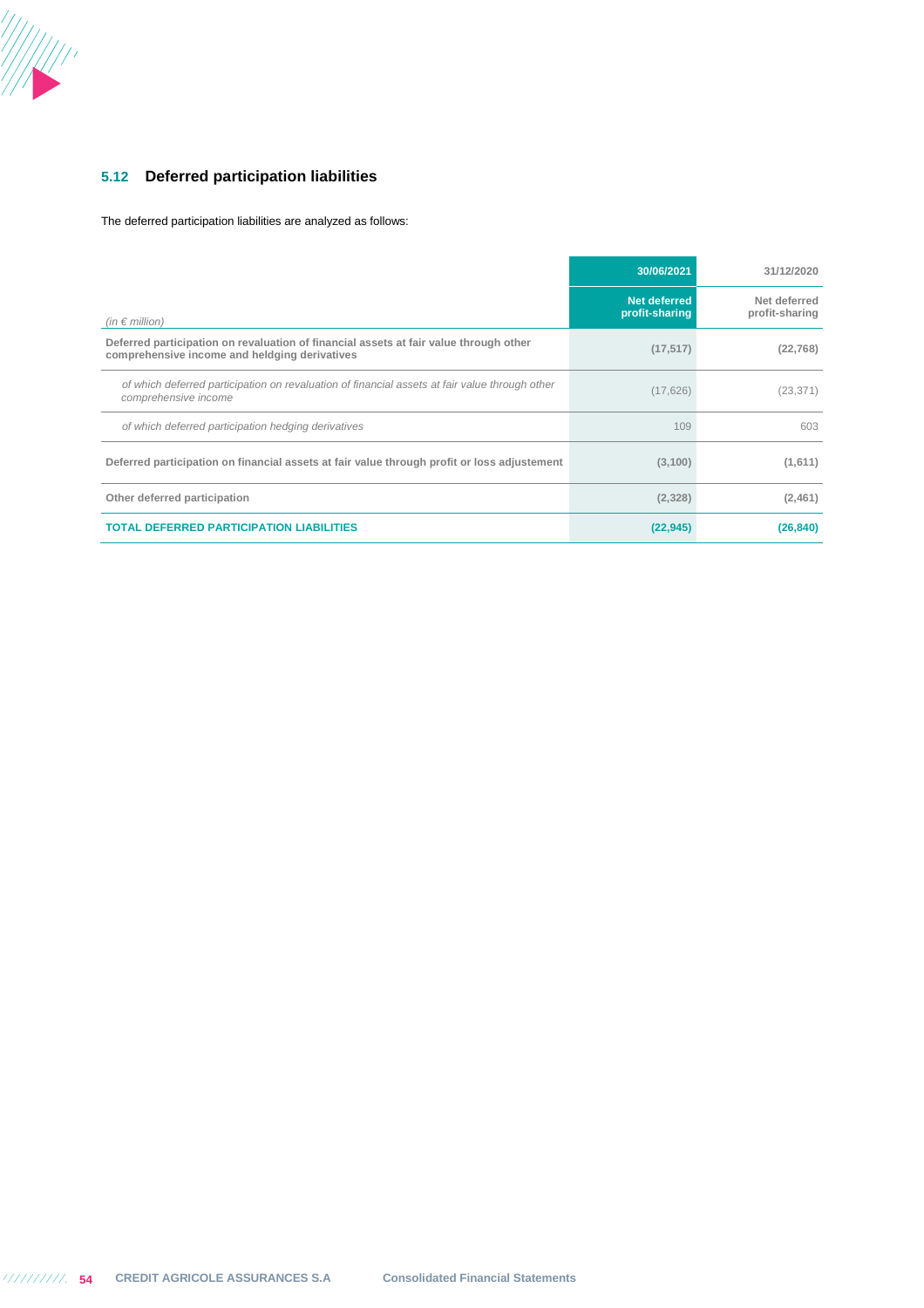

## **5.12 Deferred participation liabilities**

The deferred participation liabilities are analyzed as follows:

|                                                                                                                                        | 30/06/2021                     | 31/12/2020                     |
|----------------------------------------------------------------------------------------------------------------------------------------|--------------------------------|--------------------------------|
| (in $\epsilon$ million)                                                                                                                | Net deferred<br>profit-sharing | Net deferred<br>profit-sharing |
| Deferred participation on revaluation of financial assets at fair value through other<br>comprehensive income and heldging derivatives | (17, 517)                      | (22, 768)                      |
| of which deferred participation on revaluation of financial assets at fair value through other<br>comprehensive income                 | (17, 626)                      | (23, 371)                      |
| of which deferred participation hedging derivatives                                                                                    | 109                            | 603                            |
| Deferred participation on financial assets at fair value through profit or loss adjustement                                            | (3,100)                        | (1,611)                        |
| Other deferred participation                                                                                                           | (2,328)                        | (2,461)                        |
| <b>TOTAL DEFERRED PARTICIPATION LIABILITIES</b>                                                                                        | (22, 945)                      | (26, 840)                      |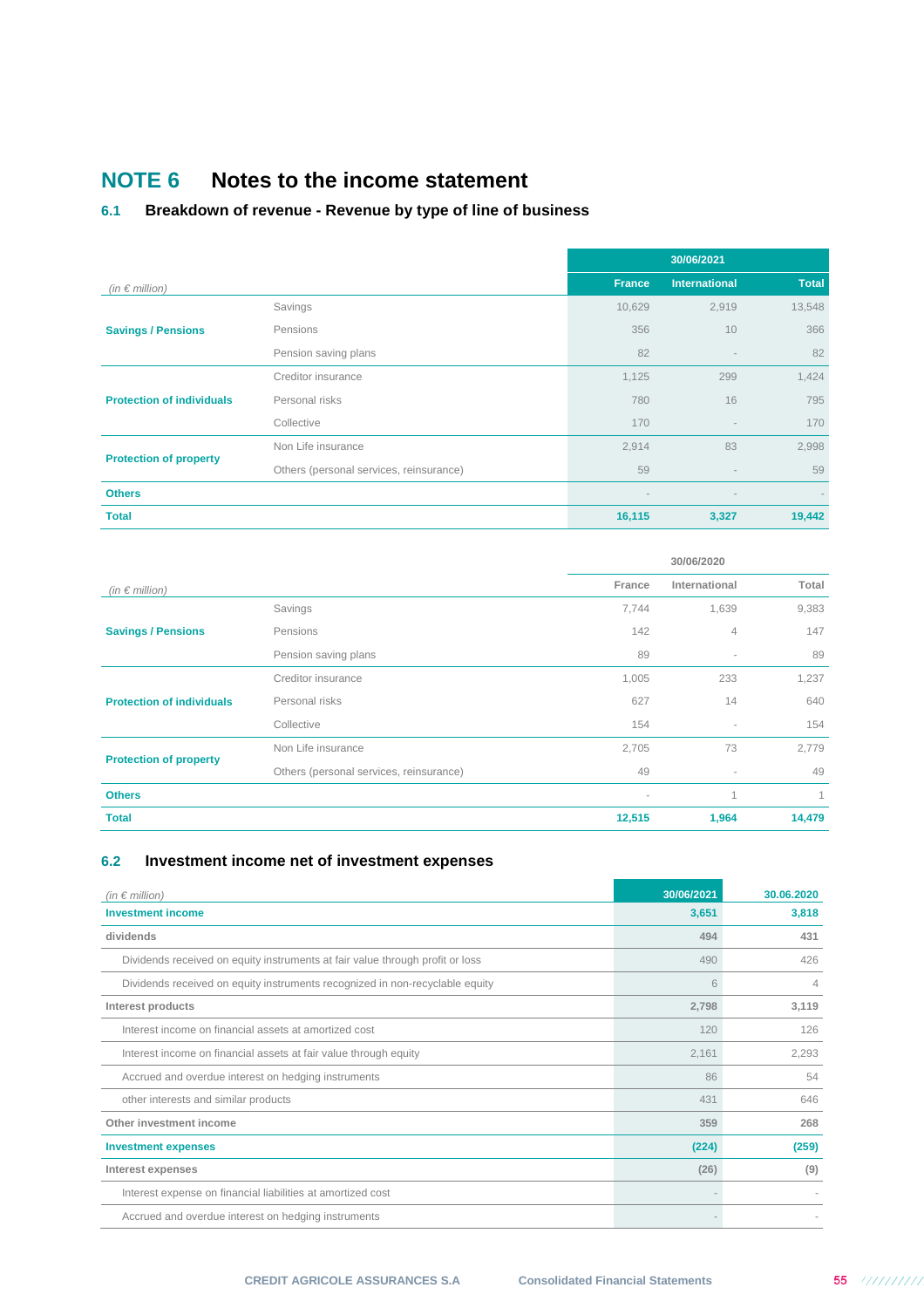# **NOTE 6 Notes to the income statement**

## **6.1 Breakdown of revenue - Revenue by type of line of business**

|                                  |                                         | 30/06/2021    |                          |                          |
|----------------------------------|-----------------------------------------|---------------|--------------------------|--------------------------|
| (in $\epsilon$ million)          |                                         | <b>France</b> | <b>International</b>     | <b>Total</b>             |
|                                  | Savings                                 | 10,629        | 2,919                    | 13,548                   |
| <b>Savings / Pensions</b>        | Pensions                                | 356           | 10                       | 366                      |
|                                  | Pension saving plans                    | 82            | $\overline{\phantom{a}}$ | 82                       |
|                                  | Creditor insurance                      | 1,125         | 299                      | 1,424                    |
| <b>Protection of individuals</b> | Personal risks                          | 780           | 16                       | 795                      |
|                                  | Collective                              | 170           | $\overline{\phantom{m}}$ | 170                      |
|                                  | Non Life insurance                      | 2,914         | 83                       | 2,998                    |
| <b>Protection of property</b>    | Others (personal services, reinsurance) | 59            |                          | 59                       |
| <b>Others</b>                    |                                         |               | $\qquad \qquad =\qquad$  | $\overline{\phantom{a}}$ |
| <b>Total</b>                     |                                         | 16,115        | 3,327                    | 19,442                   |

|                                  |                                         | 30/06/2020 |                          |        |  |  |
|----------------------------------|-----------------------------------------|------------|--------------------------|--------|--|--|
| (in $\epsilon$ million)          |                                         | France     | International            | Total  |  |  |
|                                  | Savings                                 | 7,744      | 1,639                    | 9,383  |  |  |
| <b>Savings / Pensions</b>        | Pensions                                | 142        | $\overline{4}$           | 147    |  |  |
|                                  | Pension saving plans                    | 89         | $\overline{\phantom{a}}$ | 89     |  |  |
|                                  | Creditor insurance                      | 1,005      | 233                      | 1,237  |  |  |
| <b>Protection of individuals</b> | Personal risks                          | 627        | 14                       | 640    |  |  |
|                                  | Collective                              | 154        | $\sim$                   | 154    |  |  |
|                                  | Non Life insurance                      | 2,705      | 73                       | 2,779  |  |  |
| <b>Protection of property</b>    | Others (personal services, reinsurance) | 49         | $\overline{\phantom{a}}$ | 49     |  |  |
| <b>Others</b>                    |                                         | ٠          | 1                        |        |  |  |
| <b>Total</b>                     |                                         | 12,515     | 1,964                    | 14,479 |  |  |

## **6.2 Investment income net of investment expenses**

| (in $\epsilon$ million)                                                       | 30/06/2021 | 30.06.2020 |
|-------------------------------------------------------------------------------|------------|------------|
| <b>Investment income</b>                                                      | 3,651      | 3,818      |
| dividends                                                                     | 494        | 431        |
| Dividends received on equity instruments at fair value through profit or loss | 490        | 426        |
| Dividends received on equity instruments recognized in non-recyclable equity  | 6          | 4          |
| Interest products                                                             | 2,798      | 3,119      |
| Interest income on financial assets at amortized cost                         | 120        | 126        |
| Interest income on financial assets at fair value through equity              | 2,161      | 2,293      |
| Accrued and overdue interest on hedging instruments                           | 86         | 54         |
| other interests and similar products                                          | 431        | 646        |
| Other investment income                                                       | 359        | 268        |
| <b>Investment expenses</b>                                                    | (224)      | (259)      |
| Interest expenses                                                             | (26)       | (9)        |
| Interest expense on financial liabilities at amortized cost                   |            |            |
| Accrued and overdue interest on hedging instruments                           |            |            |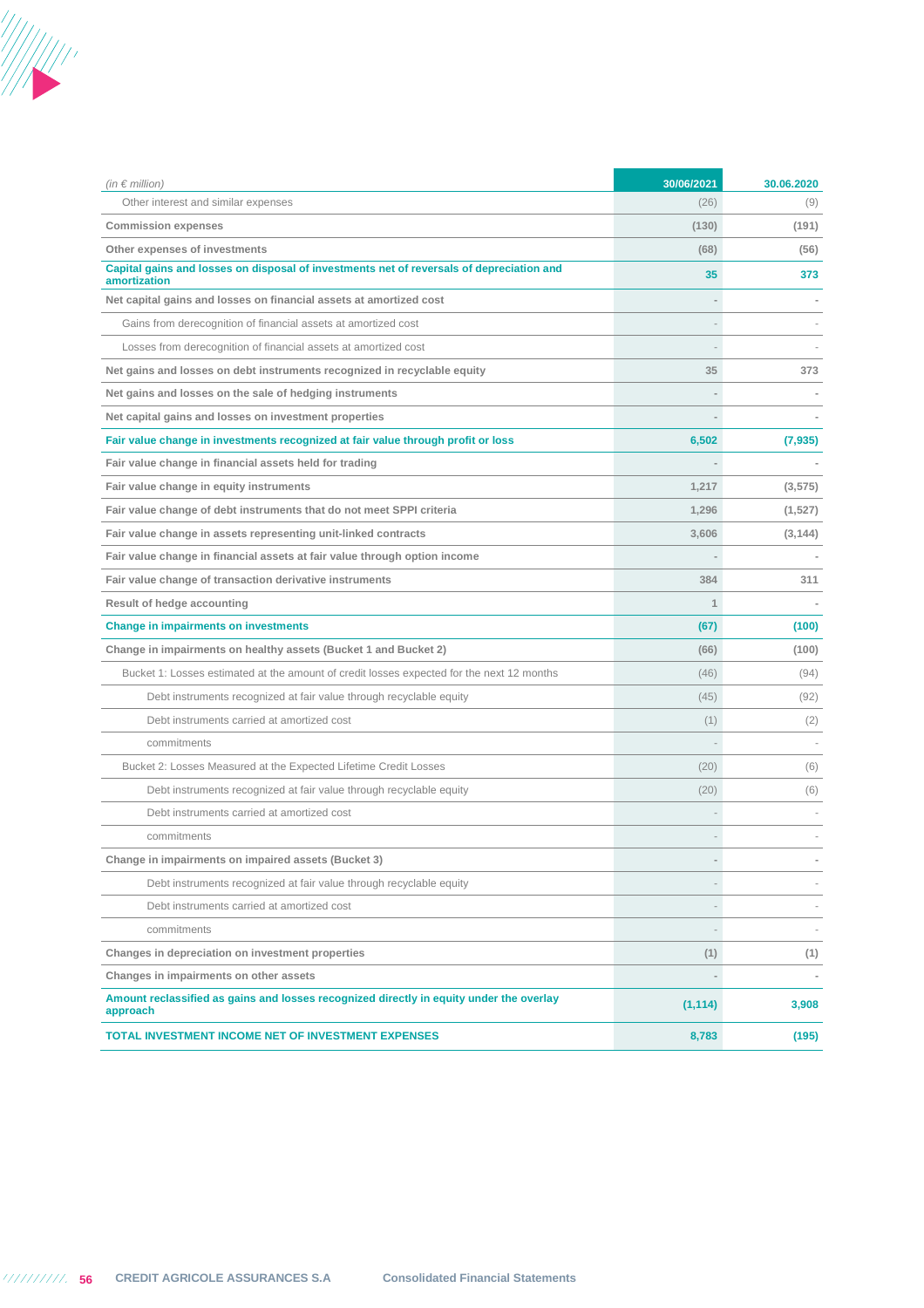

| (in $\epsilon$ million)                                                                                  | 30/06/2021 | 30.06.2020 |
|----------------------------------------------------------------------------------------------------------|------------|------------|
| Other interest and similar expenses                                                                      | (26)       | (9)        |
| <b>Commission expenses</b>                                                                               | (130)      | (191)      |
| Other expenses of investments                                                                            | (68)       | (56)       |
| Capital gains and losses on disposal of investments net of reversals of depreciation and<br>amortization | 35         | 373        |
| Net capital gains and losses on financial assets at amortized cost                                       |            |            |
| Gains from derecognition of financial assets at amortized cost                                           |            |            |
| Losses from derecognition of financial assets at amortized cost                                          |            |            |
| Net gains and losses on debt instruments recognized in recyclable equity                                 | 35         | 373        |
| Net gains and losses on the sale of hedging instruments                                                  |            |            |
| Net capital gains and losses on investment properties                                                    |            |            |
| Fair value change in investments recognized at fair value through profit or loss                         | 6,502      | (7, 935)   |
| Fair value change in financial assets held for trading                                                   |            |            |
| Fair value change in equity instruments                                                                  | 1,217      | (3, 575)   |
| Fair value change of debt instruments that do not meet SPPI criteria                                     | 1,296      | (1,527)    |
| Fair value change in assets representing unit-linked contracts                                           | 3,606      | (3, 144)   |
| Fair value change in financial assets at fair value through option income                                |            |            |
| Fair value change of transaction derivative instruments                                                  | 384        | 311        |
| Result of hedge accounting                                                                               | 1          |            |
| <b>Change in impairments on investments</b>                                                              | (67)       | (100)      |
| Change in impairments on healthy assets (Bucket 1 and Bucket 2)                                          | (66)       | (100)      |
| Bucket 1: Losses estimated at the amount of credit losses expected for the next 12 months                | (46)       | (94)       |
| Debt instruments recognized at fair value through recyclable equity                                      | (45)       | (92)       |
| Debt instruments carried at amortized cost                                                               | (1)        | (2)        |
| commitments                                                                                              |            |            |
| Bucket 2: Losses Measured at the Expected Lifetime Credit Losses                                         | (20)       | (6)        |
| Debt instruments recognized at fair value through recyclable equity                                      | (20)       | (6)        |
| Debt instruments carried at amortized cost                                                               |            |            |
| commitments                                                                                              |            |            |
| Change in impairments on impaired assets (Bucket 3)                                                      |            |            |
| Debt instruments recognized at fair value through recyclable equity                                      |            |            |
| Debt instruments carried at amortized cost                                                               |            |            |
| commitments                                                                                              |            |            |
| Changes in depreciation on investment properties                                                         | (1)        | (1)        |
| Changes in impairments on other assets                                                                   |            |            |
| Amount reclassified as gains and losses recognized directly in equity under the overlay<br>approach      | (1, 114)   | 3,908      |
| TOTAL INVESTMENT INCOME NET OF INVESTMENT EXPENSES                                                       | 8,783      | (195)      |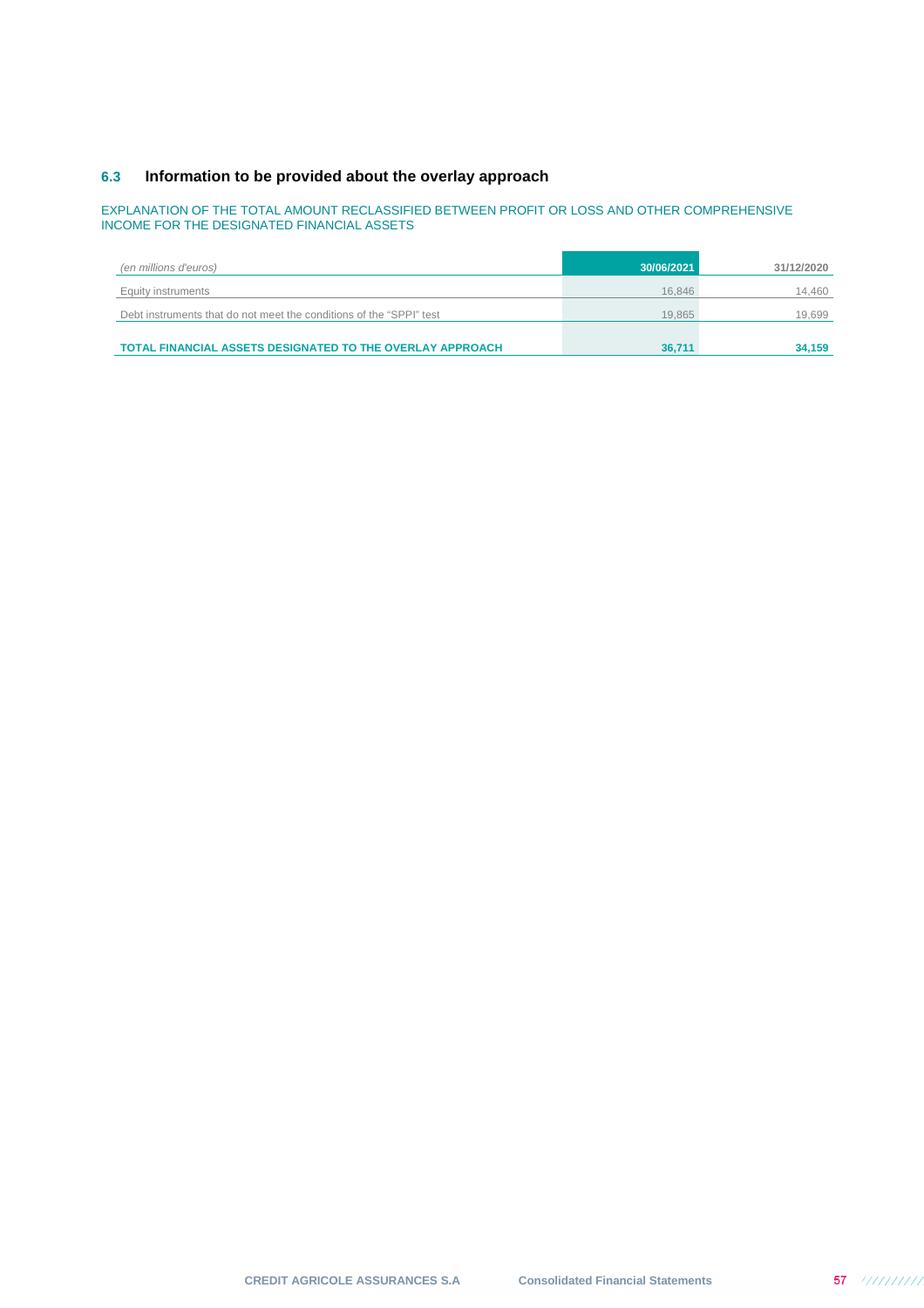## **6.3 Information to be provided about the overlay approach**

### EXPLANATION OF THE TOTAL AMOUNT RECLASSIFIED BETWEEN PROFIT OR LOSS AND OTHER COMPREHENSIVE INCOME FOR THE DESIGNATED FINANCIAL ASSETS

| (en millions d'euros)                                               | 30/06/2021 | 31/12/2020 |
|---------------------------------------------------------------------|------------|------------|
| Equity instruments                                                  | 16.846     | 14,460     |
| Debt instruments that do not meet the conditions of the "SPPI" test | 19.865     | 19.699     |
|                                                                     |            |            |
| <b>TOTAL FINANCIAL ASSETS DESIGNATED TO THE OVERLAY APPROACH</b>    | 36.711     | 34,159     |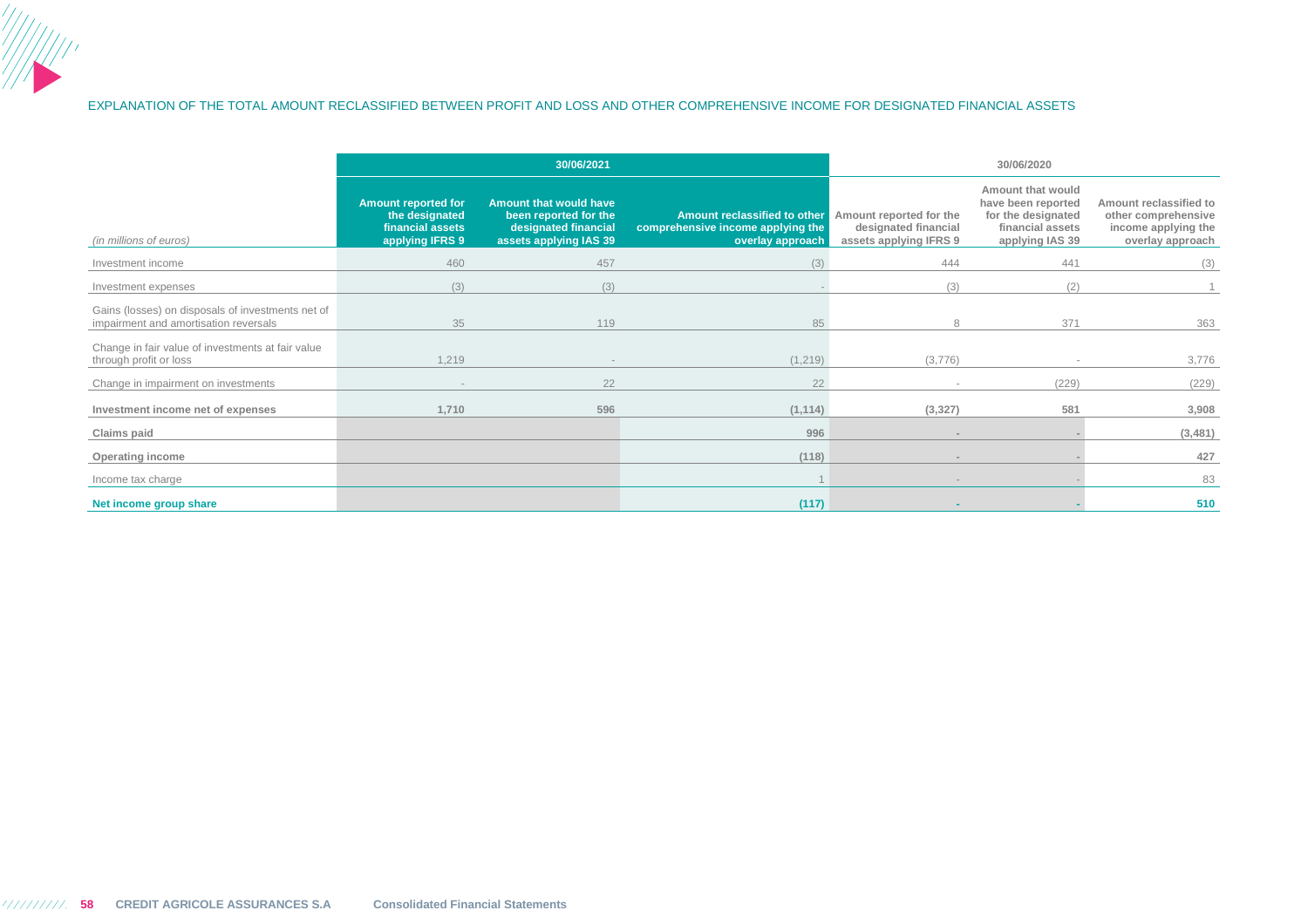### EXPLANATION OF THE TOTAL AMOUNT RECLASSIFIED BETWEEN PROFIT AND LOSS AND OTHER COMPREHENSIVE INCOME FOR DESIGNATED FINANCIAL ASSETS

|                                                                                            |                                                                                     | 30/06/2021                                                                                        |                                                                                       |                                                                           | 30/06/2020                                                                                           |                                                                                          |
|--------------------------------------------------------------------------------------------|-------------------------------------------------------------------------------------|---------------------------------------------------------------------------------------------------|---------------------------------------------------------------------------------------|---------------------------------------------------------------------------|------------------------------------------------------------------------------------------------------|------------------------------------------------------------------------------------------|
| (in millions of euros)                                                                     | <b>Amount reported for</b><br>the designated<br>financial assets<br>applying IFRS 9 | Amount that would have<br>been reported for the<br>designated financial<br>assets applying IAS 39 | Amount reclassified to other<br>comprehensive income applying the<br>overlay approach | Amount reported for the<br>designated financial<br>assets applying IFRS 9 | Amount that would<br>have been reported<br>for the designated<br>financial assets<br>applying IAS 39 | Amount reclassified to<br>other comprehensive<br>income applying the<br>overlay approach |
| Investment income                                                                          | 460                                                                                 | 457                                                                                               | (3)                                                                                   | 444                                                                       | 441                                                                                                  | (3)                                                                                      |
| Investment expenses                                                                        | (3)                                                                                 | (3)                                                                                               |                                                                                       | (3)                                                                       | (2)                                                                                                  |                                                                                          |
| Gains (losses) on disposals of investments net of<br>impairment and amortisation reversals | 35                                                                                  | 119                                                                                               | 85                                                                                    | 8                                                                         | 371                                                                                                  | 363                                                                                      |
| Change in fair value of investments at fair value<br>through profit or loss                | 1,219                                                                               | $\sim$                                                                                            | (1, 219)                                                                              | (3,776)                                                                   |                                                                                                      | 3,776                                                                                    |
| Change in impairment on investments                                                        | $\sim$                                                                              | 22                                                                                                | 22                                                                                    | $\sim$                                                                    | (229)                                                                                                | (229)                                                                                    |
| Investment income net of expenses                                                          | 1,710                                                                               | 596                                                                                               | (1, 114)                                                                              | (3, 327)                                                                  | 581                                                                                                  | 3,908                                                                                    |
| Claims paid                                                                                |                                                                                     |                                                                                                   | 996                                                                                   |                                                                           |                                                                                                      | (3, 481)                                                                                 |
| <b>Operating income</b>                                                                    |                                                                                     |                                                                                                   | (118)                                                                                 | $\sim$                                                                    |                                                                                                      | 427                                                                                      |
| Income tax charge                                                                          |                                                                                     |                                                                                                   |                                                                                       | $\overline{a}$                                                            |                                                                                                      | 83                                                                                       |
| Net income group share                                                                     |                                                                                     |                                                                                                   | (117)                                                                                 |                                                                           |                                                                                                      | 510                                                                                      |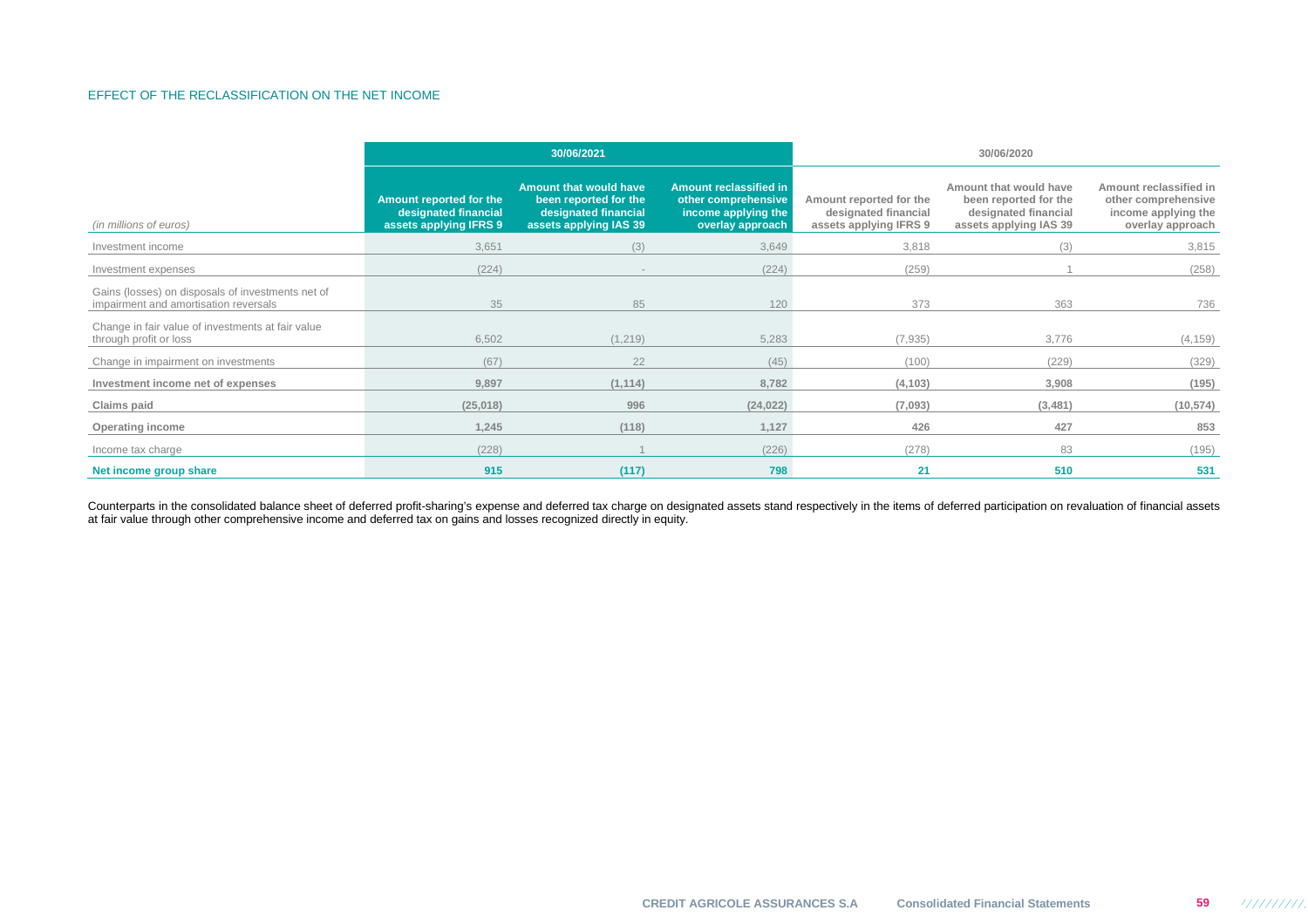### EFFECT OF THE RECLASSIFICATION ON THE NET INCOME

|                                                                                            | 30/06/2021                                                                |                                                                                                          |                                                                                                 |                                                                           | 30/06/2020                                                                                        |                                                                                          |
|--------------------------------------------------------------------------------------------|---------------------------------------------------------------------------|----------------------------------------------------------------------------------------------------------|-------------------------------------------------------------------------------------------------|---------------------------------------------------------------------------|---------------------------------------------------------------------------------------------------|------------------------------------------------------------------------------------------|
| (in millions of euros)                                                                     | Amount reported for the<br>designated financial<br>assets applying IFRS 9 | <b>Amount that would have</b><br>been reported for the<br>designated financial<br>assets applying IAS 39 | <b>Amount reclassified in</b><br>other comprehensive<br>income applying the<br>overlay approach | Amount reported for the<br>designated financial<br>assets applying IFRS 9 | Amount that would have<br>been reported for the<br>designated financial<br>assets applying IAS 39 | Amount reclassified in<br>other comprehensive<br>income applying the<br>overlay approach |
| Investment income                                                                          | 3,651                                                                     | (3)                                                                                                      | 3,649                                                                                           | 3,818                                                                     | (3)                                                                                               | 3,815                                                                                    |
| Investment expenses                                                                        | (224)                                                                     | $\sim$                                                                                                   | (224)                                                                                           | (259)                                                                     |                                                                                                   | (258)                                                                                    |
| Gains (losses) on disposals of investments net of<br>impairment and amortisation reversals | 35                                                                        | 85                                                                                                       | 120                                                                                             | 373                                                                       | 363                                                                                               | 736                                                                                      |
| Change in fair value of investments at fair value<br>through profit or loss                | 6,502                                                                     | (1, 219)                                                                                                 | 5,283                                                                                           | (7,935)                                                                   | 3,776                                                                                             | (4, 159)                                                                                 |
| Change in impairment on investments                                                        | (67)                                                                      | 22                                                                                                       | (45)                                                                                            | (100)                                                                     | (229)                                                                                             | (329)                                                                                    |
| Investment income net of expenses                                                          | 9,897                                                                     | (1, 114)                                                                                                 | 8,782                                                                                           | (4, 103)                                                                  | 3,908                                                                                             | (195)                                                                                    |
| Claims paid                                                                                | (25,018)                                                                  | 996                                                                                                      | (24, 022)                                                                                       | (7,093)                                                                   | (3,481)                                                                                           | (10, 574)                                                                                |
| Operating income                                                                           | 1,245                                                                     | (118)                                                                                                    | 1,127                                                                                           | 426                                                                       | 427                                                                                               | 853                                                                                      |
| Income tax charge                                                                          | (228)                                                                     |                                                                                                          | (226)                                                                                           | (278)                                                                     | 83                                                                                                | (195)                                                                                    |
| Net income group share                                                                     | 915                                                                       | (117)                                                                                                    | 798                                                                                             | 21                                                                        | 510                                                                                               | 531                                                                                      |

Counterparts in the consolidated balance sheet of deferred profit-sharing's expense and deferred tax charge on designated assets stand respectively in the items of deferred participation on revaluation of financial assets<br>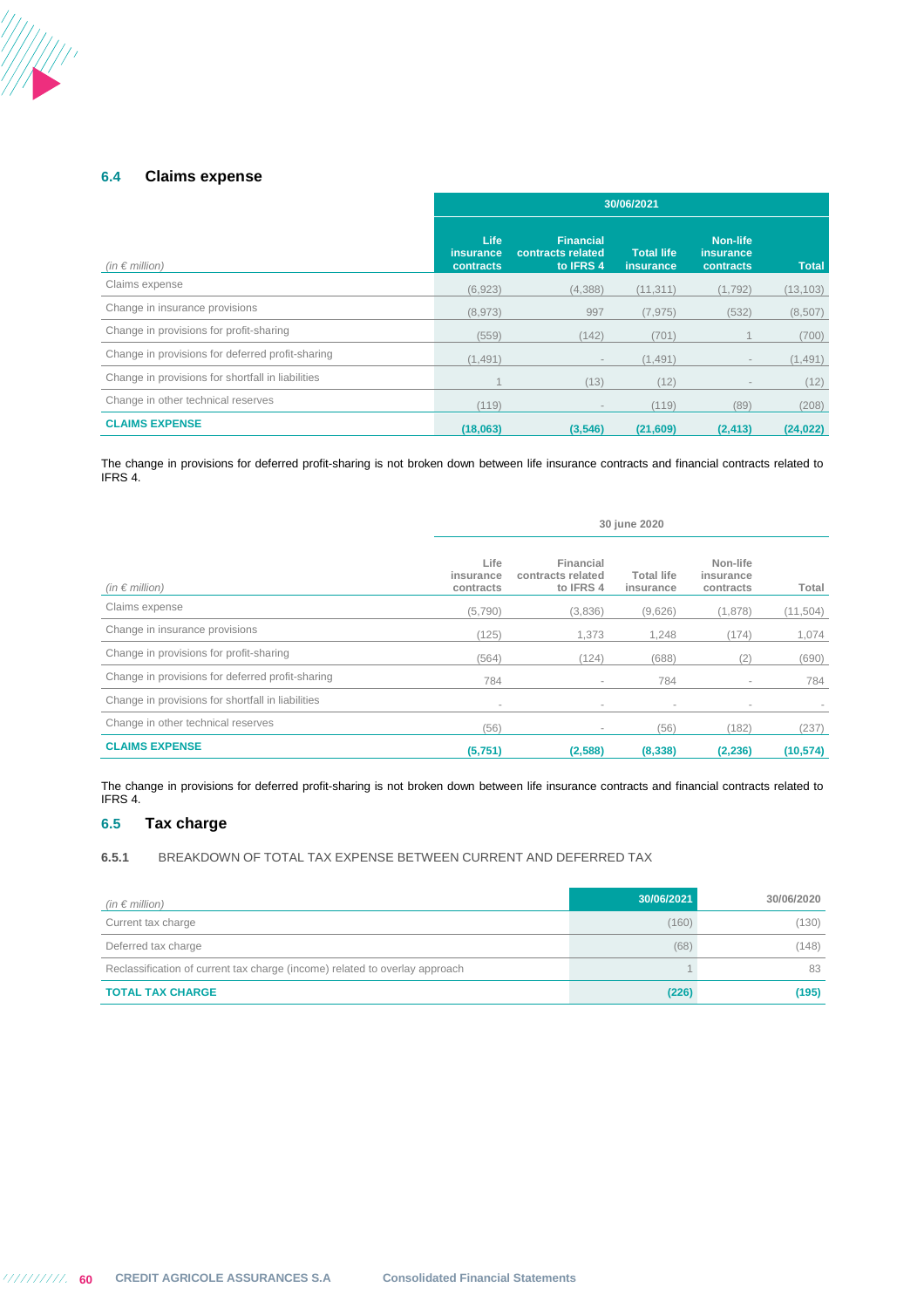## **6.4 Claims expense**

|                                                   | 30/06/2021                            |                                                    |                                |                                                  |              |  |  |
|---------------------------------------------------|---------------------------------------|----------------------------------------------------|--------------------------------|--------------------------------------------------|--------------|--|--|
| (in $\epsilon$ million)                           | <b>Life</b><br>insurance<br>contracts | <b>Financial</b><br>contracts related<br>to IFRS 4 | Total life<br><b>insurance</b> | <b>Non-life</b><br><i>insurance</i><br>contracts | <b>Total</b> |  |  |
| Claims expense                                    | (6,923)                               | (4,388)                                            | (11, 311)                      | (1,792)                                          | (13, 103)    |  |  |
| Change in insurance provisions                    | (8,973)                               | 997                                                | (7, 975)                       | (532)                                            | (8,507)      |  |  |
| Change in provisions for profit-sharing           | (559)                                 | (142)                                              | (701)                          |                                                  | (700)        |  |  |
| Change in provisions for deferred profit-sharing  | (1, 491)                              | $\overline{\phantom{a}}$                           | (1, 491)                       |                                                  | (1, 491)     |  |  |
| Change in provisions for shortfall in liabilities |                                       | (13)                                               | (12)                           |                                                  | (12)         |  |  |
| Change in other technical reserves                | (119)                                 | $\overline{\phantom{a}}$                           | (119)                          | (89)                                             | (208)        |  |  |
| <b>CLAIMS EXPENSE</b>                             | (18,063)                              | (3,546)                                            | (21,609)                       | (2, 413)                                         | (24, 022)    |  |  |

The change in provisions for deferred profit-sharing is not broken down between life insurance contracts and financial contracts related to IFRS 4.

|                                                   | 30 june 2020                   |                                             |                                |                                    |           |  |  |  |
|---------------------------------------------------|--------------------------------|---------------------------------------------|--------------------------------|------------------------------------|-----------|--|--|--|
| (in $\epsilon$ million)                           | Life<br>insurance<br>contracts | Financial<br>contracts related<br>to IFRS 4 | <b>Total life</b><br>insurance | Non-life<br>insurance<br>contracts | Total     |  |  |  |
| Claims expense                                    | (5,790)                        | (3,836)                                     | (9,626)                        | (1,878)                            | (11,504)  |  |  |  |
| Change in insurance provisions                    | (125)                          | 1,373                                       | 1,248                          | (174)                              | 1,074     |  |  |  |
| Change in provisions for profit-sharing           | (564)                          | (124)                                       | (688)                          | (2)                                | (690)     |  |  |  |
| Change in provisions for deferred profit-sharing  | 784                            | $\sim$                                      | 784                            | ۰                                  | 784       |  |  |  |
| Change in provisions for shortfall in liabilities | $\sim$                         | $\overline{\phantom{a}}$                    | $\sim$                         | ٠                                  |           |  |  |  |
| Change in other technical reserves                | (56)                           | $\sim$                                      | (56)                           | (182)                              | (237)     |  |  |  |
| <b>CLAIMS EXPENSE</b>                             | (5,751)                        | (2,588)                                     | (8,338)                        | (2, 236)                           | (10, 574) |  |  |  |

The change in provisions for deferred profit-sharing is not broken down between life insurance contracts and financial contracts related to IFRS 4.

## **6.5 Tax charge**

**6.5.1** BREAKDOWN OF TOTAL TAX EXPENSE BETWEEN CURRENT AND DEFERRED TAX

| (in $\epsilon$ million)                                                     | 30/06/2021 | 30/06/2020 |
|-----------------------------------------------------------------------------|------------|------------|
| Current tax charge                                                          | (160)      | (130)      |
| Deferred tax charge                                                         | (68)       | (148)      |
| Reclassification of current tax charge (income) related to overlay approach |            | 83         |
| <b>TOTAL TAX CHARGE</b>                                                     | (226)      | (195)      |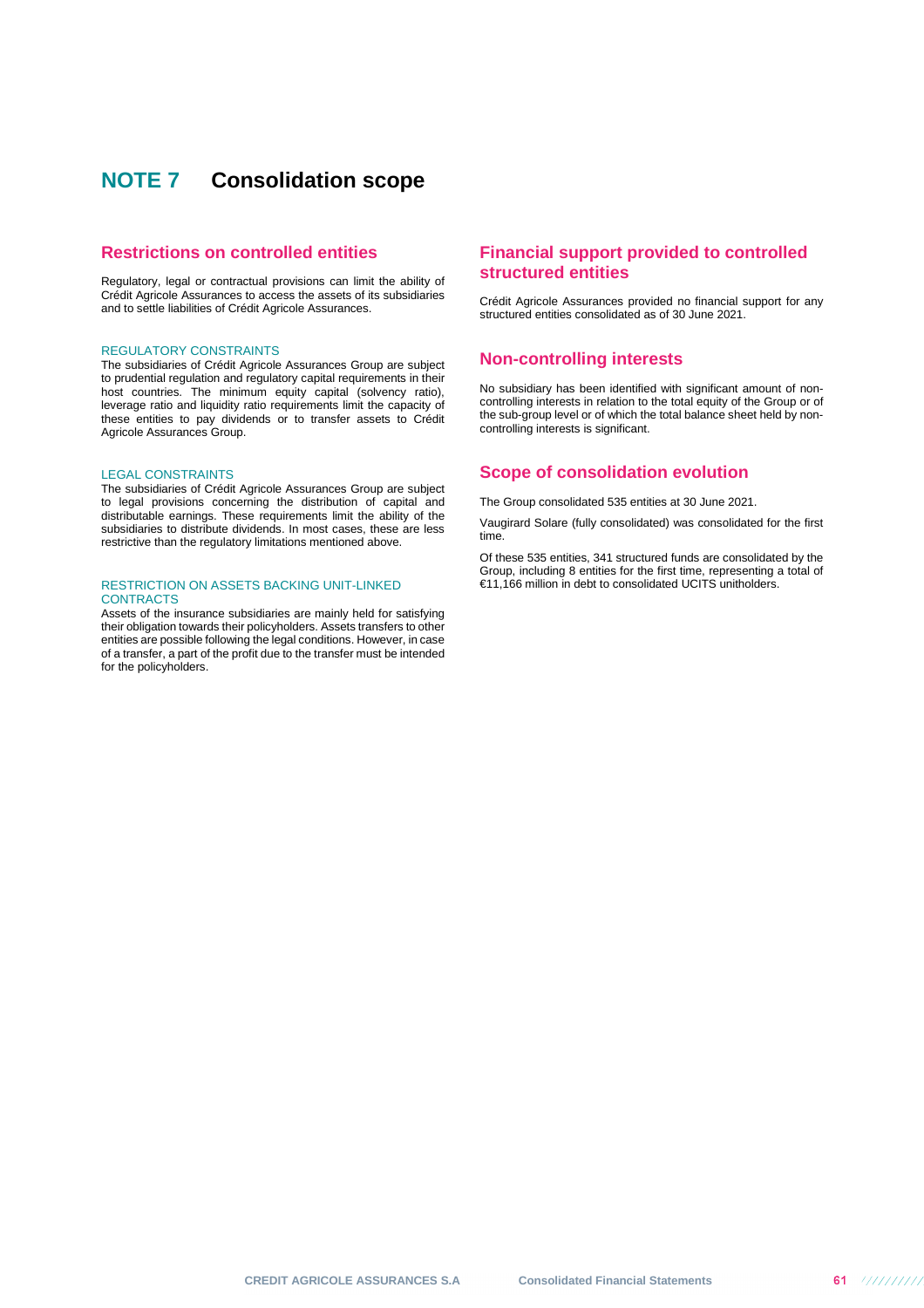# **NOTE 7 Consolidation scope**

### **Restrictions on controlled entities**

Regulatory, legal or contractual provisions can limit the ability of Crédit Agricole Assurances to access the assets of its subsidiaries and to settle liabilities of Crédit Agricole Assurances.

### REGULATORY CONSTRAINTS

The subsidiaries of Crédit Agricole Assurances Group are subject to prudential regulation and regulatory capital requirements in their host countries. The minimum equity capital (solvency ratio), leverage ratio and liquidity ratio requirements limit the capacity of these entities to pay dividends or to transfer assets to Crédit Agricole Assurances Group.

#### LEGAL CONSTRAINTS

The subsidiaries of Crédit Agricole Assurances Group are subject to legal provisions concerning the distribution of capital and distributable earnings. These requirements limit the ability of the subsidiaries to distribute dividends. In most cases, these are less restrictive than the regulatory limitations mentioned above.

### RESTRICTION ON ASSETS BACKING UNIT-LINKED **CONTRACTS**

Assets of the insurance subsidiaries are mainly held for satisfying their obligation towards their policyholders. Assets transfers to other entities are possible following the legal conditions. However, in case of a transfer, a part of the profit due to the transfer must be intended for the policyholders.

## **Financial support provided to controlled structured entities**

Crédit Agricole Assurances provided no financial support for any structured entities consolidated as of 30 June 2021.

### **Non-controlling interests**

No subsidiary has been identified with significant amount of noncontrolling interests in relation to the total equity of the Group or of the sub-group level or of which the total balance sheet held by noncontrolling interests is significant.

### **Scope of consolidation evolution**

The Group consolidated 535 entities at 30 June 2021.

Vaugirard Solare (fully consolidated) was consolidated for the first time.

Of these 535 entities, 341 structured funds are consolidated by the Group, including 8 entities for the first time, representing a total of €11,166 million in debt to consolidated UCITS unitholders.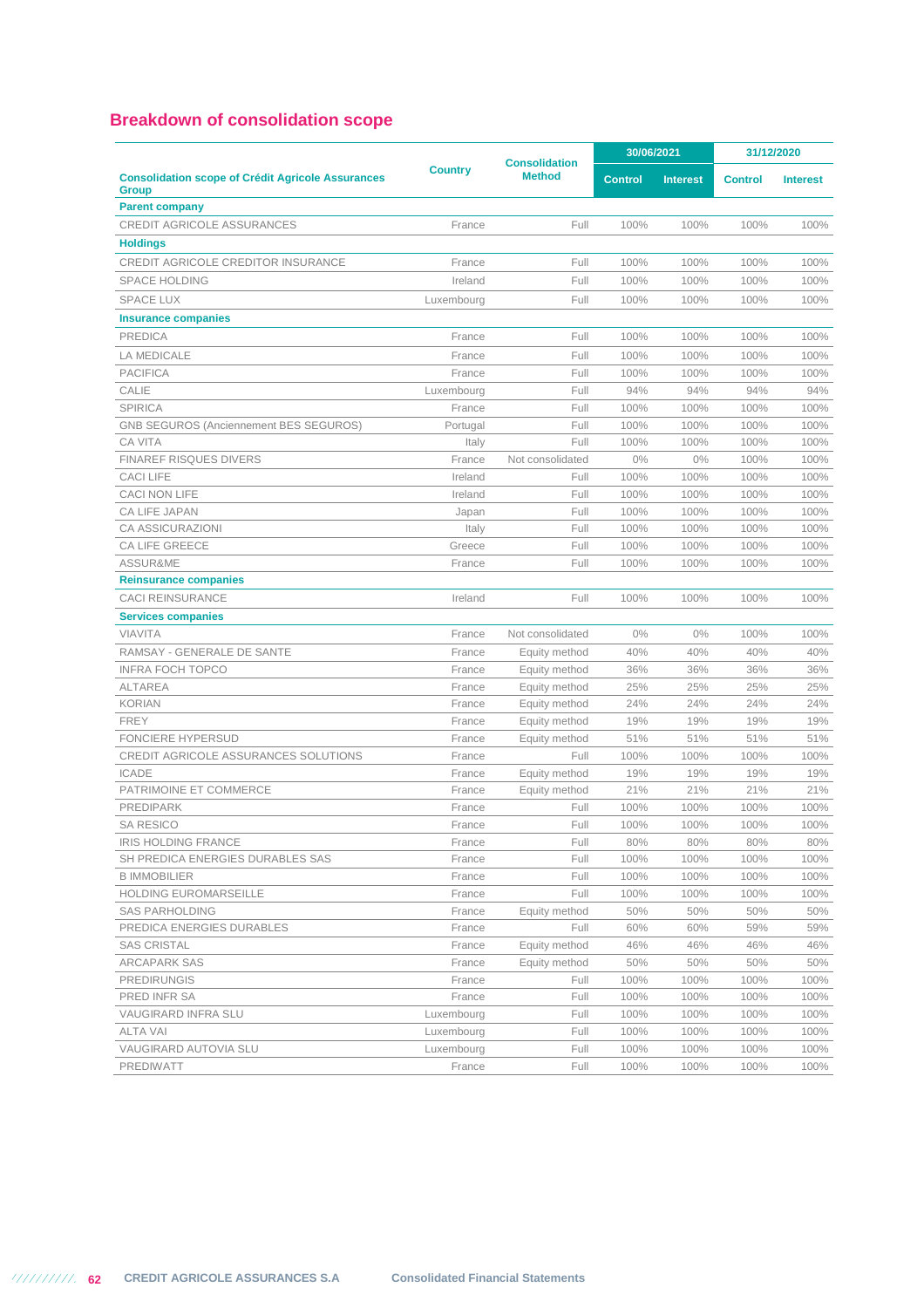## **Breakdown of consolidation scope**

|                                                                          |            | <b>Consolidation</b> | 30/06/2021     |                 | 31/12/2020     |                 |
|--------------------------------------------------------------------------|------------|----------------------|----------------|-----------------|----------------|-----------------|
| <b>Consolidation scope of Crédit Agricole Assurances</b><br><b>Group</b> | Country    | <b>Method</b>        | <b>Control</b> | <b>Interest</b> | <b>Control</b> | <b>Interest</b> |
| <b>Parent company</b>                                                    |            |                      |                |                 |                |                 |
| <b>CREDIT AGRICOLE ASSURANCES</b>                                        | France     | Full                 | 100%           | 100%            | 100%           | 100%            |
| <b>Holdings</b>                                                          |            |                      |                |                 |                |                 |
| <b>CREDIT AGRICOLE CREDITOR INSURANCE</b>                                | France     | Full                 | 100%           | 100%            | 100%           | 100%            |
| <b>SPACE HOLDING</b>                                                     | Ireland    | Full                 | 100%           | 100%            | 100%           | 100%            |
| <b>SPACE LUX</b>                                                         | Luxembourg | Full                 | 100%           | 100%            | 100%           | 100%            |
| <b>Insurance companies</b>                                               |            |                      |                |                 |                |                 |
| <b>PREDICA</b>                                                           | France     | Full                 | 100%           | 100%            | 100%           | 100%            |
| LA MEDICALE                                                              | France     | Full                 | 100%           | 100%            | 100%           | 100%            |
| <b>PACIFICA</b>                                                          | France     | Full                 | 100%           | 100%            | 100%           | 100%            |
| CALIE                                                                    | Luxembourg | Full                 | 94%            | 94%             | 94%            | 94%             |
| <b>SPIRICA</b>                                                           | France     | Full                 | 100%           | 100%            | 100%           | 100%            |
| <b>GNB SEGUROS (Anciennement BES SEGUROS)</b>                            | Portugal   | Full                 | 100%           | 100%            | 100%           | 100%            |
| <b>CA VITA</b>                                                           | Italy      | Full                 | 100%           | 100%            | 100%           | 100%            |
| <b>FINAREF RISQUES DIVERS</b>                                            | France     | Not consolidated     | 0%             | 0%              | 100%           | 100%            |
| <b>CACI LIFE</b>                                                         | Ireland    | Full                 | 100%           | 100%            | 100%           | 100%            |
| <b>CACI NON LIFE</b>                                                     | Ireland    | Full                 | 100%           | 100%            | 100%           | 100%            |
| CA LIFE JAPAN                                                            | Japan      | Full                 | 100%           | 100%            | 100%           | 100%            |
| CA ASSICURAZIONI                                                         | Italy      | Full                 | 100%           | 100%            | 100%           | 100%            |
| CA LIFE GREECE                                                           | Greece     | Full                 | 100%           | 100%            | 100%           | 100%            |
| ASSUR&ME                                                                 | France     | Full                 | 100%           | 100%            | 100%           | 100%            |
| <b>Reinsurance companies</b>                                             |            |                      |                |                 |                |                 |
| <b>CACI REINSURANCE</b>                                                  | Ireland    | Full                 | 100%           | 100%            | 100%           | 100%            |
| <b>Services companies</b>                                                |            |                      |                |                 |                |                 |
| <b>VIAVITA</b>                                                           | France     | Not consolidated     | 0%             | 0%              | 100%           | 100%            |
| RAMSAY - GENERALE DE SANTE                                               | France     | Equity method        | 40%            | 40%             | 40%            | 40%             |
| <b>INFRA FOCH TOPCO</b>                                                  | France     | Equity method        | 36%            | 36%             | 36%            | 36%             |
| <b>ALTAREA</b>                                                           | France     | Equity method        | 25%            | 25%             | 25%            | 25%             |
| <b>KORIAN</b>                                                            | France     | Equity method        | 24%            | 24%             | 24%            | 24%             |
| <b>FREY</b>                                                              | France     | Equity method        | 19%            | 19%             | 19%            | 19%             |
| <b>FONCIERE HYPERSUD</b>                                                 | France     | Equity method        | 51%            | 51%             | 51%            | 51%             |
| <b>CREDIT AGRICOLE ASSURANCES SOLUTIONS</b>                              | France     | Full                 | 100%           | 100%            | 100%           | 100%            |
| <b>ICADE</b>                                                             | France     | Equity method        | 19%            | 19%             | 19%            | 19%             |
| PATRIMOINE ET COMMERCE                                                   | France     | Equity method        | 21%            | 21%             | 21%            | 21%             |
| PREDIPARK                                                                | France     | Full                 | 100%           | 100%            | 100%           | 100%            |
| <b>SA RESICO</b>                                                         | France     | Full                 | 100%           | 100%            | 100%           | 100%            |
| IRIS HOLDING FRANCE                                                      | France     | Full                 | 80%            | 80%             | 80%            | $80\%$          |
| SH PREDICA ENERGIES DURABLES SAS                                         | France     | Full                 | 100%           | 100%            | 100%           | 100%            |
| <b>B IMMOBILIER</b>                                                      | France     | Full                 | 100%           | 100%            | 100%           | 100%            |
| HOLDING EUROMARSEILLE                                                    | France     | Full                 | 100%           | 100%            | 100%           | 100%            |
| <b>SAS PARHOLDING</b>                                                    | France     | Equity method        | 50%            | 50%             | 50%            | 50%             |
| PREDICA ENERGIES DURABLES                                                | France     | Full                 | 60%            | 60%             | 59%            | 59%             |
| <b>SAS CRISTAL</b>                                                       | France     | Equity method        | 46%            | 46%             | 46%            | 46%             |
| ARCAPARK SAS                                                             | France     | Equity method        | 50%            | 50%             | 50%            | 50%             |
| <b>PREDIRUNGIS</b>                                                       | France     | Full                 | 100%           | 100%            | 100%           | 100%            |
| PRED INFR SA                                                             | France     | Full                 | 100%           | 100%            | 100%           | 100%            |
| VAUGIRARD INFRA SLU                                                      | Luxembourg | Full                 | 100%           | 100%            | 100%           | 100%            |
| <b>ALTA VAI</b>                                                          | Luxembourg | Full                 | 100%           | 100%            | 100%           | 100%            |
| VAUGIRARD AUTOVIA SLU                                                    | Luxembourg | Full                 | 100%           | 100%            | 100%           | 100%            |
| PREDIWATT                                                                | France     | Full                 | 100%           | 100%            | 100%           | 100%            |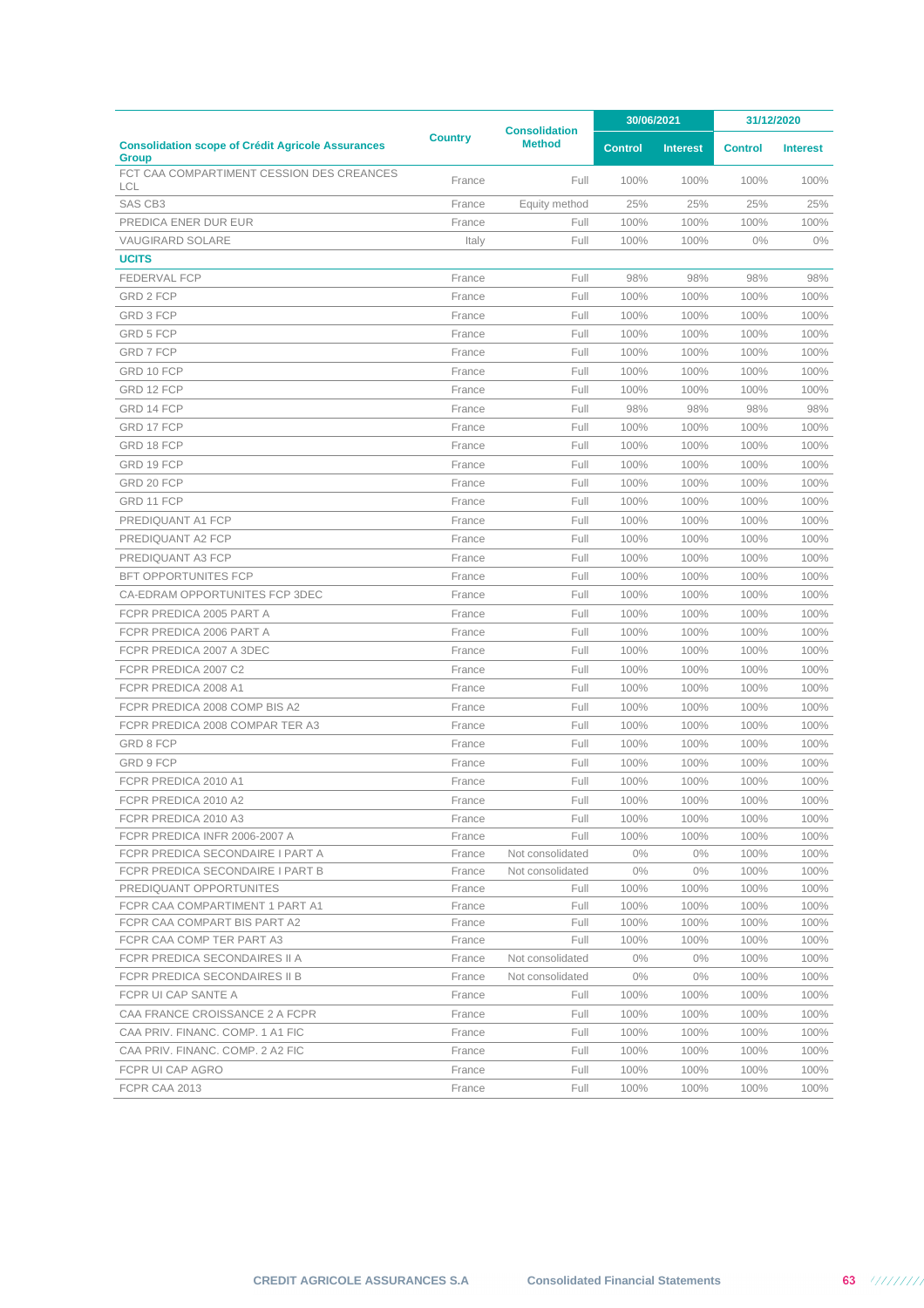|                                                                          |                |                                       | 30/06/2021     |                 | 31/12/2020     |                 |
|--------------------------------------------------------------------------|----------------|---------------------------------------|----------------|-----------------|----------------|-----------------|
| <b>Consolidation scope of Crédit Agricole Assurances</b><br><b>Group</b> | <b>Country</b> | <b>Consolidation</b><br><b>Method</b> | <b>Control</b> | <b>Interest</b> | <b>Control</b> | <b>Interest</b> |
| FCT CAA COMPARTIMENT CESSION DES CREANCES<br>LCL                         | France         | Full                                  | 100%           | 100%            | 100%           | 100%            |
| SAS CB3                                                                  | France         | Equity method                         | 25%            | 25%             | 25%            | 25%             |
| PREDICA ENER DUR EUR                                                     | France         | Full                                  | 100%           | 100%            | 100%           | 100%            |
| <b>VAUGIRARD SOLARE</b>                                                  | Italy          | Full                                  | 100%           | 100%            | 0%             | $0\%$           |
| <b>UCITS</b>                                                             |                |                                       |                |                 |                |                 |
| <b>FEDERVAL FCP</b>                                                      | France         | Full                                  | 98%            | 98%             | 98%            | 98%             |
| GRD 2 FCP                                                                | France         | Full                                  | 100%           | 100%            | 100%           | 100%            |
| GRD 3 FCP                                                                | France         | Full                                  | 100%           | 100%            | 100%           | 100%            |
| GRD 5 FCP                                                                | France         | Full                                  | 100%           | 100%            | 100%           | 100%            |
| GRD 7 FCP                                                                | France         | Full                                  | 100%           | 100%            | 100%           | 100%            |
| GRD 10 FCP                                                               | France         | Full                                  | 100%           | 100%            | 100%           | 100%            |
| GRD 12 FCP                                                               | France         | Full                                  | 100%           | 100%            | 100%           | 100%            |
| GRD 14 FCP                                                               | France         | Full                                  | 98%            | 98%             | 98%            | 98%             |
| GRD 17 FCP                                                               | France         | Full                                  | 100%           | 100%            | 100%           | 100%            |
| GRD 18 FCP                                                               | France         | Full                                  | 100%           | 100%            | 100%           | 100%            |
| GRD 19 FCP                                                               | France         | Full                                  | 100%           | 100%            | 100%           | 100%            |
| GRD 20 FCP                                                               | France         | Full                                  | 100%           | 100%            | 100%           | 100%            |
| GRD 11 FCP                                                               | France         | Full                                  | 100%           | 100%            | 100%           | 100%            |
| PREDIQUANT A1 FCP                                                        | France         | Full                                  | 100%           | 100%            | 100%           | 100%            |
| PREDIQUANT A2 FCP                                                        | France         | Full                                  | 100%           | 100%            | 100%           | 100%            |
| PREDIQUANT A3 FCP                                                        | France         | Full                                  | 100%           | 100%            | 100%           | 100%            |
| <b>BFT OPPORTUNITES FCP</b>                                              | France         | Full                                  | 100%           | 100%            | 100%           | 100%            |
| CA-EDRAM OPPORTUNITES FCP 3DEC                                           | France         | Full                                  | 100%           | 100%            | 100%           | 100%            |
| FCPR PREDICA 2005 PART A                                                 | France         | Full                                  | 100%           | 100%            | 100%           | 100%            |
| FCPR PREDICA 2006 PART A                                                 | France         | Full                                  | 100%           | 100%            | 100%           | 100%            |
| FCPR PREDICA 2007 A 3DEC                                                 | France         | Full                                  | 100%           | 100%            | 100%           | 100%            |
| FCPR PREDICA 2007 C2                                                     | France         | Full                                  | 100%           | 100%            | 100%           | 100%            |
| FCPR PREDICA 2008 A1                                                     | France         | Full                                  | 100%           | 100%            | 100%           | 100%            |
| FCPR PREDICA 2008 COMP BIS A2                                            | France         | Full                                  | 100%           | 100%            | 100%           | 100%            |
| FCPR PREDICA 2008 COMPAR TER A3                                          | France         | Full                                  | 100%           | 100%            | 100%           | 100%            |
| GRD 8 FCP                                                                | France         | Full                                  | 100%           | 100%            | 100%           | 100%            |
| GRD 9 FCP                                                                | France         | Full                                  | 100%           | 100%            | 100%           | 100%            |
| FCPR PREDICA 2010 A1                                                     | France         | Full                                  | 100%           | 100%            | 100%           | 100%            |
| FCPR PREDICA 2010 A2                                                     | France         | Full                                  | 100%           | 100%            | 100%           | 100%            |
| FCPR PREDICA 2010 A3                                                     | France         | Full                                  | 100%           | 100%            | 100%           | 100%            |
| FCPR PREDICA INFR 2006-2007 A                                            | France         | Full                                  | 100%           | 100%            | 100%           | 100%            |
| FCPR PREDICA SECONDAIRE I PART A                                         | France         | Not consolidated                      | $0\%$          | $0\%$           | 100%           | 100%            |
| FCPR PREDICA SECONDAIRE I PART B                                         | France         | Not consolidated                      | $0\%$          | $0\%$           | 100%           | 100%            |
| PREDIQUANT OPPORTUNITES                                                  | France         | Full                                  | 100%           | 100%            | 100%           | 100%            |
| FCPR CAA COMPARTIMENT 1 PART A1                                          | France         | Full                                  | 100%           | 100%            | 100%           | 100%            |
| FCPR CAA COMPART BIS PART A2                                             | France         | Full                                  | 100%           | 100%            | 100%           | 100%            |
| FCPR CAA COMP TER PART A3                                                | France         | Full                                  | 100%           | 100%            | 100%           | 100%            |
| FCPR PREDICA SECONDAIRES II A                                            | France         | Not consolidated                      | $0\%$          | $0\%$           | 100%           | 100%            |
| FCPR PREDICA SECONDAIRES II B                                            | France         | Not consolidated                      | $0\%$          | $0\%$           | 100%           | 100%            |
| FCPR UI CAP SANTE A                                                      | France         | Full                                  | 100%           | 100%            | 100%           | 100%            |
| CAA FRANCE CROISSANCE 2 A FCPR                                           | France         | Full                                  | 100%           | 100%            | 100%           | 100%            |
| CAA PRIV. FINANC. COMP. 1 A1 FIC                                         | France         | Full                                  | 100%           | 100%            | 100%           | 100%            |
| CAA PRIV. FINANC. COMP. 2 A2 FIC                                         | France         | Full                                  | 100%           | 100%            | 100%           | 100%            |
| FCPR UI CAP AGRO                                                         | France         | Full                                  | 100%           | 100%            | 100%           | 100%            |
| FCPR CAA 2013                                                            | France         | Full                                  | 100%           | 100%            | 100%           | 100%            |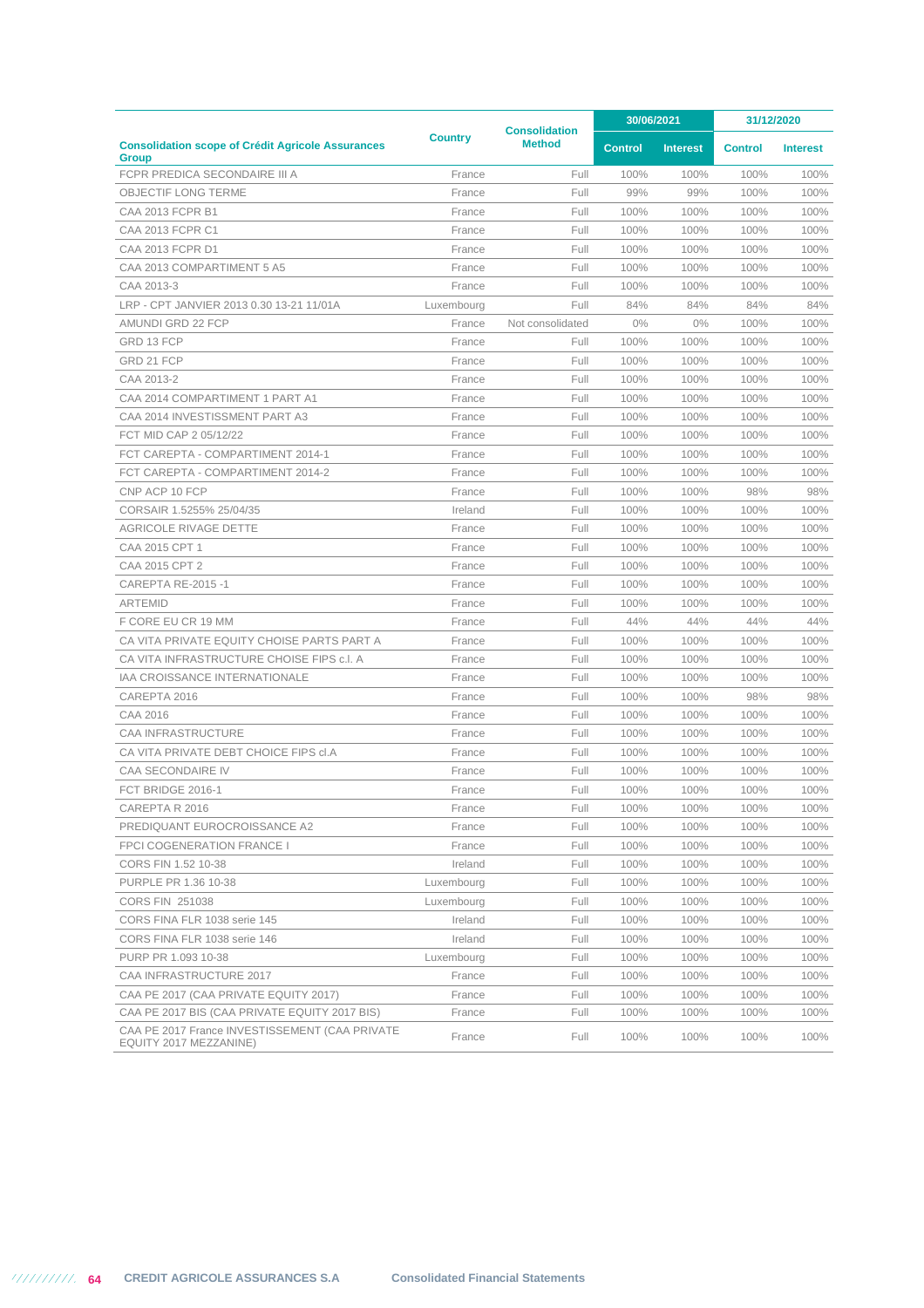|                                                                          |                | <b>Consolidation</b> |                | 30/06/2021      | 31/12/2020     |                 |
|--------------------------------------------------------------------------|----------------|----------------------|----------------|-----------------|----------------|-----------------|
| <b>Consolidation scope of Crédit Agricole Assurances</b><br><b>Group</b> | <b>Country</b> | <b>Method</b>        | <b>Control</b> | <b>Interest</b> | <b>Control</b> | <b>Interest</b> |
| FCPR PREDICA SECONDAIRE III A                                            | France         | Full                 | 100%           | 100%            | 100%           | 100%            |
| <b>OBJECTIF LONG TERME</b>                                               | France         | Full                 | 99%            | 99%             | 100%           | 100%            |
| <b>CAA 2013 FCPR B1</b>                                                  | France         | Full                 | 100%           | 100%            | 100%           | 100%            |
| CAA 2013 FCPR C1                                                         | France         | Full                 | 100%           | 100%            | 100%           | 100%            |
| CAA 2013 FCPR D1                                                         | France         | Full                 | 100%           | 100%            | 100%           | 100%            |
| CAA 2013 COMPARTIMENT 5 A5                                               | France         | Full                 | 100%           | 100%            | 100%           | 100%            |
| CAA 2013-3                                                               | France         | Full                 | 100%           | 100%            | 100%           | 100%            |
| LRP - CPT JANVIER 2013 0.30 13-21 11/01A                                 | Luxembourg     | Full                 | 84%            | 84%             | 84%            | 84%             |
| AMUNDI GRD 22 FCP                                                        | France         | Not consolidated     | $0\%$          | $0\%$           | 100%           | 100%            |
| GRD 13 FCP                                                               | France         | Full                 | 100%           | 100%            | 100%           | 100%            |
| GRD 21 FCP                                                               | France         | Full                 | 100%           | 100%            | 100%           | 100%            |
| CAA 2013-2                                                               | France         | Full                 | 100%           | 100%            | 100%           | 100%            |
| CAA 2014 COMPARTIMENT 1 PART A1                                          | France         | Full                 | 100%           | 100%            | 100%           | 100%            |
| CAA 2014 INVESTISSMENT PART A3                                           | France         | Full                 | 100%           | 100%            | 100%           | 100%            |
| FCT MID CAP 2 05/12/22                                                   | France         | Full                 | 100%           | 100%            | 100%           | 100%            |
| FCT CAREPTA - COMPARTIMENT 2014-1                                        | France         | Full                 | 100%           | 100%            | 100%           | 100%            |
| FCT CAREPTA - COMPARTIMENT 2014-2                                        | France         | Full                 | 100%           | 100%            | 100%           | 100%            |
| CNP ACP 10 FCP                                                           | France         | Full                 | 100%           | 100%            | 98%            | 98%             |
| CORSAIR 1.5255% 25/04/35                                                 | Ireland        | Full                 | 100%           | 100%            | 100%           | 100%            |
| <b>AGRICOLE RIVAGE DETTE</b>                                             | France         | Full                 | 100%           | 100%            | 100%           | 100%            |
| CAA 2015 CPT 1                                                           | France         | Full                 | 100%           | 100%            | 100%           | 100%            |
| CAA 2015 CPT 2                                                           | France         | Full                 | 100%           | 100%            | 100%           | 100%            |
| <b>CAREPTA RE-2015 -1</b>                                                | France         | Full                 | 100%           | 100%            | 100%           | 100%            |
| <b>ARTEMID</b>                                                           | France         | Full                 | 100%           | 100%            | 100%           | 100%            |
| F CORE EU CR 19 MM                                                       | France         | Full                 | 44%            | 44%             | 44%            | 44%             |
| CA VITA PRIVATE EQUITY CHOISE PARTS PART A                               | France         | Full                 | 100%           | 100%            | 100%           | 100%            |
| CA VITA INFRASTRUCTURE CHOISE FIPS c.l. A                                | France         | Full                 | 100%           | 100%            | 100%           | 100%            |
| IAA CROISSANCE INTERNATIONALE                                            | France         | Full                 | 100%           | 100%            | 100%           | 100%            |
| CAREPTA 2016                                                             | France         | Full                 | 100%           | 100%            | 98%            | 98%             |
| CAA 2016                                                                 | France         | Full                 | 100%           | 100%            | 100%           | 100%            |
| <b>CAA INFRASTRUCTURE</b>                                                | France         | Full                 | 100%           | 100%            | 100%           | 100%            |
| CA VITA PRIVATE DEBT CHOICE FIPS cl.A                                    | France         | Full                 | 100%           | 100%            | 100%           | 100%            |
| <b>CAA SECONDAIRE IV</b>                                                 | France         | Full                 | 100%           | 100%            | 100%           | 100%            |
| FCT BRIDGE 2016-1                                                        | France         | Full                 | 100%           | 100%            | 100%           | 100%            |
| CAREPTA R 2016                                                           | France         | Full                 | 100%           | 100%            | 100%           | 100%            |
| PREDIQUANT EUROCROISSANCE A2                                             | France         | Full                 | 100%           | 100%            | 100%           | 100%            |
| FPCI COGENERATION FRANCE I                                               | France         | Full                 | 100%           | 100%            | 100%           | 100%            |
| CORS FIN 1.52 10-38                                                      | Ireland        | Full                 | 100%           | 100%            | 100%           | 100%            |
| PURPLE PR 1.36 10-38                                                     | Luxembourg     | Full                 | 100%           | 100%            | 100%           | 100%            |
| CORS FIN 251038                                                          | Luxembourg     | Full                 | 100%           | 100%            | 100%           | 100%            |
| CORS FINA FLR 1038 serie 145                                             | Ireland        | Full                 | 100%           | 100%            | 100%           | 100%            |
| CORS FINA FLR 1038 serie 146                                             | Ireland        | Full                 | 100%           | 100%            | 100%           | 100%            |
| PURP PR 1.093 10-38                                                      | Luxembourg     | Full                 | 100%           | 100%            | 100%           | 100%            |
| CAA INFRASTRUCTURE 2017                                                  | France         | Full                 | 100%           | 100%            | 100%           | 100%            |
| CAA PE 2017 (CAA PRIVATE EQUITY 2017)                                    | France         | Full                 | 100%           | 100%            | 100%           | 100%            |
| CAA PE 2017 BIS (CAA PRIVATE EQUITY 2017 BIS)                            | France         | Full                 | 100%           | 100%            | 100%           | 100%            |
| CAA PE 2017 France INVESTISSEMENT (CAA PRIVATE<br>EQUITY 2017 MEZZANINE) | France         | Full                 | 100%           | 100%            | 100%           | 100%            |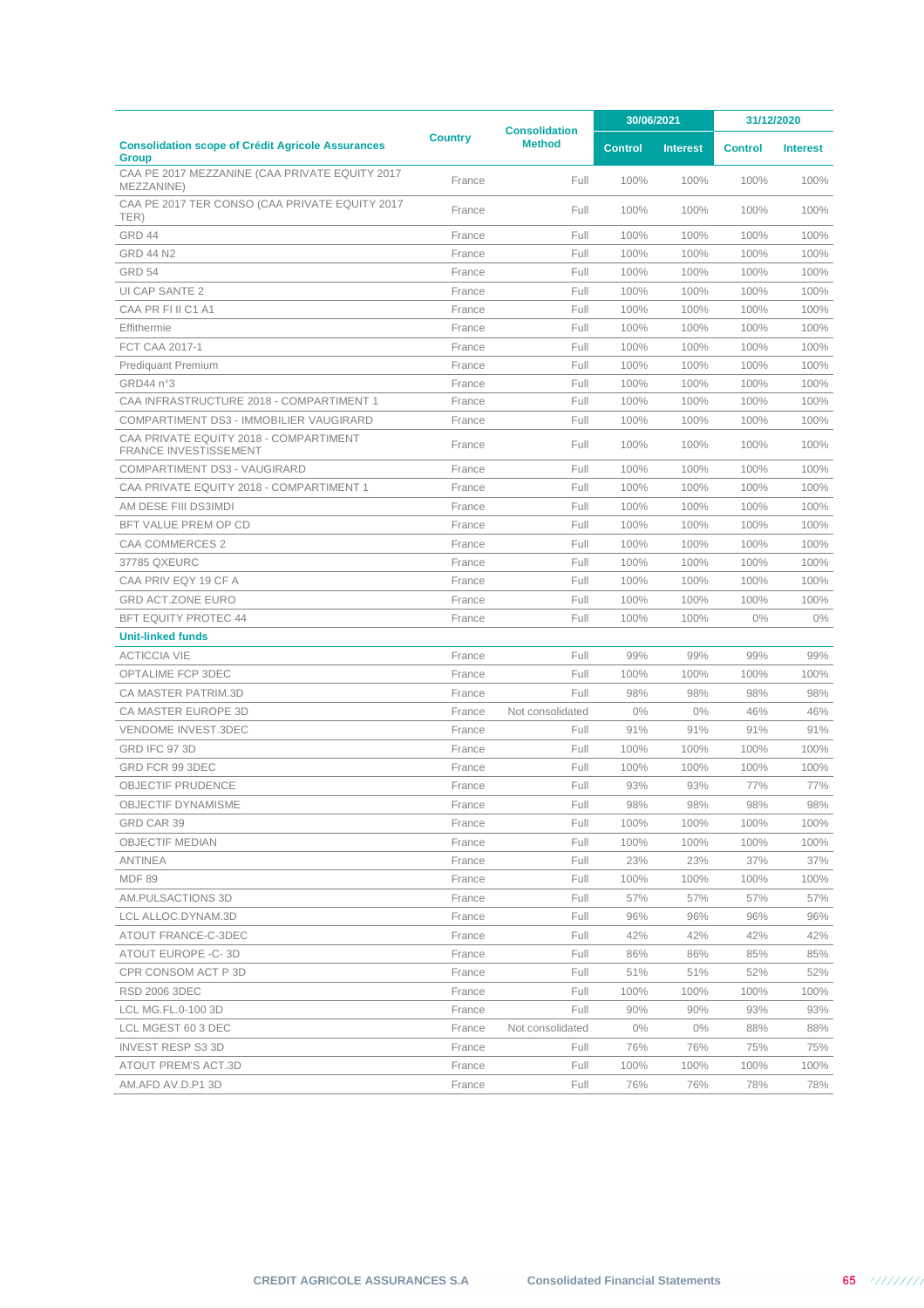|                                                                          | <b>Consolidation</b> | 30/06/2021       |                | 31/12/2020      |                |                 |
|--------------------------------------------------------------------------|----------------------|------------------|----------------|-----------------|----------------|-----------------|
| <b>Consolidation scope of Crédit Agricole Assurances</b><br><b>Group</b> | <b>Country</b>       | <b>Method</b>    | <b>Control</b> | <b>Interest</b> | <b>Control</b> | <b>Interest</b> |
| CAA PE 2017 MEZZANINE (CAA PRIVATE EQUITY 2017<br>MEZZANINE)             | France               | Full             | 100%           | 100%            | 100%           | 100%            |
| CAA PE 2017 TER CONSO (CAA PRIVATE EQUITY 2017<br>TER)                   | France               | Full             | 100%           | 100%            | 100%           | 100%            |
| GRD 44                                                                   | France               | Full             | 100%           | 100%            | 100%           | 100%            |
| <b>GRD 44 N2</b>                                                         | France               | Full             | 100%           | 100%            | 100%           | 100%            |
| <b>GRD 54</b>                                                            | France               | Full             | 100%           | 100%            | 100%           | 100%            |
| UI CAP SANTE 2                                                           | France               | Full             | 100%           | 100%            | 100%           | 100%            |
| CAA PR FI II C1 A1                                                       | France               | Full             | 100%           | 100%            | 100%           | 100%            |
| Effithermie                                                              | France               | Full             | 100%           | 100%            | 100%           | 100%            |
| FCT CAA 2017-1                                                           | France               | Full             | 100%           | 100%            | 100%           | 100%            |
| Prediquant Premium                                                       | France               | Full             | 100%           | 100%            | 100%           | 100%            |
| GRD44 n°3                                                                | France               | Full             | 100%           | 100%            | 100%           | 100%            |
| CAA INFRASTRUCTURE 2018 - COMPARTIMENT 1                                 | France               | Full             | 100%           | 100%            | 100%           | 100%            |
| COMPARTIMENT DS3 - IMMOBILIER VAUGIRARD                                  | France               | Full             | 100%           | 100%            | 100%           | 100%            |
| CAA PRIVATE EQUITY 2018 - COMPARTIMENT<br><b>FRANCE INVESTISSEMENT</b>   | France               | Full             | 100%           | 100%            | 100%           | 100%            |
| COMPARTIMENT DS3 - VAUGIRARD                                             | France               | Full             | 100%           | 100%            | 100%           | 100%            |
| CAA PRIVATE EQUITY 2018 - COMPARTIMENT 1                                 | France               | Full             | 100%           | 100%            | 100%           | 100%            |
| AM DESE FIII DS3IMDI                                                     | France               | Full             | 100%           | 100%            | 100%           | 100%            |
| BFT VALUE PREM OP CD                                                     | France               | Full             | 100%           | 100%            | 100%           | 100%            |
| CAA COMMERCES 2                                                          | France               | Full             | 100%           | 100%            | 100%           | 100%            |
| 37785 QXEURC                                                             | France               | Full             | 100%           | 100%            | 100%           | 100%            |
| CAA PRIV EQY 19 CF A                                                     | France               | Full             | 100%           | 100%            | 100%           | 100%            |
| <b>GRD ACT.ZONE EURO</b>                                                 | France               | Full             | 100%           | 100%            | 100%           | 100%            |
| <b>BFT EQUITY PROTEC 44</b>                                              | France               | Full             | 100%           | 100%            | $0\%$          | $0\%$           |
| <b>Unit-linked funds</b>                                                 |                      |                  |                |                 |                |                 |
| <b>ACTICCIA VIE</b>                                                      | France               | Full             | 99%            | 99%             | 99%            | 99%             |
| OPTALIME FCP 3DEC                                                        | France               | Full             | 100%           | 100%            | 100%           | 100%            |
| <b>CA MASTER PATRIM.3D</b>                                               | France               | Full             | 98%            | 98%             | 98%            | 98%             |
| <b>CA MASTER EUROPE 3D</b>                                               | France               | Not consolidated | 0%             | 0%              | 46%            | 46%             |
| <b>VENDOME INVEST.3DEC</b>                                               | France               | Full             | 91%            | 91%             | 91%            | 91%             |
| <b>GRD IFC 97 3D</b>                                                     | France               | Full             | 100%           | 100%            | 100%           | 100%            |
| GRD FCR 99 3DEC                                                          | France               | Full             | 100%           | 100%            | 100%           | 100%            |
| OBJECTIF PRUDENCE                                                        | France               | Full             | 93%            | 93%             | 77%            | 77%             |
| OBJECTIF DYNAMISME                                                       | France               | Full             | 98%            | 98%             | 98%            | 98%             |
| GRD CAR 39                                                               | France               | Full             | 100%           | 100%            | 100%           | 100%            |
| <b>OBJECTIF MEDIAN</b>                                                   | France               | Full             | 100%           | 100%            | 100%           | 100%            |
| ANTINEA                                                                  | France               | Full             | 23%            | 23%             | 37%            | 37%             |
| <b>MDF 89</b>                                                            | France               | Full             | 100%           | 100%            | 100%           | 100%            |
| AM.PULSACTIONS 3D                                                        | France               | Full             | 57%            | 57%             | 57%            | 57%             |
| LCL ALLOC.DYNAM.3D                                                       | France               | Full             | 96%            | 96%             | 96%            | 96%             |
| ATOUT FRANCE-C-3DEC                                                      | France               | Full             | 42%            | 42%             | 42%            | 42%             |
| ATOUT EUROPE -C-3D                                                       | France               | Full             | 86%            | 86%             | 85%            | 85%             |
| CPR CONSOM ACT P 3D                                                      | France               | Full             | 51%            | 51%             | 52%            | 52%             |
| <b>RSD 2006 3DEC</b>                                                     | France               | Full             | 100%           | 100%            | 100%           | 100%            |
| LCL MG.FL.0-100 3D                                                       | France               | Full             | 90%            | 90%             | 93%            | 93%             |
| LCL MGEST 60 3 DEC                                                       | France               | Not consolidated | $0\%$          | $0\%$           | 88%            | 88%             |
| <b>INVEST RESP S3 3D</b>                                                 | France               | Full             | 76%            | 76%             | 75%            | 75%             |
| ATOUT PREM'S ACT.3D                                                      | France               | Full             | 100%           | 100%            | 100%           | 100%            |
| AM.AFD AV.D.P1 3D                                                        | France               | Full             | 76%            | 76%             | 78%            | 78%             |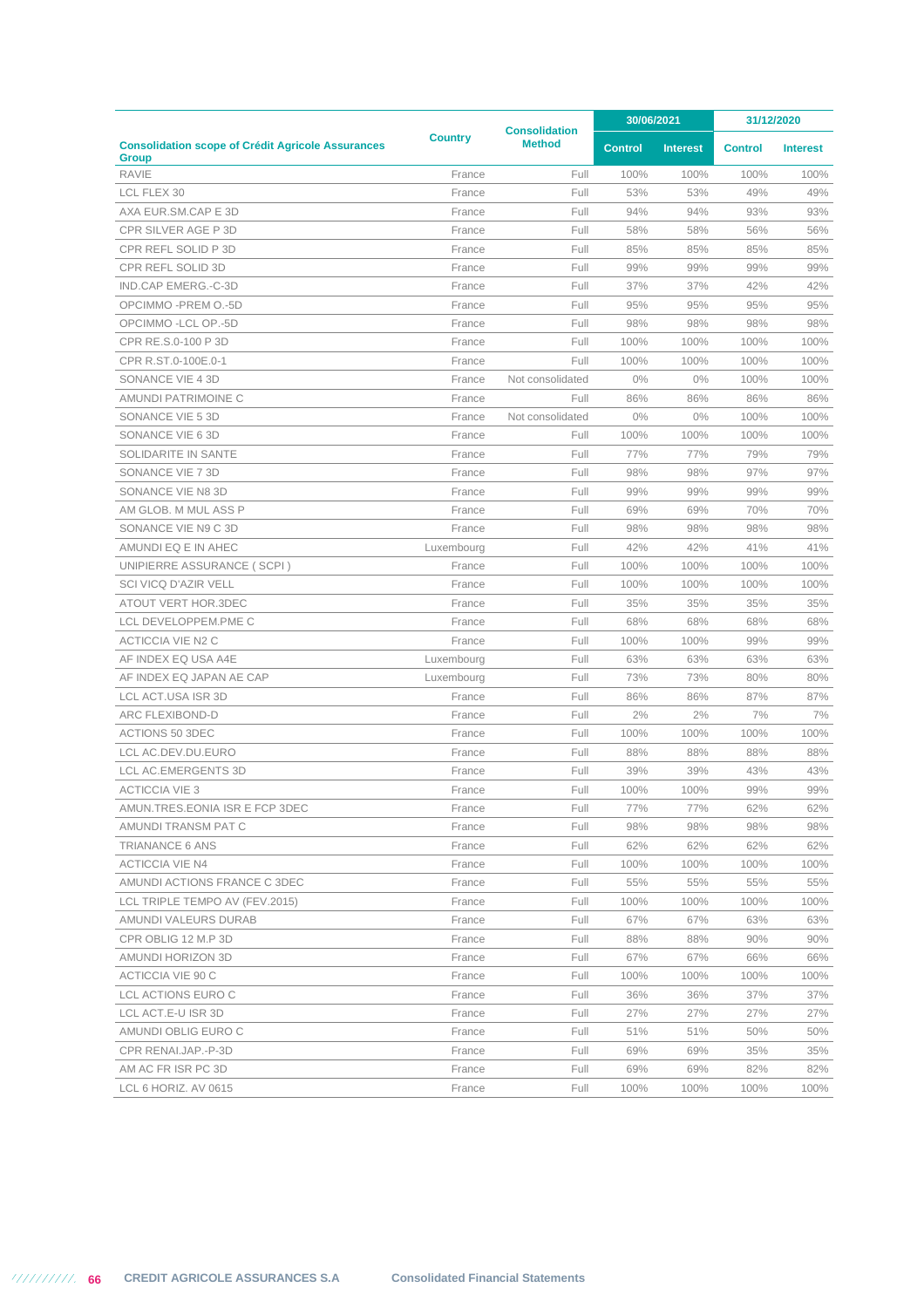|                                                                          |                | <b>Consolidation</b> | 30/06/2021     |                 | 31/12/2020     |                 |
|--------------------------------------------------------------------------|----------------|----------------------|----------------|-----------------|----------------|-----------------|
| <b>Consolidation scope of Crédit Agricole Assurances</b><br><b>Group</b> | <b>Country</b> | <b>Method</b>        | <b>Control</b> | <b>Interest</b> | <b>Control</b> | <b>Interest</b> |
| <b>RAVIE</b>                                                             | France         | Full                 | 100%           | 100%            | 100%           | 100%            |
| LCL FLEX 30                                                              | France         | Full                 | 53%            | 53%             | 49%            | 49%             |
| AXA EUR.SM.CAP E 3D                                                      | France         | Full                 | 94%            | 94%             | 93%            | 93%             |
| CPR SILVER AGE P 3D                                                      | France         | Full                 | 58%            | 58%             | 56%            | 56%             |
| CPR REFL SOLID P 3D                                                      | France         | Full                 | 85%            | 85%             | 85%            | 85%             |
| <b>CPR REFL SOLID 3D</b>                                                 | France         | Full                 | 99%            | 99%             | 99%            | 99%             |
| IND.CAP EMERG.-C-3D                                                      | France         | Full                 | 37%            | 37%             | 42%            | 42%             |
| OPCIMMO -PREM O.-5D                                                      | France         | Full                 | 95%            | 95%             | 95%            | 95%             |
| OPCIMMO - LCL OP.-5D                                                     | France         | Full                 | 98%            | 98%             | 98%            | 98%             |
| CPR RE.S.0-100 P 3D                                                      | France         | Full                 | 100%           | 100%            | 100%           | 100%            |
| CPR R.ST.0-100E.0-1                                                      | France         | Full                 | 100%           | 100%            | 100%           | 100%            |
| SONANCE VIE 4 3D                                                         | France         | Not consolidated     | 0%             | $0\%$           | 100%           | 100%            |
| AMUNDI PATRIMOINE C                                                      | France         | Full                 | 86%            | 86%             | 86%            | 86%             |
| SONANCE VIE 5 3D                                                         | France         | Not consolidated     | 0%             | $0\%$           | 100%           | 100%            |
| SONANCE VIE 6 3D                                                         | France         | Full                 | 100%           | 100%            | 100%           | 100%            |
| SOLIDARITE IN SANTE                                                      | France         | Full                 | 77%            | 77%             | 79%            | 79%             |
| SONANCE VIE 7 3D                                                         | France         | Full                 | 98%            | 98%             | 97%            | 97%             |
| SONANCE VIE N8 3D                                                        | France         | Full                 | 99%            | 99%             | 99%            | 99%             |
| AM GLOB. M MUL ASS P                                                     | France         | Full                 | 69%            | 69%             | 70%            | 70%             |
| SONANCE VIE N9 C 3D                                                      | France         | Full                 | 98%            | 98%             | 98%            | 98%             |
| AMUNDI EQ E IN AHEC                                                      | Luxembourg     | Full                 | 42%            | 42%             | 41%            | 41%             |
| UNIPIERRE ASSURANCE (SCPI)                                               | France         | Full                 | 100%           | 100%            | 100%           | 100%            |
| SCI VICQ D'AZIR VELL                                                     | France         | Full                 | 100%           | 100%            | 100%           | 100%            |
| <b>ATOUT VERT HOR.3DEC</b>                                               | France         | Full                 | 35%            | 35%             | 35%            | 35%             |
| LCL DEVELOPPEM.PME C                                                     | France         | Full                 | 68%            | 68%             | 68%            | 68%             |
| <b>ACTICCIA VIE N2 C</b>                                                 | France         | Full                 | 100%           | 100%            | 99%            | 99%             |
| AF INDEX EQ USA A4E                                                      |                | Full                 | 63%            | 63%             | 63%            | 63%             |
|                                                                          | Luxembourg     | Full                 | 73%            | 73%             | 80%            | 80%             |
| AF INDEX EQ JAPAN AE CAP                                                 | Luxembourg     |                      |                |                 |                |                 |
| LCL ACT.USA ISR 3D                                                       | France         | Full                 | 86%            | 86%             | 87%            | 87%             |
| ARC FLEXIBOND-D                                                          | France         | Full                 | 2%             | 2%              | 7%             | 7%              |
| <b>ACTIONS 50 3DEC</b>                                                   | France         | Full                 | 100%           | 100%            | 100%           | 100%            |
| LCL AC.DEV.DU.EURO                                                       | France         | Full                 | 88%            | 88%             | 88%            | 88%             |
| <b>LCL AC.EMERGENTS 3D</b>                                               | France         | Full                 | 39%            | 39%             | 43%            | 43%             |
| <b>ACTICCIA VIE 3</b>                                                    | France         | Full                 | 100%           | 100%            | 99%            | 99%             |
| AMUN.TRES.EONIA ISR E FCP 3DEC                                           | France         | Full                 | 77%            | 77%             | 62%            | 62%             |
| AMUNDI TRANSM PAT C                                                      | France         | Full                 | 98%            | 98%             | 98%            | 98%             |
| <b>TRIANANCE 6 ANS</b>                                                   | France         | Full                 | 62%            | 62%             | 62%            | 62%             |
| ACTICCIA VIE N4                                                          | France         | Full                 | 100%           | 100%            | 100%           | 100%            |
| AMUNDI ACTIONS FRANCE C 3DEC                                             | France         | Full                 | 55%            | 55%             | 55%            | 55%             |
| LCL TRIPLE TEMPO AV (FEV.2015)                                           | France         | Full                 | 100%           | 100%            | 100%           | 100%            |
| AMUNDI VALEURS DURAB                                                     | France         | Full                 | 67%            | 67%             | 63%            | 63%             |
| CPR OBLIG 12 M.P 3D                                                      | France         | Full                 | 88%            | 88%             | $90\%$         | 90%             |
| AMUNDI HORIZON 3D                                                        | France         | Full                 | 67%            | 67%             | 66%            | 66%             |
| ACTICCIA VIE 90 C                                                        | France         | Full                 | 100%           | 100%            | 100%           | 100%            |
| LCL ACTIONS EURO C                                                       | France         | Full                 | 36%            | 36%             | 37%            | 37%             |
| LCL ACT.E-U ISR 3D                                                       | France         | Full                 | 27%            | 27%             | 27%            | 27%             |
| AMUNDI OBLIG EURO C                                                      | France         | Full                 | 51%            | 51%             | 50%            | 50%             |
| CPR RENAI.JAP.-P-3D                                                      | France         | Full                 | 69%            | 69%             | 35%            | 35%             |
| AM AC FR ISR PC 3D                                                       | France         | Full                 | 69%            | 69%             | 82%            | 82%             |
| LCL 6 HORIZ. AV 0615                                                     | France         | Full                 | 100%           | 100%            | 100%           | 100%            |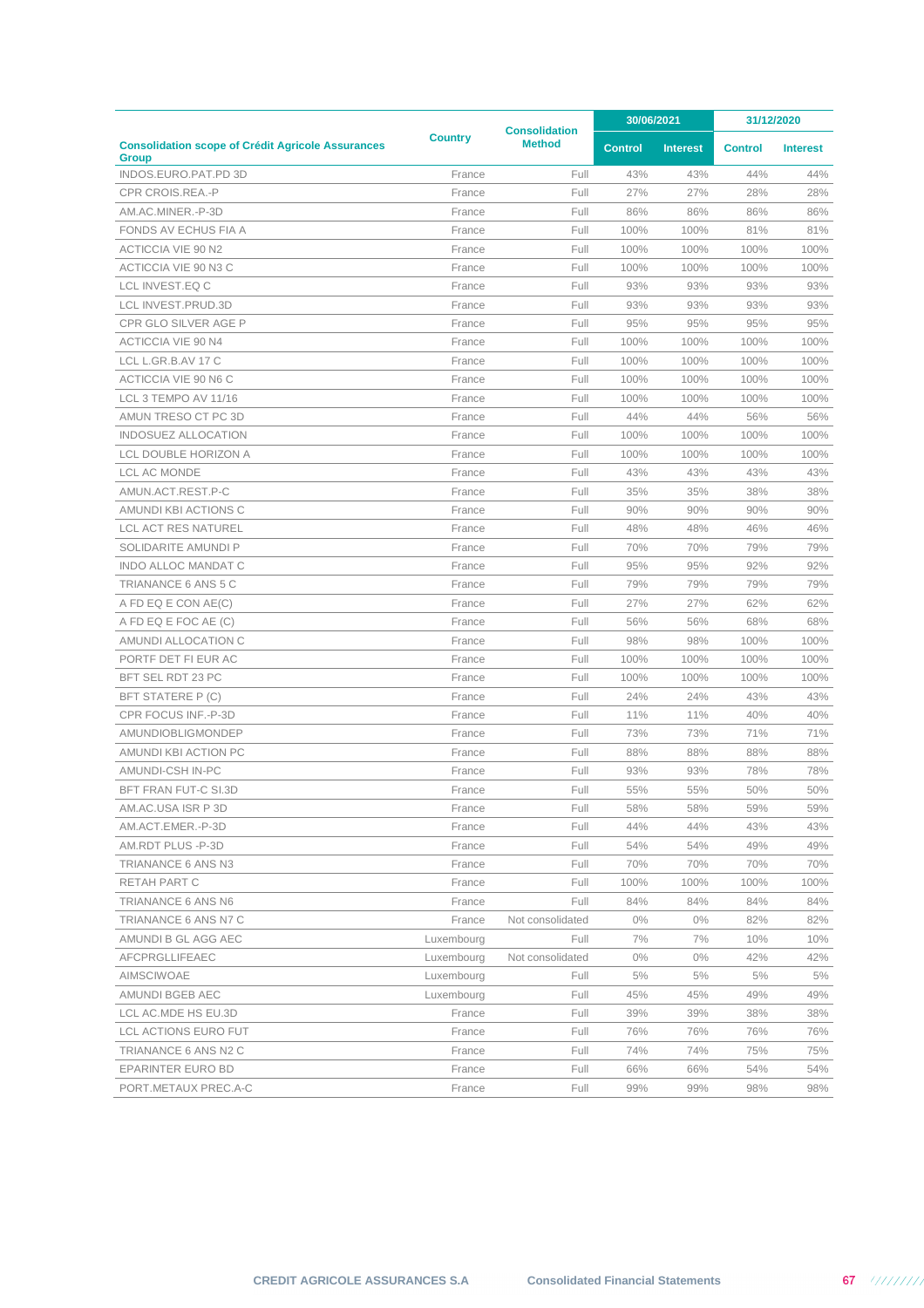|                                                                          |                | <b>Consolidation</b> |                | 30/06/2021      |                | 31/12/2020      |
|--------------------------------------------------------------------------|----------------|----------------------|----------------|-----------------|----------------|-----------------|
| <b>Consolidation scope of Crédit Agricole Assurances</b><br><b>Group</b> | <b>Country</b> | <b>Method</b>        | <b>Control</b> | <b>Interest</b> | <b>Control</b> | <b>Interest</b> |
| INDOS.EURO.PAT.PD 3D                                                     | France         | Full                 | 43%            | 43%             | 44%            | 44%             |
| CPR CROIS.REA.-P                                                         | France         | Full                 | 27%            | 27%             | 28%            | 28%             |
| AM.AC.MINER.-P-3D                                                        | France         | Full                 | 86%            | 86%             | 86%            | 86%             |
| FONDS AV ECHUS FIA A                                                     | France         | Full                 | 100%           | 100%            | 81%            | 81%             |
| ACTICCIA VIE 90 N2                                                       | France         | Full                 | 100%           | 100%            | 100%           | 100%            |
| ACTICCIA VIE 90 N3 C                                                     | France         | Full                 | 100%           | 100%            | 100%           | 100%            |
| LCL INVEST.EQ C                                                          | France         | Full                 | 93%            | 93%             | 93%            | 93%             |
| LCL INVEST.PRUD.3D                                                       | France         | Full                 | 93%            | 93%             | 93%            | 93%             |
| CPR GLO SILVER AGE P                                                     | France         | Full                 | 95%            | 95%             | 95%            | 95%             |
| ACTICCIA VIE 90 N4                                                       | France         | Full                 | 100%           | 100%            | 100%           | 100%            |
| LCL L.GR.B.AV 17 C                                                       | France         | Full                 | 100%           | 100%            | 100%           | 100%            |
| ACTICCIA VIE 90 N6 C                                                     | France         | Full                 | 100%           | 100%            | 100%           | 100%            |
| LCL 3 TEMPO AV 11/16                                                     | France         | Full                 | 100%           | 100%            | 100%           | 100%            |
| AMUN TRESO CT PC 3D                                                      | France         | Full                 | 44%            | 44%             | 56%            | 56%             |
| INDOSUEZ ALLOCATION                                                      | France         | Full                 | 100%           | 100%            | 100%           | 100%            |
| LCL DOUBLE HORIZON A                                                     | France         | Full                 | 100%           | 100%            | 100%           | 100%            |
| <b>LCL AC MONDE</b>                                                      | France         | Full                 | 43%            | 43%             | 43%            | 43%             |
| AMUN.ACT.REST.P-C                                                        | France         | Full                 | 35%            | 35%             | 38%            | 38%             |
| AMUNDI KBI ACTIONS C                                                     | France         | Full                 | 90%            | 90%             | 90%            | 90%             |
| <b>LCL ACT RES NATUREL</b>                                               | France         | Full                 | 48%            | 48%             | 46%            | 46%             |
| SOLIDARITE AMUNDI P                                                      | France         | Full                 | 70%            | 70%             | 79%            | 79%             |
| INDO ALLOC MANDAT C                                                      | France         | Full                 | 95%            | 95%             | 92%            | 92%             |
| TRIANANCE 6 ANS 5 C                                                      | France         | Full                 | 79%            | 79%             | 79%            | 79%             |
| A FD EQ E CON AE(C)                                                      | France         | Full                 | 27%            | 27%             | 62%            | 62%             |
| A FD EQ E FOC AE (C)                                                     | France         | Full                 | 56%            | 56%             | 68%            | 68%             |
| AMUNDI ALLOCATION C                                                      | France         | Full                 | 98%            | 98%             | 100%           | 100%            |
| PORTF DET FI EUR AC                                                      | France         | Full                 | 100%           | 100%            | 100%           | 100%            |
| BFT SEL RDT 23 PC                                                        | France         | Full                 | 100%           | 100%            | 100%           | 100%            |
| BFT STATERE P (C)                                                        | France         | Full                 | 24%            | 24%             | 43%            | 43%             |
| CPR FOCUS INF.-P-3D                                                      | France         | Full                 | 11%            | 11%             | 40%            | 40%             |
| AMUNDIOBLIGMONDEP                                                        | France         | Full                 | 73%            | 73%             | 71%            | 71%             |
| AMUNDI KBI ACTION PC                                                     | France         | Full                 | 88%            | 88%             | 88%            | 88%             |
| AMUNDI-CSH IN-PC                                                         | France         | Full                 | 93%            | 93%             | 78%            | 78%             |
| <b>BFT FRAN FUT-C SI.3D</b>                                              | France         | Full                 | 55%            | 55%             | 50%            | 50%             |
| AM.AC.USA ISR P 3D                                                       | France         | Full                 | 58%            | 58%             | 59%            | 59%             |
| AM.ACT.EMER.-P-3D                                                        | France         | Full                 | 44%            | 44%             | 43%            | 43%             |
| AM.RDT PLUS -P-3D                                                        | France         | Full                 | 54%            | 54%             | 49%            | 49%             |
| TRIANANCE 6 ANS N3                                                       | France         | Full                 | 70%            | 70%             | 70%            | 70%             |
| RETAH PART C                                                             | France         | Full                 | 100%           | 100%            | 100%           | 100%            |
| TRIANANCE 6 ANS N6                                                       | France         | Full                 | 84%            | 84%             | 84%            | 84%             |
| TRIANANCE 6 ANS N7 C                                                     | France         | Not consolidated     | $0\%$          | $0\%$           | 82%            | 82%             |
| AMUNDI B GL AGG AEC                                                      | Luxembourg     | Full                 | 7%             | 7%              | 10%            | 10%             |
| AFCPRGLLIFEAEC                                                           | Luxembourg     | Not consolidated     | $0\%$          | $0\%$           | 42%            | 42%             |
| <b>AIMSCIWOAE</b>                                                        | Luxembourg     | Full                 | 5%             | 5%              | 5%             | 5%              |
| AMUNDI BGEB AEC                                                          | Luxembourg     | Full                 | 45%            | 45%             | 49%            | 49%             |
| LCL AC.MDE HS EU.3D                                                      | France         | Full                 | 39%            | 39%             | 38%            | 38%             |
| LCL ACTIONS EURO FUT                                                     | France         | Full                 | 76%            | 76%             | 76%            | 76%             |
| TRIANANCE 6 ANS N2 C                                                     | France         | Full                 | 74%            | 74%             | 75%            | 75%             |
| EPARINTER EURO BD                                                        | France         | Full                 | 66%            | 66%             | 54%            | 54%             |
| PORT.METAUX PREC.A-C                                                     | France         | Full                 | 99%            | 99%             | 98%            | 98%             |
|                                                                          |                |                      |                |                 |                |                 |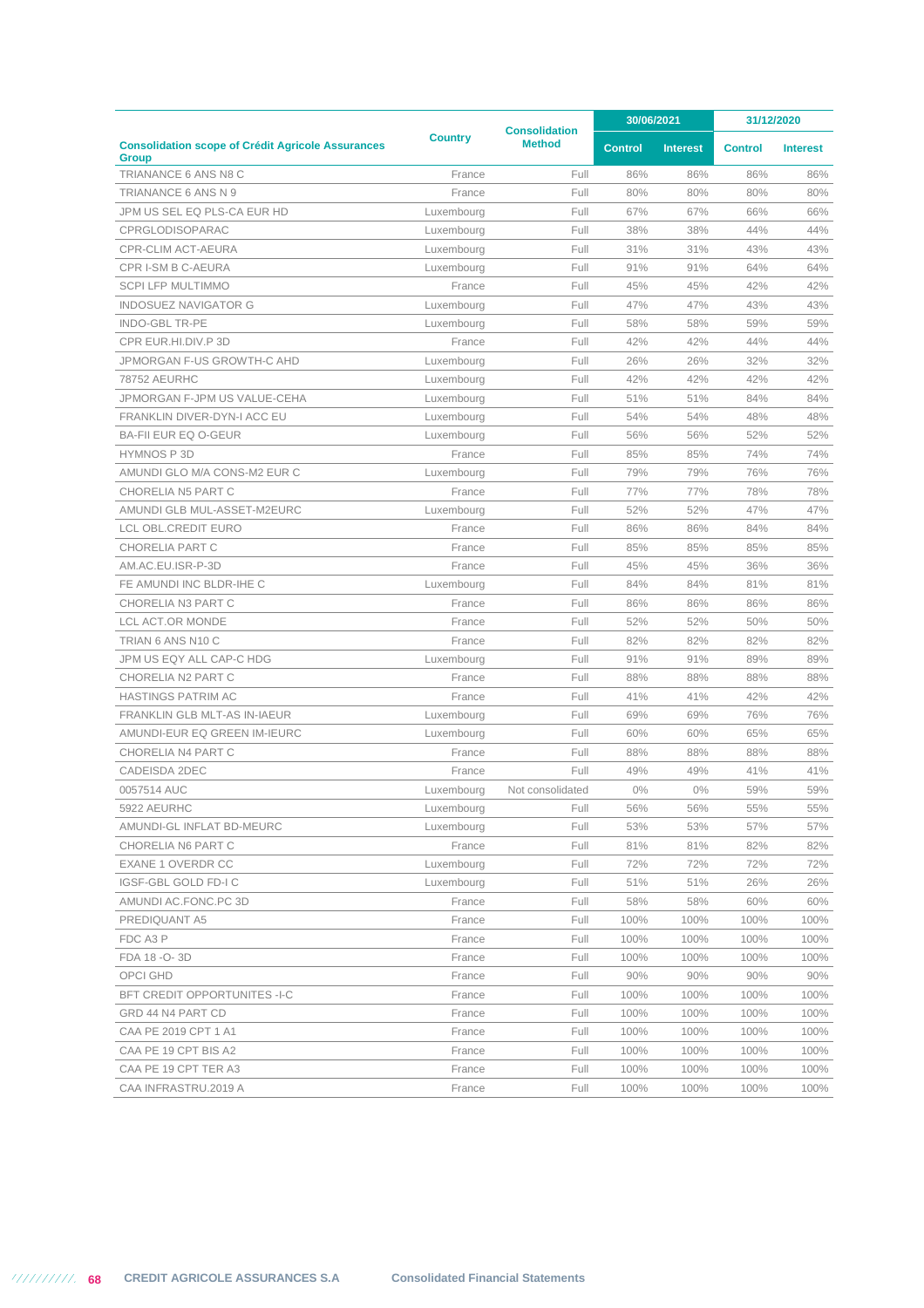|                                                                          |                | <b>Consolidation</b> |                | 30/06/2021      | 31/12/2020     |                 |
|--------------------------------------------------------------------------|----------------|----------------------|----------------|-----------------|----------------|-----------------|
| <b>Consolidation scope of Crédit Agricole Assurances</b><br><b>Group</b> | <b>Country</b> | <b>Method</b>        | <b>Control</b> | <b>Interest</b> | <b>Control</b> | <b>Interest</b> |
| TRIANANCE 6 ANS N8 C                                                     | France         | Full                 | 86%            | 86%             | 86%            | 86%             |
| TRIANANCE 6 ANS N 9                                                      | France         | Full                 | 80%            | 80%             | 80%            | 80%             |
| JPM US SEL EQ PLS-CA EUR HD                                              | Luxembourg     | Full                 | 67%            | 67%             | 66%            | 66%             |
| CPRGLODISOPARAC                                                          | Luxembourg     | Full                 | 38%            | 38%             | 44%            | 44%             |
| CPR-CLIM ACT-AEURA                                                       | Luxembourg     | Full                 | 31%            | 31%             | 43%            | 43%             |
| CPR I-SM B C-AEURA                                                       | Luxembourg     | Full                 | 91%            | 91%             | 64%            | 64%             |
| SCPI LFP MULTIMMO                                                        | France         | Full                 | 45%            | 45%             | 42%            | 42%             |
| <b>INDOSUEZ NAVIGATOR G</b>                                              | Luxembourg     | Full                 | 47%            | 47%             | 43%            | 43%             |
| <b>INDO-GBL TR-PE</b>                                                    | Luxembourg     | Full                 | 58%            | 58%             | 59%            | 59%             |
| CPR EUR.HI.DIV.P 3D                                                      | France         | Full                 | 42%            | 42%             | 44%            | 44%             |
| JPMORGAN F-US GROWTH-C AHD                                               | Luxembourg     | Full                 | 26%            | 26%             | 32%            | 32%             |
| <b>78752 AEURHC</b>                                                      | Luxembourg     | Full                 | 42%            | 42%             | 42%            | 42%             |
| JPMORGAN F-JPM US VALUE-CEHA                                             | Luxembourg     | Full                 | 51%            | 51%             | 84%            | 84%             |
| FRANKLIN DIVER-DYN-I ACC EU                                              | Luxembourg     | Full                 | 54%            | 54%             | 48%            | 48%             |
| <b>BA-FII EUR EQ O-GEUR</b>                                              | Luxembourg     | Full                 | 56%            | 56%             | 52%            | 52%             |
| <b>HYMNOS P3D</b>                                                        | France         | Full                 | 85%            | 85%             | 74%            | 74%             |
| AMUNDI GLO M/A CONS-M2 EUR C                                             | Luxembourg     | Full                 | 79%            | 79%             | 76%            | 76%             |
| <b>CHORELIA N5 PART C</b>                                                | France         | Full                 | 77%            | 77%             | 78%            | 78%             |
| AMUNDI GLB MUL-ASSET-M2EURC                                              | Luxembourg     | Full                 | 52%            | 52%             | 47%            | 47%             |
| <b>LCL OBL.CREDIT EURO</b>                                               | France         | Full                 | 86%            | 86%             | 84%            | 84%             |
| CHORELIA PART C                                                          | France         | Full                 | 85%            | 85%             | 85%            | 85%             |
| AM.AC.EU.ISR-P-3D                                                        | France         | Full                 | 45%            | 45%             | 36%            | 36%             |
| FE AMUNDI INC BLDR-IHE C                                                 | Luxembourg     | Full                 | 84%            | 84%             | 81%            | 81%             |
| CHORELIA N3 PART C                                                       | France         | Full                 | 86%            | 86%             | 86%            | 86%             |
| LCL ACT.OR MONDE                                                         | France         | Full                 | 52%            | 52%             | 50%            | 50%             |
| TRIAN 6 ANS N10 C                                                        | France         | Full                 | 82%            | 82%             | 82%            | 82%             |
| JPM US EQY ALL CAP-C HDG                                                 | Luxembourg     | Full                 | 91%            | 91%             | 89%            | 89%             |
| CHORELIA N2 PART C                                                       | France         | Full                 | 88%            | 88%             | 88%            | 88%             |
| <b>HASTINGS PATRIM AC</b>                                                | France         | Full                 | 41%            | 41%             | 42%            | 42%             |
| FRANKLIN GLB MLT-AS IN-IAEUR                                             | Luxembourg     | Full                 | 69%            | 69%             | 76%            | 76%             |
| AMUNDI-EUR EQ GREEN IM-IEURC                                             | Luxembourg     | Full                 | 60%            | 60%             | 65%            | 65%             |
| CHORELIA N4 PART C                                                       | France         | Full                 | 88%            | 88%             | 88%            | 88%             |
| CADEISDA 2DEC                                                            | France         | Full                 | 49%            | 49%             | 41%            | 41%             |
| 0057514 AUC                                                              | Luxembourg     | Not consolidated     | 0%             | $0\%$           | 59%            | 59%             |
| 5922 AEURHC                                                              | Luxembourg     | Full                 | 56%            | 56%             | 55%            | 55%             |
| AMUNDI-GL INFLAT BD-MEURC                                                | Luxembourg     | Full                 | 53%            | 53%             | 57%            | 57%             |
| CHORELIA N6 PART C                                                       | France         | Full                 | 81%            | 81%             | 82%            | 82%             |
| EXANE 1 OVERDR CC                                                        | Luxembourg     | Full                 | 72%            | 72%             | 72%            | 72%             |
| IGSF-GBL GOLD FD-I C                                                     | Luxembourg     | Full                 | 51%            | 51%             | 26%            | 26%             |
| AMUNDI AC.FONC.PC 3D                                                     | France         | Full                 | 58%            | 58%             | 60%            | 60%             |
| PREDIQUANT A5                                                            | France         | Full                 | 100%           | 100%            | 100%           | 100%            |
| FDC A3 P                                                                 | France         | Full                 | 100%           | 100%            | 100%           | 100%            |
| FDA 18 - O-3D                                                            | France         | Full                 | 100%           | 100%            | 100%           | 100%            |
| OPCI GHD                                                                 | France         | Full                 | 90%            | 90%             | 90%            | 90%             |
| <b>BFT CREDIT OPPORTUNITES -I-C</b>                                      | France         | Full                 | 100%           | 100%            | 100%           | 100%            |
| GRD 44 N4 PART CD                                                        | France         | Full                 | 100%           | 100%            | 100%           | 100%            |
| CAA PE 2019 CPT 1 A1                                                     | France         | Full                 | 100%           | 100%            | 100%           | 100%            |
| CAA PE 19 CPT BIS A2                                                     | France         | Full                 | 100%           | 100%            | 100%           | 100%            |
| CAA PE 19 CPT TER A3                                                     | France         | Full                 | 100%           | 100%            | 100%           | 100%            |
| CAA INFRASTRU.2019 A                                                     | France         | Full                 | 100%           | 100%            | 100%           | 100%            |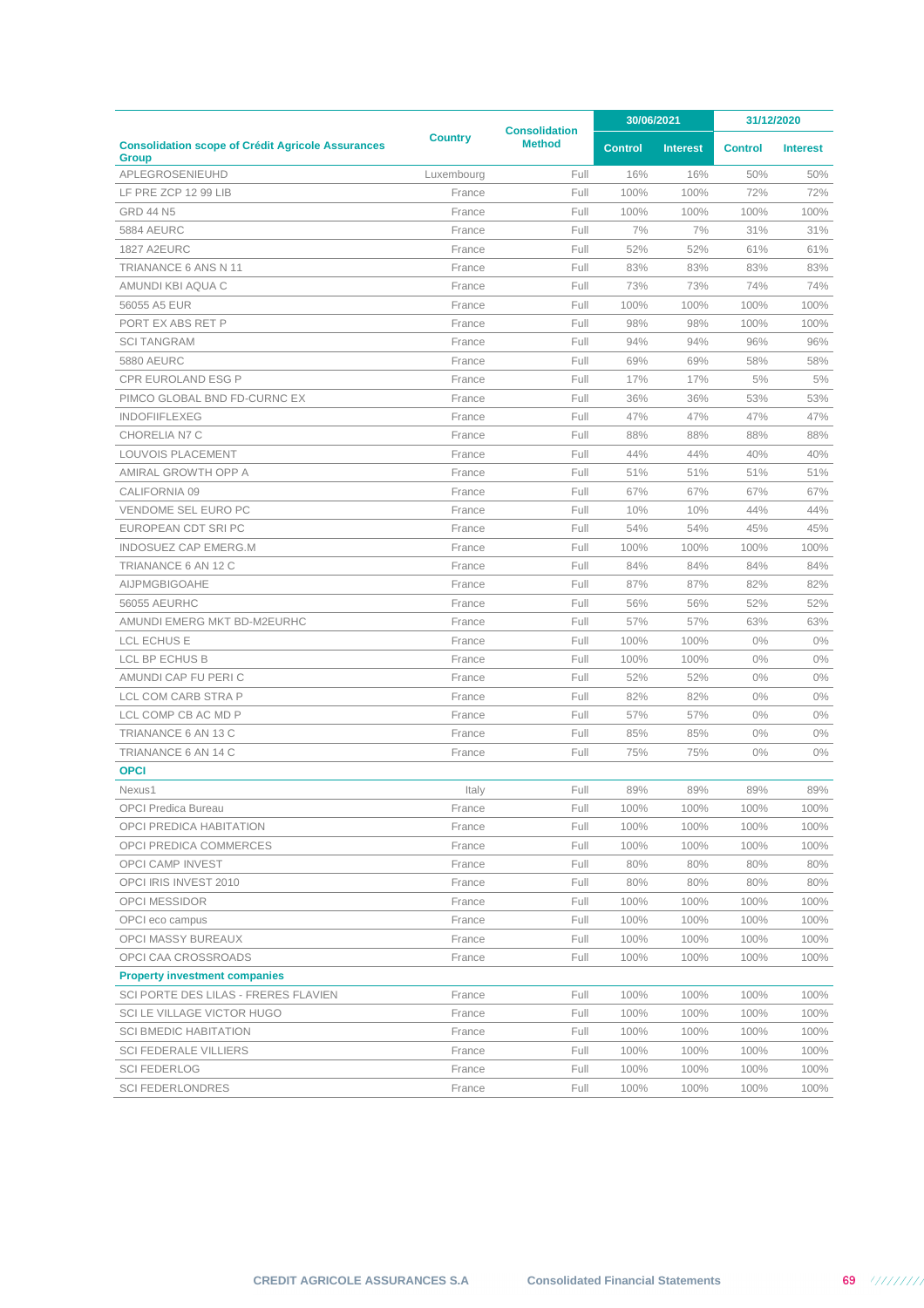|                                                                          |                |                                       | 30/06/2021     |                 | 31/12/2020     |                 |
|--------------------------------------------------------------------------|----------------|---------------------------------------|----------------|-----------------|----------------|-----------------|
| <b>Consolidation scope of Crédit Agricole Assurances</b><br><b>Group</b> | <b>Country</b> | <b>Consolidation</b><br><b>Method</b> | <b>Control</b> | <b>Interest</b> | <b>Control</b> | <b>Interest</b> |
| APLEGROSENIEUHD                                                          | Luxembourg     | Full                                  | 16%            | 16%             | 50%            | 50%             |
| LF PRE ZCP 12 99 LIB                                                     | France         | Full                                  | 100%           | 100%            | 72%            | 72%             |
| <b>GRD 44 N5</b>                                                         | France         | Full                                  | 100%           | 100%            | 100%           | 100%            |
| <b>5884 AEURC</b>                                                        | France         | Full                                  | 7%             | 7%              | 31%            | 31%             |
| <b>1827 A2EURC</b>                                                       | France         | Full                                  | 52%            | 52%             | 61%            | 61%             |
| TRIANANCE 6 ANS N 11                                                     | France         | Full                                  | 83%            | 83%             | 83%            | 83%             |
| AMUNDI KBI AQUA C                                                        | France         | Full                                  | 73%            | 73%             | 74%            | 74%             |
| 56055 A5 EUR                                                             | France         | Full                                  | 100%           | 100%            | 100%           | 100%            |
| PORT EX ABS RET P                                                        | France         | Full                                  | 98%            | 98%             | 100%           | 100%            |
| <b>SCI TANGRAM</b>                                                       | France         | Full                                  | 94%            | 94%             | 96%            | 96%             |
| <b>5880 AEURC</b>                                                        | France         | Full                                  | 69%            | 69%             | 58%            | 58%             |
| <b>CPR EUROLAND ESG P</b>                                                | France         | Full                                  | 17%            | 17%             | 5%             | 5%              |
| PIMCO GLOBAL BND FD-CURNC EX                                             | France         | Full                                  | 36%            | 36%             | 53%            | 53%             |
| <b>INDOFIIFLEXEG</b>                                                     | France         | Full                                  | 47%            | 47%             | 47%            | 47%             |
| CHORELIA N7 C                                                            | France         | Full                                  | 88%            | 88%             | 88%            | 88%             |
| LOUVOIS PLACEMENT                                                        | France         | Full                                  | 44%            | 44%             | 40%            | 40%             |
| AMIRAL GROWTH OPP A                                                      | France         | Full                                  | 51%            | 51%             | 51%            | 51%             |
| CALIFORNIA 09                                                            | France         | Full                                  | 67%            | 67%             | 67%            | 67%             |
| VENDOME SEL EURO PC                                                      | France         | Full                                  | 10%            | 10%             | 44%            | 44%             |
| EUROPEAN CDT SRIPC                                                       | France         | Full                                  | 54%            | 54%             | 45%            | 45%             |
| INDOSUEZ CAP EMERG.M                                                     | France         | Full                                  | 100%           | 100%            | 100%           | 100%            |
| TRIANANCE 6 AN 12 C                                                      | France         | Full                                  | 84%            | 84%             | 84%            | 84%             |
| AIJPMGBIGOAHE                                                            | France         | Full                                  | 87%            | 87%             | 82%            | 82%             |
| <b>56055 AEURHC</b>                                                      | France         | Full                                  | 56%            | 56%             | 52%            | 52%             |
| AMUNDI EMERG MKT BD-M2EURHC                                              | France         | Full                                  | 57%            | 57%             | 63%            | 63%             |
| <b>LCL ECHUS E</b>                                                       | France         | Full                                  | 100%           | 100%            | 0%             | $0\%$           |
| LCL BP ECHUS B                                                           | France         | Full                                  | 100%           | 100%            | 0%             | $0\%$           |
| AMUNDI CAP FU PERI C                                                     | France         | Full                                  | 52%            | 52%             | 0%             | $0\%$           |
| LCL COM CARB STRA P                                                      | France         | Full                                  | 82%            | 82%             | 0%             | $0\%$           |
| LCL COMP CB AC MD P                                                      | France         | Full                                  | 57%            | 57%             | $0\%$          | $0\%$           |
| TRIANANCE 6 AN 13 C                                                      | France         | Full                                  | 85%            | 85%             | $0\%$          | $0\%$           |
| TRIANANCE 6 AN 14 C                                                      | France         | Full                                  | 75%            | 75%             | $0\%$          | $0\%$           |
| <b>OPCI</b>                                                              |                |                                       |                |                 |                |                 |
| Nexus1                                                                   | Italy          | Full                                  | 89%            | 89%             | 89%            | 89%             |
| OPCI Predica Bureau                                                      | France         | Full                                  | 100%           | 100%            | 100%           | 100%            |
| OPCI PREDICA HABITATION                                                  | France         | Full                                  | 100%           | 100%            | 100%           | 100%            |
| OPCI PREDICA COMMERCES                                                   | France         | Full                                  | 100%           | 100%            | 100%           | 100%            |
| OPCI CAMP INVEST                                                         | France         | Full                                  | 80%            | 80%             | 80%            | 80%             |
| OPCI IRIS INVEST 2010                                                    | France         | Full                                  | 80%            | 80%             | 80%            | 80%             |
| <b>OPCI MESSIDOR</b>                                                     | France         | Full                                  | 100%           | 100%            | 100%           | 100%            |
| OPCI eco campus                                                          | France         | Full                                  | 100%           | 100%            | 100%           | 100%            |
| OPCI MASSY BUREAUX                                                       | France         | Full                                  | 100%           | 100%            | 100%           | 100%            |
| OPCI CAA CROSSROADS                                                      | France         | Full                                  | 100%           | 100%            | 100%           | 100%            |
| <b>Property investment companies</b>                                     |                |                                       |                |                 |                |                 |
| SCI PORTE DES LILAS - FRERES FLAVIEN                                     | France         | Full                                  | 100%           | 100%            | 100%           | 100%            |
| SCI LE VILLAGE VICTOR HUGO                                               | France         | Full                                  | 100%           | 100%            | 100%           | 100%            |
| <b>SCI BMEDIC HABITATION</b>                                             | France         | Full                                  | 100%           | 100%            | 100%           | 100%            |
| <b>SCI FEDERALE VILLIERS</b>                                             | France         | Full                                  | 100%           | 100%            | 100%           | 100%            |
| <b>SCI FEDERLOG</b>                                                      | France         | Full                                  | 100%           | 100%            | 100%           | 100%            |
| <b>SCI FEDERLONDRES</b>                                                  | France         | Full                                  | 100%           | 100%            | 100%           | 100%            |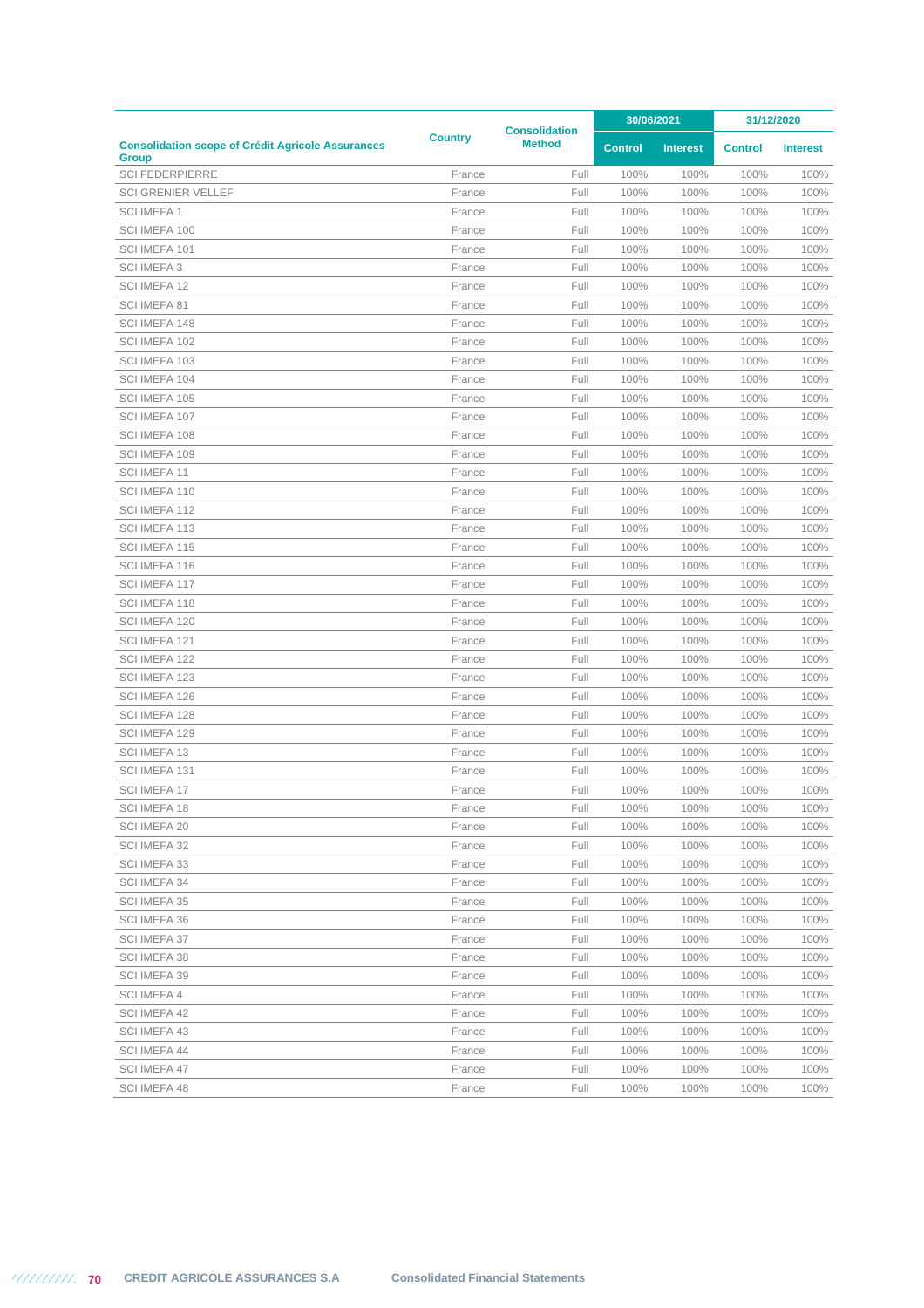|                                                                          |                | <b>Consolidation</b> |                | 30/06/2021      |                | 31/12/2020      |  |
|--------------------------------------------------------------------------|----------------|----------------------|----------------|-----------------|----------------|-----------------|--|
| <b>Consolidation scope of Crédit Agricole Assurances</b><br><b>Group</b> | <b>Country</b> | <b>Method</b>        | <b>Control</b> | <b>Interest</b> | <b>Control</b> | <b>Interest</b> |  |
| <b>SCI FEDERPIERRE</b>                                                   | France         | Full                 | 100%           | 100%            | 100%           | 100%            |  |
| <b>SCI GRENIER VELLEF</b>                                                | France         | Full                 | 100%           | 100%            | 100%           | 100%            |  |
| <b>SCI IMEFA1</b>                                                        | France         | Full                 | 100%           | 100%            | 100%           | 100%            |  |
| SCI IMEFA 100                                                            | France         | Full                 | 100%           | 100%            | 100%           | 100%            |  |
| SCI IMEFA 101                                                            | France         | Full                 | 100%           | 100%            | 100%           | 100%            |  |
| <b>SCI IMEFA 3</b>                                                       | France         | Full                 | 100%           | 100%            | 100%           | 100%            |  |
| SCI IMEFA 12                                                             | France         | Full                 | 100%           | 100%            | 100%           | 100%            |  |
| SCI IMEFA 81                                                             | France         | Full                 | 100%           | 100%            | 100%           | 100%            |  |
| SCI IMEFA 148                                                            | France         | Full                 | 100%           | 100%            | 100%           | 100%            |  |
| SCI IMEFA 102                                                            | France         | Full                 | 100%           | 100%            | 100%           | 100%            |  |
| SCI IMEFA 103                                                            | France         | Full                 | 100%           | 100%            | 100%           | 100%            |  |
| SCI IMEFA 104                                                            | France         | Full                 | 100%           | 100%            | 100%           | 100%            |  |
| SCI IMEFA 105                                                            | France         | Full                 | 100%           | 100%            | 100%           | 100%            |  |
| SCI IMEFA 107                                                            | France         | Full                 | 100%           | 100%            | 100%           | 100%            |  |
| SCI IMEFA 108                                                            | France         | Full                 | 100%           | 100%            | 100%           | 100%            |  |
| SCI IMEFA 109                                                            | France         | Full                 | 100%           | 100%            | 100%           | 100%            |  |
| SCI IMEFA 11                                                             | France         | Full                 | 100%           | 100%            | 100%           | 100%            |  |
| SCI IMEFA 110                                                            | France         | Full                 | 100%           | 100%            | 100%           | 100%            |  |
| SCI IMEFA 112                                                            | France         | Full                 | 100%           | 100%            | 100%           | 100%            |  |
| SCI IMEFA 113                                                            | France         | Full                 | 100%           | 100%            | 100%           | 100%            |  |
| SCI IMEFA 115                                                            | France         | Full                 | 100%           | 100%            | 100%           | 100%            |  |
| SCI IMEFA 116                                                            | France         | Full                 | 100%           | 100%            | 100%           | 100%            |  |
| SCI IMEFA 117                                                            | France         | Full                 | 100%           | 100%            | 100%           | 100%            |  |
| SCI IMEFA 118                                                            | France         | Full                 | 100%           | 100%            | 100%           | 100%            |  |
| SCI IMEFA 120                                                            | France         | Full                 | 100%           | 100%            | 100%           | 100%            |  |
| SCI IMEFA 121                                                            | France         | Full                 | 100%           | 100%            | 100%           | 100%            |  |
| SCI IMEFA 122                                                            | France         | Full                 | 100%           | 100%            | 100%           | 100%            |  |
| SCI IMEFA 123                                                            | France         | Full                 | 100%           | 100%            | 100%           | 100%            |  |
| SCI IMEFA 126                                                            | France         | Full                 | 100%           | 100%            | 100%           | 100%            |  |
| SCI IMEFA 128                                                            | France         | Full                 | 100%           | 100%            | 100%           | 100%            |  |
| SCI IMEFA 129                                                            | France         | Full                 | 100%           | 100%            | 100%           | 100%            |  |
| SCI IMEFA 13                                                             | France         | Full                 | 100%           | 100%            | 100%           | 100%            |  |
| SCI IMEFA 131                                                            | France         | Full                 | 100%           | 100%            | 100%           | 100%            |  |
| SCI IMEFA 17                                                             | France         | Full                 | 100%           | 100%            | 100%           | 100%            |  |
| SCI IMEFA 18                                                             | <b>France</b>  | Full                 | 100%           | 100%            | 100%           | 100%            |  |
| SCI IMEFA 20                                                             | France         | Full                 | 100%           | 100%            | 100%           | 100%            |  |
| SCI IMEFA 32                                                             | France         | Full                 | 100%           | 100%            | 100%           | 100%            |  |
| SCI IMEFA 33                                                             | France         | Full                 | 100%           | 100%            | 100%           | 100%            |  |
| SCI IMEFA 34                                                             | France         | Full                 | 100%           | 100%            | 100%           | 100%            |  |
| SCI IMEFA 35                                                             | France         | Full                 | 100%           | 100%            | 100%           | 100%            |  |
| SCI IMEFA 36                                                             | France         | Full                 | 100%           | 100%            | 100%           | 100%            |  |
| SCI IMEFA 37                                                             | France         | Full                 | 100%           | 100%            | 100%           | 100%            |  |
| SCI IMEFA 38                                                             | France         | Full                 | 100%           | 100%            | 100%           | 100%            |  |
| <b>SCI IMEFA 39</b>                                                      | France         | Full                 | 100%           | 100%            | 100%           | 100%            |  |
| SCI IMEFA 4                                                              | France         | Full                 | 100%           | 100%            | 100%           | 100%            |  |
| SCI IMEFA 42                                                             | France         | Full                 | 100%           | 100%            | 100%           | 100%            |  |
| SCI IMEFA 43                                                             | France         | Full                 | 100%           | 100%            | 100%           | 100%            |  |
| SCI IMEFA 44                                                             | France         | Full                 | 100%           | 100%            | 100%           | 100%            |  |
| SCI IMEFA 47                                                             | France         | Full                 | 100%           | 100%            | 100%           | 100%            |  |
| SCI IMEFA 48                                                             | France         | Full                 | 100%           | 100%            | 100%           | 100%            |  |
|                                                                          |                |                      |                |                 |                |                 |  |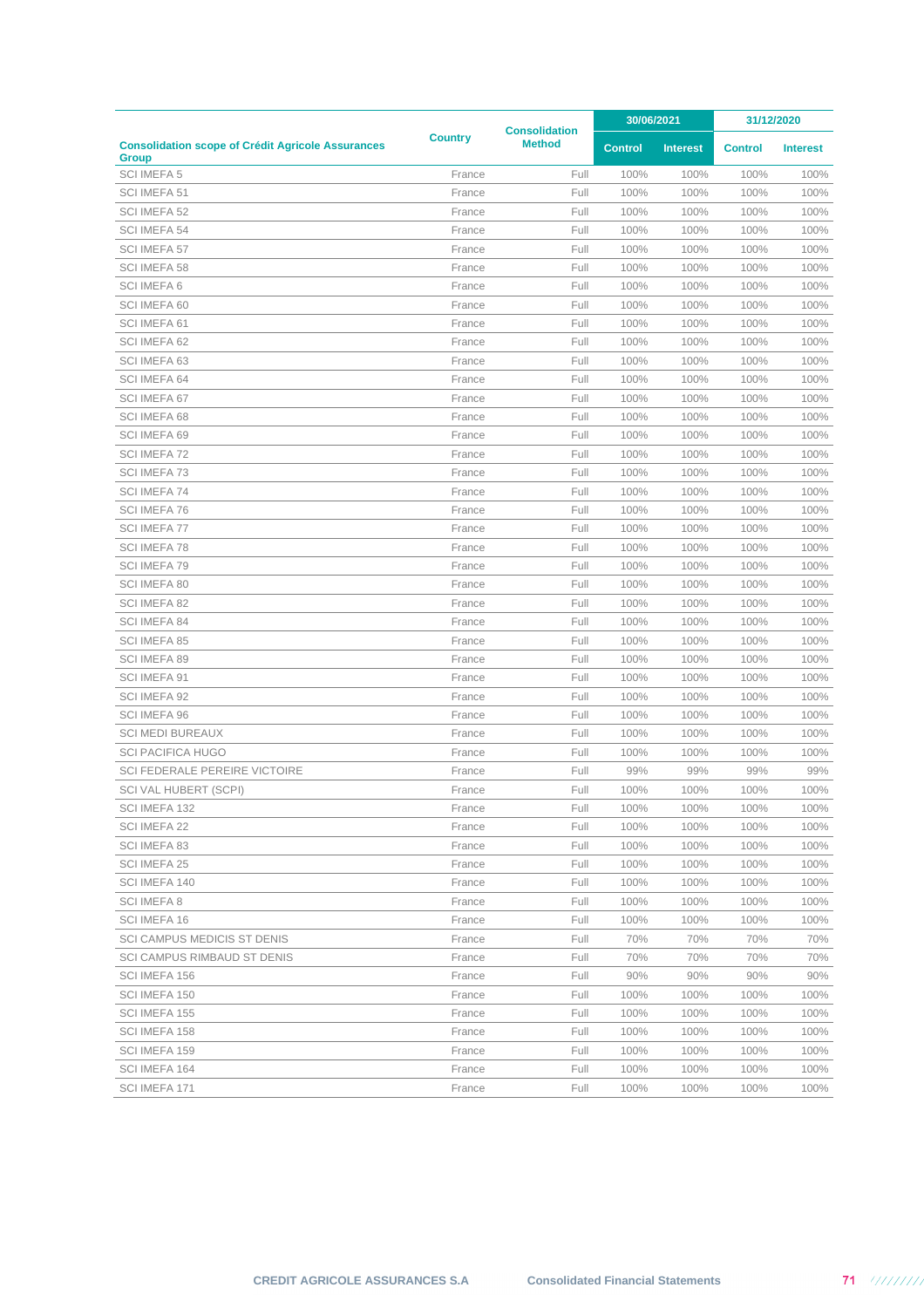|                                                                          |                |                                       | 30/06/2021     |                 | 31/12/2020     |                 |
|--------------------------------------------------------------------------|----------------|---------------------------------------|----------------|-----------------|----------------|-----------------|
| <b>Consolidation scope of Crédit Agricole Assurances</b><br><b>Group</b> | <b>Country</b> | <b>Consolidation</b><br><b>Method</b> | <b>Control</b> | <b>Interest</b> | <b>Control</b> | <b>Interest</b> |
| <b>SCI IMEFA 5</b>                                                       | France         | Full                                  | 100%           | 100%            | 100%           | 100%            |
| SCI IMEFA 51                                                             | France         | Full                                  | 100%           | 100%            | 100%           | 100%            |
| SCI IMEFA 52                                                             | France         | Full                                  | 100%           | 100%            | 100%           | 100%            |
| SCI IMEFA 54                                                             | France         | Full                                  | 100%           | 100%            | 100%           | 100%            |
| SCI IMEFA 57                                                             | France         | Full                                  | 100%           | 100%            | 100%           | 100%            |
| SCI IMEFA 58                                                             | France         | Full                                  | 100%           | 100%            | 100%           | 100%            |
| <b>SCI IMEFA 6</b>                                                       | France         | Full                                  | 100%           | 100%            | 100%           | 100%            |
| SCI IMEFA 60                                                             | France         | Full                                  | 100%           | 100%            | 100%           | 100%            |
| SCI IMEFA 61                                                             | France         | Full                                  | 100%           | 100%            | 100%           | 100%            |
| SCI IMEFA 62                                                             | France         | Full                                  | 100%           | 100%            | 100%           | 100%            |
| SCI IMEFA 63                                                             | France         | Full                                  | 100%           | 100%            | 100%           | 100%            |
| SCI IMEFA 64                                                             | France         | Full                                  | 100%           | 100%            | 100%           | 100%            |
| SCI IMEFA 67                                                             | France         | Full                                  | 100%           | 100%            | 100%           | 100%            |
| SCI IMEFA 68                                                             | France         | Full                                  | 100%           | 100%            | 100%           | 100%            |
| SCI IMEFA 69                                                             | France         | Full                                  | 100%           | 100%            | 100%           | 100%            |
| SCI IMEFA 72                                                             | France         | Full                                  | 100%           | 100%            | 100%           | 100%            |
| <b>SCI IMEFA 73</b>                                                      | France         | Full                                  | 100%           | 100%            | 100%           | 100%            |
| SCI IMEFA 74                                                             | France         | Full                                  | 100%           | 100%            | 100%           | 100%            |
| SCI IMEFA 76                                                             | France         | Full                                  | 100%           | 100%            | 100%           | 100%            |
| <b>SCI IMEFA 77</b>                                                      | France         | Full                                  | 100%           | 100%            | 100%           | 100%            |
| <b>SCI IMEFA 78</b>                                                      | France         | Full                                  | 100%           | 100%            | 100%           | 100%            |
| SCI IMEFA 79                                                             | France         | Full                                  | 100%           | 100%            | 100%           | 100%            |
| SCI IMEFA 80                                                             | France         | Full                                  | 100%           | 100%            | 100%           | 100%            |
| SCI IMEFA 82                                                             | France         | Full                                  | 100%           | 100%            | 100%           | 100%            |
| <b>SCI IMEFA 84</b>                                                      | France         | Full                                  | 100%           | 100%            | 100%           | 100%            |
| SCI IMEFA 85                                                             | France         | Full                                  | 100%           | 100%            | 100%           | 100%            |
| SCI IMEFA 89                                                             | France         | Full                                  | 100%           | 100%            | 100%           | 100%            |
| SCI IMEFA 91                                                             | France         | Full                                  | 100%           | 100%            | 100%           | 100%            |
| SCI IMEFA 92                                                             | France         | Full                                  | 100%           | 100%            | 100%           | 100%            |
| SCI IMEFA 96                                                             | France         | Full                                  | 100%           | 100%            | 100%           | 100%            |
| <b>SCI MEDI BUREAUX</b>                                                  | France         | Full                                  | 100%           | 100%            | 100%           | 100%            |
| <b>SCI PACIFICA HUGO</b>                                                 | France         | Full                                  | 100%           | 100%            | 100%           | 100%            |
| <b>SCI FEDERALE PEREIRE VICTOIRE</b>                                     | France         | Full                                  | 99%            | 99%             | 99%            | 99%             |
| <b>SCI VAL HUBERT (SCPI)</b>                                             | France         | Full                                  | 100%           | 100%            | 100%           | 100%            |
| SCI IMEFA 132                                                            | France         | Full                                  | 100%           | 100%            | 100%           | 100%            |
| SCI IMEFA 22                                                             | France         | Full                                  | 100%           | 100%            | 100%           | 100%            |
| SCI IMEFA 83                                                             | France         | Full                                  | 100%           | 100%            | 100%           | 100%            |
| SCI IMEFA 25                                                             | France         | Full                                  | 100%           | 100%            | 100%           | 100%            |
| SCI IMEFA 140                                                            | France         | Full                                  | 100%           | 100%            | 100%           | 100%            |
| SCI IMEFA 8                                                              | France         | Full                                  | 100%           | 100%            | 100%           | 100%            |
| SCI IMEFA 16                                                             | France         | Full                                  | 100%           | 100%            | 100%           | 100%            |
| <b>SCI CAMPUS MEDICIS ST DENIS</b>                                       | France         | Full                                  | 70%            | 70%             | 70%            | 70%             |
| <b>SCI CAMPUS RIMBAUD ST DENIS</b>                                       | France         | Full                                  | 70%            | 70%             | 70%            | 70%             |
| SCI IMEFA 156                                                            | France         | Full                                  | 90%            | 90%             | 90%            | 90%             |
| SCI IMEFA 150                                                            | France         | Full                                  | 100%           | 100%            | 100%           | 100%            |
| SCI IMEFA 155                                                            | France         | Full                                  | 100%           | 100%            | 100%           | 100%            |
| SCI IMEFA 158                                                            |                | Full                                  | 100%           | 100%            | 100%           | 100%            |
|                                                                          | France         | Full                                  | 100%           |                 |                |                 |
| SCI IMEFA 159                                                            | France         |                                       |                | 100%            | 100%           | 100%            |
| SCI IMEFA 164                                                            | France         | Full                                  | 100%           | 100%            | 100%           | 100%            |
| SCI IMEFA 171                                                            | France         | Full                                  | 100%           | 100%            | 100%           | 100%            |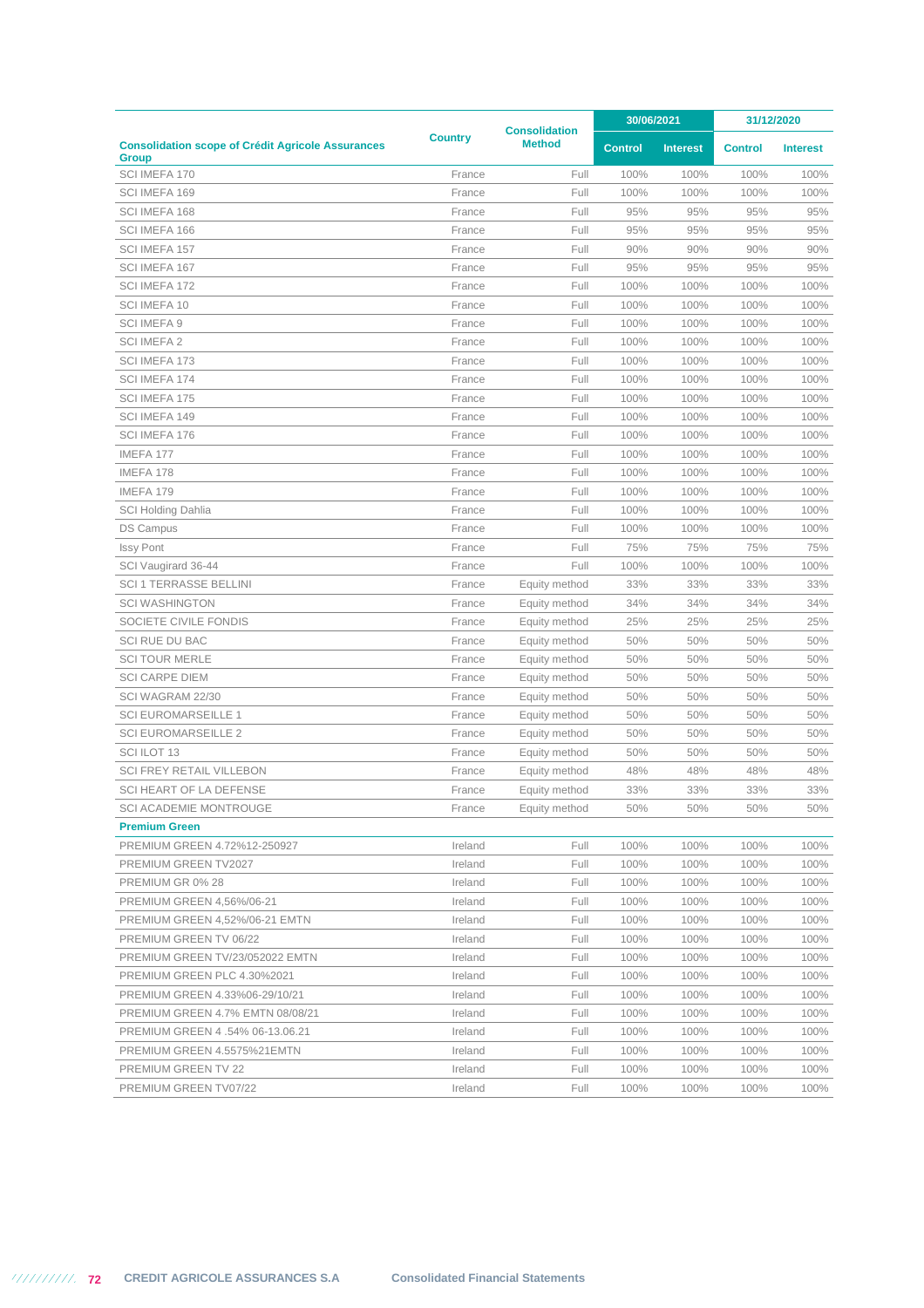|                                                                          | <b>Consolidation</b> |               | 30/06/2021     |                 | 31/12/2020     |                 |
|--------------------------------------------------------------------------|----------------------|---------------|----------------|-----------------|----------------|-----------------|
| <b>Consolidation scope of Crédit Agricole Assurances</b><br><b>Group</b> | <b>Country</b>       | <b>Method</b> | <b>Control</b> | <b>Interest</b> | <b>Control</b> | <b>Interest</b> |
| SCI IMEFA 170                                                            | France               | Full          | 100%           | 100%            | 100%           | 100%            |
| SCI IMEFA 169                                                            | France               | Full          | 100%           | 100%            | 100%           | 100%            |
| SCI IMEFA 168                                                            | France               | Full          | 95%            | 95%             | 95%            | 95%             |
| SCI IMEFA 166                                                            | France               | Full          | 95%            | 95%             | 95%            | 95%             |
| SCI IMEFA 157                                                            | France               | Full          | 90%            | 90%             | 90%            | 90%             |
| SCI IMEFA 167                                                            | France               | Full          | 95%            | 95%             | 95%            | 95%             |
| SCI IMEFA 172                                                            | France               | Full          | 100%           | 100%            | 100%           | 100%            |
| SCI IMEFA 10                                                             | France               | Full          | 100%           | 100%            | 100%           | 100%            |
| <b>SCI IMEFA 9</b>                                                       | France               | Full          | 100%           | 100%            | 100%           | 100%            |
| <b>SCI IMEFA 2</b>                                                       | France               | Full          | 100%           | 100%            | 100%           | 100%            |
| SCI IMEFA 173                                                            | France               | Full          | 100%           | 100%            | 100%           | 100%            |
| SCI IMEFA 174                                                            | France               | Full          | 100%           | 100%            | 100%           | 100%            |
| SCI IMEFA 175                                                            | France               | Full          | 100%           | 100%            | 100%           | 100%            |
| SCI IMEFA 149                                                            | France               | Full          | 100%           | 100%            | 100%           | 100%            |
| SCI IMEFA 176                                                            | France               | Full          | 100%           | 100%            | 100%           | 100%            |
| IMEFA 177                                                                | France               | Full          | 100%           | 100%            | 100%           | 100%            |
| IMEFA 178                                                                | France               | Full          | 100%           | 100%            | 100%           | 100%            |
| IMEFA 179                                                                | France               | Full          | 100%           | 100%            | 100%           | 100%            |
| <b>SCI Holding Dahlia</b>                                                | France               | Full          | 100%           | 100%            | 100%           | 100%            |
| <b>DS Campus</b>                                                         | France               | Full          | 100%           | 100%            | 100%           | 100%            |
| <b>Issy Pont</b>                                                         | France               | Full          | 75%            | 75%             | 75%            | 75%             |
| SCI Vaugirard 36-44                                                      | France               | Full          | 100%           | 100%            | 100%           | 100%            |
| <b>SCI 1 TERRASSE BELLINI</b>                                            | France               | Equity method | 33%            | 33%             | 33%            | 33%             |
| <b>SCI WASHINGTON</b>                                                    | France               | Equity method | 34%            | 34%             | 34%            | 34%             |
| SOCIETE CIVILE FONDIS                                                    | France               | Equity method | 25%            | 25%             | 25%            | 25%             |
| <b>SCI RUE DU BAC</b>                                                    | France               | Equity method | 50%            | 50%             | 50%            | 50%             |
| <b>SCI TOUR MERLE</b>                                                    | France               | Equity method | 50%            | 50%             | 50%            | 50%             |
| <b>SCI CARPE DIEM</b>                                                    | France               | Equity method | 50%            | 50%             | 50%            | 50%             |
| SCI WAGRAM 22/30                                                         | France               | Equity method | 50%            | 50%             | 50%            | 50%             |
| <b>SCI EUROMARSEILLE 1</b>                                               | France               | Equity method | 50%            | 50%             | 50%            | 50%             |
| <b>SCI EUROMARSEILLE 2</b>                                               | France               | Equity method | 50%            | 50%             | 50%            | 50%             |
| <b>SCI ILOT 13</b>                                                       | France               | Equity method | 50%            | 50%             | 50%            | 50%             |
| <b>SCI FREY RETAIL VILLEBON</b>                                          | France               | Equity method | 48%            | 48%             | 48%            | 48%             |
| <b>SCI HEART OF LA DEFENSE</b>                                           | France               | Equity method | 33%            | 33%             | 33%            | 33%             |
| SCI ACADEMIE MONTROUGE                                                   | France               | Equity method | 50%            | 50%             | 50%            | 50%             |
| <b>Premium Green</b>                                                     |                      |               |                |                 |                |                 |
| PREMIUM GREEN 4.72%12-250927                                             | Ireland              | Full          | 100%           | 100%            | 100%           | 100%            |
| PREMIUM GREEN TV2027                                                     | Ireland              | Full          | 100%           | 100%            | 100%           | 100%            |
| PREMIUM GR 0% 28                                                         | Ireland              | Full          | 100%           | 100%            | 100%           | 100%            |
| <b>PREMIUM GREEN 4,56%/06-21</b>                                         | Ireland              | Full          | 100%           | 100%            | 100%           | 100%            |
| PREMIUM GREEN 4,52%/06-21 EMTN                                           | Ireland              | Full          | 100%           | 100%            | 100%           | 100%            |
| PREMIUM GREEN TV 06/22                                                   | Ireland              | Full          | 100%           | 100%            | 100%           | 100%            |
| PREMIUM GREEN TV/23/052022 EMTN                                          | Ireland              | Full          | 100%           | 100%            | 100%           | 100%            |
| PREMIUM GREEN PLC 4.30%2021                                              | Ireland              | Full          | 100%           | 100%            | 100%           | 100%            |
| PREMIUM GREEN 4.33%06-29/10/21                                           | Ireland              | Full          | 100%           | 100%            | 100%           | 100%            |
| PREMIUM GREEN 4.7% EMTN 08/08/21                                         | Ireland              | Full          | 100%           | 100%            | 100%           | 100%            |
| PREMIUM GREEN 4 .54% 06-13.06.21                                         | Ireland              | Full          | 100%           | 100%            | 100%           | 100%            |
| PREMIUM GREEN 4.5575%21EMTN                                              | Ireland              | Full          | 100%           | 100%            | 100%           | 100%            |
| <b>PREMIUM GREEN TV 22</b>                                               | Ireland              | Full          | 100%           | 100%            | 100%           | 100%            |
| PREMIUM GREEN TV07/22                                                    | Ireland              | Full          | 100%           | 100%            | 100%           | 100%            |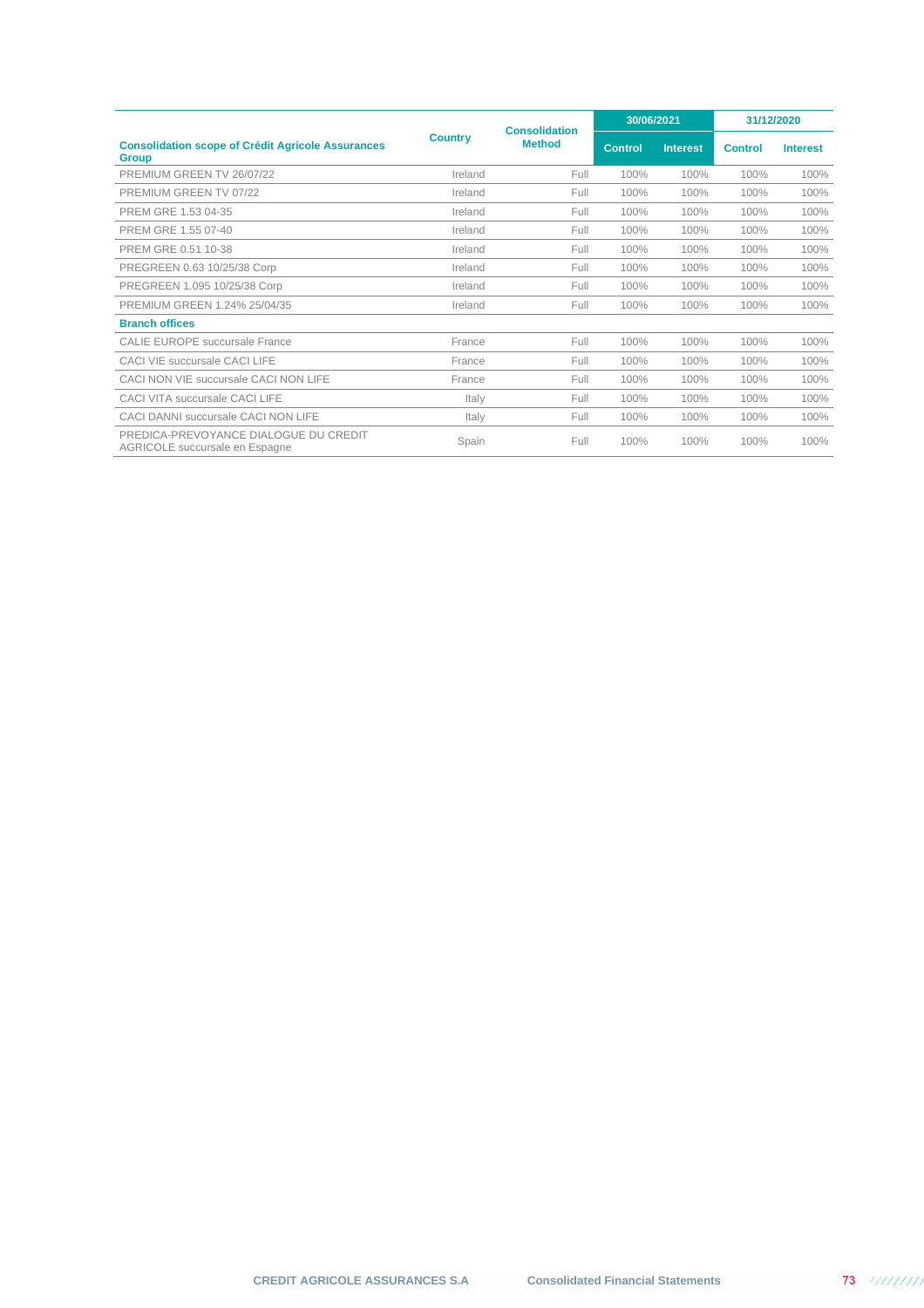|                                                                          | <b>Country</b> | <b>Consolidation</b><br><b>Method</b> | 30/06/2021     |                 | 31/12/2020     |                 |
|--------------------------------------------------------------------------|----------------|---------------------------------------|----------------|-----------------|----------------|-----------------|
| <b>Consolidation scope of Crédit Agricole Assurances</b><br><b>Group</b> |                |                                       | <b>Control</b> | <b>Interest</b> | <b>Control</b> | <b>Interest</b> |
| PREMIUM GREEN TV 26/07/22                                                | Ireland        | Full                                  | 100%           | 100%            | 100%           | 100%            |
| PREMIUM GREEN TV 07/22                                                   | Ireland        | Full                                  | 100%           | 100%            | 100%           | 100%            |
| PREM GRE 1.53 04-35                                                      | Ireland        | Full                                  | 100%           | 100%            | 100%           | 100%            |
| PREM GRE 1.55 07-40                                                      | Ireland        | Full                                  | 100%           | 100%            | 100%           | 100%            |
| PREM GRE 0.51 10-38                                                      | Ireland        | Full                                  | 100%           | 100%            | 100%           | 100%            |
| PREGREEN 0.63 10/25/38 Corp                                              | Ireland        | Full                                  | 100%           | 100%            | 100%           | 100%            |
| PREGREEN 1.095 10/25/38 Corp                                             | Ireland        | Full                                  | 100%           | 100%            | 100%           | 100%            |
| PREMIUM GREEN 1.24% 25/04/35                                             | Ireland        | Full                                  | 100%           | 100%            | 100%           | 100%            |
| <b>Branch offices</b>                                                    |                |                                       |                |                 |                |                 |
| CALIF FUROPE succursale France                                           | France         | Full                                  | 100%           | 100%            | 100%           | 100%            |
| CACI VIE succursale CACI LIFE                                            | France         | Full                                  | 100%           | 100%            | 100%           | 100%            |
| CACI NON VIE succursale CACI NON LIFE                                    | France         | Full                                  | 100%           | 100%            | 100%           | 100%            |
| CACI VITA succursale CACI LIFE                                           | Italy          | Full                                  | 100%           | 100%            | 100%           | 100%            |
| CACI DANNI succursale CACI NON LIFE                                      | Italy          | Full                                  | 100%           | 100%            | 100%           | 100%            |
| PREDICA-PREVOYANCE DIALOGUE DU CREDIT<br>AGRICOLE succursale en Espagne  | Spain          | Full                                  | 100%           | 100%            | 100%           | 100%            |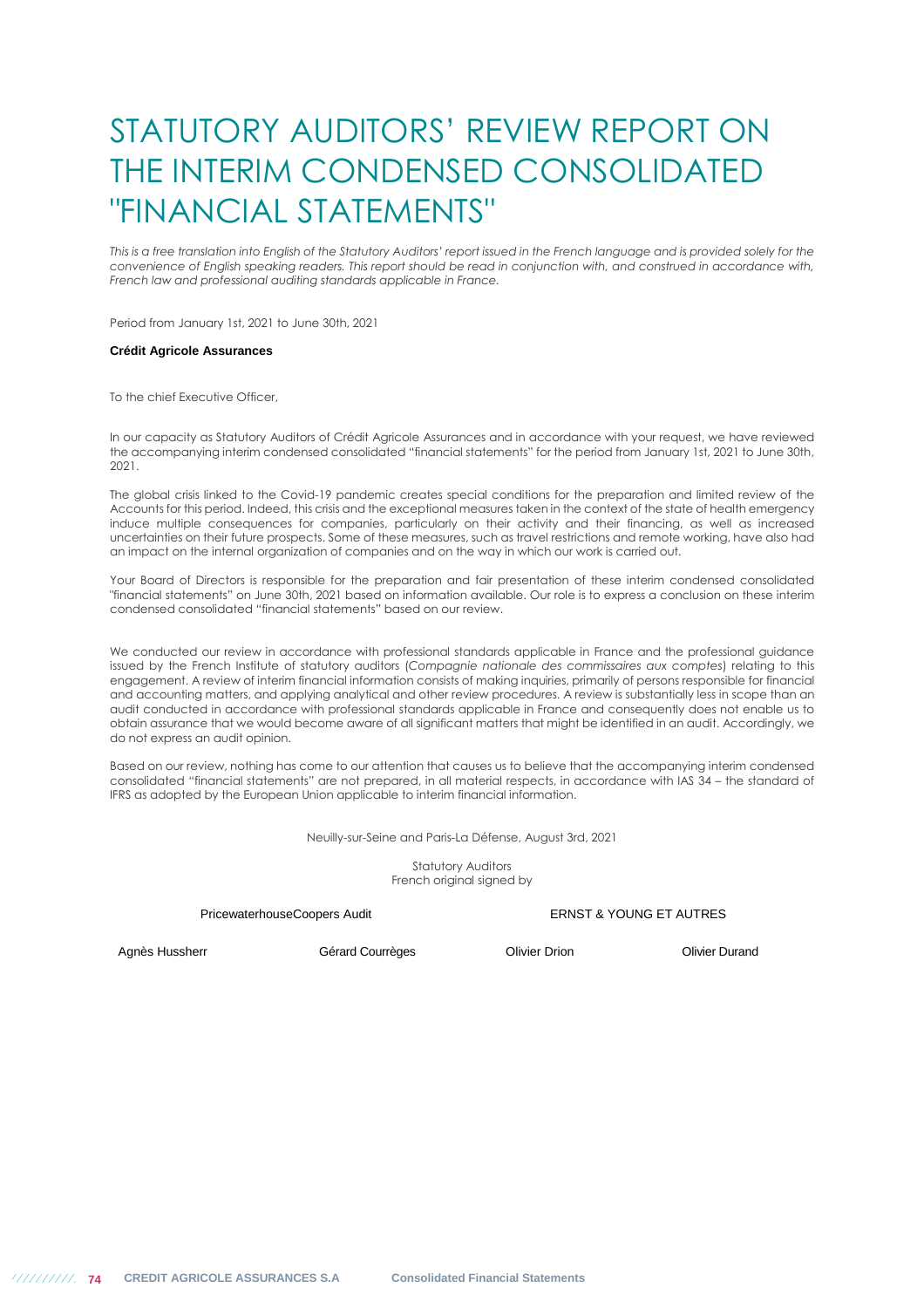## STATUTORY AUDITORS' REVIEW REPORT ON THE INTERIM CONDENSED CONSOLIDATED "FINANCIAL STATEMENTS"

This is a free translation into English of the Statutory Auditors' report issued in the French language and is provided solely for the *convenience of English speaking readers. This report should be read in conjunction with, and construed in accordance with, French law and professional auditing standards applicable in France.* 

Period from January 1st, 2021 to June 30th, 2021

## **Crédit Agricole Assurances**

To the chief Executive Officer,

In our capacity as Statutory Auditors of Crédit Agricole Assurances and in accordance with your request, we have reviewed the accompanying interim condensed consolidated "financial statements" for the period from January 1st, 2021 to June 30th, 2021.

The global crisis linked to the Covid-19 pandemic creates special conditions for the preparation and limited review of the Accounts for this period. Indeed, this crisis and the exceptional measures taken in the context of the state of health emergency induce multiple consequences for companies, particularly on their activity and their financing, as well as increased uncertainties on their future prospects. Some of these measures, such as travel restrictions and remote working, have also had an impact on the internal organization of companies and on the way in which our work is carried out.

Your Board of Directors is responsible for the preparation and fair presentation of these interim condensed consolidated "financial statements" on June 30th, 2021 based on information available. Our role is to express a conclusion on these interim condensed consolidated "financial statements" based on our review.

We conducted our review in accordance with professional standards applicable in France and the professional guidance issued by the French Institute of statutory auditors (*Compagnie nationale des commissaires aux comptes*) relating to this engagement. A review of interim financial information consists of making inquiries, primarily of persons responsible for financial and accounting matters, and applying analytical and other review procedures. A review is substantially less in scope than an audit conducted in accordance with professional standards applicable in France and consequently does not enable us to obtain assurance that we would become aware of all significant matters that might be identified in an audit. Accordingly, we do not express an audit opinion.

Based on our review, nothing has come to our attention that causes us to believe that the accompanying interim condensed consolidated "financial statements" are not prepared, in all material respects, in accordance with IAS 34 – the standard of IFRS as adopted by the European Union applicable to interim financial information.

Neuilly-sur-Seine and Paris-La Défense, August 3rd, 2021

Statutory Auditors French original signed by

## PricewaterhouseCoopers Audit **ERNST & YOUNG ET AUTRES**

Agnès Hussherr **Gérard Courrèges** Courrèges Courrèges Courrèges Courrèges Courrèges Courre de La Courrèges Courrèges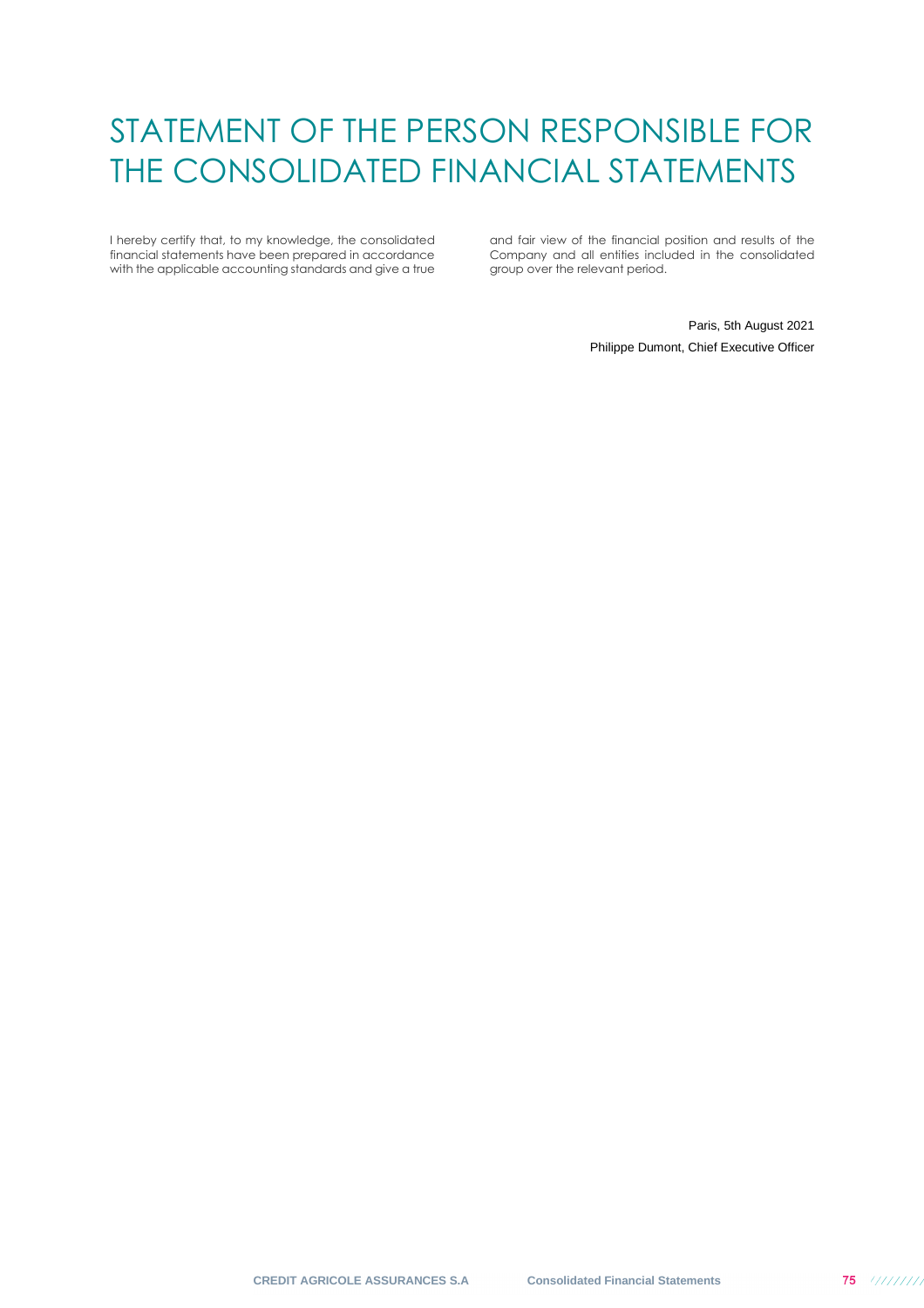## STATEMENT OF THE PERSON RESPONSIBLE FOR THE CONSOLIDATED FINANCIAL STATEMENTS

I hereby certify that, to my knowledge, the consolidated financial statements have been prepared in accordance with the applicable accounting standards and give a true

and fair view of the financial position and results of the Company and all entities included in the consolidated group over the relevant period.

> Paris, 5th August 2021 Philippe Dumont, Chief Executive Officer